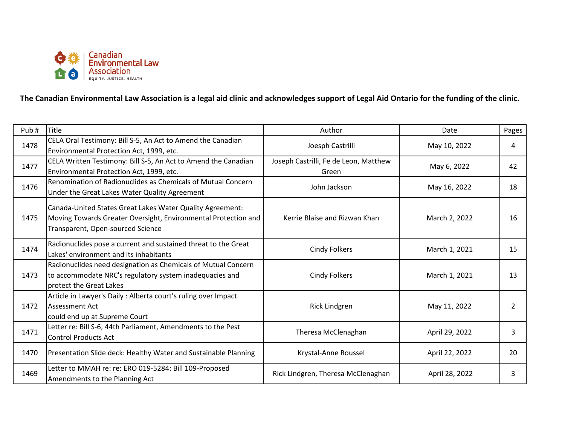

**The Canadian Environmental Law Association is a legal aid clinic and acknowledges support of Legal Aid Ontario for the funding of the clinic.** 

| Pub# | Title                                                                                                                                                            | Author                                         | Date           | Pages          |
|------|------------------------------------------------------------------------------------------------------------------------------------------------------------------|------------------------------------------------|----------------|----------------|
| 1478 | CELA Oral Testimony: Bill S-5, An Act to Amend the Canadian<br>Environmental Protection Act, 1999, etc.                                                          | Joesph Castrilli                               | May 10, 2022   | 4              |
| 1477 | CELA Written Testimony: Bill S-5, An Act to Amend the Canadian<br>Environmental Protection Act, 1999, etc.                                                       | Joseph Castrilli, Fe de Leon, Matthew<br>Green | May 6, 2022    | 42             |
| 1476 | Renomination of Radionuclides as Chemicals of Mutual Concern<br>Under the Great Lakes Water Quality Agreement                                                    | John Jackson                                   | May 16, 2022   | 18             |
| 1475 | Canada-United States Great Lakes Water Quality Agreement:<br>Moving Towards Greater Oversight, Environmental Protection and<br>Transparent, Open-sourced Science | Kerrie Blaise and Rizwan Khan                  | March 2, 2022  | 16             |
| 1474 | Radionuclides pose a current and sustained threat to the Great<br>Lakes' environment and its inhabitants                                                         | Cindy Folkers                                  | March 1, 2021  | 15             |
| 1473 | Radionuclides need designation as Chemicals of Mutual Concern<br>to accommodate NRC's regulatory system inadequacies and<br>protect the Great Lakes              | <b>Cindy Folkers</b>                           | March 1, 2021  | 13             |
| 1472 | Article in Lawyer's Daily: Alberta court's ruling over Impact<br>Assessment Act<br>could end up at Supreme Court                                                 | Rick Lindgren                                  | May 11, 2022   | $\overline{2}$ |
| 1471 | Letter re: Bill S-6, 44th Parliament, Amendments to the Pest<br><b>Control Products Act</b>                                                                      | Theresa McClenaghan                            | April 29, 2022 | 3              |
| 1470 | Presentation Slide deck: Healthy Water and Sustainable Planning                                                                                                  | Krystal-Anne Roussel                           | April 22, 2022 | 20             |
| 1469 | Letter to MMAH re: re: ERO 019-5284: Bill 109-Proposed<br>Amendments to the Planning Act                                                                         | Rick Lindgren, Theresa McClenaghan             | April 28, 2022 | 3              |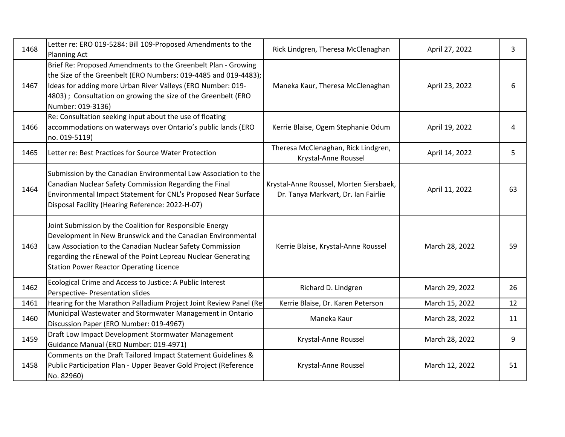| 1468 | Letter re: ERO 019-5284: Bill 109-Proposed Amendments to the<br><b>Planning Act</b>                                                                                                                                                                                                                     | Rick Lindgren, Theresa McClenaghan                                             | April 27, 2022 | 3  |
|------|---------------------------------------------------------------------------------------------------------------------------------------------------------------------------------------------------------------------------------------------------------------------------------------------------------|--------------------------------------------------------------------------------|----------------|----|
| 1467 | Brief Re: Proposed Amendments to the Greenbelt Plan - Growing<br>the Size of the Greenbelt (ERO Numbers: 019-4485 and 019-4483);<br>Ideas for adding more Urban River Valleys (ERO Number: 019-<br>4803) ; Consultation on growing the size of the Greenbelt (ERO<br>Number: 019-3136)                  | Maneka Kaur, Theresa McClenaghan                                               | April 23, 2022 | 6  |
| 1466 | Re: Consultation seeking input about the use of floating<br>accommodations on waterways over Ontario's public lands (ERO<br>no. 019-5119)                                                                                                                                                               | Kerrie Blaise, Ogem Stephanie Odum                                             | April 19, 2022 | 4  |
| 1465 | Letter re: Best Practices for Source Water Protection                                                                                                                                                                                                                                                   | Theresa McClenaghan, Rick Lindgren,<br>Krystal-Anne Roussel                    | April 14, 2022 | 5  |
| 1464 | Submission by the Canadian Environmental Law Association to the<br>Canadian Nuclear Safety Commission Regarding the Final<br>Environmental Impact Statement for CNL's Proposed Near Surface<br>Disposal Facility (Hearing Reference: 2022-H-07)                                                         | Krystal-Anne Roussel, Morten Siersbaek,<br>Dr. Tanya Markvart, Dr. Ian Fairlie | April 11, 2022 | 63 |
| 1463 | Joint Submission by the Coalition for Responsible Energy<br>Development in New Brunswick and the Canadian Environmental<br>Law Association to the Canadian Nuclear Safety Commission<br>regarding the rEnewal of the Point Lepreau Nuclear Generating<br><b>Station Power Reactor Operating Licence</b> | Kerrie Blaise, Krystal-Anne Roussel                                            | March 28, 2022 | 59 |
| 1462 | Ecological Crime and Access to Justice: A Public Interest<br>Perspective- Presentation slides                                                                                                                                                                                                           | Richard D. Lindgren                                                            | March 29, 2022 | 26 |
| 1461 | Hearing for the Marathon Palladium Project Joint Review Panel (Re                                                                                                                                                                                                                                       | Kerrie Blaise, Dr. Karen Peterson                                              | March 15, 2022 | 12 |
| 1460 | Municipal Wastewater and Stormwater Management in Ontario<br>Discussion Paper (ERO Number: 019-4967)                                                                                                                                                                                                    | Maneka Kaur                                                                    | March 28, 2022 | 11 |
| 1459 | Draft Low Impact Development Stormwater Management<br>Guidance Manual (ERO Number: 019-4971)                                                                                                                                                                                                            | Krystal-Anne Roussel                                                           | March 28, 2022 | 9  |
| 1458 | Comments on the Draft Tailored Impact Statement Guidelines &<br>Public Participation Plan - Upper Beaver Gold Project (Reference<br>No. 82960)                                                                                                                                                          | Krystal-Anne Roussel                                                           | March 12, 2022 | 51 |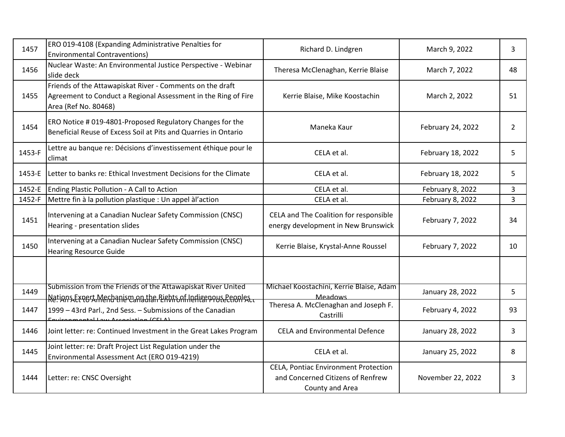| 1457   | ERO 019-4108 (Expanding Administrative Penalties for<br><b>Environmental Contraventions)</b>                                                        | Richard D. Lindgren                                                                          | March 9, 2022     | 3  |
|--------|-----------------------------------------------------------------------------------------------------------------------------------------------------|----------------------------------------------------------------------------------------------|-------------------|----|
| 1456   | Nuclear Waste: An Environmental Justice Perspective - Webinar<br>slide deck                                                                         | Theresa McClenaghan, Kerrie Blaise                                                           | March 7, 2022     | 48 |
| 1455   | Friends of the Attawapiskat River - Comments on the draft<br>Agreement to Conduct a Regional Assessment in the Ring of Fire<br>Area (Ref No. 80468) | Kerrie Blaise, Mike Koostachin                                                               | March 2, 2022     | 51 |
| 1454   | ERO Notice # 019-4801-Proposed Regulatory Changes for the<br>Beneficial Reuse of Excess Soil at Pits and Quarries in Ontario                        | Maneka Kaur                                                                                  | February 24, 2022 | 2  |
| 1453-F | Lettre au banque re: Décisions d'investissement éthique pour le<br>climat                                                                           | CELA et al.                                                                                  | February 18, 2022 | 5  |
| 1453-E | Letter to banks re: Ethical Investment Decisions for the Climate                                                                                    | CELA et al.                                                                                  | February 18, 2022 | 5  |
| 1452-E | Ending Plastic Pollution - A Call to Action                                                                                                         | CELA et al.                                                                                  | February 8, 2022  | 3  |
| 1452-F | Mettre fin à la pollution plastique : Un appel à l'action                                                                                           | CELA et al.                                                                                  | February 8, 2022  | 3  |
| 1451   | Intervening at a Canadian Nuclear Safety Commission (CNSC)<br>Hearing - presentation slides                                                         | CELA and The Coalition for responsible<br>energy development in New Brunswick                | February 7, 2022  | 34 |
| 1450   | Intervening at a Canadian Nuclear Safety Commission (CNSC)<br><b>Hearing Resource Guide</b>                                                         | Kerrie Blaise, Krystal-Anne Roussel                                                          | February 7, 2022  | 10 |
|        |                                                                                                                                                     |                                                                                              |                   |    |
| 1449   | Submission from the Friends of the Attawapiskat River United<br>Netions Expert Merianism and the Rights of Indigenous Peoples                       | Michael Koostachini, Kerrie Blaise, Adam<br><b>Meadows</b>                                   | January 28, 2022  | 5  |
| 1447   | 1999 - 43rd Parl., 2nd Sess. - Submissions of the Canadian<br>Contrappropriately and Accordination (CELA)                                           | Theresa A. McClenaghan and Joseph F.<br>Castrilli                                            | February 4, 2022  | 93 |
| 1446   | Joint letter: re: Continued Investment in the Great Lakes Program                                                                                   | <b>CELA and Environmental Defence</b>                                                        | January 28, 2022  | 3  |
| 1445   | Joint letter: re: Draft Project List Regulation under the<br>Environmental Assessment Act (ERO 019-4219)                                            | CELA et al.                                                                                  | January 25, 2022  | 8  |
| 1444   | Letter: re: CNSC Oversight                                                                                                                          | CELA, Pontiac Environment Protection<br>and Concerned Citizens of Renfrew<br>County and Area | November 22, 2022 | 3  |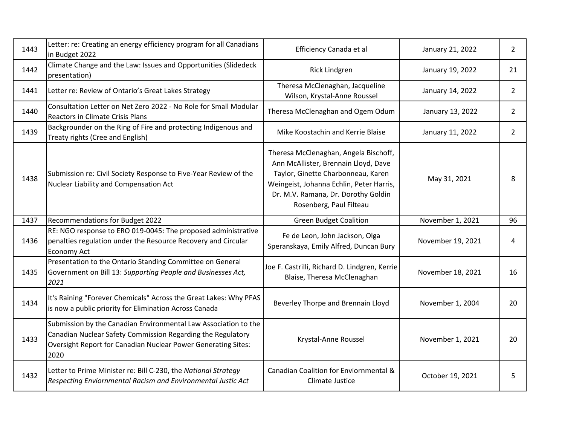| 1443 | Letter: re: Creating an energy efficiency program for all Canadians<br>in Budget 2022                                                                                                                   | Efficiency Canada et al                                                                                                                                                                                                           | January 21, 2022  | $\overline{2}$ |
|------|---------------------------------------------------------------------------------------------------------------------------------------------------------------------------------------------------------|-----------------------------------------------------------------------------------------------------------------------------------------------------------------------------------------------------------------------------------|-------------------|----------------|
| 1442 | Climate Change and the Law: Issues and Opportunities (Slidedeck<br>presentation)                                                                                                                        | <b>Rick Lindgren</b>                                                                                                                                                                                                              | January 19, 2022  | 21             |
| 1441 | Letter re: Review of Ontario's Great Lakes Strategy                                                                                                                                                     | Theresa McClenaghan, Jacqueline<br>Wilson, Krystal-Anne Roussel                                                                                                                                                                   | January 14, 2022  | $\overline{2}$ |
| 1440 | Consultation Letter on Net Zero 2022 - No Role for Small Modular<br><b>Reactors in Climate Crisis Plans</b>                                                                                             | Theresa McClenaghan and Ogem Odum                                                                                                                                                                                                 | January 13, 2022  | $\overline{2}$ |
| 1439 | Backgrounder on the Ring of Fire and protecting Indigenous and<br>Treaty rights (Cree and English)                                                                                                      | Mike Koostachin and Kerrie Blaise                                                                                                                                                                                                 | January 11, 2022  | $\overline{2}$ |
| 1438 | Submission re: Civil Society Response to Five-Year Review of the<br>Nuclear Liability and Compensation Act                                                                                              | Theresa McClenaghan, Angela Bischoff,<br>Ann McAllister, Brennain Lloyd, Dave<br>Taylor, Ginette Charbonneau, Karen<br>Weingeist, Johanna Echlin, Peter Harris,<br>Dr. M.V. Ramana, Dr. Dorothy Goldin<br>Rosenberg, Paul Filteau | May 31, 2021      | 8              |
|      |                                                                                                                                                                                                         |                                                                                                                                                                                                                                   |                   |                |
| 1437 | Recommendations for Budget 2022                                                                                                                                                                         | <b>Green Budget Coalition</b>                                                                                                                                                                                                     | November 1, 2021  | 96             |
| 1436 | RE: NGO response to ERO 019-0045: The proposed administrative<br>penalties regulation under the Resource Recovery and Circular<br>Economy Act                                                           | Fe de Leon, John Jackson, Olga<br>Speranskaya, Emily Alfred, Duncan Bury                                                                                                                                                          | November 19, 2021 | 4              |
| 1435 | Presentation to the Ontario Standing Committee on General<br>Government on Bill 13: Supporting People and Businesses Act,<br>2021                                                                       | Joe F. Castrilli, Richard D. Lindgren, Kerrie<br>Blaise, Theresa McClenaghan                                                                                                                                                      | November 18, 2021 | 16             |
| 1434 | It's Raining "Forever Chemicals" Across the Great Lakes: Why PFAS<br>is now a public priority for Elimination Across Canada                                                                             | Beverley Thorpe and Brennain Lloyd                                                                                                                                                                                                | November 1, 2004  | 20             |
| 1433 | Submission by the Canadian Environmental Law Association to the<br>Canadian Nuclear Safety Commission Regarding the Regulatory<br>Oversight Report for Canadian Nuclear Power Generating Sites:<br>2020 | Krystal-Anne Roussel                                                                                                                                                                                                              | November 1, 2021  | 20             |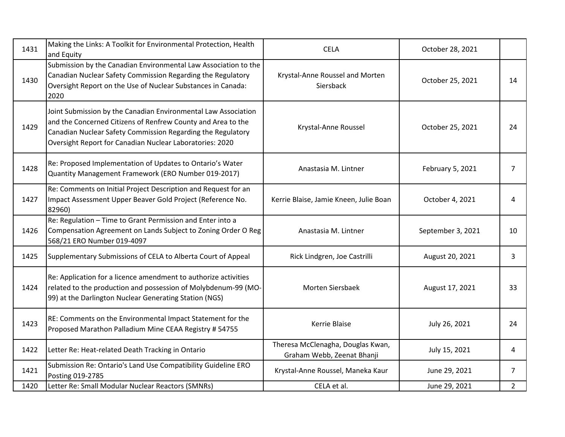| 1431 | Making the Links: A Toolkit for Environmental Protection, Health<br>and Equity                                                                                                                                                                            | <b>CELA</b>                                                     | October 28, 2021  |                |
|------|-----------------------------------------------------------------------------------------------------------------------------------------------------------------------------------------------------------------------------------------------------------|-----------------------------------------------------------------|-------------------|----------------|
| 1430 | Submission by the Canadian Environmental Law Association to the<br>Canadian Nuclear Safety Commission Regarding the Regulatory<br>Oversight Report on the Use of Nuclear Substances in Canada:<br>2020                                                    | Krystal-Anne Roussel and Morten<br>Siersback                    | October 25, 2021  | 14             |
| 1429 | Joint Submission by the Canadian Environmental Law Association<br>and the Concerned Citizens of Renfrew County and Area to the<br>Canadian Nuclear Safety Commission Regarding the Regulatory<br>Oversight Report for Canadian Nuclear Laboratories: 2020 | Krystal-Anne Roussel                                            | October 25, 2021  | 24             |
| 1428 | Re: Proposed Implementation of Updates to Ontario's Water<br>Quantity Management Framework (ERO Number 019-2017)                                                                                                                                          | Anastasia M. Lintner                                            | February 5, 2021  | $\overline{7}$ |
| 1427 | Re: Comments on Initial Project Description and Request for an<br>Impact Assessment Upper Beaver Gold Project (Reference No.<br>82960)                                                                                                                    | Kerrie Blaise, Jamie Kneen, Julie Boan                          | October 4, 2021   | 4              |
| 1426 | Re: Regulation - Time to Grant Permission and Enter into a<br>Compensation Agreement on Lands Subject to Zoning Order O Reg<br>568/21 ERO Number 019-4097                                                                                                 | Anastasia M. Lintner                                            | September 3, 2021 | 10             |
| 1425 | Supplementary Submissions of CELA to Alberta Court of Appeal                                                                                                                                                                                              | Rick Lindgren, Joe Castrilli                                    | August 20, 2021   | 3              |
| 1424 | Re: Application for a licence amendment to authorize activities<br>related to the production and possession of Molybdenum-99 (MO-<br>99) at the Darlington Nuclear Generating Station (NGS)                                                               | Morten Siersbaek                                                | August 17, 2021   | 33             |
| 1423 | RE: Comments on the Environmental Impact Statement for the<br>Proposed Marathon Palladium Mine CEAA Registry # 54755                                                                                                                                      | Kerrie Blaise                                                   | July 26, 2021     | 24             |
| 1422 | Letter Re: Heat-related Death Tracking in Ontario                                                                                                                                                                                                         | Theresa McClenagha, Douglas Kwan,<br>Graham Webb, Zeenat Bhanji | July 15, 2021     | 4              |
| 1421 | Submission Re: Ontario's Land Use Compatibility Guideline ERO<br>Posting 019-2785                                                                                                                                                                         | Krystal-Anne Roussel, Maneka Kaur                               | June 29, 2021     | $\overline{7}$ |
| 1420 | Letter Re: Small Modular Nuclear Reactors (SMNRs)                                                                                                                                                                                                         | CELA et al.                                                     | June 29, 2021     | $\overline{2}$ |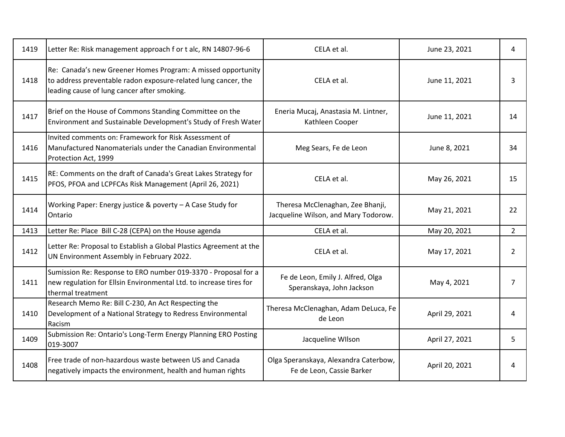| 1419 | Letter Re: Risk management approach f or t alc, RN 14807-96-6                                                                                                                 | CELA et al.                                                              | June 23, 2021  | 4              |
|------|-------------------------------------------------------------------------------------------------------------------------------------------------------------------------------|--------------------------------------------------------------------------|----------------|----------------|
| 1418 | Re: Canada's new Greener Homes Program: A missed opportunity<br>to address preventable radon exposure-related lung cancer, the<br>leading cause of lung cancer after smoking. | CELA et al.                                                              | June 11, 2021  | 3              |
| 1417 | Brief on the House of Commons Standing Committee on the<br>Environment and Sustainable Development's Study of Fresh Water                                                     | Eneria Mucaj, Anastasia M. Lintner,<br>Kathleen Cooper                   | June 11, 2021  | 14             |
| 1416 | Invited comments on: Framework for Risk Assessment of<br>Manufactured Nanomaterials under the Canadian Environmental<br>Protection Act, 1999                                  | Meg Sears, Fe de Leon                                                    | June 8, 2021   | 34             |
| 1415 | RE: Comments on the draft of Canada's Great Lakes Strategy for<br>PFOS, PFOA and LCPFCAs Risk Management (April 26, 2021)                                                     | CELA et al.                                                              | May 26, 2021   | 15             |
| 1414 | Working Paper: Energy justice & poverty $-$ A Case Study for<br>Ontario                                                                                                       | Theresa McClenaghan, Zee Bhanji,<br>Jacqueline Wilson, and Mary Todorow. | May 21, 2021   | 22             |
| 1413 | Letter Re: Place Bill C-28 (CEPA) on the House agenda                                                                                                                         | CELA et al.                                                              | May 20, 2021   | $\overline{2}$ |
| 1412 | Letter Re: Proposal to Establish a Global Plastics Agreement at the<br>UN Environment Assembly in February 2022.                                                              | CELA et al.                                                              | May 17, 2021   | 2              |
| 1411 | Sumission Re: Response to ERO number 019-3370 - Proposal for a<br>new regulation for Ellsin Environmental Ltd. to increase tires for<br>thermal treatment                     | Fe de Leon, Emily J. Alfred, Olga<br>Speranskaya, John Jackson           | May 4, 2021    | $\overline{7}$ |
| 1410 | Research Memo Re: Bill C-230, An Act Respecting the<br>Development of a National Strategy to Redress Environmental<br>Racism                                                  | Theresa McClenaghan, Adam DeLuca, Fe<br>de Leon                          | April 29, 2021 | 4              |
| 1409 | Submission Re: Ontario's Long-Term Energy Planning ERO Posting<br>019-3007                                                                                                    | Jacqueline WIlson                                                        | April 27, 2021 | 5              |
| 1408 | Free trade of non-hazardous waste between US and Canada<br>negatively impacts the environment, health and human rights                                                        | Olga Speranskaya, Alexandra Caterbow,<br>Fe de Leon, Cassie Barker       | April 20, 2021 | 4              |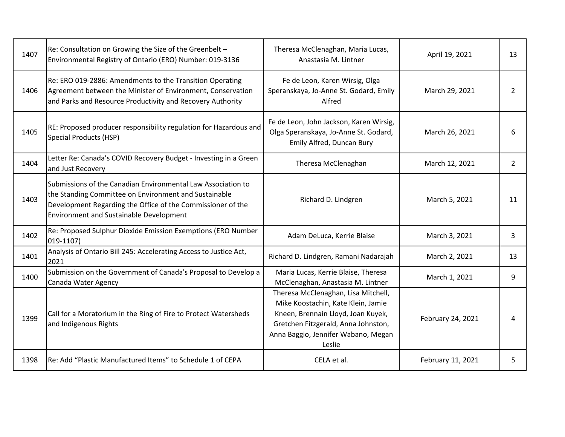| 1407 | Re: Consultation on Growing the Size of the Greenbelt -<br>Environmental Registry of Ontario (ERO) Number: 019-3136                                                                                                                    | Theresa McClenaghan, Maria Lucas,<br>Anastasia M. Lintner                                                                                                                                               | April 19, 2021    | 13             |
|------|----------------------------------------------------------------------------------------------------------------------------------------------------------------------------------------------------------------------------------------|---------------------------------------------------------------------------------------------------------------------------------------------------------------------------------------------------------|-------------------|----------------|
| 1406 | Re: ERO 019-2886: Amendments to the Transition Operating<br>Agreement between the Minister of Environment, Conservation<br>and Parks and Resource Productivity and Recovery Authority                                                  | Fe de Leon, Karen Wirsig, Olga<br>Speranskaya, Jo-Anne St. Godard, Emily<br>Alfred                                                                                                                      | March 29, 2021    | $\overline{2}$ |
| 1405 | RE: Proposed producer responsibility regulation for Hazardous and<br>Special Products (HSP)                                                                                                                                            | Fe de Leon, John Jackson, Karen Wirsig,<br>Olga Speranskaya, Jo-Anne St. Godard,<br>Emily Alfred, Duncan Bury                                                                                           | March 26, 2021    | 6              |
| 1404 | Letter Re: Canada's COVID Recovery Budget - Investing in a Green<br>and Just Recovery                                                                                                                                                  | Theresa McClenaghan                                                                                                                                                                                     | March 12, 2021    | $\overline{2}$ |
| 1403 | Submissions of the Canadian Environmental Law Association to<br>the Standing Committee on Environment and Sustainable<br>Development Regarding the Office of the Commissioner of the<br><b>Environment and Sustainable Development</b> | Richard D. Lindgren                                                                                                                                                                                     | March 5, 2021     | 11             |
| 1402 | Re: Proposed Sulphur Dioxide Emission Exemptions (ERO Number<br>019-1107)                                                                                                                                                              | Adam DeLuca, Kerrie Blaise                                                                                                                                                                              | March 3, 2021     | 3              |
| 1401 | Analysis of Ontario Bill 245: Accelerating Access to Justice Act,<br>2021                                                                                                                                                              | Richard D. Lindgren, Ramani Nadarajah                                                                                                                                                                   | March 2, 2021     | 13             |
| 1400 | Submission on the Government of Canada's Proposal to Develop a<br>Canada Water Agency                                                                                                                                                  | Maria Lucas, Kerrie Blaise, Theresa<br>McClenaghan, Anastasia M. Lintner                                                                                                                                | March 1, 2021     | 9              |
| 1399 | Call for a Moratorium in the Ring of Fire to Protect Watersheds<br>and Indigenous Rights                                                                                                                                               | Theresa McClenaghan, Lisa Mitchell,<br>Mike Koostachin, Kate Klein, Jamie<br>Kneen, Brennain Lloyd, Joan Kuyek,<br>Gretchen Fitzgerald, Anna Johnston,<br>Anna Baggio, Jennifer Wabano, Megan<br>Leslie | February 24, 2021 | 4              |
| 1398 | Re: Add "Plastic Manufactured Items" to Schedule 1 of CEPA                                                                                                                                                                             | CELA et al.                                                                                                                                                                                             | February 11, 2021 | 5              |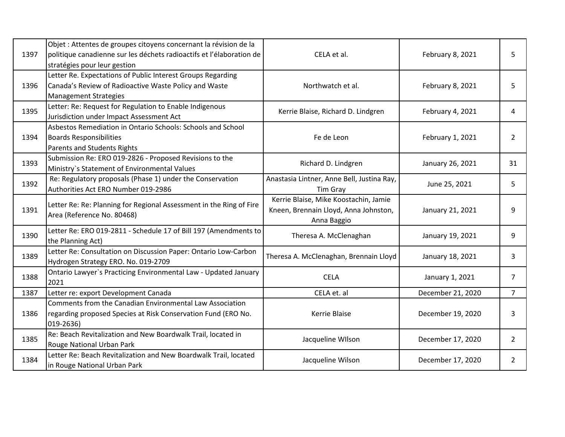| 1397 | Objet : Attentes de groupes citoyens concernant la révision de la<br>politique canadienne sur les déchets radioactifs et l'élaboration de<br>stratégies pour leur gestion | CELA et al.                                                                                   | February 8, 2021  | 5               |
|------|---------------------------------------------------------------------------------------------------------------------------------------------------------------------------|-----------------------------------------------------------------------------------------------|-------------------|-----------------|
| 1396 | Letter Re. Expectations of Public Interest Groups Regarding<br>Canada's Review of Radioactive Waste Policy and Waste<br><b>Management Strategies</b>                      | Northwatch et al.                                                                             | February 8, 2021  | 5               |
| 1395 | Letter: Re: Request for Regulation to Enable Indigenous<br>Jurisdiction under Impact Assessment Act                                                                       | Kerrie Blaise, Richard D. Lindgren                                                            | February 4, 2021  | 4               |
| 1394 | Asbestos Remediation in Ontario Schools: Schools and School<br><b>Boards Responsibilities</b><br><b>Parents and Students Rights</b>                                       | Fe de Leon                                                                                    | February 1, 2021  | $\overline{2}$  |
| 1393 | Submission Re: ERO 019-2826 - Proposed Revisions to the<br>Ministry's Statement of Environmental Values                                                                   | Richard D. Lindgren                                                                           | January 26, 2021  | 31              |
| 1392 | Re: Regulatory proposals (Phase 1) under the Conservation<br>Authorities Act ERO Number 019-2986                                                                          | Anastasia Lintner, Anne Bell, Justina Ray,<br><b>Tim Gray</b>                                 | June 25, 2021     | 5               |
| 1391 | Letter Re: Re: Planning for Regional Assessment in the Ring of Fire<br>Area (Reference No. 80468)                                                                         | Kerrie Blaise, Mike Koostachin, Jamie<br>Kneen, Brennain Lloyd, Anna Johnston,<br>Anna Baggio | January 21, 2021  | 9               |
| 1390 | Letter Re: ERO 019-2811 - Schedule 17 of Bill 197 (Amendments to<br>the Planning Act)                                                                                     | Theresa A. McClenaghan                                                                        | January 19, 2021  | 9               |
| 1389 | Letter Re: Consultation on Discussion Paper: Ontario Low-Carbon<br>Hydrogen Strategy ERO. No. 019-2709                                                                    | Theresa A. McClenaghan, Brennain Lloyd                                                        | January 18, 2021  | 3               |
| 1388 | Ontario Lawyer's Practicing Environmental Law - Updated January<br>2021                                                                                                   | <b>CELA</b>                                                                                   | January 1, 2021   | $\overline{7}$  |
| 1387 | Letter re: export Development Canada                                                                                                                                      | CELA et. al                                                                                   | December 21, 2020 | $7\overline{ }$ |
| 1386 | Comments from the Canadian Environmental Law Association<br>regarding proposed Species at Risk Conservation Fund (ERO No.<br>019-2636)                                    | Kerrie Blaise                                                                                 | December 19, 2020 | 3               |
| 1385 | Re: Beach Revitalization and New Boardwalk Trail, located in<br>Rouge National Urban Park                                                                                 | Jacqueline WIlson                                                                             | December 17, 2020 | $\overline{2}$  |
| 1384 | Letter Re: Beach Revitalization and New Boardwalk Trail, located<br>in Rouge National Urban Park                                                                          | Jacqueline Wilson                                                                             | December 17, 2020 | $\overline{2}$  |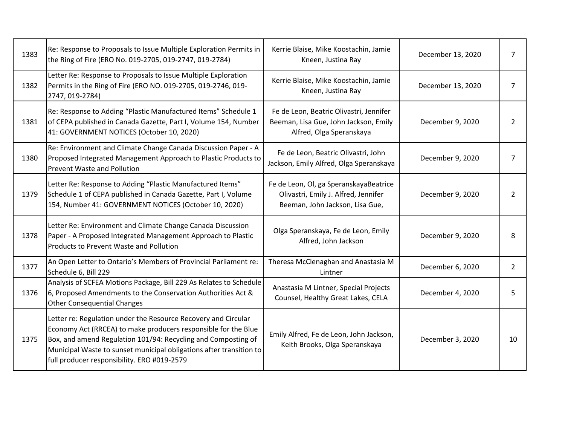| 1383 | Re: Response to Proposals to Issue Multiple Exploration Permits in<br>the Ring of Fire (ERO No. 019-2705, 019-2747, 019-2784)                                                                                                                                                                                           | Kerrie Blaise, Mike Koostachin, Jamie<br>Kneen, Justina Ray                                                       | December 13, 2020 | $\overline{7}$ |
|------|-------------------------------------------------------------------------------------------------------------------------------------------------------------------------------------------------------------------------------------------------------------------------------------------------------------------------|-------------------------------------------------------------------------------------------------------------------|-------------------|----------------|
| 1382 | Letter Re: Response to Proposals to Issue Multiple Exploration<br>Permits in the Ring of Fire (ERO NO. 019-2705, 019-2746, 019-<br>2747, 019-2784)                                                                                                                                                                      | Kerrie Blaise, Mike Koostachin, Jamie<br>Kneen, Justina Ray                                                       | December 13, 2020 | 7              |
| 1381 | Re: Response to Adding "Plastic Manufactured Items" Schedule 1<br>of CEPA published in Canada Gazette, Part I, Volume 154, Number<br>41: GOVERNMENT NOTICES (October 10, 2020)                                                                                                                                          | Fe de Leon, Beatric Olivastri, Jennifer<br>Beeman, Lisa Gue, John Jackson, Emily<br>Alfred, Olga Speranskaya      | December 9, 2020  | 2              |
| 1380 | Re: Environment and Climate Change Canada Discussion Paper - A<br>Proposed Integrated Management Approach to Plastic Products to<br><b>Prevent Waste and Pollution</b>                                                                                                                                                  | Fe de Leon, Beatric Olivastri, John<br>Jackson, Emily Alfred, Olga Speranskaya                                    | December 9, 2020  | 7              |
| 1379 | Letter Re: Response to Adding "Plastic Manufactured Items"<br>Schedule 1 of CEPA published in Canada Gazette, Part I, Volume<br>154, Number 41: GOVERNMENT NOTICES (October 10, 2020)                                                                                                                                   | Fe de Leon, Ol, ga SperanskayaBeatrice<br>Olivastri, Emily J. Alfred, Jennifer<br>Beeman, John Jackson, Lisa Gue, | December 9, 2020  | 2              |
| 1378 | Letter Re: Environment and Climate Change Canada Discussion<br>Paper - A Proposed Integrated Management Approach to Plastic<br><b>Products to Prevent Waste and Pollution</b>                                                                                                                                           | Olga Speranskaya, Fe de Leon, Emily<br>Alfred, John Jackson                                                       | December 9, 2020  | 8              |
| 1377 | An Open Letter to Ontario's Members of Provincial Parliament re:<br>Schedule 6, Bill 229                                                                                                                                                                                                                                | Theresa McClenaghan and Anastasia M<br>Lintner                                                                    | December 6, 2020  | $\overline{2}$ |
| 1376 | Analysis of SCFEA Motions Package, Bill 229 As Relates to Schedule<br>6, Proposed Amendments to the Conservation Authorities Act &<br><b>Other Consequential Changes</b>                                                                                                                                                | Anastasia M Lintner, Special Projects<br>Counsel, Healthy Great Lakes, CELA                                       | December 4, 2020  | 5              |
| 1375 | Letter re: Regulation under the Resource Recovery and Circular<br>Economy Act (RRCEA) to make producers responsible for the Blue<br>Box, and amend Regulation 101/94: Recycling and Composting of<br>Municipal Waste to sunset municipal obligations after transition to<br>full producer responsibility. ERO #019-2579 | Emily Alfred, Fe de Leon, John Jackson,<br>Keith Brooks, Olga Speranskaya                                         | December 3, 2020  | 10             |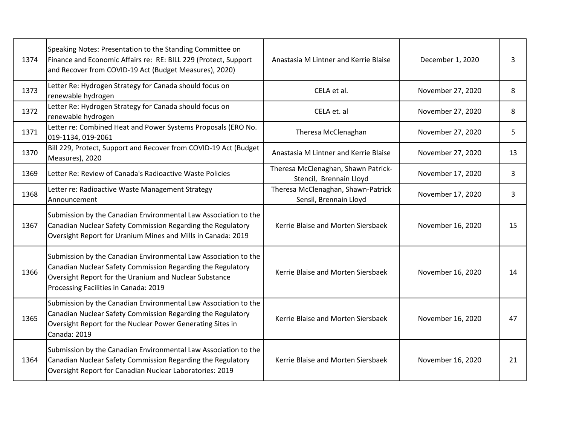| 1374 | Speaking Notes: Presentation to the Standing Committee on<br>Finance and Economic Affairs re: RE: BILL 229 (Protect, Support<br>and Recover from COVID-19 Act (Budget Measures), 2020)                                            | Anastasia M Lintner and Kerrie Blaise                          | December 1, 2020  | 3  |
|------|-----------------------------------------------------------------------------------------------------------------------------------------------------------------------------------------------------------------------------------|----------------------------------------------------------------|-------------------|----|
| 1373 | Letter Re: Hydrogen Strategy for Canada should focus on<br>renewable hydrogen                                                                                                                                                     | CELA et al.                                                    | November 27, 2020 | 8  |
| 1372 | Letter Re: Hydrogen Strategy for Canada should focus on<br>renewable hydrogen                                                                                                                                                     | CELA et. al                                                    | November 27, 2020 | 8  |
| 1371 | Letter re: Combined Heat and Power Systems Proposals (ERO No.<br>019-1134, 019-2061                                                                                                                                               | Theresa McClenaghan                                            | November 27, 2020 | 5  |
| 1370 | Bill 229, Protect, Support and Recover from COVID-19 Act (Budget<br>Measures), 2020                                                                                                                                               | Anastasia M Lintner and Kerrie Blaise                          | November 27, 2020 | 13 |
| 1369 | Letter Re: Review of Canada's Radioactive Waste Policies                                                                                                                                                                          | Theresa McClenaghan, Shawn Patrick-<br>Stencil, Brennain Lloyd | November 17, 2020 | 3  |
| 1368 | Letter re: Radioactive Waste Management Strategy<br>Announcement                                                                                                                                                                  | Theresa McClenaghan, Shawn-Patrick<br>Sensil, Brennain Lloyd   | November 17, 2020 | 3  |
| 1367 | Submission by the Canadian Environmental Law Association to the<br>Canadian Nuclear Safety Commission Regarding the Regulatory<br>Oversight Report for Uranium Mines and Mills in Canada: 2019                                    | Kerrie Blaise and Morten Siersbaek                             | November 16, 2020 | 15 |
| 1366 | Submission by the Canadian Environmental Law Association to the<br>Canadian Nuclear Safety Commission Regarding the Regulatory<br>Oversight Report for the Uranium and Nuclear Substance<br>Processing Facilities in Canada: 2019 | Kerrie Blaise and Morten Siersbaek                             | November 16, 2020 | 14 |
| 1365 | Submission by the Canadian Environmental Law Association to the<br>Canadian Nuclear Safety Commission Regarding the Regulatory<br>Oversight Report for the Nuclear Power Generating Sites in<br>Canada: 2019                      | Kerrie Blaise and Morten Siersbaek                             | November 16, 2020 | 47 |
| 1364 | Submission by the Canadian Environmental Law Association to the<br>Canadian Nuclear Safety Commission Regarding the Regulatory<br>Oversight Report for Canadian Nuclear Laboratories: 2019                                        | Kerrie Blaise and Morten Siersbaek                             | November 16, 2020 | 21 |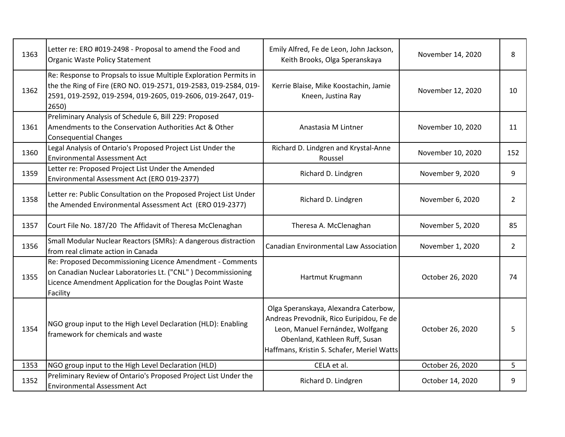| 1363 | Letter re: ERO #019-2498 - Proposal to amend the Food and<br>Organic Waste Policy Statement                                                                                                                    | Emily Alfred, Fe de Leon, John Jackson,<br>Keith Brooks, Olga Speranskaya                                                                                                                             | November 14, 2020 | 8              |
|------|----------------------------------------------------------------------------------------------------------------------------------------------------------------------------------------------------------------|-------------------------------------------------------------------------------------------------------------------------------------------------------------------------------------------------------|-------------------|----------------|
| 1362 | Re: Response to Propsals to issue Multiple Exploration Permits in<br>the the Ring of Fire (ERO NO. 019-2571, 019-2583, 019-2584, 019-<br>2591, 019-2592, 019-2594, 019-2605, 019-2606, 019-2647, 019-<br>2650) | Kerrie Blaise, Mike Koostachin, Jamie<br>Kneen, Justina Ray                                                                                                                                           | November 12, 2020 | 10             |
| 1361 | Preliminary Analysis of Schedule 6, Bill 229: Proposed<br>Amendments to the Conservation Authorities Act & Other<br><b>Consequential Changes</b>                                                               | Anastasia M Lintner                                                                                                                                                                                   | November 10, 2020 | 11             |
| 1360 | Legal Analysis of Ontario's Proposed Project List Under the<br><b>Environmental Assessment Act</b>                                                                                                             | Richard D. Lindgren and Krystal-Anne<br>Roussel                                                                                                                                                       | November 10, 2020 | 152            |
| 1359 | Letter re: Proposed Project List Under the Amended<br>Environmental Assessment Act (ERO 019-2377)                                                                                                              | Richard D. Lindgren                                                                                                                                                                                   | November 9, 2020  | 9              |
| 1358 | Letter re: Public Consultation on the Proposed Project List Under<br>the Amended Environmental Assessment Act (ERO 019-2377)                                                                                   | Richard D. Lindgren                                                                                                                                                                                   | November 6, 2020  | 2              |
| 1357 | Court File No. 187/20 The Affidavit of Theresa McClenaghan                                                                                                                                                     | Theresa A. McClenaghan                                                                                                                                                                                | November 5, 2020  | 85             |
| 1356 | Small Modular Nuclear Reactors (SMRs): A dangerous distraction<br>from real climate action in Canada                                                                                                           | <b>Canadian Environmental Law Association</b>                                                                                                                                                         | November 1, 2020  | $\overline{2}$ |
| 1355 | Re: Proposed Decommissioning Licence Amendment - Comments<br>on Canadian Nuclear Laboratories Lt. ("CNL") Decommissioning<br>Licence Amendment Application for the Douglas Point Waste<br>Facility             | Hartmut Krugmann                                                                                                                                                                                      | October 26, 2020  | 74             |
| 1354 | NGO group input to the High Level Declaration (HLD): Enabling<br>framework for chemicals and waste                                                                                                             | Olga Speranskaya, Alexandra Caterbow,<br>Andreas Prevodnik, Rico Euripidou, Fe de<br>Leon, Manuel Fernández, Wolfgang<br>Obenland, Kathleen Ruff, Susan<br>Haffmans, Kristin S. Schafer, Meriel Watts | October 26, 2020  | 5              |
| 1353 | NGO group input to the High Level Declaration (HLD)                                                                                                                                                            | CELA et al.                                                                                                                                                                                           | October 26, 2020  | 5              |
| 1352 | Preliminary Review of Ontario's Proposed Project List Under the<br><b>Environmental Assessment Act</b>                                                                                                         | Richard D. Lindgren                                                                                                                                                                                   | October 14, 2020  | 9              |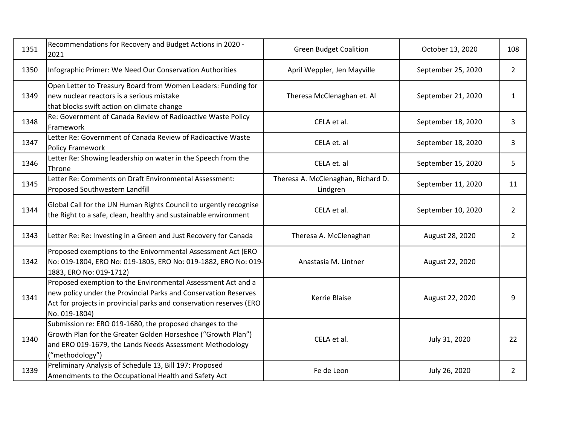| 1351 | Recommendations for Recovery and Budget Actions in 2020 -<br>2021                                                                                                                                                       | <b>Green Budget Coalition</b>                  | October 13, 2020   | 108            |
|------|-------------------------------------------------------------------------------------------------------------------------------------------------------------------------------------------------------------------------|------------------------------------------------|--------------------|----------------|
| 1350 | Infographic Primer: We Need Our Conservation Authorities                                                                                                                                                                | April Weppler, Jen Mayville                    | September 25, 2020 | $\overline{2}$ |
| 1349 | Open Letter to Treasury Board from Women Leaders: Funding for<br>new nuclear reactors is a serious mistake<br>that blocks swift action on climate change                                                                | Theresa McClenaghan et. Al                     | September 21, 2020 | $\mathbf{1}$   |
| 1348 | Re: Government of Canada Review of Radioactive Waste Policy<br>Framework                                                                                                                                                | CELA et al.                                    | September 18, 2020 | 3              |
| 1347 | Letter Re: Government of Canada Review of Radioactive Waste<br><b>Policy Framework</b>                                                                                                                                  | CELA et. al                                    | September 18, 2020 | 3              |
| 1346 | Letter Re: Showing leadership on water in the Speech from the<br>Throne                                                                                                                                                 | CELA et. al                                    | September 15, 2020 | 5              |
| 1345 | Letter Re: Comments on Draft Environmental Assessment:<br>Proposed Southwestern Landfill                                                                                                                                | Theresa A. McClenaghan, Richard D.<br>Lindgren | September 11, 2020 | 11             |
| 1344 | Global Call for the UN Human Rights Council to urgently recognise<br>the Right to a safe, clean, healthy and sustainable environment                                                                                    | CELA et al.                                    | September 10, 2020 | $\overline{2}$ |
| 1343 | Letter Re: Re: Investing in a Green and Just Recovery for Canada                                                                                                                                                        | Theresa A. McClenaghan                         | August 28, 2020    | $\overline{2}$ |
| 1342 | Proposed exemptions to the Enivornmental Assessment Act (ERO<br>No: 019-1804, ERO No: 019-1805, ERO No: 019-1882, ERO No: 019-<br>1883, ERO No: 019-1712)                                                               | Anastasia M. Lintner                           | August 22, 2020    |                |
| 1341 | Proposed exemption to the Environmental Assessment Act and a<br>new policy under the Provincial Parks and Conservation Reserves<br>Act for projects in provincial parks and conservation reserves (ERO<br>No. 019-1804) | <b>Kerrie Blaise</b>                           | August 22, 2020    | 9              |
| 1340 | Submission re: ERO 019-1680, the proposed changes to the<br>Growth Plan for the Greater Golden Horseshoe ("Growth Plan")<br>and ERO 019-1679, the Lands Needs Assessment Methodology<br>("methodology")                 | CELA et al.                                    | July 31, 2020      | 22             |
| 1339 | Preliminary Analysis of Schedule 13, Bill 197: Proposed<br>Amendments to the Occupational Health and Safety Act                                                                                                         | Fe de Leon                                     | July 26, 2020      | 2              |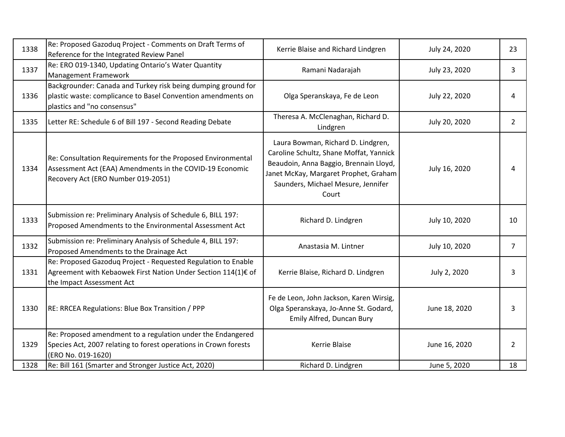| 1338 | Re: Proposed Gazoduq Project - Comments on Draft Terms of<br>Reference for the Integrated Review Panel                                                         | Kerrie Blaise and Richard Lindgren                                                                                                                                                                              | July 24, 2020 | 23             |
|------|----------------------------------------------------------------------------------------------------------------------------------------------------------------|-----------------------------------------------------------------------------------------------------------------------------------------------------------------------------------------------------------------|---------------|----------------|
| 1337 | Re: ERO 019-1340, Updating Ontario's Water Quantity<br>Management Framework                                                                                    | Ramani Nadarajah                                                                                                                                                                                                | July 23, 2020 | 3              |
| 1336 | Backgrounder: Canada and Turkey risk being dumping ground for<br>plastic waste: complicance to Basel Convention amendments on<br>plastics and "no consensus"   | Olga Speranskaya, Fe de Leon                                                                                                                                                                                    | July 22, 2020 | 4              |
| 1335 | Letter RE: Schedule 6 of Bill 197 - Second Reading Debate                                                                                                      | Theresa A. McClenaghan, Richard D.<br>Lindgren                                                                                                                                                                  | July 20, 2020 | $\overline{2}$ |
| 1334 | Re: Consultation Requirements for the Proposed Environmental<br>Assessment Act (EAA) Amendments in the COVID-19 Economic<br>Recovery Act (ERO Number 019-2051) | Laura Bowman, Richard D. Lindgren,<br>Caroline Schultz, Shane Moffat, Yannick<br>Beaudoin, Anna Baggio, Brennain Lloyd,<br>Janet McKay, Margaret Prophet, Graham<br>Saunders, Michael Mesure, Jennifer<br>Court | July 16, 2020 | 4              |
| 1333 | Submission re: Preliminary Analysis of Schedule 6, BILL 197:<br>Proposed Amendments to the Environmental Assessment Act                                        | Richard D. Lindgren                                                                                                                                                                                             | July 10, 2020 | 10             |
| 1332 | Submission re: Preliminary Analysis of Schedule 4, BILL 197:<br>Proposed Amendments to the Drainage Act                                                        | Anastasia M. Lintner                                                                                                                                                                                            | July 10, 2020 | $\overline{7}$ |
| 1331 | Re: Proposed Gazoduq Project - Requested Regulation to Enable<br>Agreement with Kebaowek First Nation Under Section 114(1)€ of<br>the Impact Assessment Act    | Kerrie Blaise, Richard D. Lindgren                                                                                                                                                                              | July 2, 2020  | 3              |
| 1330 | RE: RRCEA Regulations: Blue Box Transition / PPP                                                                                                               | Fe de Leon, John Jackson, Karen Wirsig,<br>Olga Speranskaya, Jo-Anne St. Godard,<br>Emily Alfred, Duncan Bury                                                                                                   | June 18, 2020 | 3              |
| 1329 | Re: Proposed amendment to a regulation under the Endangered<br>Species Act, 2007 relating to forest operations in Crown forests<br>(ERO No. 019-1620)          | Kerrie Blaise                                                                                                                                                                                                   | June 16, 2020 | $\overline{2}$ |
| 1328 | Re: Bill 161 (Smarter and Stronger Justice Act, 2020)                                                                                                          | Richard D. Lindgren                                                                                                                                                                                             | June 5, 2020  | 18             |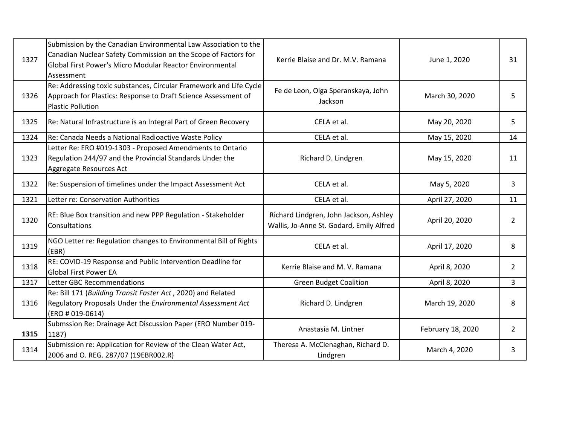| 1327 | Submission by the Canadian Environmental Law Association to the<br>Canadian Nuclear Safety Commission on the Scope of Factors for<br>Global First Power's Micro Modular Reactor Environmental<br>Assessment | Kerrie Blaise and Dr. M.V. Ramana                                                  | June 1, 2020      | 31             |
|------|-------------------------------------------------------------------------------------------------------------------------------------------------------------------------------------------------------------|------------------------------------------------------------------------------------|-------------------|----------------|
| 1326 | Re: Addressing toxic substances, Circular Framework and Life Cycle<br>Approach for Plastics: Response to Draft Science Assessment of<br><b>Plastic Pollution</b>                                            | Fe de Leon, Olga Speranskaya, John<br>Jackson                                      | March 30, 2020    | 5              |
| 1325 | Re: Natural Infrastructure is an Integral Part of Green Recovery                                                                                                                                            | CELA et al.                                                                        | May 20, 2020      | 5              |
| 1324 | Re: Canada Needs a National Radioactive Waste Policy                                                                                                                                                        | CELA et al.                                                                        | May 15, 2020      | 14             |
| 1323 | Letter Re: ERO #019-1303 - Proposed Amendments to Ontario<br>Regulation 244/97 and the Provincial Standards Under the<br>Aggregate Resources Act                                                            | Richard D. Lindgren                                                                | May 15, 2020      | 11             |
| 1322 | Re: Suspension of timelines under the Impact Assessment Act                                                                                                                                                 | CELA et al.                                                                        | May 5, 2020       | 3              |
| 1321 | Letter re: Conservation Authorities                                                                                                                                                                         | CELA et al.                                                                        | April 27, 2020    | 11             |
| 1320 | RE: Blue Box transition and new PPP Regulation - Stakeholder<br><b>Consultations</b>                                                                                                                        | Richard Lindgren, John Jackson, Ashley<br>Wallis, Jo-Anne St. Godard, Emily Alfred | April 20, 2020    | 2              |
| 1319 | NGO Letter re: Regulation changes to Environmental Bill of Rights<br>(EBR)                                                                                                                                  | CELA et al.                                                                        | April 17, 2020    | 8              |
| 1318 | RE: COVID-19 Response and Public Intervention Deadline for<br><b>Global First Power EA</b>                                                                                                                  | Kerrie Blaise and M. V. Ramana                                                     | April 8, 2020     | $\overline{2}$ |
| 1317 | Letter GBC Recommendations                                                                                                                                                                                  | <b>Green Budget Coalition</b>                                                      | April 8, 2020     | $\overline{3}$ |
| 1316 | Re: Bill 171 (Building Transit Faster Act, 2020) and Related<br>Regulatory Proposals Under the Environmental Assessment Act<br>(ERO # 019-0614)                                                             | Richard D. Lindgren                                                                | March 19, 2020    | 8              |
| 1315 | Submssion Re: Drainage Act Discussion Paper (ERO Number 019-<br>1187)                                                                                                                                       | Anastasia M. Lintner                                                               | February 18, 2020 | $\overline{2}$ |
| 1314 | Submission re: Application for Review of the Clean Water Act,<br>2006 and O. REG. 287/07 (19EBR002.R)                                                                                                       | Theresa A. McClenaghan, Richard D.<br>Lindgren                                     | March 4, 2020     | 3              |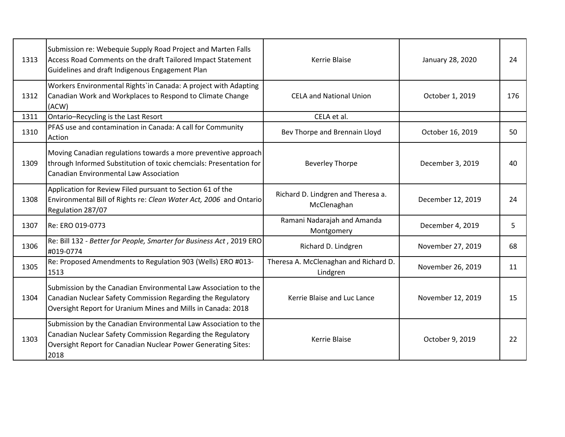| 1313 | Submission re: Webequie Supply Road Project and Marten Falls<br>Access Road Comments on the draft Tailored Impact Statement<br>Guidelines and draft Indigenous Engagement Plan                          | Kerrie Blaise                                     | January 28, 2020  | 24  |
|------|---------------------------------------------------------------------------------------------------------------------------------------------------------------------------------------------------------|---------------------------------------------------|-------------------|-----|
| 1312 | Workers Environmental Rights'in Canada: A project with Adapting<br>Canadian Work and Workplaces to Respond to Climate Change<br>(ACW)                                                                   | <b>CELA and National Union</b>                    | October 1, 2019   | 176 |
| 1311 | Ontario-Recycling is the Last Resort                                                                                                                                                                    | CELA et al.                                       |                   |     |
| 1310 | PFAS use and contamination in Canada: A call for Community<br>Action                                                                                                                                    | Bev Thorpe and Brennain Lloyd                     | October 16, 2019  | 50  |
| 1309 | Moving Canadian regulations towards a more preventive approach<br>through Informed Substitution of toxic chemcials: Presentation for<br><b>Canadian Environmental Law Association</b>                   | <b>Beverley Thorpe</b>                            | December 3, 2019  | 40  |
| 1308 | Application for Review Filed pursuant to Section 61 of the<br>Environmental Bill of Rights re: Clean Water Act, 2006 and Ontario<br>Regulation 287/07                                                   | Richard D. Lindgren and Theresa a.<br>McClenaghan | December 12, 2019 | 24  |
| 1307 | Re: ERO 019-0773                                                                                                                                                                                        | Ramani Nadarajah and Amanda<br>Montgomery         | December 4, 2019  | 5   |
| 1306 | Re: Bill 132 - Better for People, Smarter for Business Act, 2019 ERO<br>#019-0774                                                                                                                       | Richard D. Lindgren                               | November 27, 2019 | 68  |
| 1305 | Re: Proposed Amendments to Regulation 903 (Wells) ERO #013-<br>1513                                                                                                                                     | Theresa A. McClenaghan and Richard D.<br>Lindgren | November 26, 2019 | 11  |
| 1304 | Submission by the Canadian Environmental Law Association to the<br>Canadian Nuclear Safety Commission Regarding the Regulatory<br>Oversight Report for Uranium Mines and Mills in Canada: 2018          | Kerrie Blaise and Luc Lance                       | November 12, 2019 | 15  |
| 1303 | Submission by the Canadian Environmental Law Association to the<br>Canadian Nuclear Safety Commission Regarding the Regulatory<br>Oversight Report for Canadian Nuclear Power Generating Sites:<br>2018 | <b>Kerrie Blaise</b>                              | October 9, 2019   | 22  |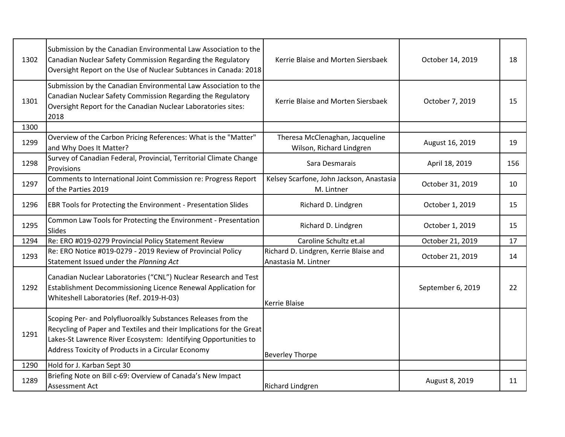| 1302 | Submission by the Canadian Environmental Law Association to the<br>Canadian Nuclear Safety Commission Regarding the Regulatory<br>Oversight Report on the Use of Nuclear Subtances in Canada: 2018                                                             | Kerrie Blaise and Morten Siersbaek                             | October 14, 2019  | 18  |
|------|----------------------------------------------------------------------------------------------------------------------------------------------------------------------------------------------------------------------------------------------------------------|----------------------------------------------------------------|-------------------|-----|
| 1301 | Submission by the Canadian Environmental Law Association to the<br>Canadian Nuclear Safety Commission Regarding the Regulatory<br>Oversight Report for the Canadian Nuclear Laboratories sites:<br>2018                                                        | Kerrie Blaise and Morten Siersbaek                             | October 7, 2019   | 15  |
| 1300 |                                                                                                                                                                                                                                                                |                                                                |                   |     |
| 1299 | Overview of the Carbon Pricing References: What is the "Matter"<br>and Why Does It Matter?                                                                                                                                                                     | Theresa McClenaghan, Jacqueline<br>Wilson, Richard Lindgren    | August 16, 2019   | 19  |
| 1298 | Survey of Canadian Federal, Provincial, Territorial Climate Change<br>Provisions                                                                                                                                                                               | Sara Desmarais                                                 | April 18, 2019    | 156 |
| 1297 | Comments to International Joint Commission re: Progress Report<br>of the Parties 2019                                                                                                                                                                          | Kelsey Scarfone, John Jackson, Anastasia<br>M. Lintner         | October 31, 2019  | 10  |
| 1296 | EBR Tools for Protecting the Environment - Presentation Slides                                                                                                                                                                                                 | Richard D. Lindgren                                            | October 1, 2019   | 15  |
| 1295 | Common Law Tools for Protecting the Environment - Presentation<br><b>Slides</b>                                                                                                                                                                                | Richard D. Lindgren                                            | October 1, 2019   | 15  |
| 1294 | Re: ERO #019-0279 Provincial Policy Statement Review                                                                                                                                                                                                           | Caroline Schultz et.al                                         | October 21, 2019  | 17  |
| 1293 | Re: ERO Notice #019-0279 - 2019 Review of Provincial Policy<br>Statement Issued under the Planning Act                                                                                                                                                         | Richard D. Lindgren, Kerrie Blaise and<br>Anastasia M. Lintner | October 21, 2019  | 14  |
| 1292 | Canadian Nuclear Laboratories ("CNL") Nuclear Research and Test<br>Establishment Decommissioning Licence Renewal Application for<br>Whiteshell Laboratories (Ref. 2019-H-03)                                                                                   | Kerrie Blaise                                                  | September 6, 2019 | 22  |
| 1291 | Scoping Per- and Polyfluoroalkly Substances Releases from the<br>Recycling of Paper and Textiles and their Implications for the Great<br>Lakes-St Lawrence River Ecosystem: Identifying Opportunities to<br>Address Toxicity of Products in a Circular Economy | <b>Beverley Thorpe</b>                                         |                   |     |
| 1290 | Hold for J. Karban Sept 30                                                                                                                                                                                                                                     |                                                                |                   |     |
| 1289 | Briefing Note on Bill c-69: Overview of Canada's New Impact<br><b>Assessment Act</b>                                                                                                                                                                           | <b>Richard Lindgren</b>                                        | August 8, 2019    | 11  |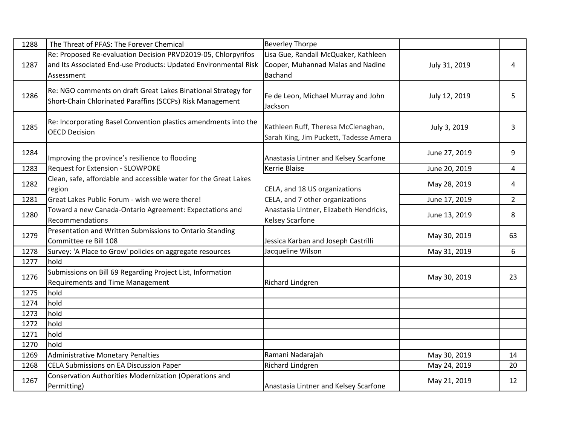| 1288 | The Threat of PFAS: The Forever Chemical                                                                                                       | <b>Beverley Thorpe</b>                                                                      |               |                |
|------|------------------------------------------------------------------------------------------------------------------------------------------------|---------------------------------------------------------------------------------------------|---------------|----------------|
| 1287 | Re: Proposed Re-evaluation Decision PRVD2019-05, Chlorpyrifos<br>and Its Associated End-use Products: Updated Environmental Risk<br>Assessment | Lisa Gue, Randall McQuaker, Kathleen<br>Cooper, Muhannad Malas and Nadine<br><b>Bachand</b> | July 31, 2019 | 4              |
| 1286 | Re: NGO comments on draft Great Lakes Binational Strategy for<br>Short-Chain Chlorinated Paraffins (SCCPs) Risk Management                     | Fe de Leon, Michael Murray and John<br>Jackson                                              | July 12, 2019 | 5              |
| 1285 | Re: Incorporating Basel Convention plastics amendments into the<br><b>OECD Decision</b>                                                        | Kathleen Ruff, Theresa McClenaghan,<br>Sarah King, Jim Puckett, Tadesse Amera               | July 3, 2019  | 3              |
| 1284 | Improving the province's resilience to flooding                                                                                                | Anastasia Lintner and Kelsey Scarfone                                                       | June 27, 2019 | 9              |
| 1283 | Request for Extension - SLOWPOKE                                                                                                               | Kerrie Blaise                                                                               | June 20, 2019 | 4              |
| 1282 | Clean, safe, affordable and accessible water for the Great Lakes<br>region                                                                     | CELA, and 18 US organizations                                                               | May 28, 2019  | 4              |
| 1281 | Great Lakes Public Forum - wish we were there!                                                                                                 | CELA, and 7 other organizations                                                             | June 17, 2019 | $\overline{2}$ |
| 1280 | Toward a new Canada-Ontario Agreement: Expectations and<br>Recommendations                                                                     | Anastasia Lintner, Elizabeth Hendricks,<br>Kelsey Scarfone                                  | June 13, 2019 | 8              |
| 1279 | Presentation and Written Submissions to Ontario Standing<br>Committee re Bill 108                                                              | Jessica Karban and Joseph Castrilli                                                         | May 30, 2019  | 63             |
| 1278 | Survey: 'A Place to Grow' policies on aggregate resources                                                                                      | Jacqueline Wilson                                                                           | May 31, 2019  | 6              |
| 1277 | hold                                                                                                                                           |                                                                                             |               |                |
| 1276 | Submissions on Bill 69 Regarding Project List, Information<br>Requirements and Time Management                                                 | <b>Richard Lindgren</b>                                                                     | May 30, 2019  | 23             |
| 1275 | hold                                                                                                                                           |                                                                                             |               |                |
| 1274 | hold                                                                                                                                           |                                                                                             |               |                |
| 1273 | hold                                                                                                                                           |                                                                                             |               |                |
| 1272 | hold                                                                                                                                           |                                                                                             |               |                |
| 1271 | hold                                                                                                                                           |                                                                                             |               |                |
| 1270 | hold                                                                                                                                           |                                                                                             |               |                |
| 1269 | <b>Administrative Monetary Penalties</b>                                                                                                       | Ramani Nadarajah                                                                            | May 30, 2019  | 14             |
| 1268 | CELA Submissions on EA Discussion Paper                                                                                                        | <b>Richard Lindgren</b>                                                                     | May 24, 2019  | 20             |
| 1267 | Conservation Authorities Modernization (Operations and<br>Permitting)                                                                          | Anastasia Lintner and Kelsey Scarfone                                                       | May 21, 2019  | 12             |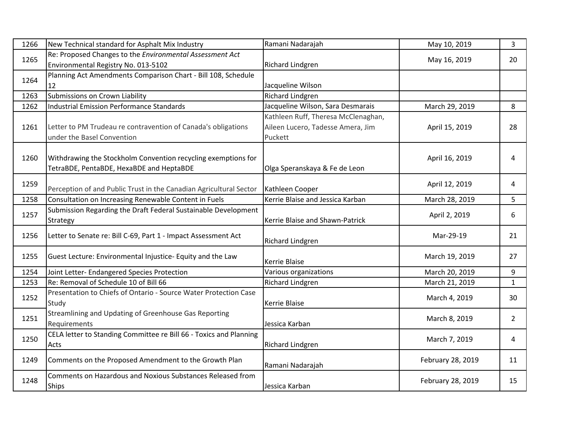| 1266 | New Technical standard for Asphalt Mix Industry                                                           | Ramani Nadarajah                                                                    | May 10, 2019      | 3              |
|------|-----------------------------------------------------------------------------------------------------------|-------------------------------------------------------------------------------------|-------------------|----------------|
| 1265 | Re: Proposed Changes to the Environmental Assessment Act<br>Environmental Registry No. 013-5102           | <b>Richard Lindgren</b>                                                             | May 16, 2019      | 20             |
| 1264 | Planning Act Amendments Comparison Chart - Bill 108, Schedule<br>12                                       | Jacqueline Wilson                                                                   |                   |                |
| 1263 | Submissions on Crown Liability                                                                            | Richard Lindgren                                                                    |                   |                |
| 1262 | <b>Industrial Emission Performance Standards</b>                                                          | Jacqueline Wilson, Sara Desmarais                                                   | March 29, 2019    | 8              |
| 1261 | Letter to PM Trudeau re contravention of Canada's obligations<br>under the Basel Convention               | Kathleen Ruff, Theresa McClenaghan,<br>Aileen Lucero, Tadesse Amera, Jim<br>Puckett | April 15, 2019    | 28             |
| 1260 | Withdrawing the Stockholm Convention recycling exemptions for<br>TetraBDE, PentaBDE, HexaBDE and HeptaBDE | Olga Speranskaya & Fe de Leon                                                       | April 16, 2019    | 4              |
| 1259 | Perception of and Public Trust in the Canadian Agricultural Sector                                        | Kathleen Cooper                                                                     | April 12, 2019    | 4              |
| 1258 | Consultation on Increasing Renewable Content in Fuels                                                     | Kerrie Blaise and Jessica Karban                                                    | March 28, 2019    | 5              |
| 1257 | Submission Regarding the Draft Federal Sustainable Development<br>Strategy                                | Kerrie Blaise and Shawn-Patrick                                                     | April 2, 2019     | 6              |
| 1256 | Letter to Senate re: Bill C-69, Part 1 - Impact Assessment Act                                            | <b>Richard Lindgren</b>                                                             | Mar-29-19         | 21             |
| 1255 | Guest Lecture: Environmental Injustice- Equity and the Law                                                | <b>Kerrie Blaise</b>                                                                | March 19, 2019    | 27             |
| 1254 | Joint Letter- Endangered Species Protection                                                               | Various organizations                                                               | March 20, 2019    | 9              |
| 1253 | Re: Removal of Schedule 10 of Bill 66                                                                     | <b>Richard Lindgren</b>                                                             | March 21, 2019    | $\mathbf{1}$   |
| 1252 | Presentation to Chiefs of Ontario - Source Water Protection Case<br>Study                                 | <b>Kerrie Blaise</b>                                                                | March 4, 2019     | 30             |
| 1251 | Streamlining and Updating of Greenhouse Gas Reporting<br>Requirements                                     | Jessica Karban                                                                      | March 8, 2019     | $\overline{2}$ |
| 1250 | CELA letter to Standing Committee re Bill 66 - Toxics and Planning<br>Acts                                | <b>Richard Lindgren</b>                                                             | March 7, 2019     | $\overline{4}$ |
| 1249 | Comments on the Proposed Amendment to the Growth Plan                                                     | Ramani Nadarajah                                                                    | February 28, 2019 | 11             |
| 1248 | Comments on Hazardous and Noxious Substances Released from<br><b>Ships</b>                                | Jessica Karban                                                                      | February 28, 2019 | 15             |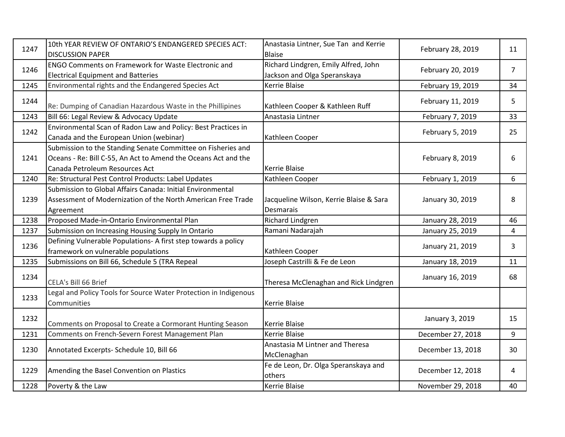| 1247 | 10th YEAR REVIEW OF ONTARIO'S ENDANGERED SPECIES ACT:<br><b>DISCUSSION PAPER</b>                                                                                 | Anastasia Lintner, Sue Tan and Kerrie<br><b>Blaise</b>               | February 28, 2019 | 11             |
|------|------------------------------------------------------------------------------------------------------------------------------------------------------------------|----------------------------------------------------------------------|-------------------|----------------|
| 1246 | <b>ENGO Comments on Framework for Waste Electronic and</b><br><b>Electrical Equipment and Batteries</b>                                                          | Richard Lindgren, Emily Alfred, John<br>Jackson and Olga Speranskaya | February 20, 2019 | $\overline{7}$ |
| 1245 | Environmental rights and the Endangered Species Act                                                                                                              | Kerrie Blaise                                                        | February 19, 2019 | 34             |
| 1244 | Re: Dumping of Canadian Hazardous Waste in the Phillipines                                                                                                       | Kathleen Cooper & Kathleen Ruff                                      | February 11, 2019 | 5              |
| 1243 | Bill 66: Legal Review & Advocacy Update                                                                                                                          | Anastasia Lintner                                                    | February 7, 2019  | 33             |
| 1242 | Environmental Scan of Radon Law and Policy: Best Practices in<br>Canada and the European Union (webinar)                                                         | Kathleen Cooper                                                      | February 5, 2019  | 25             |
| 1241 | Submission to the Standing Senate Committee on Fisheries and<br>Oceans - Re: Bill C-55, An Act to Amend the Oceans Act and the<br>Canada Petroleum Resources Act | <b>Kerrie Blaise</b>                                                 | February 8, 2019  | 6              |
| 1240 | Re: Structural Pest Control Products: Label Updates                                                                                                              | Kathleen Cooper                                                      | February 1, 2019  | 6              |
| 1239 | Submission to Global Affairs Canada: Initial Environmental<br>Assessment of Modernization of the North American Free Trade<br>Agreement                          | Jacqueline Wilson, Kerrie Blaise & Sara<br>Desmarais                 | January 30, 2019  | 8              |
| 1238 | Proposed Made-in-Ontario Environmental Plan                                                                                                                      | Richard Lindgren                                                     | January 28, 2019  | 46             |
| 1237 | Submission on Increasing Housing Supply In Ontario                                                                                                               | Ramani Nadarajah                                                     | January 25, 2019  | 4              |
| 1236 | Defining Vulnerable Populations- A first step towards a policy<br>framework on vulnerable populations                                                            | Kathleen Cooper                                                      | January 21, 2019  | 3              |
| 1235 | Submissions on Bill 66, Schedule 5 (TRA Repeal                                                                                                                   | Joseph Castrilli & Fe de Leon                                        | January 18, 2019  | 11             |
| 1234 | CELA's Bill 66 Brief                                                                                                                                             | Theresa McClenaghan and Rick Lindgren                                | January 16, 2019  | 68             |
| 1233 | Legal and Policy Tools for Source Water Protection in Indigenous<br>Communities                                                                                  | <b>Kerrie Blaise</b>                                                 |                   |                |
| 1232 | Comments on Proposal to Create a Cormorant Hunting Season                                                                                                        | <b>Kerrie Blaise</b>                                                 | January 3, 2019   | 15             |
| 1231 | Comments on French-Severn Forest Management Plan                                                                                                                 | Kerrie Blaise                                                        | December 27, 2018 | 9              |
| 1230 | Annotated Excerpts- Schedule 10, Bill 66                                                                                                                         | Anastasia M Lintner and Theresa<br>McClenaghan                       | December 13, 2018 | 30             |
| 1229 | Amending the Basel Convention on Plastics                                                                                                                        | Fe de Leon, Dr. Olga Speranskaya and<br>others                       | December 12, 2018 | 4              |
| 1228 | Poverty & the Law                                                                                                                                                | <b>Kerrie Blaise</b>                                                 | November 29, 2018 | 40             |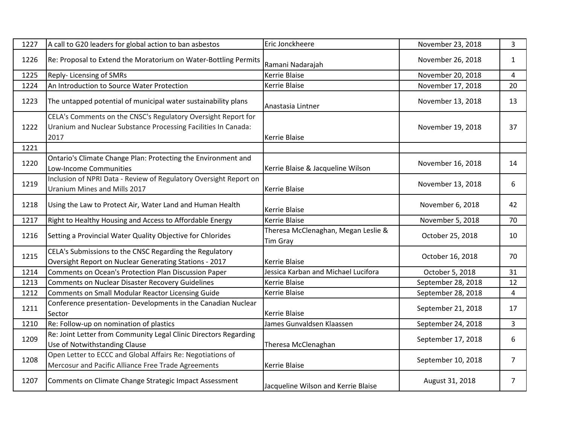| 1227 | A call to G20 leaders for global action to ban asbestos                                                                                 | Eric Jonckheere                                 | November 23, 2018  | 3              |
|------|-----------------------------------------------------------------------------------------------------------------------------------------|-------------------------------------------------|--------------------|----------------|
| 1226 | Re: Proposal to Extend the Moratorium on Water-Bottling Permits                                                                         | Ramani Nadarajah                                | November 26, 2018  | $\mathbf{1}$   |
| 1225 | Reply-Licensing of SMRs                                                                                                                 | Kerrie Blaise                                   | November 20, 2018  | 4              |
| 1224 | An Introduction to Source Water Protection                                                                                              | <b>Kerrie Blaise</b>                            | November 17, 2018  | 20             |
| 1223 | The untapped potential of municipal water sustainability plans                                                                          | Anastasia Lintner                               | November 13, 2018  | 13             |
| 1222 | CELA's Comments on the CNSC's Regulatory Oversight Report for<br>Uranium and Nuclear Substance Processing Facilities In Canada:<br>2017 | <b>Kerrie Blaise</b>                            | November 19, 2018  | 37             |
| 1221 |                                                                                                                                         |                                                 |                    |                |
| 1220 | Ontario's Climate Change Plan: Protecting the Environment and<br>Low-Income Communities                                                 | Kerrie Blaise & Jacqueline Wilson               | November 16, 2018  | 14             |
| 1219 | Inclusion of NPRI Data - Review of Regulatory Oversight Report on<br>Uranium Mines and Mills 2017                                       | Kerrie Blaise                                   | November 13, 2018  | 6              |
| 1218 | Using the Law to Protect Air, Water Land and Human Health                                                                               | <b>Kerrie Blaise</b>                            | November 6, 2018   | 42             |
| 1217 | Right to Healthy Housing and Access to Affordable Energy                                                                                | <b>Kerrie Blaise</b>                            | November 5, 2018   | 70             |
| 1216 | Setting a Provincial Water Quality Objective for Chlorides                                                                              | Theresa McClenaghan, Megan Leslie &<br>Tim Gray | October 25, 2018   | 10             |
| 1215 | CELA's Submissions to the CNSC Regarding the Regulatory<br>Oversight Report on Nuclear Generating Stations - 2017                       | Kerrie Blaise                                   | October 16, 2018   | 70             |
| 1214 | <b>Comments on Ocean's Protection Plan Discussion Paper</b>                                                                             | Jessica Karban and Michael Lucifora             | October 5, 2018    | 31             |
| 1213 | <b>Comments on Nuclear Disaster Recovery Guidelines</b>                                                                                 | Kerrie Blaise                                   | September 28, 2018 | 12             |
| 1212 | Comments on Small Modular Reactor Licensing Guide                                                                                       | <b>Kerrie Blaise</b>                            | September 28, 2018 | 4              |
| 1211 | Conference presentation- Developments in the Canadian Nuclear<br>Sector                                                                 | <b>Kerrie Blaise</b>                            | September 21, 2018 | 17             |
| 1210 | Re: Follow-up on nomination of plastics                                                                                                 | James Gunvaldsen Klaassen                       | September 24, 2018 | $\mathbf{3}$   |
| 1209 | Re: Joint Letter from Community Legal Clinic Directors Regarding<br>Use of Notwithstanding Clause                                       | Theresa McClenaghan                             | September 17, 2018 | 6              |
| 1208 | Open Letter to ECCC and Global Affairs Re: Negotiations of<br>Mercosur and Pacific Alliance Free Trade Agreements                       | <b>Kerrie Blaise</b>                            | September 10, 2018 | $\overline{7}$ |
| 1207 | Comments on Climate Change Strategic Impact Assessment                                                                                  | Jacqueline Wilson and Kerrie Blaise             | August 31, 2018    | $\overline{7}$ |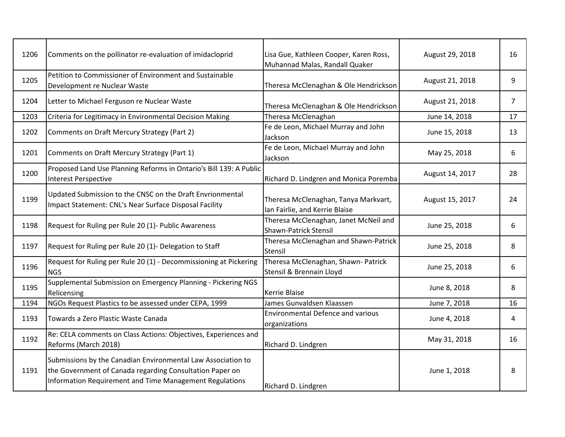| 1206 | Comments on the pollinator re-evaluation of imidacloprid                                                                                                                            | Lisa Gue, Kathleen Cooper, Karen Ross,<br>Muhannad Malas, Randall Quaker | August 29, 2018 | 16             |
|------|-------------------------------------------------------------------------------------------------------------------------------------------------------------------------------------|--------------------------------------------------------------------------|-----------------|----------------|
| 1205 | Petition to Commissioner of Environment and Sustainable<br>Development re Nuclear Waste                                                                                             | Theresa McClenaghan & Ole Hendrickson                                    | August 21, 2018 | 9              |
| 1204 | Letter to Michael Ferguson re Nuclear Waste                                                                                                                                         | Theresa McClenaghan & Ole Hendrickson                                    | August 21, 2018 | $\overline{7}$ |
| 1203 | Criteria for Legitimacy in Environmental Decision Making                                                                                                                            | Theresa McClenaghan                                                      | June 14, 2018   | 17             |
| 1202 | Comments on Draft Mercury Strategy (Part 2)                                                                                                                                         | Fe de Leon, Michael Murray and John<br>Jackson                           | June 15, 2018   | 13             |
| 1201 | Comments on Draft Mercury Strategy (Part 1)                                                                                                                                         | Fe de Leon, Michael Murray and John<br>Jackson                           | May 25, 2018    | 6              |
| 1200 | Proposed Land Use Planning Reforms in Ontario's Bill 139: A Public<br><b>Interest Perspective</b>                                                                                   | Richard D. Lindgren and Monica Poremba                                   | August 14, 2017 | 28             |
| 1199 | Updated Submission to the CNSC on the Draft Envrionmental<br>Impact Statement: CNL's Near Surface Disposal Facility                                                                 | Theresa McClenaghan, Tanya Markvart,<br>Ian Fairlie, and Kerrie Blaise   | August 15, 2017 | 24             |
| 1198 | Request for Ruling per Rule 20 (1)- Public Awareness                                                                                                                                | Theresa McClenaghan, Janet McNeil and<br>Shawn-Patrick Stensil           | June 25, 2018   | 6              |
| 1197 | Request for Ruling per Rule 20 (1)- Delegation to Staff                                                                                                                             | Theresa McClenaghan and Shawn-Patrick<br>Stensil                         | June 25, 2018   | 8              |
| 1196 | Request for Ruling per Rule 20 (1) - Decommissioning at Pickering<br><b>NGS</b>                                                                                                     | Theresa McClenaghan, Shawn- Patrick<br>Stensil & Brennain Lloyd          | June 25, 2018   | 6              |
| 1195 | Supplemental Submission on Emergency Planning - Pickering NGS<br>Relicensing                                                                                                        | Kerrie Blaise                                                            | June 8, 2018    | 8              |
| 1194 | NGOs Request Plastics to be assessed under CEPA, 1999                                                                                                                               | James Gunvaldsen Klaassen                                                | June 7, 2018    | 16             |
| 1193 | Towards a Zero Plastic Waste Canada                                                                                                                                                 | <b>Environmental Defence and various</b><br>organizations                | June 4, 2018    | 4              |
| 1192 | Re: CELA comments on Class Actions: Objectives, Experiences and<br>Reforms (March 2018)                                                                                             | Richard D. Lindgren                                                      | May 31, 2018    | 16             |
| 1191 | Submissions by the Canadian Environmental Law Association to<br>the Government of Canada regarding Consultation Paper on<br>Information Requirement and Time Management Regulations | Richard D. Lindgren                                                      | June 1, 2018    | 8              |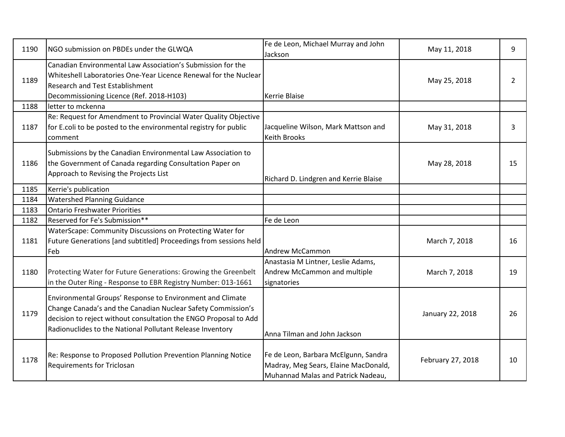| 1190 | NGO submission on PBDEs under the GLWQA                                                                                                                                                                                                                    | Fe de Leon, Michael Murray and John<br>Jackson                                                                     | May 11, 2018      | 9  |
|------|------------------------------------------------------------------------------------------------------------------------------------------------------------------------------------------------------------------------------------------------------------|--------------------------------------------------------------------------------------------------------------------|-------------------|----|
| 1189 | Canadian Environmental Law Association's Submission for the<br>Whiteshell Laboratories One-Year Licence Renewal for the Nuclear<br>Research and Test Establishment<br>Decommissioning Licence (Ref. 2018-H103)                                             | <b>Kerrie Blaise</b>                                                                                               | May 25, 2018      | 2  |
| 1188 | letter to mckenna                                                                                                                                                                                                                                          |                                                                                                                    |                   |    |
| 1187 | Re: Request for Amendment to Provincial Water Quality Objective<br>for E.coli to be posted to the environmental registry for public<br>comment                                                                                                             | Jacqueline Wilson, Mark Mattson and<br><b>Keith Brooks</b>                                                         | May 31, 2018      | 3  |
| 1186 | Submissions by the Canadian Environmental Law Association to<br>the Government of Canada regarding Consultation Paper on<br>Approach to Revising the Projects List                                                                                         | Richard D. Lindgren and Kerrie Blaise                                                                              | May 28, 2018      | 15 |
| 1185 | Kerrie's publication                                                                                                                                                                                                                                       |                                                                                                                    |                   |    |
| 1184 | <b>Watershed Planning Guidance</b>                                                                                                                                                                                                                         |                                                                                                                    |                   |    |
| 1183 | <b>Ontario Freshwater Priorities</b>                                                                                                                                                                                                                       |                                                                                                                    |                   |    |
| 1182 | Reserved for Fe's Submission**                                                                                                                                                                                                                             | Fe de Leon                                                                                                         |                   |    |
| 1181 | WaterScape: Community Discussions on Protecting Water for<br>Future Generations [and subtitled] Proceedings from sessions held<br>Feb                                                                                                                      | <b>Andrew McCammon</b>                                                                                             | March 7, 2018     | 16 |
| 1180 | Protecting Water for Future Generations: Growing the Greenbelt<br>in the Outer Ring - Response to EBR Registry Number: 013-1661                                                                                                                            | Anastasia M Lintner, Leslie Adams,<br>Andrew McCammon and multiple<br>signatories                                  | March 7, 2018     | 19 |
| 1179 | Environmental Groups' Response to Environment and Climate<br>Change Canada's and the Canadian Nuclear Safety Commission's<br>decision to reject without consultation the ENGO Proposal to Add<br>Radionuclides to the National Pollutant Release Inventory | Anna Tilman and John Jackson                                                                                       | January 22, 2018  | 26 |
| 1178 | Re: Response to Proposed Pollution Prevention Planning Notice<br><b>Requirements for Triclosan</b>                                                                                                                                                         | Fe de Leon, Barbara McElgunn, Sandra<br>Madray, Meg Sears, Elaine MacDonald,<br>Muhannad Malas and Patrick Nadeau, | February 27, 2018 | 10 |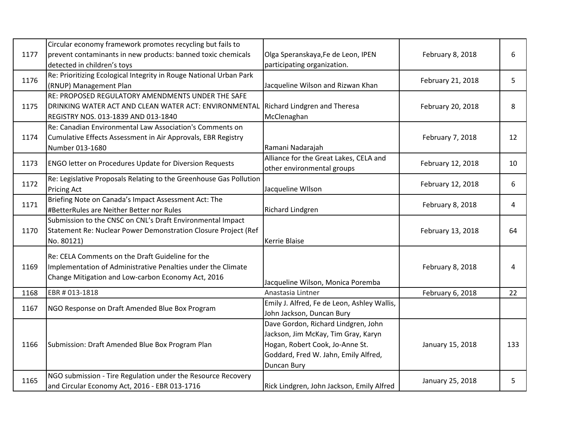| 1177 | Circular economy framework promotes recycling but fails to<br>prevent contaminants in new products: banned toxic chemicals<br>detected in children's toys              | Olga Speranskaya, Fe de Leon, IPEN<br>participating organization.                                                                                                    | February 8, 2018  | 6   |
|------|------------------------------------------------------------------------------------------------------------------------------------------------------------------------|----------------------------------------------------------------------------------------------------------------------------------------------------------------------|-------------------|-----|
| 1176 | Re: Prioritizing Ecological Integrity in Rouge National Urban Park<br>(RNUP) Management Plan                                                                           | Jacqueline Wilson and Rizwan Khan                                                                                                                                    | February 21, 2018 | 5   |
| 1175 | RE: PROPOSED REGULATORY AMENDMENTS UNDER THE SAFE<br>DRINKING WATER ACT AND CLEAN WATER ACT: ENVIRONMENTAL<br>REGISTRY NOS. 013-1839 AND 013-1840                      | Richard Lindgren and Theresa<br>McClenaghan                                                                                                                          | February 20, 2018 | 8   |
| 1174 | Re: Canadian Environmental Law Association's Comments on<br>Cumulative Effects Assessment in Air Approvals, EBR Registry<br>Number 013-1680                            | Ramani Nadarajah                                                                                                                                                     | February 7, 2018  | 12  |
| 1173 | <b>ENGO letter on Procedures Update for Diversion Requests</b>                                                                                                         | Alliance for the Great Lakes, CELA and<br>other environmental groups                                                                                                 | February 12, 2018 | 10  |
| 1172 | Re: Legislative Proposals Relating to the Greenhouse Gas Pollution<br><b>Pricing Act</b>                                                                               | Jacqueline WIlson                                                                                                                                                    | February 12, 2018 | 6   |
| 1171 | Briefing Note on Canada's Impact Assessment Act: The<br>#BetterRules are Neither Better nor Rules                                                                      | Richard Lindgren                                                                                                                                                     | February 8, 2018  | 4   |
| 1170 | Submission to the CNSC on CNL's Draft Environmental Impact<br>Statement Re: Nuclear Power Demonstration Closure Project (Ref<br>No. 80121)                             | Kerrie Blaise                                                                                                                                                        | February 13, 2018 | 64  |
| 1169 | Re: CELA Comments on the Draft Guideline for the<br>Implementation of Administrative Penalties under the Climate<br>Change Mitigation and Low-carbon Economy Act, 2016 | Jacqueline Wilson, Monica Poremba                                                                                                                                    | February 8, 2018  | 4   |
| 1168 | EBR # 013-1818                                                                                                                                                         | Anastasia Lintner                                                                                                                                                    | February 6, 2018  | 22  |
| 1167 | NGO Response on Draft Amended Blue Box Program                                                                                                                         | Emily J. Alfred, Fe de Leon, Ashley Wallis,<br>John Jackson, Duncan Bury                                                                                             |                   |     |
| 1166 | Submission: Draft Amended Blue Box Program Plan                                                                                                                        | Dave Gordon, Richard Lindgren, John<br>Jackson, Jim McKay, Tim Gray, Karyn<br>Hogan, Robert Cook, Jo-Anne St.<br>Goddard, Fred W. Jahn, Emily Alfred,<br>Duncan Bury | January 15, 2018  | 133 |
| 1165 | NGO submission - Tire Regulation under the Resource Recovery<br>and Circular Economy Act, 2016 - EBR 013-1716                                                          | Rick Lindgren, John Jackson, Emily Alfred                                                                                                                            | January 25, 2018  | 5   |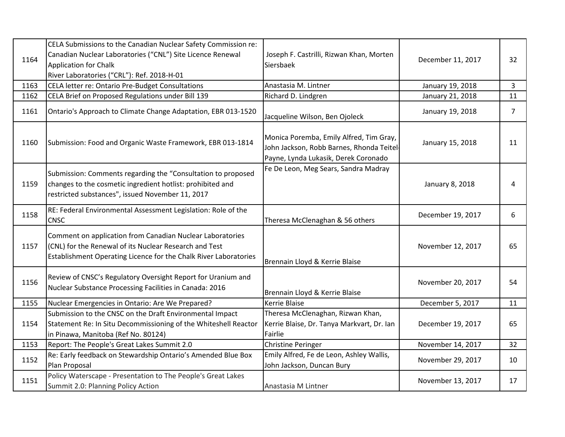| 1164 | CELA Submissions to the Canadian Nuclear Safety Commission re:<br>Canadian Nuclear Laboratories ("CNL") Site Licence Renewal<br><b>Application for Chalk</b><br>River Laboratories ("CRL"): Ref. 2018-H-01 | Joseph F. Castrilli, Rizwan Khan, Morten<br>Siersbaek                                                                        | December 11, 2017 | 32             |
|------|------------------------------------------------------------------------------------------------------------------------------------------------------------------------------------------------------------|------------------------------------------------------------------------------------------------------------------------------|-------------------|----------------|
| 1163 | CELA letter re: Ontario Pre-Budget Consultations                                                                                                                                                           | Anastasia M. Lintner                                                                                                         | January 19, 2018  | $\overline{3}$ |
| 1162 | CELA Brief on Proposed Regulations under Bill 139                                                                                                                                                          | Richard D. Lindgren                                                                                                          | January 21, 2018  | 11             |
| 1161 | Ontario's Approach to Climate Change Adaptation, EBR 013-1520                                                                                                                                              | Jacqueline Wilson, Ben Ojoleck                                                                                               | January 19, 2018  | $\overline{7}$ |
| 1160 | Submission: Food and Organic Waste Framework, EBR 013-1814                                                                                                                                                 | Monica Poremba, Emily Alfred, Tim Gray,<br>John Jackson, Robb Barnes, Rhonda Teitel-<br>Payne, Lynda Lukasik, Derek Coronado | January 15, 2018  | 11             |
| 1159 | Submission: Comments regarding the "Consultation to proposed<br>changes to the cosmetic ingredient hotlist: prohibited and<br>restricted substances", issued November 11, 2017                             | Fe De Leon, Meg Sears, Sandra Madray                                                                                         | January 8, 2018   | 4              |
| 1158 | RE: Federal Environmental Assessment Legislation: Role of the<br><b>CNSC</b>                                                                                                                               | Theresa McClenaghan & 56 others                                                                                              | December 19, 2017 | 6              |
| 1157 | Comment on application from Canadian Nuclear Laboratories<br>(CNL) for the Renewal of its Nuclear Research and Test<br>Establishment Operating Licence for the Chalk River Laboratories                    | Brennain Lloyd & Kerrie Blaise                                                                                               | November 12, 2017 | 65             |
| 1156 | Review of CNSC's Regulatory Oversight Report for Uranium and<br>Nuclear Substance Processing Facilities in Canada: 2016                                                                                    | Brennain Lloyd & Kerrie Blaise                                                                                               | November 20, 2017 | 54             |
| 1155 | Nuclear Emergencies in Ontario: Are We Prepared?                                                                                                                                                           | Kerrie Blaise                                                                                                                | December 5, 2017  | 11             |
| 1154 | Submission to the CNSC on the Draft Environmental Impact<br>Statement Re: In Situ Decommissioning of the Whiteshell Reactor<br>in Pinawa, Manitoba (Ref No. 80124)                                         | Theresa McClenaghan, Rizwan Khan,<br>Kerrie Blaise, Dr. Tanya Markvart, Dr. Ian<br>Fairlie                                   | December 19, 2017 | 65             |
| 1153 | Report: The People's Great Lakes Summit 2.0                                                                                                                                                                | <b>Christine Peringer</b>                                                                                                    | November 14, 2017 | 32             |
| 1152 | Re: Early feedback on Stewardship Ontario's Amended Blue Box<br>Plan Proposal                                                                                                                              | Emily Alfred, Fe de Leon, Ashley Wallis,<br>John Jackson, Duncan Bury                                                        | November 29, 2017 | 10             |
| 1151 | Policy Waterscape - Presentation to The People's Great Lakes<br>Summit 2.0: Planning Policy Action                                                                                                         | Anastasia M Lintner                                                                                                          | November 13, 2017 | 17             |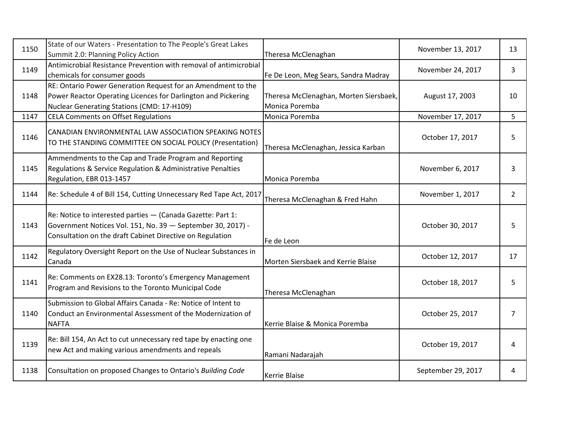| 1150 | State of our Waters - Presentation to The People's Great Lakes<br>Summit 2.0: Planning Policy Action                                                                                    | Theresa McClenaghan                                      | November 13, 2017  | 13             |
|------|-----------------------------------------------------------------------------------------------------------------------------------------------------------------------------------------|----------------------------------------------------------|--------------------|----------------|
| 1149 | Antimicrobial Resistance Prevention with removal of antimicrobial<br>chemicals for consumer goods                                                                                       | Fe De Leon, Meg Sears, Sandra Madray                     | November 24, 2017  | 3              |
| 1148 | RE: Ontario Power Generation Request for an Amendment to the<br>Power Reactor Operating Licences for Darlington and Pickering<br>Nuclear Generating Stations (CMD: 17-H109)             | Theresa McClenaghan, Morten Siersbaek,<br>Monica Poremba | August 17, 2003    | 10             |
| 1147 | <b>CELA Comments on Offset Regulations</b>                                                                                                                                              | Monica Poremba                                           | November 17, 2017  | 5              |
| 1146 | CANADIAN ENVIRONMENTAL LAW ASSOCIATION SPEAKING NOTES<br>TO THE STANDING COMMITTEE ON SOCIAL POLICY (Presentation)                                                                      | Theresa McClenaghan, Jessica Karban                      | October 17, 2017   | 5              |
| 1145 | Ammendments to the Cap and Trade Program and Reporting<br>Regulations & Service Regulation & Administrative Penalties<br>Regulation, EBR 013-1457                                       | Monica Poremba                                           | November 6, 2017   | 3              |
| 1144 | Re: Schedule 4 of Bill 154, Cutting Unnecessary Red Tape Act, 2017                                                                                                                      | Theresa McClenaghan & Fred Hahn                          | November 1, 2017   | $\overline{2}$ |
| 1143 | Re: Notice to interested parties - (Canada Gazette: Part 1:<br>Government Notices Vol. 151, No. 39 - September 30, 2017) -<br>Consultation on the draft Cabinet Directive on Regulation | Fe de Leon                                               | October 30, 2017   | 5              |
| 1142 | Regulatory Oversight Report on the Use of Nuclear Substances in<br>Canada                                                                                                               | Morten Siersbaek and Kerrie Blaise                       | October 12, 2017   | 17             |
| 1141 | Re: Comments on EX28.13: Toronto's Emergency Management<br>Program and Revisions to the Toronto Municipal Code                                                                          | Theresa McClenaghan                                      | October 18, 2017   | 5              |
| 1140 | Submission to Global Affairs Canada - Re: Notice of Intent to<br>Conduct an Environmental Assessment of the Modernization of<br><b>NAFTA</b>                                            | Kerrie Blaise & Monica Poremba                           | October 25, 2017   | $\overline{7}$ |
| 1139 | Re: Bill 154, An Act to cut unnecessary red tape by enacting one<br>new Act and making various amendments and repeals                                                                   | Ramani Nadarajah                                         | October 19, 2017   | 4              |
| 1138 | Consultation on proposed Changes to Ontario's Building Code                                                                                                                             | Kerrie Blaise                                            | September 29, 2017 | 4              |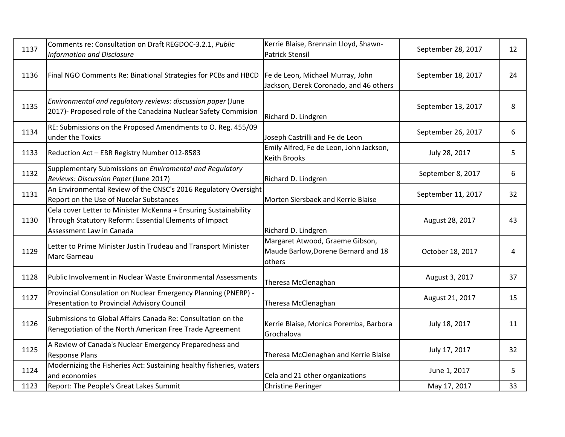| 1137 | Comments re: Consultation on Draft REGDOC-3.2.1, Public<br><b>Information and Disclosure</b>                                                          | Kerrie Blaise, Brennain Lloyd, Shawn-<br><b>Patrick Stensil</b>                  | September 28, 2017 | 12 |
|------|-------------------------------------------------------------------------------------------------------------------------------------------------------|----------------------------------------------------------------------------------|--------------------|----|
| 1136 | Final NGO Comments Re: Binational Strategies for PCBs and HBCD                                                                                        | Fe de Leon, Michael Murray, John<br>Jackson, Derek Coronado, and 46 others       | September 18, 2017 | 24 |
| 1135 | Environmental and regulatory reviews: discussion paper (June<br>2017)- Proposed role of the Canadaina Nuclear Safety Commision                        | Richard D. Lindgren                                                              | September 13, 2017 | 8  |
| 1134 | RE: Submissions on the Proposed Amendments to O. Reg. 455/09<br>under the Toxics                                                                      | Joseph Castrilli and Fe de Leon                                                  | September 26, 2017 | 6  |
| 1133 | Reduction Act - EBR Registry Number 012-8583                                                                                                          | Emily Alfred, Fe de Leon, John Jackson,<br><b>Keith Brooks</b>                   | July 28, 2017      | 5  |
| 1132 | Supplementary Submissions on Enviromental and Regulatory<br>Reviews: Discussion Paper (June 2017)                                                     | Richard D. Lindgren                                                              | September 8, 2017  | 6  |
| 1131 | An Environmental Review of the CNSC's 2016 Regulatory Oversight<br>Report on the Use of Nucelar Substances                                            | Morten Siersbaek and Kerrie Blaise                                               | September 11, 2017 | 32 |
| 1130 | Cela cover Letter to Minister McKenna + Ensuring Sustainability<br>Through Statutory Reform: Essential Elements of Impact<br>Assessment Law in Canada | Richard D. Lindgren                                                              | August 28, 2017    | 43 |
| 1129 | Letter to Prime Minister Justin Trudeau and Transport Minister<br><b>Marc Garneau</b>                                                                 | Margaret Atwood, Graeme Gibson,<br>Maude Barlow, Dorene Bernard and 18<br>others | October 18, 2017   | 4  |
| 1128 | Public Involvement in Nuclear Waste Environmental Assessments                                                                                         | Theresa McClenaghan                                                              | August 3, 2017     | 37 |
| 1127 | Provincial Consulation on Nuclear Emergency Planning (PNERP) -<br>Presentation to Provincial Advisory Council                                         | Theresa McClenaghan                                                              | August 21, 2017    | 15 |
| 1126 | Submissions to Global Affairs Canada Re: Consultation on the<br>Renegotiation of the North American Free Trade Agreement                              | Kerrie Blaise, Monica Poremba, Barbora<br>Grochalova                             | July 18, 2017      | 11 |
| 1125 | A Review of Canada's Nuclear Emergency Preparedness and<br><b>Response Plans</b>                                                                      | Theresa McClenaghan and Kerrie Blaise                                            | July 17, 2017      | 32 |
| 1124 | Modernizing the Fisheries Act: Sustaining healthy fisheries, waters<br>and economies                                                                  | Cela and 21 other organizations                                                  | June 1, 2017       | 5  |
| 1123 | Report: The People's Great Lakes Summit                                                                                                               | <b>Christine Peringer</b>                                                        | May 17, 2017       | 33 |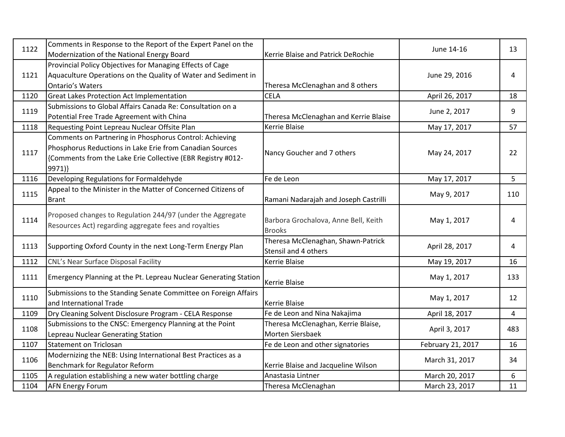| 1122 | Comments in Response to the Report of the Expert Panel on the<br>Modernization of the National Energy Board                                                                                    | Kerrie Blaise and Patrick DeRochie                         | June 14-16        | 13             |
|------|------------------------------------------------------------------------------------------------------------------------------------------------------------------------------------------------|------------------------------------------------------------|-------------------|----------------|
| 1121 | Provincial Policy Objectives for Managing Effects of Cage<br>Aquaculture Operations on the Quality of Water and Sediment in<br><b>Ontario's Waters</b>                                         | Theresa McClenaghan and 8 others                           | June 29, 2016     | 4              |
| 1120 | <b>Great Lakes Protection Act Implementation</b>                                                                                                                                               | <b>CELA</b>                                                | April 26, 2017    | 18             |
| 1119 | Submissions to Global Affairs Canada Re: Consultation on a<br>Potential Free Trade Agreement with China                                                                                        | Theresa McClenaghan and Kerrie Blaise                      | June 2, 2017      | 9              |
| 1118 | Requesting Point Lepreau Nuclear Offsite Plan                                                                                                                                                  | Kerrie Blaise                                              | May 17, 2017      | 57             |
| 1117 | Comments on Partnering in Phosphorus Control: Achieving<br>Phosphorus Reductions in Lake Erie from Canadian Sources<br>{Comments from the Lake Erie Collective (EBR Registry #012-<br>$9971$ } | Nancy Goucher and 7 others                                 | May 24, 2017      | 22             |
| 1116 | Developing Regulations for Formaldehyde                                                                                                                                                        | Fe de Leon                                                 | May 17, 2017      | 5              |
| 1115 | Appeal to the Minister in the Matter of Concerned Citizens of<br>Brant                                                                                                                         | Ramani Nadarajah and Joseph Castrilli                      | May 9, 2017       | 110            |
| 1114 | Proposed changes to Regulation 244/97 (under the Aggregate<br>Resources Act) regarding aggregate fees and royalties                                                                            | Barbora Grochalova, Anne Bell, Keith<br><b>Brooks</b>      | May 1, 2017       | 4              |
| 1113 | Supporting Oxford County in the next Long-Term Energy Plan                                                                                                                                     | Theresa McClenaghan, Shawn-Patrick<br>Stensil and 4 others | April 28, 2017    | 4              |
| 1112 | CNL's Near Surface Disposal Facility                                                                                                                                                           | Kerrie Blaise                                              | May 19, 2017      | 16             |
| 1111 | Emergency Planning at the Pt. Lepreau Nuclear Generating Station                                                                                                                               | <b>Kerrie Blaise</b>                                       | May 1, 2017       | 133            |
| 1110 | Submissions to the Standing Senate Committee on Foreign Affairs<br>and International Trade                                                                                                     | Kerrie Blaise                                              | May 1, 2017       | 12             |
| 1109 | Dry Cleaning Solvent Disclosure Program - CELA Response                                                                                                                                        | Fe de Leon and Nina Nakajima                               | April 18, 2017    | $\overline{4}$ |
| 1108 | Submissions to the CNSC: Emergency Planning at the Point<br>Lepreau Nuclear Generating Station                                                                                                 | Theresa McClenaghan, Kerrie Blaise,<br>Morten Siersbaek    | April 3, 2017     | 483            |
| 1107 | <b>Statement on Triclosan</b>                                                                                                                                                                  | Fe de Leon and other signatories                           | February 21, 2017 | 16             |
| 1106 | Modernizing the NEB: Using International Best Practices as a<br>Benchmark for Regulator Reform                                                                                                 | Kerrie Blaise and Jacqueline Wilson                        | March 31, 2017    | 34             |
| 1105 | A regulation establishing a new water bottling charge                                                                                                                                          | Anastasia Lintner                                          | March 20, 2017    | 6              |
| 1104 | <b>AFN Energy Forum</b>                                                                                                                                                                        | Theresa McClenaghan                                        | March 23, 2017    | 11             |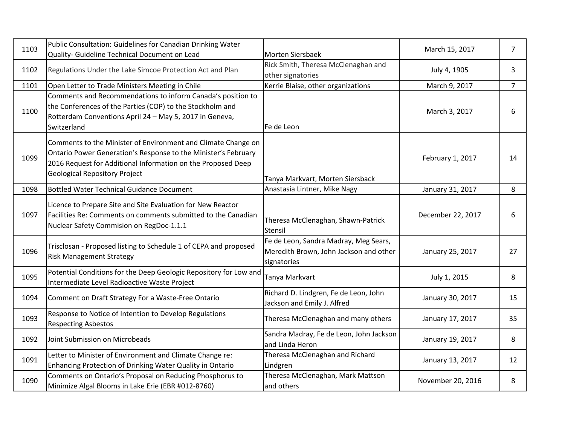| 1103 | Public Consultation: Guidelines for Canadian Drinking Water<br>Quality- Guideline Technical Document on Lead                                                                                                                            | Morten Siersbaek                                                                               | March 15, 2017    | $\overline{7}$ |
|------|-----------------------------------------------------------------------------------------------------------------------------------------------------------------------------------------------------------------------------------------|------------------------------------------------------------------------------------------------|-------------------|----------------|
| 1102 | Regulations Under the Lake Simcoe Protection Act and Plan                                                                                                                                                                               | Rick Smith, Theresa McClenaghan and<br>other signatories                                       | July 4, 1905      | 3              |
| 1101 | Open Letter to Trade Ministers Meeting in Chile                                                                                                                                                                                         | Kerrie Blaise, other organizations                                                             | March 9, 2017     | $\overline{7}$ |
| 1100 | Comments and Recommendations to inform Canada's position to<br>the Conferences of the Parties (COP) to the Stockholm and<br>Rotterdam Conventions April 24 - May 5, 2017 in Geneva,<br>Switzerland                                      | Fe de Leon                                                                                     | March 3, 2017     | 6              |
| 1099 | Comments to the Minister of Environment and Climate Change on<br>Ontario Power Generation's Response to the Minister's February<br>2016 Request for Additional Information on the Proposed Deep<br><b>Geological Repository Project</b> | Tanya Markvart, Morten Siersback                                                               | February 1, 2017  | 14             |
| 1098 | Bottled Water Technical Guidance Document                                                                                                                                                                                               | Anastasia Lintner, Mike Nagy                                                                   | January 31, 2017  | 8              |
| 1097 | Licence to Prepare Site and Site Evaluation for New Reactor<br>Facilities Re: Comments on comments submitted to the Canadian<br>Nuclear Safety Commision on RegDoc-1.1.1                                                                | Theresa McClenaghan, Shawn-Patrick<br>Stensil                                                  | December 22, 2017 | 6              |
| 1096 | Trisclosan - Proposed listing to Schedule 1 of CEPA and proposed<br><b>Risk Management Strategy</b>                                                                                                                                     | Fe de Leon, Sandra Madray, Meg Sears,<br>Meredith Brown, John Jackson and other<br>signatories | January 25, 2017  | 27             |
| 1095 | Potential Conditions for the Deep Geologic Repository for Low and<br>Intermediate Level Radioactive Waste Project                                                                                                                       | Tanya Markvart                                                                                 | July 1, 2015      | 8              |
| 1094 | Comment on Draft Strategy For a Waste-Free Ontario                                                                                                                                                                                      | Richard D. Lindgren, Fe de Leon, John<br>Jackson and Emily J. Alfred                           | January 30, 2017  | 15             |
| 1093 | Response to Notice of Intention to Develop Regulations<br><b>Respecting Asbestos</b>                                                                                                                                                    | Theresa McClenaghan and many others                                                            | January 17, 2017  | 35             |
| 1092 | Joint Submission on Microbeads                                                                                                                                                                                                          | Sandra Madray, Fe de Leon, John Jackson<br>and Linda Heron                                     | January 19, 2017  | 8              |
| 1091 | Letter to Minister of Environment and Climate Change re:<br>Enhancing Protection of Drinking Water Quality in Ontario                                                                                                                   | Theresa McClenaghan and Richard<br>Lindgren                                                    | January 13, 2017  | 12             |
| 1090 | Comments on Ontario's Proposal on Reducing Phosphorus to<br>Minimize Algal Blooms in Lake Erie (EBR #012-8760)                                                                                                                          | Theresa McClenaghan, Mark Mattson<br>and others                                                | November 20, 2016 | 8              |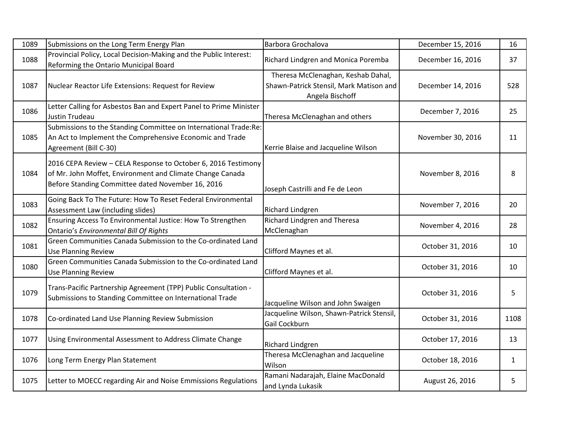| 1089 | Submissions on the Long Term Energy Plan                                                                                                                                        | Barbora Grochalova                                                                               | December 15, 2016 | 16   |
|------|---------------------------------------------------------------------------------------------------------------------------------------------------------------------------------|--------------------------------------------------------------------------------------------------|-------------------|------|
| 1088 | Provincial Policy, Local Decision-Making and the Public Interest:<br>Reforming the Ontario Municipal Board                                                                      | Richard Lindgren and Monica Poremba                                                              | December 16, 2016 | 37   |
| 1087 | Nuclear Reactor Life Extensions: Request for Review                                                                                                                             | Theresa McClenaghan, Keshab Dahal,<br>Shawn-Patrick Stensil, Mark Matison and<br>Angela Bischoff | December 14, 2016 | 528  |
| 1086 | Letter Calling for Asbestos Ban and Expert Panel to Prime Minister<br>Justin Trudeau                                                                                            | Theresa McClenaghan and others                                                                   | December 7, 2016  | 25   |
| 1085 | Submissions to the Standing Committee on International Trade:Re:<br>An Act to Implement the Comprehensive Economic and Trade<br>Agreement (Bill C-30)                           | Kerrie Blaise and Jacqueline Wilson                                                              | November 30, 2016 | 11   |
| 1084 | 2016 CEPA Review - CELA Response to October 6, 2016 Testimony<br>of Mr. John Moffet, Environment and Climate Change Canada<br>Before Standing Committee dated November 16, 2016 | Joseph Castrilli and Fe de Leon                                                                  | November 8, 2016  | 8    |
| 1083 | Going Back To The Future: How To Reset Federal Environmental<br>Assessment Law (including slides)                                                                               | Richard Lindgren                                                                                 | November 7, 2016  | 20   |
| 1082 | Ensuring Access To Environmental Justice: How To Strengthen<br>Ontario's Environmental Bill Of Rights                                                                           | Richard Lindgren and Theresa<br>McClenaghan                                                      | November 4, 2016  | 28   |
| 1081 | Green Communities Canada Submission to the Co-ordinated Land<br><b>Use Planning Review</b>                                                                                      | Clifford Maynes et al.                                                                           | October 31, 2016  | 10   |
| 1080 | Green Communities Canada Submission to the Co-ordinated Land<br><b>Use Planning Review</b>                                                                                      | Clifford Maynes et al.                                                                           | October 31, 2016  | 10   |
| 1079 | Trans-Pacific Partnership Agreement (TPP) Public Consultation -<br>Submissions to Standing Committee on International Trade                                                     | Jacqueline Wilson and John Swaigen                                                               | October 31, 2016  | 5    |
| 1078 | Co-ordinated Land Use Planning Review Submission                                                                                                                                | Jacqueline Wilson, Shawn-Patrick Stensil,<br>Gail Cockburn                                       | October 31, 2016  | 1108 |
| 1077 | Using Environmental Assessment to Address Climate Change                                                                                                                        | Richard Lindgren                                                                                 | October 17, 2016  | 13   |
| 1076 | Long Term Energy Plan Statement                                                                                                                                                 | Theresa McClenaghan and Jacqueline<br>Wilson                                                     | October 18, 2016  | 1    |
| 1075 | Letter to MOECC regarding Air and Noise Emmissions Regulations                                                                                                                  | Ramani Nadarajah, Elaine MacDonald<br>and Lynda Lukasik                                          | August 26, 2016   | 5    |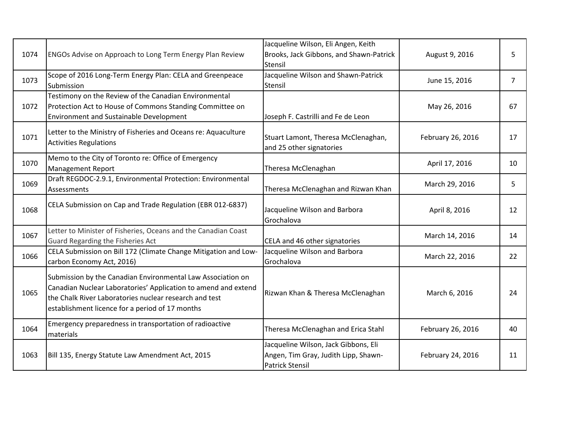| 1074 | ENGOs Advise on Approach to Long Term Energy Plan Review                                                                                                                                                                                   | Jacqueline Wilson, Eli Angen, Keith<br>Brooks, Jack Gibbons, and Shawn-Patrick<br>Stensil              | August 9, 2016    | 5              |
|------|--------------------------------------------------------------------------------------------------------------------------------------------------------------------------------------------------------------------------------------------|--------------------------------------------------------------------------------------------------------|-------------------|----------------|
| 1073 | Scope of 2016 Long-Term Energy Plan: CELA and Greenpeace<br>Submission                                                                                                                                                                     | Jacqueline Wilson and Shawn-Patrick<br>Stensil                                                         | June 15, 2016     | $\overline{7}$ |
| 1072 | Testimony on the Review of the Canadian Environmental<br>Protection Act to House of Commons Standing Committee on<br><b>Environment and Sustainable Development</b>                                                                        | Joseph F. Castrilli and Fe de Leon                                                                     | May 26, 2016      | 67             |
| 1071 | Letter to the Ministry of Fisheries and Oceans re: Aquaculture<br><b>Activities Regulations</b>                                                                                                                                            | Stuart Lamont, Theresa McClenaghan,<br>and 25 other signatories                                        | February 26, 2016 | 17             |
| 1070 | Memo to the City of Toronto re: Office of Emergency<br><b>Management Report</b>                                                                                                                                                            | Theresa McClenaghan                                                                                    | April 17, 2016    | 10             |
| 1069 | Draft REGDOC-2.9.1, Environmental Protection: Environmental<br>Assessments                                                                                                                                                                 | Theresa McClenaghan and Rizwan Khan                                                                    | March 29, 2016    | 5              |
| 1068 | CELA Submission on Cap and Trade Regulation (EBR 012-6837)                                                                                                                                                                                 | Jacqueline Wilson and Barbora<br>Grochalova                                                            | April 8, 2016     | 12             |
| 1067 | Letter to Minister of Fisheries, Oceans and the Canadian Coast<br>Guard Regarding the Fisheries Act                                                                                                                                        | CELA and 46 other signatories                                                                          | March 14, 2016    | 14             |
| 1066 | CELA Submission on Bill 172 (Climate Change Mitigation and Low-<br>carbon Economy Act, 2016)                                                                                                                                               | Jacqueline Wilson and Barbora<br>Grochalova                                                            | March 22, 2016    | 22             |
| 1065 | Submission by the Canadian Environmental Law Association on<br>Canadian Nuclear Laboratories' Application to amend and extend<br>the Chalk River Laboratories nuclear research and test<br>establishment licence for a period of 17 months | Rizwan Khan & Theresa McClenaghan                                                                      | March 6, 2016     | 24             |
| 1064 | Emergency preparedness in transportation of radioactive<br>materials                                                                                                                                                                       | Theresa McClenaghan and Erica Stahl                                                                    | February 26, 2016 | 40             |
| 1063 | Bill 135, Energy Statute Law Amendment Act, 2015                                                                                                                                                                                           | Jacqueline Wilson, Jack Gibbons, Eli<br>Angen, Tim Gray, Judith Lipp, Shawn-<br><b>Patrick Stensil</b> | February 24, 2016 | 11             |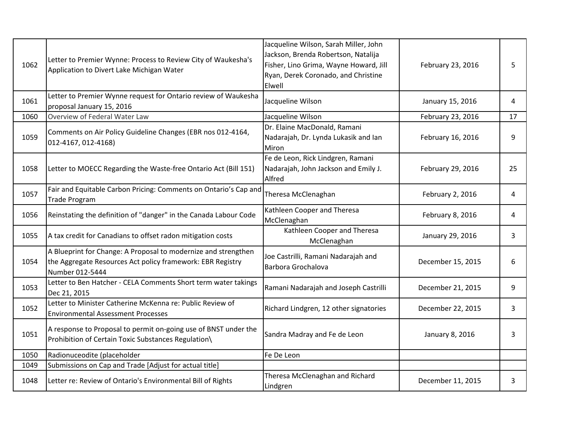| 1062 | Letter to Premier Wynne: Process to Review City of Waukesha's<br>Application to Divert Lake Michigan Water                                      | Jacqueline Wilson, Sarah Miller, John<br>Jackson, Brenda Robertson, Natalija<br>Fisher, Lino Grima, Wayne Howard, Jill<br>Ryan, Derek Coronado, and Christine<br>Elwell | February 23, 2016 | 5  |
|------|-------------------------------------------------------------------------------------------------------------------------------------------------|-------------------------------------------------------------------------------------------------------------------------------------------------------------------------|-------------------|----|
| 1061 | Letter to Premier Wynne request for Ontario review of Waukesha<br>proposal January 15, 2016                                                     | Jacqueline Wilson                                                                                                                                                       | January 15, 2016  | 4  |
| 1060 | Overview of Federal Water Law                                                                                                                   | Jacqueline Wilson                                                                                                                                                       | February 23, 2016 | 17 |
| 1059 | Comments on Air Policy Guideline Changes (EBR nos 012-4164,<br>012-4167, 012-4168)                                                              | Dr. Elaine MacDonald, Ramani<br>Nadarajah, Dr. Lynda Lukasik and lan<br>Miron                                                                                           | February 16, 2016 | 9  |
| 1058 | Letter to MOECC Regarding the Waste-free Ontario Act (Bill 151)                                                                                 | Fe de Leon, Rick Lindgren, Ramani<br>Nadarajah, John Jackson and Emily J.<br>Alfred                                                                                     | February 29, 2016 | 25 |
| 1057 | Fair and Equitable Carbon Pricing: Comments on Ontario's Cap and<br><b>Trade Program</b>                                                        | Theresa McClenaghan                                                                                                                                                     | February 2, 2016  | 4  |
| 1056 | Reinstating the definition of "danger" in the Canada Labour Code                                                                                | Kathleen Cooper and Theresa<br>McClenaghan                                                                                                                              | February 8, 2016  | 4  |
| 1055 | A tax credit for Canadians to offset radon mitigation costs                                                                                     | Kathleen Cooper and Theresa<br>McClenaghan                                                                                                                              | January 29, 2016  | 3  |
| 1054 | A Blueprint for Change: A Proposal to modernize and strengthen<br>the Aggregate Resources Act policy framework: EBR Registry<br>Number 012-5444 | Joe Castrilli, Ramani Nadarajah and<br>Barbora Grochalova                                                                                                               | December 15, 2015 | 6  |
| 1053 | Letter to Ben Hatcher - CELA Comments Short term water takings<br>Dec 21, 2015                                                                  | Ramani Nadarajah and Joseph Castrilli                                                                                                                                   | December 21, 2015 | 9  |
| 1052 | Letter to Minister Catherine McKenna re: Public Review of<br><b>Environmental Assessment Processes</b>                                          | Richard Lindgren, 12 other signatories                                                                                                                                  | December 22, 2015 | 3  |
| 1051 | A response to Proposal to permit on-going use of BNST under the<br>Prohibition of Certain Toxic Substances Regulation\                          | Sandra Madray and Fe de Leon                                                                                                                                            | January 8, 2016   | 3  |
| 1050 | Radionuceodite (placeholder                                                                                                                     | Fe De Leon                                                                                                                                                              |                   |    |
| 1049 | Submissions on Cap and Trade [Adjust for actual title]                                                                                          |                                                                                                                                                                         |                   |    |
| 1048 | Letter re: Review of Ontario's Environmental Bill of Rights                                                                                     | Theresa McClenaghan and Richard<br>Lindgren                                                                                                                             | December 11, 2015 | 3  |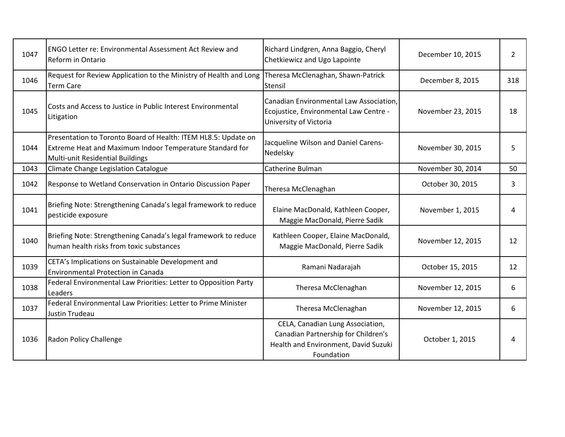| 1047 | <b>ENGO Letter re: Environmental Assessment Act Review and</b><br>Reform in Ontario                                                                            | Richard Lindgren, Anna Baggio, Cheryl<br>Chetkiewicz and Ugo Lapointe                                                         | December 10, 2015 | 2   |
|------|----------------------------------------------------------------------------------------------------------------------------------------------------------------|-------------------------------------------------------------------------------------------------------------------------------|-------------------|-----|
| 1046 | Request for Review Application to the Ministry of Health and Long<br><b>Term Care</b>                                                                          | Theresa McClenaghan, Shawn-Patrick<br>Stensil                                                                                 | December 8, 2015  | 318 |
| 1045 | Costs and Access to Justice in Public Interest Environmental<br>Litigation                                                                                     | Canadian Environmental Law Association,<br>Ecojustice, Environmental Law Centre -<br>University of Victoria                   | November 23, 2015 | 18  |
| 1044 | Presentation to Toronto Board of Health: ITEM HL8.5: Update on<br>Extreme Heat and Maximum Indoor Temperature Standard for<br>Multi-unit Residential Buildings | Jacqueline Wilson and Daniel Carens-<br>Nedelsky                                                                              | November 30, 2015 | 5   |
| 1043 | Climate Change Legislation Catalogue                                                                                                                           | Catherine Bulman                                                                                                              | November 30, 2014 | 50  |
| 1042 | Response to Wetland Conservation in Ontario Discussion Paper                                                                                                   | Theresa McClenaghan                                                                                                           | October 30, 2015  | 3   |
| 1041 | Briefing Note: Strengthening Canada's legal framework to reduce<br>pesticide exposure                                                                          | Elaine MacDonald, Kathleen Cooper,<br>Maggie MacDonald, Pierre Sadik                                                          | November 1, 2015  | 4   |
| 1040 | Briefing Note: Strengthening Canada's legal framework to reduce<br>human health risks from toxic substances                                                    | Kathleen Cooper, Elaine MacDonald,<br>Maggie MacDonald, Pierre Sadik                                                          | November 12, 2015 | 12  |
| 1039 | CETA's Implications on Sustainable Development and<br><b>Environmental Protection in Canada</b>                                                                | Ramani Nadarajah                                                                                                              | October 15, 2015  | 12  |
| 1038 | Federal Environmental Law Priorities: Letter to Opposition Party<br>Leaders                                                                                    | Theresa McClenaghan                                                                                                           | November 12, 2015 | 6   |
| 1037 | Federal Environmental Law Priorities: Letter to Prime Minister<br>Justin Trudeau                                                                               | Theresa McClenaghan                                                                                                           | November 12, 2015 | 6   |
| 1036 | Radon Policy Challenge                                                                                                                                         | CELA, Canadian Lung Association,<br>Canadian Partnership for Children's<br>Health and Environment, David Suzuki<br>Foundation | October 1, 2015   | 4   |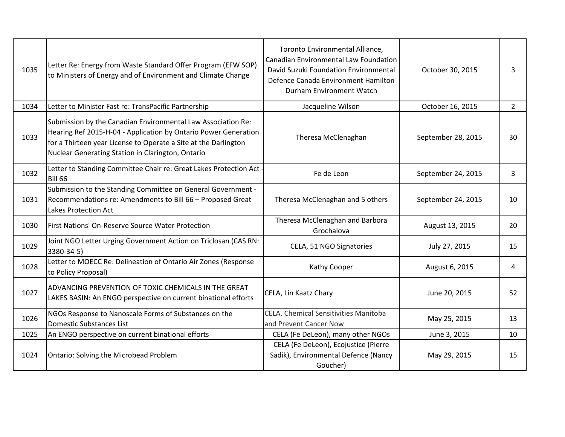| 1035 | Letter Re: Energy from Waste Standard Offer Program (EFW SOP)<br>to Ministers of Energy and of Environment and Climate Change                                                                                                                           | Toronto Environmental Alliance,<br><b>Canadian Environmental Law Foundation</b><br>David Suzuki Foundation Environmental<br>Defence Canada Environment Hamilton<br>Durham Environment Watch | October 30, 2015   | 3              |
|------|---------------------------------------------------------------------------------------------------------------------------------------------------------------------------------------------------------------------------------------------------------|---------------------------------------------------------------------------------------------------------------------------------------------------------------------------------------------|--------------------|----------------|
| 1034 | Letter to Minister Fast re: TransPacific Partnership                                                                                                                                                                                                    | Jacqueline Wilson                                                                                                                                                                           | October 16, 2015   | $\overline{2}$ |
| 1033 | Submission by the Canadian Environmental Law Association Re:<br>Hearing Ref 2015-H-04 - Application by Ontario Power Generation<br>for a Thirteen year License to Operate a Site at the Darlington<br>Nuclear Generating Station in Clarington, Ontario | Theresa McClenaghan                                                                                                                                                                         | September 28, 2015 | 30             |
| 1032 | Letter to Standing Committee Chair re: Great Lakes Protection Act<br><b>Bill 66</b>                                                                                                                                                                     | Fe de Leon                                                                                                                                                                                  | September 24, 2015 | 3              |
| 1031 | Submission to the Standing Committee on General Government -<br>Recommendations re: Amendments to Bill 66 - Proposed Great<br><b>Lakes Protection Act</b>                                                                                               | Theresa McClenaghan and 5 others                                                                                                                                                            | September 24, 2015 | 10             |
| 1030 | First Nations' On-Reserve Source Water Protection                                                                                                                                                                                                       | Theresa McClenaghan and Barbora<br>Grochalova                                                                                                                                               | August 13, 2015    | 20             |
| 1029 | Joint NGO Letter Urging Government Action on Triclosan (CAS RN:<br>3380-34-5)                                                                                                                                                                           | CELA, 51 NGO Signatories                                                                                                                                                                    | July 27, 2015      | 15             |
| 1028 | Letter to MOECC Re: Delineation of Ontario Air Zones (Response<br>to Policy Proposal)                                                                                                                                                                   | Kathy Cooper                                                                                                                                                                                | August 6, 2015     | 4              |
| 1027 | ADVANCING PREVENTION OF TOXIC CHEMICALS IN THE GREAT<br>LAKES BASIN: An ENGO perspective on current binational efforts                                                                                                                                  | CELA, Lin Kaatz Chary                                                                                                                                                                       | June 20, 2015      | 52             |
| 1026 | NGOs Response to Nanoscale Forms of Substances on the<br>Domestic Substances List                                                                                                                                                                       | CELA, Chemical Sensitivities Manitoba<br>and Prevent Cancer Now                                                                                                                             | May 25, 2015       | 13             |
| 1025 | An ENGO perspective on current binational efforts                                                                                                                                                                                                       | CELA (Fe DeLeon), many other NGOs                                                                                                                                                           | June 3, 2015       | 10             |
| 1024 | Ontario: Solving the Microbead Problem                                                                                                                                                                                                                  | CELA (Fe DeLeon), Ecojustice (Pierre<br>Sadik), Environmental Defence (Nancy<br>Goucher)                                                                                                    | May 29, 2015       | 15             |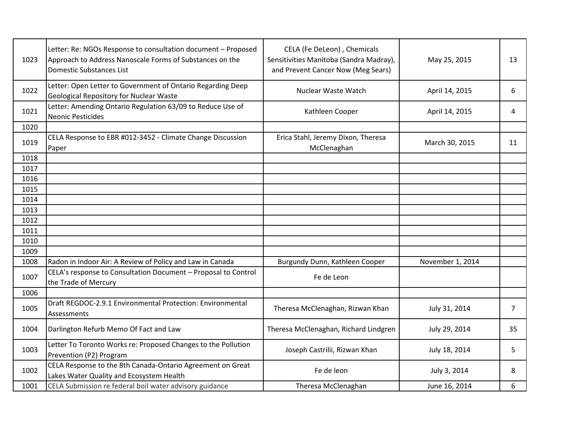| 1023 | Letter: Re: NGOs Response to consultation document - Proposed<br>Approach to Address Nanoscale Forms of Substances on the<br><b>Domestic Substances List</b> | CELA (Fe DeLeon), Chemicals<br>Sensitivities Manitoba (Sandra Madray),<br>and Prevent Cancer Now (Meg Sears) | May 25, 2015     | 13 |
|------|--------------------------------------------------------------------------------------------------------------------------------------------------------------|--------------------------------------------------------------------------------------------------------------|------------------|----|
| 1022 | Letter: Open Letter to Government of Ontario Regarding Deep<br><b>Geological Repository for Nuclear Waste</b>                                                | Nuclear Waste Watch                                                                                          | April 14, 2015   | 6  |
| 1021 | Letter: Amending Ontario Regulation 63/09 to Reduce Use of<br><b>Neonic Pesticides</b>                                                                       | Kathleen Cooper                                                                                              | April 14, 2015   | 4  |
| 1020 |                                                                                                                                                              |                                                                                                              |                  |    |
| 1019 | CELA Response to EBR #012-3452 - Climate Change Discussion<br>Paper                                                                                          | Erica Stahl, Jeremy Dixon, Theresa<br>McClenaghan                                                            | March 30, 2015   | 11 |
| 1018 |                                                                                                                                                              |                                                                                                              |                  |    |
| 1017 |                                                                                                                                                              |                                                                                                              |                  |    |
| 1016 |                                                                                                                                                              |                                                                                                              |                  |    |
| 1015 |                                                                                                                                                              |                                                                                                              |                  |    |
| 1014 |                                                                                                                                                              |                                                                                                              |                  |    |
| 1013 |                                                                                                                                                              |                                                                                                              |                  |    |
| 1012 |                                                                                                                                                              |                                                                                                              |                  |    |
| 1011 |                                                                                                                                                              |                                                                                                              |                  |    |
| 1010 |                                                                                                                                                              |                                                                                                              |                  |    |
| 1009 |                                                                                                                                                              |                                                                                                              |                  |    |
| 1008 | Radon in Indoor Air: A Review of Policy and Law in Canada                                                                                                    | Burgundy Dunn, Kathleen Cooper                                                                               | November 1, 2014 |    |
| 1007 | CELA's response to Consultation Document - Proposal to Control<br>the Trade of Mercury                                                                       | Fe de Leon                                                                                                   |                  |    |
| 1006 |                                                                                                                                                              |                                                                                                              |                  |    |
| 1005 | Draft REGDOC-2.9.1 Environmental Protection: Environmental<br>Assessments                                                                                    | Theresa McClenaghan, Rizwan Khan                                                                             | July 31, 2014    | 7  |
| 1004 | Darlington Refurb Memo Of Fact and Law                                                                                                                       | Theresa McClenaghan, Richard Lindgren                                                                        | July 29, 2014    | 35 |
| 1003 | Letter To Toronto Works re: Proposed Changes to the Pollution<br>Prevention (P2) Program                                                                     | Joseph Castrilii, Rizwan Khan                                                                                | July 18, 2014    | 5  |
| 1002 | CELA Response to the 8th Canada-Ontario Agreement on Great<br>Lakes Water Quality and Ecosystem Health                                                       | Fe de leon                                                                                                   | July 3, 2014     | 8  |
| 1001 | CELA Submission re federal boil water advisory guidance                                                                                                      | Theresa McClenaghan                                                                                          | June 16, 2014    | 6  |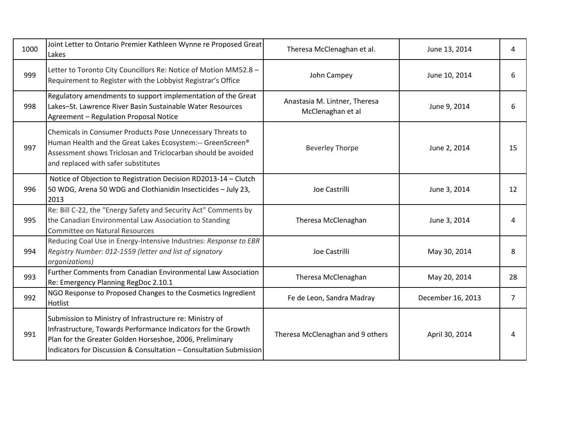| 1000 | Joint Letter to Ontario Premier Kathleen Wynne re Proposed Great<br>Lakes                                                                                                                                                                                   | Theresa McClenaghan et al.                         | June 13, 2014     | 4              |
|------|-------------------------------------------------------------------------------------------------------------------------------------------------------------------------------------------------------------------------------------------------------------|----------------------------------------------------|-------------------|----------------|
| 999  | Letter to Toronto City Councillors Re: Notice of Motion MM52.8 -<br>Requirement to Register with the Lobbyist Registrar's Office                                                                                                                            | John Campey                                        | June 10, 2014     | 6              |
| 998  | Regulatory amendments to support implementation of the Great<br>Lakes-St. Lawrence River Basin Sustainable Water Resources<br>Agreement - Regulation Proposal Notice                                                                                        | Anastasia M. Lintner, Theresa<br>McClenaghan et al | June 9, 2014      | 6              |
| 997  | Chemicals in Consumer Products Pose Unnecessary Threats to<br>Human Health and the Great Lakes Ecosystem:-- GreenScreen®<br>Assessment shows Triclosan and Triclocarban should be avoided<br>and replaced with safer substitutes                            | <b>Beverley Thorpe</b>                             | June 2, 2014      | 15             |
| 996  | Notice of Objection to Registration Decision RD2013-14 - Clutch<br>50 WDG, Arena 50 WDG and Clothianidin Insecticides - July 23,<br>2013                                                                                                                    | Joe Castrilli                                      | June 3, 2014      | 12             |
| 995  | Re: Bill C-22, the "Energy Safety and Security Act" Comments by<br>the Canadian Environmental Law Association to Standing<br><b>Committee on Natural Resources</b>                                                                                          | Theresa McClenaghan                                | June 3, 2014      | 4              |
| 994  | Reducing Coal Use in Energy-Intensive Industries: Response to EBR<br>Registry Number: 012-1559 (letter and list of signatory<br>organizations)                                                                                                              | Joe Castrilli                                      | May 30, 2014      | 8              |
| 993  | <b>Further Comments from Canadian Environmental Law Association</b><br>Re: Emergency Planning RegDoc 2.10.1                                                                                                                                                 | Theresa McClenaghan                                | May 20, 2014      | 28             |
| 992  | NGO Response to Proposed Changes to the Cosmetics Ingredient<br><b>Hotlist</b>                                                                                                                                                                              | Fe de Leon, Sandra Madray                          | December 16, 2013 | $\overline{7}$ |
| 991  | Submission to Ministry of Infrastructure re: Ministry of<br>Infrastructure, Towards Performance Indicators for the Growth<br>Plan for the Greater Golden Horseshoe, 2006, Preliminary<br>Indicators for Discussion & Consultation - Consultation Submission | Theresa McClenaghan and 9 others                   | April 30, 2014    | 4              |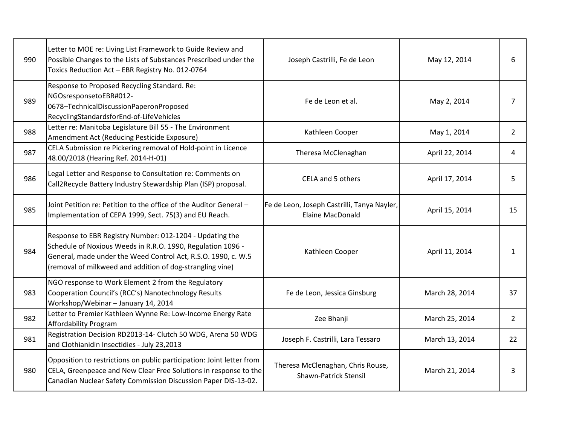| 990 | Letter to MOE re: Living List Framework to Guide Review and<br>Possible Changes to the Lists of Substances Prescribed under the<br>Toxics Reduction Act - EBR Registry No. 012-0764                                                                   | Joseph Castrilli, Fe de Leon                                           | May 12, 2014   | 6              |
|-----|-------------------------------------------------------------------------------------------------------------------------------------------------------------------------------------------------------------------------------------------------------|------------------------------------------------------------------------|----------------|----------------|
| 989 | Response to Proposed Recycling Standard. Re:<br>NGOsresponsetoEBR#012-<br>0678-TechnicalDiscussionPaperonProposed<br>RecyclingStandardsforEnd-of-LifeVehicles                                                                                         | Fe de Leon et al.                                                      | May 2, 2014    | 7              |
| 988 | Letter re: Manitoba Legislature Bill 55 - The Environment<br>Amendment Act (Reducing Pesticide Exposure)                                                                                                                                              | Kathleen Cooper                                                        | May 1, 2014    | $\overline{2}$ |
| 987 | CELA Submission re Pickering removal of Hold-point in Licence<br>48.00/2018 (Hearing Ref. 2014-H-01)                                                                                                                                                  | Theresa McClenaghan                                                    | April 22, 2014 | 4              |
| 986 | Legal Letter and Response to Consultation re: Comments on<br>Call2Recycle Battery Industry Stewardship Plan (ISP) proposal.                                                                                                                           | CELA and 5 others                                                      | April 17, 2014 | 5              |
| 985 | Joint Petition re: Petition to the office of the Auditor General -<br>Implementation of CEPA 1999, Sect. 75(3) and EU Reach.                                                                                                                          | Fe de Leon, Joseph Castrilli, Tanya Nayler,<br><b>Elaine MacDonald</b> | April 15, 2014 | 15             |
| 984 | Response to EBR Registry Number: 012-1204 - Updating the<br>Schedule of Noxious Weeds in R.R.O. 1990, Regulation 1096 -<br>General, made under the Weed Control Act, R.S.O. 1990, c. W.5<br>(removal of milkweed and addition of dog-strangling vine) | Kathleen Cooper                                                        | April 11, 2014 | 1              |
| 983 | NGO response to Work Element 2 from the Regulatory<br>Cooperation Council's (RCC's) Nanotechnology Results<br>Workshop/Webinar - January 14, 2014                                                                                                     | Fe de Leon, Jessica Ginsburg                                           | March 28, 2014 | 37             |
| 982 | Letter to Premier Kathleen Wynne Re: Low-Income Energy Rate<br>Affordability Program                                                                                                                                                                  | Zee Bhanji                                                             | March 25, 2014 | $\overline{2}$ |
| 981 | Registration Decision RD2013-14- Clutch 50 WDG, Arena 50 WDG<br>and Clothianidin Insectidies - July 23,2013                                                                                                                                           | Joseph F. Castrilli, Lara Tessaro                                      | March 13, 2014 | 22             |
| 980 | Opposition to restrictions on public participation: Joint letter from<br>CELA, Greenpeace and New Clear Free Solutions in response to the<br>Canadian Nuclear Safety Commission Discussion Paper DIS-13-02.                                           | Theresa McClenaghan, Chris Rouse,<br><b>Shawn-Patrick Stensil</b>      | March 21, 2014 | 3              |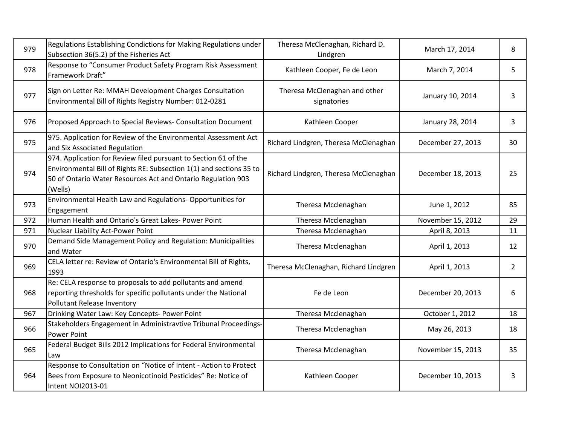| 979 | Regulations Establishing Condictions for Making Regulations under<br>Subsection 36(5.2) pf the Fisheries Act                                                                                                      | Theresa McClenaghan, Richard D.<br>Lindgren  | March 17, 2014    | 8              |
|-----|-------------------------------------------------------------------------------------------------------------------------------------------------------------------------------------------------------------------|----------------------------------------------|-------------------|----------------|
| 978 | Response to "Consumer Product Safety Program Risk Assessment<br>Framework Draft"                                                                                                                                  | Kathleen Cooper, Fe de Leon                  | March 7, 2014     | 5              |
| 977 | Sign on Letter Re: MMAH Development Charges Consultation<br>Environmental Bill of Rights Registry Number: 012-0281                                                                                                | Theresa McClenaghan and other<br>signatories | January 10, 2014  | 3              |
| 976 | Proposed Approach to Special Reviews- Consultation Document                                                                                                                                                       | Kathleen Cooper                              | January 28, 2014  | 3              |
| 975 | 975. Application for Review of the Environmental Assessment Act<br>and Six Associated Regulation                                                                                                                  | Richard Lindgren, Theresa McClenaghan        | December 27, 2013 | 30             |
| 974 | 974. Application for Review filed pursuant to Section 61 of the<br>Environmental Bill of Rights RE: Subsection 1(1) and sections 35 to<br>50 of Ontario Water Resources Act and Ontario Regulation 903<br>(Wells) | Richard Lindgren, Theresa McClenaghan        | December 18, 2013 | 25             |
| 973 | Environmental Health Law and Regulations- Opportunities for<br>Engagement                                                                                                                                         | Theresa Mcclenaghan                          | June 1, 2012      | 85             |
| 972 | Human Health and Ontario's Great Lakes- Power Point                                                                                                                                                               | Theresa Mcclenaghan                          | November 15, 2012 | 29             |
| 971 | Nuclear Liability Act-Power Point                                                                                                                                                                                 | Theresa Mcclenaghan                          | April 8, 2013     | 11             |
|     |                                                                                                                                                                                                                   |                                              |                   |                |
| 970 | Demand Side Management Policy and Regulation: Municipalities<br>and Water                                                                                                                                         | Theresa Mcclenaghan                          | April 1, 2013     | 12             |
| 969 | CELA letter re: Review of Ontario's Environmental Bill of Rights,<br>1993                                                                                                                                         | Theresa McClenaghan, Richard Lindgren        | April 1, 2013     | $\overline{2}$ |
| 968 | Re: CELA response to proposals to add pollutants and amend<br>reporting thresholds for specific pollutants under the National<br>Pollutant Release Inventory                                                      | Fe de Leon                                   | December 20, 2013 | 6              |
| 967 | Drinking Water Law: Key Concepts- Power Point                                                                                                                                                                     | Theresa Mcclenaghan                          | October 1, 2012   | 18             |
| 966 | Stakeholders Engagement in Administravtive Tribunal Proceedings-<br><b>Power Point</b>                                                                                                                            | Theresa Mcclenaghan                          | May 26, 2013      | 18             |
| 965 | Federal Budget Bills 2012 Implications for Federal Environmental<br>Law                                                                                                                                           | Theresa Mcclenaghan                          | November 15, 2013 | 35             |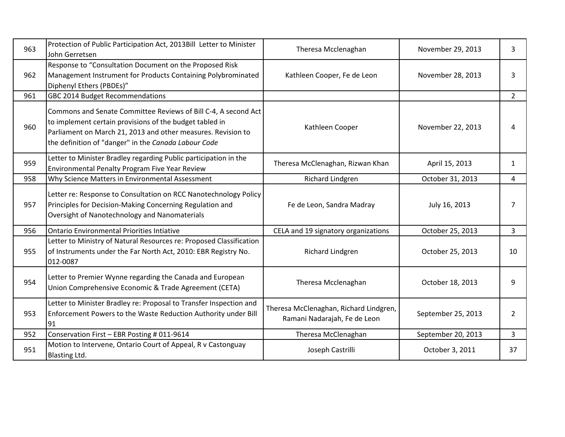| 963 | Protection of Public Participation Act, 2013Bill Letter to Minister<br>John Gerretsen                                                                                                                                                             | Theresa Mcclenaghan                                                    | November 29, 2013  | 3              |
|-----|---------------------------------------------------------------------------------------------------------------------------------------------------------------------------------------------------------------------------------------------------|------------------------------------------------------------------------|--------------------|----------------|
| 962 | Response to "Consultation Document on the Proposed Risk<br>Management Instrument for Products Containing Polybrominated<br>Diphenyl Ethers (PBDEs)"                                                                                               | Kathleen Cooper, Fe de Leon                                            | November 28, 2013  | 3              |
| 961 | GBC 2014 Budget Recommendations                                                                                                                                                                                                                   |                                                                        |                    | $\overline{2}$ |
| 960 | Commons and Senate Committee Reviews of Bill C-4, A second Act<br>to implement certain provisions of the budget tabled in<br>Parliament on March 21, 2013 and other measures. Revision to<br>the definition of "danger" in the Canada Labour Code | Kathleen Cooper                                                        | November 22, 2013  | 4              |
| 959 | Letter to Minister Bradley regarding Public participation in the<br>Environmental Penalty Program Five Year Review                                                                                                                                | Theresa McClenaghan, Rizwan Khan                                       | April 15, 2013     | $\mathbf{1}$   |
| 958 | Why Science Matters in Environmental Assessment                                                                                                                                                                                                   | Richard Lindgren                                                       | October 31, 2013   | 4              |
| 957 | Letter re: Response to Consultation on RCC Nanotechnology Policy<br>Principles for Decision-Making Concerning Regulation and<br>Oversight of Nanotechnology and Nanomaterials                                                                     | Fe de Leon, Sandra Madray                                              | July 16, 2013      | 7              |
| 956 | <b>Ontario Environmental Priorities Intiative</b>                                                                                                                                                                                                 | CELA and 19 signatory organizations                                    | October 25, 2013   | $\overline{3}$ |
| 955 | Letter to Ministry of Natural Resources re: Proposed Classification<br>of Instruments under the Far North Act, 2010: EBR Registry No.<br>012-0087                                                                                                 | Richard Lindgren                                                       | October 25, 2013   | 10             |
| 954 | Letter to Premier Wynne regarding the Canada and European<br>Union Comprehensive Economic & Trade Agreement (CETA)                                                                                                                                | Theresa Mcclenaghan                                                    | October 18, 2013   | 9              |
| 953 | Letter to Minister Bradley re: Proposal to Transfer Inspection and<br>Enforcement Powers to the Waste Reduction Authority under Bill<br>91                                                                                                        | Theresa McClenaghan, Richard Lindgren,<br>Ramani Nadarajah, Fe de Leon | September 25, 2013 | 2              |
| 952 | Conservation First - EBR Posting # 011-9614                                                                                                                                                                                                       | Theresa McClenaghan                                                    | September 20, 2013 | 3              |
| 951 | Motion to Intervene, Ontario Court of Appeal, R v Castonguay<br>Blasting Ltd.                                                                                                                                                                     | Joseph Castrilli                                                       | October 3, 2011    | 37             |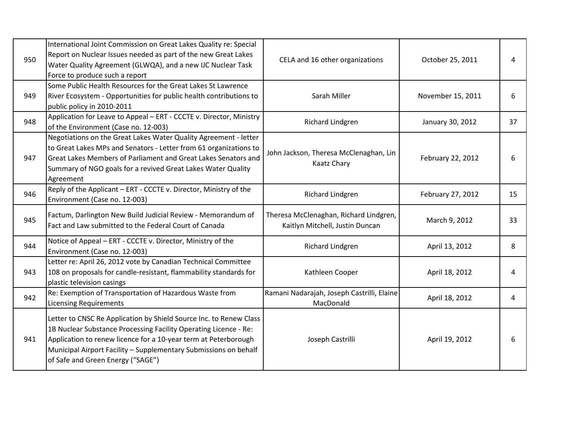| 950 | International Joint Commission on Great Lakes Quality re: Special<br>Report on Nuclear Issues needed as part of the new Great Lakes<br>Water Quality Agreement (GLWQA), and a new IJC Nuclear Task<br>Force to produce such a report                                                                               | CELA and 16 other organizations                                           | October 25, 2011  | 4  |
|-----|--------------------------------------------------------------------------------------------------------------------------------------------------------------------------------------------------------------------------------------------------------------------------------------------------------------------|---------------------------------------------------------------------------|-------------------|----|
| 949 | Some Public Health Resources for the Great Lakes St Lawrence<br>River Ecosystem - Opportunities for public health contributions to<br>public policy in 2010-2011                                                                                                                                                   | Sarah Miller                                                              | November 15, 2011 | 6  |
| 948 | Application for Leave to Appeal - ERT - CCCTE v. Director, Ministry<br>of the Environment (Case no. 12-003)                                                                                                                                                                                                        | Richard Lindgren                                                          | January 30, 2012  | 37 |
| 947 | Negotiations on the Great Lakes Water Quality Agreement - letter<br>to Great Lakes MPs and Senators - Letter from 61 organizations to<br>Great Lakes Members of Parliament and Great Lakes Senators and<br>Summary of NGO goals for a revived Great Lakes Water Quality<br>Agreement                               | John Jackson, Theresa McClenaghan, Lin<br>Kaatz Chary                     | February 22, 2012 | 6  |
| 946 | Reply of the Applicant - ERT - CCCTE v. Director, Ministry of the<br>Environment (Case no. 12-003)                                                                                                                                                                                                                 | Richard Lindgren                                                          | February 27, 2012 | 15 |
| 945 | Factum, Darlington New Build Judicial Review - Memorandum of<br>Fact and Law submitted to the Federal Court of Canada                                                                                                                                                                                              | Theresa McClenaghan, Richard Lindgren,<br>Kaitlyn Mitchell, Justin Duncan | March 9, 2012     | 33 |
| 944 | Notice of Appeal - ERT - CCCTE v. Director, Ministry of the<br>Environment (Case no. 12-003)                                                                                                                                                                                                                       | <b>Richard Lindgren</b>                                                   | April 13, 2012    | 8  |
| 943 | Letter re: April 26, 2012 vote by Canadian Technical Committee<br>108 on proposals for candle-resistant, flammability standards for<br>plastic television casings                                                                                                                                                  | Kathleen Cooper                                                           | April 18, 2012    | 4  |
| 942 | Re: Exemption of Transportation of Hazardous Waste from<br><b>Licensing Requirements</b>                                                                                                                                                                                                                           | Ramani Nadarajah, Joseph Castrilli, Elaine<br>MacDonald                   | April 18, 2012    | 4  |
| 941 | Letter to CNSC Re Application by Shield Source Inc. to Renew Class<br>1B Nuclear Substance Processing Facility Operating Licence - Re:<br>Application to renew licence for a 10-year term at Peterborough<br>Municipal Airport Facility - Supplementary Submissions on behalf<br>of Safe and Green Energy ("SAGE") | Joseph Castrilli                                                          | April 19, 2012    | 6  |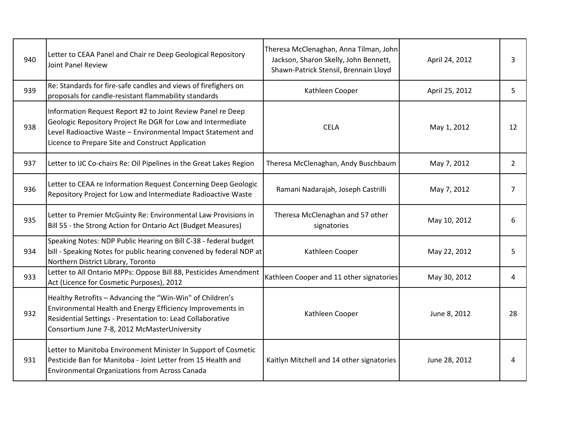| 940 | Letter to CEAA Panel and Chair re Deep Geological Repository<br>Joint Panel Review                                                                                                                                                              | Theresa McClenaghan, Anna Tilman, John<br>Jackson, Sharon Skelly, John Bennett,<br>Shawn-Patrick Stensil, Brennain Lloyd | April 24, 2012 | 3              |
|-----|-------------------------------------------------------------------------------------------------------------------------------------------------------------------------------------------------------------------------------------------------|--------------------------------------------------------------------------------------------------------------------------|----------------|----------------|
| 939 | Re: Standards for fire-safe candles and views of firefighers on<br>proposals for candle-resistant flammability standards                                                                                                                        | Kathleen Cooper                                                                                                          | April 25, 2012 | 5              |
| 938 | Information Request Report #2 to Joint Review Panel re Deep<br>Geologic Repository Project Re DGR for Low and Intermediate<br>Level Radioactive Waste - Environmental Impact Statement and<br>Licence to Prepare Site and Construct Application | <b>CELA</b>                                                                                                              | May 1, 2012    | 12             |
| 937 | Letter to IJC Co-chairs Re: Oil Pipelines in the Great Lakes Region                                                                                                                                                                             | Theresa McClenaghan, Andy Buschbaum                                                                                      | May 7, 2012    | $\overline{2}$ |
| 936 | Letter to CEAA re Information Request Concerning Deep Geologic<br>Repository Project for Low and Intermediate Radioactive Waste                                                                                                                 | Ramani Nadarajah, Joseph Castrilli                                                                                       | May 7, 2012    | 7              |
| 935 | Letter to Premier McGuinty Re: Environmental Law Provisions in<br>Bill 55 - the Strong Action for Ontario Act (Budget Measures)                                                                                                                 | Theresa McClenaghan and 57 other<br>signatories                                                                          | May 10, 2012   | 6              |
| 934 | Speaking Notes: NDP Public Hearing on Bill C-38 - federal budget<br>bill - Speaking Notes for public hearing convened by federal NDP at<br>Northern District Library, Toronto                                                                   | Kathleen Cooper                                                                                                          | May 22, 2012   | 5              |
| 933 | Letter to All Ontario MPPs: Oppose Bill 88, Pesticides Amendment<br>Act (Licence for Cosmetic Purposes), 2012                                                                                                                                   | Kathleen Cooper and 11 other signatories                                                                                 | May 30, 2012   | 4              |
| 932 | Healthy Retrofits - Advancing the "Win-Win" of Children's<br>Environmental Health and Energy Efficiency Improvements in<br>Residential Settings - Presentation to: Lead Collaborative<br>Consortium June 7-8, 2012 McMasterUniversity           | Kathleen Cooper                                                                                                          | June 8, 2012   | 28             |
| 931 | Letter to Manitoba Environment Minister In Support of Cosmetic<br>Pesticide Ban for Manitoba - Joint Letter from 15 Health and<br><b>Environmental Organizations from Across Canada</b>                                                         | Kaitlyn Mitchell and 14 other signatories                                                                                | June 28, 2012  |                |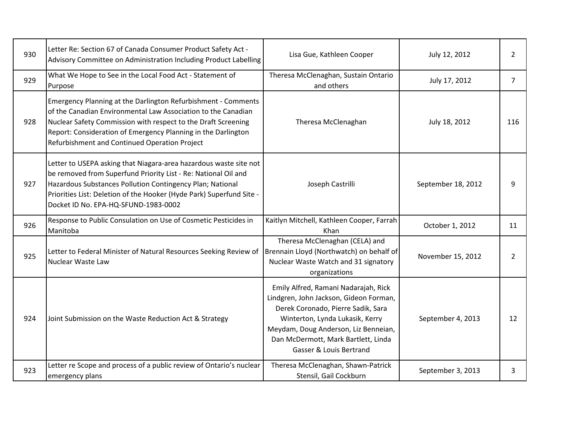| 930 | Letter Re: Section 67 of Canada Consumer Product Safety Act -<br>Advisory Committee on Administration Including Product Labelling                                                                                                                                                                                 | Lisa Gue, Kathleen Cooper                                                                                                                                                                                                                                         | July 12, 2012      | $\overline{2}$ |
|-----|-------------------------------------------------------------------------------------------------------------------------------------------------------------------------------------------------------------------------------------------------------------------------------------------------------------------|-------------------------------------------------------------------------------------------------------------------------------------------------------------------------------------------------------------------------------------------------------------------|--------------------|----------------|
| 929 | What We Hope to See in the Local Food Act - Statement of<br>Purpose                                                                                                                                                                                                                                               | Theresa McClenaghan, Sustain Ontario<br>and others                                                                                                                                                                                                                | July 17, 2012      | $\overline{7}$ |
| 928 | Emergency Planning at the Darlington Refurbishment - Comments<br>of the Canadian Environmental Law Association to the Canadian<br>Nuclear Safety Commission with respect to the Draft Screening<br>Report: Consideration of Emergency Planning in the Darlington<br>Refurbishment and Continued Operation Project | Theresa McClenaghan                                                                                                                                                                                                                                               | July 18, 2012      | 116            |
| 927 | Letter to USEPA asking that Niagara-area hazardous waste site not<br>be removed from Superfund Priority List - Re: National Oil and<br>Hazardous Substances Pollution Contingency Plan; National<br>Priorities List: Deletion of the Hooker (Hyde Park) Superfund Site -<br>Docket ID No. EPA-HQ-SFUND-1983-0002  | Joseph Castrilli                                                                                                                                                                                                                                                  | September 18, 2012 | 9              |
| 926 | Response to Public Consulation on Use of Cosmetic Pesticides in<br>Manitoba                                                                                                                                                                                                                                       | Kaitlyn Mitchell, Kathleen Cooper, Farrah<br>Khan                                                                                                                                                                                                                 | October 1, 2012    | 11             |
| 925 | Letter to Federal Minister of Natural Resources Seeking Review of<br>Nuclear Waste Law                                                                                                                                                                                                                            | Theresa McClenaghan (CELA) and<br>Brennain Lloyd (Northwatch) on behalf of<br>Nuclear Waste Watch and 31 signatory<br>organizations                                                                                                                               | November 15, 2012  | $\overline{2}$ |
| 924 | Joint Submission on the Waste Reduction Act & Strategy                                                                                                                                                                                                                                                            | Emily Alfred, Ramani Nadarajah, Rick<br>Lindgren, John Jackson, Gideon Forman,<br>Derek Coronado, Pierre Sadik, Sara<br>Winterton, Lynda Lukasik, Kerry<br>Meydam, Doug Anderson, Liz Benneian,<br>Dan McDermott, Mark Bartlett, Linda<br>Gasser & Louis Bertrand | September 4, 2013  | 12             |
| 923 | Letter re Scope and process of a public review of Ontario's nuclear<br>emergency plans                                                                                                                                                                                                                            | Theresa McClenaghan, Shawn-Patrick<br>Stensil, Gail Cockburn                                                                                                                                                                                                      | September 3, 2013  | 3              |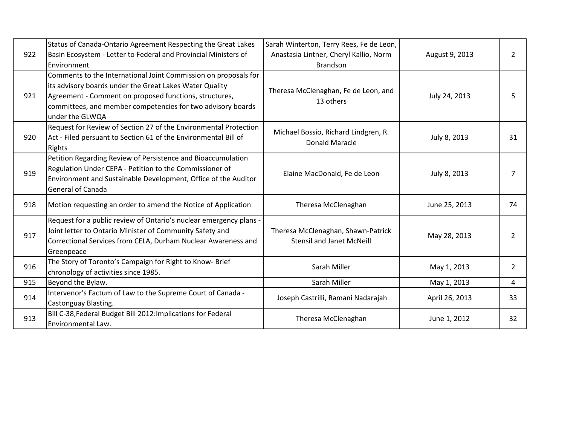| 922 | Status of Canada-Ontario Agreement Respecting the Great Lakes<br>Basin Ecosystem - Letter to Federal and Provincial Ministers of<br>Environment                                                                                                                        | Sarah Winterton, Terry Rees, Fe de Leon,<br>Anastasia Lintner, Cheryl Kallio, Norm<br><b>Brandson</b> | August 9, 2013 | $\overline{2}$ |
|-----|------------------------------------------------------------------------------------------------------------------------------------------------------------------------------------------------------------------------------------------------------------------------|-------------------------------------------------------------------------------------------------------|----------------|----------------|
| 921 | Comments to the International Joint Commission on proposals for<br>its advisory boards under the Great Lakes Water Quality<br>Agreement - Comment on proposed functions, structures,<br>committees, and member competencies for two advisory boards<br>under the GLWQA | Theresa McClenaghan, Fe de Leon, and<br>13 others                                                     | July 24, 2013  | 5              |
| 920 | Request for Review of Section 27 of the Environmental Protection<br>Act - Filed persuant to Section 61 of the Environmental Bill of<br><b>Rights</b>                                                                                                                   | Michael Bossio, Richard Lindgren, R.<br><b>Donald Maracle</b>                                         | July 8, 2013   | 31             |
| 919 | Petition Regarding Review of Persistence and Bioaccumulation<br>Regulation Under CEPA - Petition to the Commissioner of<br>Environment and Sustainable Development, Office of the Auditor<br>General of Canada                                                         | Elaine MacDonald, Fe de Leon                                                                          | July 8, 2013   | 7              |
| 918 | Motion requesting an order to amend the Notice of Application                                                                                                                                                                                                          | Theresa McClenaghan                                                                                   | June 25, 2013  | 74             |
| 917 | Request for a public review of Ontario's nuclear emergency plans -<br>Joint letter to Ontario Minister of Community Safety and<br>Correctional Services from CELA, Durham Nuclear Awareness and<br>Greenpeace                                                          | Theresa McClenaghan, Shawn-Patrick<br><b>Stensil and Janet McNeill</b>                                | May 28, 2013   | 2              |
| 916 | The Story of Toronto's Campaign for Right to Know- Brief<br>chronology of activities since 1985.                                                                                                                                                                       | Sarah Miller                                                                                          | May 1, 2013    | $\overline{2}$ |
| 915 | Beyond the Bylaw.                                                                                                                                                                                                                                                      | Sarah Miller                                                                                          | May 1, 2013    | 4              |
| 914 | Intervenor's Factum of Law to the Supreme Court of Canada -<br>Castonguay Blasting.                                                                                                                                                                                    | Joseph Castrilli, Ramani Nadarajah                                                                    | April 26, 2013 | 33             |
| 913 | Bill C-38, Federal Budget Bill 2012: Implications for Federal<br>Environmental Law.                                                                                                                                                                                    | Theresa McClenaghan                                                                                   | June 1, 2012   | 32             |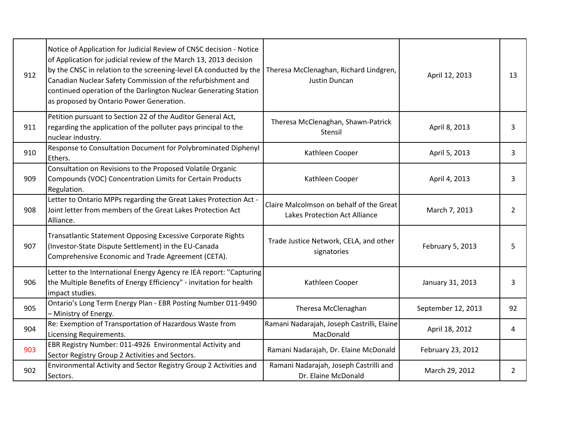| 912 | Notice of Application for Judicial Review of CNSC decision - Notice<br>of Application for judicial review of the March 13, 2013 decision<br>by the CNSC in relation to the screening-level EA conducted by the<br>Canadian Nuclear Safety Commission of the refurbishment and<br>continued operation of the Darlington Nuclear Generating Station<br>as proposed by Ontario Power Generation. | Theresa McClenaghan, Richard Lindgren,<br>Justin Duncan                          | April 12, 2013     | 13             |
|-----|-----------------------------------------------------------------------------------------------------------------------------------------------------------------------------------------------------------------------------------------------------------------------------------------------------------------------------------------------------------------------------------------------|----------------------------------------------------------------------------------|--------------------|----------------|
| 911 | Petition pursuant to Section 22 of the Auditor General Act,<br>regarding the application of the polluter pays principal to the<br>nuclear industry.                                                                                                                                                                                                                                           | Theresa McClenaghan, Shawn-Patrick<br>Stensil                                    | April 8, 2013      | 3              |
| 910 | Response to Consultation Document for Polybrominated Diphenyl<br>Ethers.                                                                                                                                                                                                                                                                                                                      | Kathleen Cooper                                                                  | April 5, 2013      | 3              |
| 909 | Consultation on Revisions to the Proposed Volatile Organic<br>Compounds (VOC) Concentration Limits for Certain Products<br>Regulation.                                                                                                                                                                                                                                                        | Kathleen Cooper                                                                  | April 4, 2013      | 3              |
| 908 | Letter to Ontario MPPs regarding the Great Lakes Protection Act -<br>Joint letter from members of the Great Lakes Protection Act<br>Alliance.                                                                                                                                                                                                                                                 | Claire Malcolmson on behalf of the Great<br><b>Lakes Protection Act Alliance</b> | March 7, 2013      | $\overline{2}$ |
| 907 | Transatlantic Statement Opposing Excessive Corporate Rights<br>(Investor-State Dispute Settlement) in the EU-Canada<br>Comprehensive Economic and Trade Agreement (CETA).                                                                                                                                                                                                                     | Trade Justice Network, CELA, and other<br>signatories                            | February 5, 2013   | 5              |
| 906 | Letter to the International Energy Agency re IEA report: "Capturing<br>the Multiple Benefits of Energy Efficiency" - invitation for health<br>impact studies.                                                                                                                                                                                                                                 | Kathleen Cooper                                                                  | January 31, 2013   | 3              |
| 905 | Ontario's Long Term Energy Plan - EBR Posting Number 011-9490<br>- Ministry of Energy.                                                                                                                                                                                                                                                                                                        | Theresa McClenaghan                                                              | September 12, 2013 | 92             |
| 904 | Re: Exemption of Transportation of Hazardous Waste from<br>Licensing Requirements.                                                                                                                                                                                                                                                                                                            | Ramani Nadarajah, Joseph Castrilli, Elaine<br>MacDonald                          | April 18, 2012     | 4              |
| 903 | EBR Registry Number: 011-4926 Environmental Activity and<br>Sector Registry Group 2 Activities and Sectors.                                                                                                                                                                                                                                                                                   | Ramani Nadarajah, Dr. Elaine McDonald                                            | February 23, 2012  |                |
| 902 | Environmental Activity and Sector Registry Group 2 Activities and<br>Sectors.                                                                                                                                                                                                                                                                                                                 | Ramani Nadarajah, Joseph Castrilli and<br>Dr. Elaine McDonald                    | March 29, 2012     | $\overline{2}$ |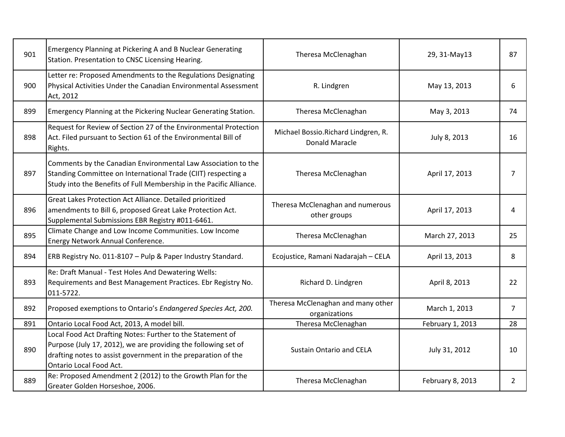| 901 | <b>Emergency Planning at Pickering A and B Nuclear Generating</b><br>Station. Presentation to CNSC Licensing Hearing.                                                                                                    | Theresa McClenaghan                                          | 29, 31-May13     | 87             |
|-----|--------------------------------------------------------------------------------------------------------------------------------------------------------------------------------------------------------------------------|--------------------------------------------------------------|------------------|----------------|
| 900 | Letter re: Proposed Amendments to the Regulations Designating<br>Physical Activities Under the Canadian Environmental Assessment<br>Act, 2012                                                                            | R. Lindgren                                                  | May 13, 2013     | 6              |
| 899 | Emergency Planning at the Pickering Nuclear Generating Station.                                                                                                                                                          | Theresa McClenaghan                                          | May 3, 2013      | 74             |
| 898 | Request for Review of Section 27 of the Environmental Protection<br>Act. Filed pursuant to Section 61 of the Environmental Bill of<br>Rights.                                                                            | Michael Bossio.Richard Lindgren, R.<br><b>Donald Maracle</b> | July 8, 2013     | 16             |
| 897 | Comments by the Canadian Environmental Law Association to the<br>Standing Committee on International Trade (CIIT) respecting a<br>Study into the Benefits of Full Membership in the Pacific Alliance.                    | Theresa McClenaghan                                          | April 17, 2013   | 7              |
| 896 | Great Lakes Protection Act Alliance. Detailed prioritized<br>amendments to Bill 6, proposed Great Lake Protection Act.<br>Supplemental Submissions EBR Registry #011-6461.                                               | Theresa McClenaghan and numerous<br>other groups             | April 17, 2013   | 4              |
| 895 | Climate Change and Low Income Communities. Low Income<br>Energy Network Annual Conference.                                                                                                                               | Theresa McClenaghan                                          | March 27, 2013   | 25             |
| 894 | ERB Registry No. 011-8107 - Pulp & Paper Industry Standard.                                                                                                                                                              | Ecojustice, Ramani Nadarajah - CELA                          | April 13, 2013   | 8              |
| 893 | Re: Draft Manual - Test Holes And Dewatering Wells:<br>Requirements and Best Management Practices. Ebr Registry No.<br>011-5722.                                                                                         | Richard D. Lindgren                                          | April 8, 2013    | 22             |
| 892 | Proposed exemptions to Ontario's Endangered Species Act, 200.                                                                                                                                                            | Theresa McClenaghan and many other<br>organizations          | March 1, 2013    | $\overline{7}$ |
| 891 | Ontario Local Food Act, 2013, A model bill.                                                                                                                                                                              | Theresa McClenaghan                                          | February 1, 2013 | 28             |
| 890 | Local Food Act Drafting Notes: Further to the Statement of<br>Purpose (July 17, 2012), we are providing the following set of<br>drafting notes to assist government in the preparation of the<br>Ontario Local Food Act. | <b>Sustain Ontario and CELA</b>                              | July 31, 2012    | 10             |
| 889 | Re: Proposed Amendment 2 (2012) to the Growth Plan for the<br>Greater Golden Horseshoe, 2006.                                                                                                                            | Theresa McClenaghan                                          | February 8, 2013 | $\overline{2}$ |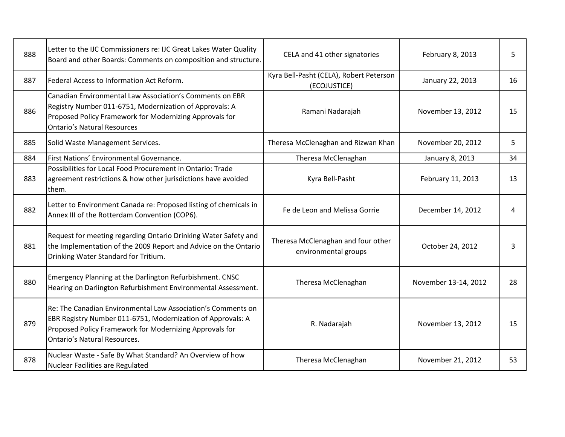| 888 | Letter to the IJC Commissioners re: IJC Great Lakes Water Quality<br>Board and other Boards: Comments on composition and structure.                                                                                           | CELA and 41 other signatories                              | February 8, 2013     | 5  |
|-----|-------------------------------------------------------------------------------------------------------------------------------------------------------------------------------------------------------------------------------|------------------------------------------------------------|----------------------|----|
| 887 | Federal Access to Information Act Reform.                                                                                                                                                                                     | Kyra Bell-Pasht (CELA), Robert Peterson<br>(ECOJUSTICE)    | January 22, 2013     | 16 |
| 886 | Canadian Environmental Law Association's Comments on EBR<br>Registry Number 011-6751, Modernization of Approvals: A<br>Proposed Policy Framework for Modernizing Approvals for<br><b>Ontario's Natural Resources</b>          | Ramani Nadarajah                                           | November 13, 2012    | 15 |
| 885 | Solid Waste Management Services.                                                                                                                                                                                              | Theresa McClenaghan and Rizwan Khan                        | November 20, 2012    | 5  |
| 884 | First Nations' Environmental Governance.                                                                                                                                                                                      | Theresa McClenaghan                                        | January 8, 2013      | 34 |
| 883 | Possibilities for Local Food Procurement in Ontario: Trade<br>agreement restrictions & how other jurisdictions have avoided<br>them.                                                                                          | Kyra Bell-Pasht                                            | February 11, 2013    | 13 |
| 882 | Letter to Environment Canada re: Proposed listing of chemicals in<br>Annex III of the Rotterdam Convention (COP6).                                                                                                            | Fe de Leon and Melissa Gorrie                              | December 14, 2012    | 4  |
| 881 | Request for meeting regarding Ontario Drinking Water Safety and<br>the Implementation of the 2009 Report and Advice on the Ontario<br>Drinking Water Standard for Tritium.                                                    | Theresa McClenaghan and four other<br>environmental groups | October 24, 2012     | 3  |
| 880 | Emergency Planning at the Darlington Refurbishment. CNSC<br>Hearing on Darlington Refurbishment Environmental Assessment.                                                                                                     | Theresa McClenaghan                                        | November 13-14, 2012 | 28 |
| 879 | Re: The Canadian Environmental Law Association's Comments on<br>EBR Registry Number 011-6751, Modernization of Approvals: A<br>Proposed Policy Framework for Modernizing Approvals for<br><b>Ontario's Natural Resources.</b> | R. Nadarajah                                               | November 13, 2012    | 15 |
| 878 | Nuclear Waste - Safe By What Standard? An Overview of how<br>Nuclear Facilities are Regulated                                                                                                                                 | Theresa McClenaghan                                        | November 21, 2012    | 53 |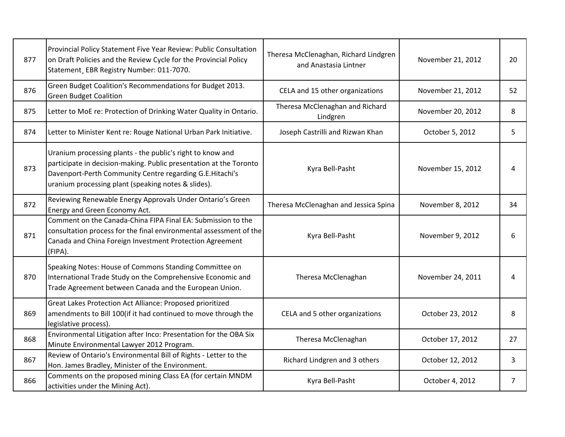| 877 | Provincial Policy Statement Five Year Review: Public Consultation<br>on Draft Policies and the Review Cycle for the Provincial Policy<br>Statement, EBR Registry Number: 011-7070.                                                                  | Theresa McClenaghan, Richard Lindgren<br>and Anastasia Lintner | November 21, 2012 | 20             |
|-----|-----------------------------------------------------------------------------------------------------------------------------------------------------------------------------------------------------------------------------------------------------|----------------------------------------------------------------|-------------------|----------------|
| 876 | Green Budget Coalition's Recommendations for Budget 2013.<br><b>Green Budget Coalition</b>                                                                                                                                                          | CELA and 15 other organizations                                | November 21, 2012 | 52             |
| 875 | Letter to MoE re: Protection of Drinking Water Quality in Ontario.                                                                                                                                                                                  | Theresa McClenaghan and Richard<br>Lindgren                    | November 20, 2012 | 8              |
| 874 | Letter to Minister Kent re: Rouge National Urban Park Initiative.                                                                                                                                                                                   | Joseph Castrilli and Rizwan Khan                               | October 5, 2012   | 5              |
| 873 | Uranium processing plants - the public's right to know and<br>participate in decision-making. Public presentation at the Toronto<br>Davenport-Perth Community Centre regarding G.E.Hitachi's<br>uranium processing plant (speaking notes & slides). | Kyra Bell-Pasht                                                | November 15, 2012 | 4              |
| 872 | Reviewing Renewable Energy Approvals Under Ontario's Green<br>Energy and Green Economy Act.                                                                                                                                                         | Theresa McClenaghan and Jessica Spina                          | November 8, 2012  | 34             |
| 871 | Comment on the Canada-China FIPA Final EA: Submission to the<br>consultation process for the final environmental assessment of the<br>Canada and China Foreign Investment Protection Agreement<br>(FIPA).                                           | Kyra Bell-Pasht                                                | November 9, 2012  | 6              |
| 870 | Speaking Notes: House of Commons Standing Committee on<br>International Trade Study on the Comprehensive Economic and<br>Trade Agreement between Canada and the European Union.                                                                     | Theresa McClenaghan                                            | November 24, 2011 | 4              |
| 869 | Great Lakes Protection Act Alliance: Proposed prioritized<br>amendments to Bill 100(if it had continued to move through the<br>legislative process).                                                                                                | CELA and 5 other organizations                                 | October 23, 2012  | 8              |
| 868 | Environmental Litigation after Inco: Presentation for the OBA Six<br>Minute Environmental Lawyer 2012 Program.                                                                                                                                      | Theresa McClenaghan                                            | October 17, 2012  | 27             |
| 867 | Review of Ontario's Environmental Bill of Rights - Letter to the<br>Hon. James Bradley, Minister of the Environment.                                                                                                                                | Richard Lindgren and 3 others                                  | October 12, 2012  | 3              |
| 866 | Comments on the proposed mining Class EA (for certain MNDM<br>activities under the Mining Act).                                                                                                                                                     | Kyra Bell-Pasht                                                | October 4, 2012   | $\overline{7}$ |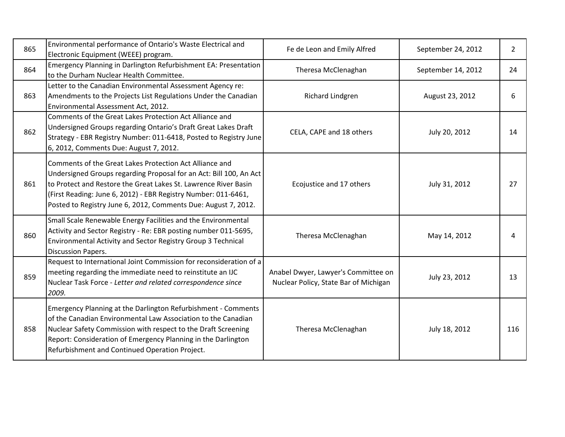| 865 | Environmental performance of Ontario's Waste Electrical and<br>Electronic Equipment (WEEE) program.                                                                                                                                                                                                                                  | Fe de Leon and Emily Alfred                                                  | September 24, 2012 | $\overline{2}$ |
|-----|--------------------------------------------------------------------------------------------------------------------------------------------------------------------------------------------------------------------------------------------------------------------------------------------------------------------------------------|------------------------------------------------------------------------------|--------------------|----------------|
| 864 | Emergency Planning in Darlington Refurbishment EA: Presentation<br>to the Durham Nuclear Health Committee.                                                                                                                                                                                                                           | Theresa McClenaghan                                                          | September 14, 2012 | 24             |
| 863 | Letter to the Canadian Environmental Assessment Agency re:<br>Amendments to the Projects List Regulations Under the Canadian<br>Environmental Assessment Act, 2012.                                                                                                                                                                  | Richard Lindgren                                                             | August 23, 2012    | 6              |
| 862 | Comments of the Great Lakes Protection Act Alliance and<br>Undersigned Groups regarding Ontario's Draft Great Lakes Draft<br>Strategy - EBR Registry Number: 011-6418, Posted to Registry June<br>6, 2012, Comments Due: August 7, 2012.                                                                                             | CELA, CAPE and 18 others                                                     | July 20, 2012      | 14             |
| 861 | Comments of the Great Lakes Protection Act Alliance and<br>Undersigned Groups regarding Proposal for an Act: Bill 100, An Act<br>to Protect and Restore the Great Lakes St. Lawrence River Basin<br>(First Reading: June 6, 2012) - EBR Registry Number: 011-6461,<br>Posted to Registry June 6, 2012, Comments Due: August 7, 2012. | Ecojustice and 17 others                                                     | July 31, 2012      | 27             |
| 860 | Small Scale Renewable Energy Facilities and the Environmental<br>Activity and Sector Registry - Re: EBR posting number 011-5695,<br>Environmental Activity and Sector Registry Group 3 Technical<br><b>Discussion Papers.</b>                                                                                                        | Theresa McClenaghan                                                          | May 14, 2012       | 4              |
| 859 | Request to International Joint Commission for reconsideration of a<br>meeting regarding the immediate need to reinstitute an IJC<br>Nuclear Task Force - Letter and related correspondence since<br>2009.                                                                                                                            | Anabel Dwyer, Lawyer's Committee on<br>Nuclear Policy, State Bar of Michigan | July 23, 2012      | 13             |
| 858 | Emergency Planning at the Darlington Refurbishment - Comments<br>of the Canadian Environmental Law Association to the Canadian<br>Nuclear Safety Commission with respect to the Draft Screening<br>Report: Consideration of Emergency Planning in the Darlington<br>Refurbishment and Continued Operation Project.                   | Theresa McClenaghan                                                          | July 18, 2012      | 116            |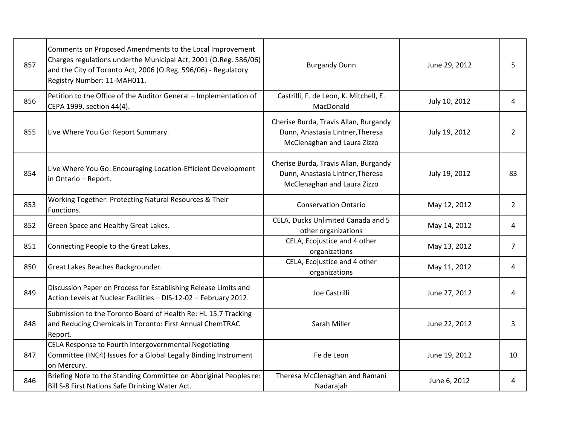| 857 | Comments on Proposed Amendments to the Local Improvement<br>Charges regulations underthe Municipal Act, 2001 (O.Reg. 586/06)<br>and the City of Toronto Act, 2006 (O.Reg. 596/06) - Regulatory<br>Registry Number: 11-MAH011. | <b>Burgandy Dunn</b>                                                                                     | June 29, 2012 | 5              |
|-----|-------------------------------------------------------------------------------------------------------------------------------------------------------------------------------------------------------------------------------|----------------------------------------------------------------------------------------------------------|---------------|----------------|
| 856 | Petition to the Office of the Auditor General - Implementation of<br>CEPA 1999, section 44(4).                                                                                                                                | Castrilli, F. de Leon, K. Mitchell, E.<br>MacDonald                                                      | July 10, 2012 | 4              |
| 855 | Live Where You Go: Report Summary.                                                                                                                                                                                            | Cherise Burda, Travis Allan, Burgandy<br>Dunn, Anastasia Lintner, Theresa<br>McClenaghan and Laura Zizzo | July 19, 2012 | $\overline{2}$ |
| 854 | Live Where You Go: Encouraging Location-Efficient Development<br>in Ontario - Report.                                                                                                                                         | Cherise Burda, Travis Allan, Burgandy<br>Dunn, Anastasia Lintner, Theresa<br>McClenaghan and Laura Zizzo | July 19, 2012 | 83             |
| 853 | Working Together: Protecting Natural Resources & Their<br>Functions.                                                                                                                                                          | <b>Conservation Ontario</b>                                                                              | May 12, 2012  | $\overline{2}$ |
| 852 | Green Space and Healthy Great Lakes.                                                                                                                                                                                          | CELA, Ducks Unlimited Canada and 5<br>other organizations                                                | May 14, 2012  | 4              |
| 851 | Connecting People to the Great Lakes.                                                                                                                                                                                         | CELA, Ecojustice and 4 other<br>organizations                                                            | May 13, 2012  | $\overline{7}$ |
| 850 | Great Lakes Beaches Backgrounder.                                                                                                                                                                                             | CELA, Ecojustice and 4 other<br>organizations                                                            | May 11, 2012  | 4              |
| 849 | Discussion Paper on Process for Establishing Release Limits and<br>Action Levels at Nuclear Facilities - DIS-12-02 - February 2012.                                                                                           | Joe Castrilli                                                                                            | June 27, 2012 | 4              |
| 848 | Submission to the Toronto Board of Health Re: HL 15.7 Tracking<br>and Reducing Chemicals in Toronto: First Annual ChemTRAC<br>Report.                                                                                         | Sarah Miller                                                                                             | June 22, 2012 | 3              |
| 847 | CELA Response to Fourth Intergovernmental Negotiating<br>Committee (INC4) Issues for a Global Legally Binding Instrument<br>on Mercury.                                                                                       | Fe de Leon                                                                                               | June 19, 2012 | 10             |
| 846 | Briefing Note to the Standing Committee on Aboriginal Peoples re:<br>Bill S-8 First Nations Safe Drinking Water Act.                                                                                                          | Theresa McClenaghan and Ramani<br>Nadarajah                                                              | June 6, 2012  | 4              |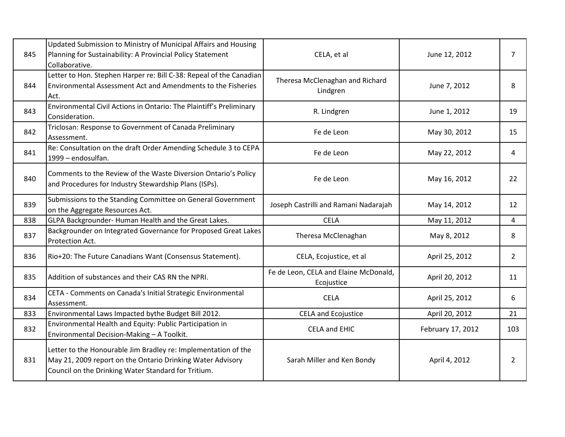| 845 | Updated Submission to Ministry of Municipal Affairs and Housing<br>Planning for Sustainability: A Provincial Policy Statement<br>Collaborative.                                     | CELA, et al                                         | June 12, 2012     | $\overline{7}$ |
|-----|-------------------------------------------------------------------------------------------------------------------------------------------------------------------------------------|-----------------------------------------------------|-------------------|----------------|
| 844 | Letter to Hon. Stephen Harper re: Bill C-38: Repeal of the Canadian<br><b>Environmental Assessment Act and Amendments to the Fisheries</b><br>Act.                                  | Theresa McClenaghan and Richard<br>Lindgren         | June 7, 2012      | 8              |
| 843 | Environmental Civil Actions in Ontario: The Plaintiff's Preliminary<br>Consideration.                                                                                               | R. Lindgren                                         | June 1, 2012      | 19             |
| 842 | Triclosan: Response to Government of Canada Preliminary<br>Assessment.                                                                                                              | Fe de Leon                                          | May 30, 2012      | 15             |
| 841 | Re: Consultation on the draft Order Amending Schedule 3 to CEPA<br>1999 - endosulfan.                                                                                               | Fe de Leon                                          | May 22, 2012      | 4              |
| 840 | Comments to the Review of the Waste Diversion Ontario's Policy<br>and Procedures for Industry Stewardship Plans (ISPs).                                                             | Fe de Leon                                          | May 16, 2012      | 22             |
| 839 | Submissions to the Standing Committee on General Government<br>on the Aggregate Resources Act.                                                                                      | Joseph Castrilli and Ramani Nadarajah               | May 14, 2012      | 12             |
| 838 | GLPA Backgrounder- Human Health and the Great Lakes.                                                                                                                                | <b>CELA</b>                                         | May 11, 2012      | 4              |
| 837 | Backgrounder on Integrated Governance for Proposed Great Lakes<br>Protection Act.                                                                                                   | Theresa McClenaghan                                 | May 8, 2012       | 8              |
| 836 | Rio+20: The Future Canadians Want (Consensus Statement).                                                                                                                            | CELA, Ecojustice, et al                             | April 25, 2012    | $\overline{2}$ |
| 835 | Addition of substances and their CAS RN the NPRI.                                                                                                                                   | Fe de Leon, CELA and Elaine McDonald,<br>Ecojustice | April 20, 2012    | 11             |
| 834 | CETA - Comments on Canada's Initial Strategic Environmental<br>Assessment.                                                                                                          | <b>CELA</b>                                         | April 25, 2012    | 6              |
| 833 | Environmental Laws Impacted bythe Budget Bill 2012.                                                                                                                                 | <b>CELA and Ecojustice</b>                          | April 20, 2012    | 21             |
| 832 | Environmental Health and Equity: Public Participation in<br>Environmental Decision-Making - A Toolkit.                                                                              | <b>CELA and EHIC</b>                                | February 17, 2012 | 103            |
| 831 | Letter to the Honourable Jim Bradley re: Implementation of the<br>May 21, 2009 report on the Ontario Drinking Water Advisory<br>Council on the Drinking Water Standard for Tritium. | Sarah Miller and Ken Bondy                          | April 4, 2012     | $\overline{2}$ |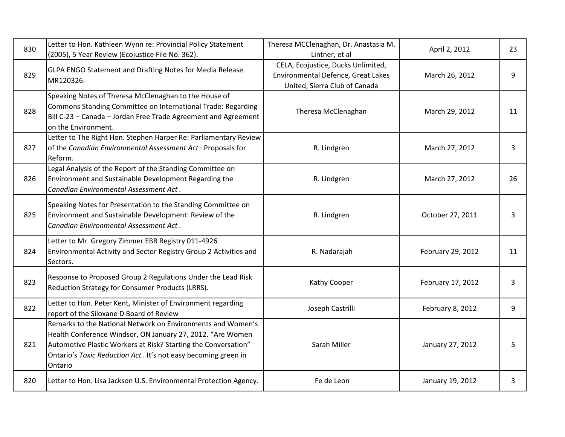| 830 | Letter to Hon. Kathleen Wynn re: Provincial Policy Statement<br>(2005), 5 Year Review (Ecojustice File No. 362).                                                                                                                                                          | Theresa MCClenaghan, Dr. Anastasia M.<br>Lintner, et al                                                   | April 2, 2012     | 23 |
|-----|---------------------------------------------------------------------------------------------------------------------------------------------------------------------------------------------------------------------------------------------------------------------------|-----------------------------------------------------------------------------------------------------------|-------------------|----|
| 829 | GLPA ENGO Statement and Drafting Notes for Media Release<br>MR120326.                                                                                                                                                                                                     | CELA, Ecojustice, Ducks Unlimited,<br>Environmental Defence, Great Lakes<br>United, Sierra Club of Canada | March 26, 2012    | 9  |
| 828 | Speaking Notes of Theresa McClenaghan to the House of<br>Commons Standing Committee on International Trade: Regarding<br>Bill C-23 - Canada - Jordan Free Trade Agreement and Agreement<br>on the Environment.                                                            | Theresa McClenaghan                                                                                       | March 29, 2012    | 11 |
| 827 | Letter to The Right Hon. Stephen Harper Re: Parliamentary Review<br>of the Canadian Environmental Assessment Act: Proposals for<br>Reform.                                                                                                                                | R. Lindgren                                                                                               | March 27, 2012    | 3  |
| 826 | Legal Analysis of the Report of the Standing Committee on<br>Environment and Sustainable Development Regarding the<br>Canadian Environmental Assessment Act.                                                                                                              | R. Lindgren                                                                                               | March 27, 2012    | 26 |
| 825 | Speaking Notes for Presentation to the Standing Committee on<br>Environment and Sustainable Development: Review of the<br>Canadian Environmental Assessment Act.                                                                                                          | R. Lindgren                                                                                               | October 27, 2011  | 3  |
| 824 | Letter to Mr. Gregory Zimmer EBR Registry 011-4926<br>Environmental Activity and Sector Registry Group 2 Activities and<br>Sectors.                                                                                                                                       | R. Nadarajah                                                                                              | February 29, 2012 | 11 |
| 823 | Response to Proposed Group 2 Regulations Under the Lead Risk<br>Reduction Strategy for Consumer Products (LRRS).                                                                                                                                                          | Kathy Cooper                                                                                              | February 17, 2012 | 3  |
| 822 | Letter to Hon. Peter Kent, Minister of Environment regarding<br>report of the Siloxane D Board of Review                                                                                                                                                                  | Joseph Castrilli                                                                                          | February 8, 2012  | 9  |
| 821 | Remarks to the National Network on Environments and Women's<br>Health Conference Windsor, ON January 27, 2012. "Are Women<br>Automotive Plastic Workers at Risk? Starting the Conversation"<br>Ontario's Toxic Reduction Act . It's not easy becoming green in<br>Ontario | Sarah Miller                                                                                              | January 27, 2012  | 5  |
| 820 | Letter to Hon. Lisa Jackson U.S. Environmental Protection Agency.                                                                                                                                                                                                         | Fe de Leon                                                                                                | January 19, 2012  | 3  |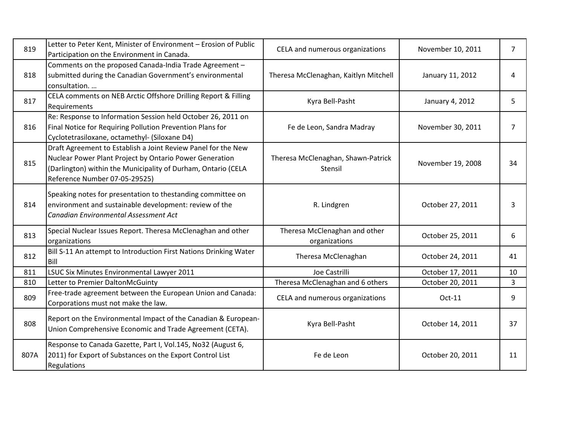| 819  | Letter to Peter Kent, Minister of Environment - Erosion of Public<br>Participation on the Environment in Canada.                                                                                                           | CELA and numerous organizations                | November 10, 2011 | $\overline{7}$ |
|------|----------------------------------------------------------------------------------------------------------------------------------------------------------------------------------------------------------------------------|------------------------------------------------|-------------------|----------------|
| 818  | Comments on the proposed Canada-India Trade Agreement -<br>submitted during the Canadian Government's environmental<br>consultation.                                                                                       | Theresa McClenaghan, Kaitlyn Mitchell          | January 11, 2012  | 4              |
| 817  | CELA comments on NEB Arctic Offshore Drilling Report & Filling<br>Requirements                                                                                                                                             | Kyra Bell-Pasht                                | January 4, 2012   | 5              |
| 816  | Re: Response to Information Session held October 26, 2011 on<br>Final Notice for Requiring Pollution Prevention Plans for<br>Cyclotetrasiloxane, octamethyl- (Siloxane D4)                                                 | Fe de Leon, Sandra Madray                      | November 30, 2011 | $\overline{7}$ |
| 815  | Draft Agreement to Establish a Joint Review Panel for the New<br>Nuclear Power Plant Project by Ontario Power Generation<br>(Darlington) within the Municipality of Durham, Ontario (CELA<br>Reference Number 07-05-29525) | Theresa McClenaghan, Shawn-Patrick<br>Stensil  | November 19, 2008 | 34             |
| 814  | Speaking notes for presentation to thestanding committee on<br>environment and sustainable development: review of the<br>Canadian Environmental Assessment Act                                                             | R. Lindgren                                    | October 27, 2011  | 3              |
| 813  | Special Nuclear Issues Report. Theresa McClenaghan and other<br>organizations                                                                                                                                              | Theresa McClenaghan and other<br>organizations | October 25, 2011  | 6              |
| 812  | Bill S-11 An attempt to Introduction First Nations Drinking Water<br>Bill                                                                                                                                                  | Theresa McClenaghan                            | October 24, 2011  | 41             |
| 811  | LSUC Six Minutes Environmental Lawyer 2011                                                                                                                                                                                 | Joe Castrilli                                  | October 17, 2011  | 10             |
| 810  | Letter to Premier DaltonMcGuinty                                                                                                                                                                                           | Theresa McClenaghan and 6 others               | October 20, 2011  | 3              |
| 809  | Free-trade agreement between the European Union and Canada:<br>Corporations must not make the law.                                                                                                                         | CELA and numerous organizations                | Oct-11            | 9              |
| 808  | Report on the Environmental Impact of the Canadian & European-<br>Union Comprehensive Economic and Trade Agreement (CETA).                                                                                                 | Kyra Bell-Pasht                                | October 14, 2011  | 37             |
| 807A | Response to Canada Gazette, Part I, Vol.145, No32 (August 6,<br>2011) for Export of Substances on the Export Control List<br>Regulations                                                                                   | Fe de Leon                                     | October 20, 2011  | 11             |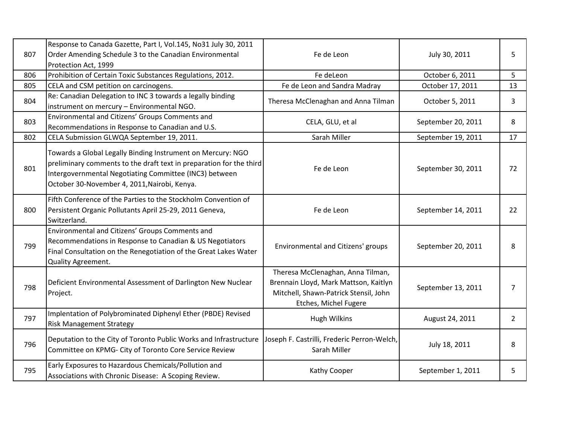| 807 | Response to Canada Gazette, Part I, Vol.145, No31 July 30, 2011<br>Order Amending Schedule 3 to the Canadian Environmental<br>Protection Act, 1999                                                                                           | Fe de Leon                                                                                                                                   | July 30, 2011      | 5              |
|-----|----------------------------------------------------------------------------------------------------------------------------------------------------------------------------------------------------------------------------------------------|----------------------------------------------------------------------------------------------------------------------------------------------|--------------------|----------------|
| 806 | Prohibition of Certain Toxic Substances Regulations, 2012.                                                                                                                                                                                   | Fe deLeon                                                                                                                                    | October 6, 2011    | 5              |
| 805 | CELA and CSM petition on carcinogens.                                                                                                                                                                                                        | Fe de Leon and Sandra Madray                                                                                                                 | October 17, 2011   | 13             |
| 804 | Re: Canadian Delegation to INC 3 towards a legally binding<br>instrument on mercury - Environmental NGO.                                                                                                                                     | Theresa McClenaghan and Anna Tilman                                                                                                          | October 5, 2011    | $\mathbf{3}$   |
| 803 | Environmental and Citizens' Groups Comments and<br>Recommendations in Response to Canadian and U.S.                                                                                                                                          | CELA, GLU, et al                                                                                                                             | September 20, 2011 | 8              |
| 802 | CELA Submission GLWQA September 19, 2011.                                                                                                                                                                                                    | Sarah Miller                                                                                                                                 | September 19, 2011 | 17             |
| 801 | Towards a Global Legally Binding Instrument on Mercury: NGO<br>preliminary comments to the draft text in preparation for the third<br>Intergovernmental Negotiating Committee (INC3) between<br>October 30-November 4, 2011, Nairobi, Kenya. | Fe de Leon                                                                                                                                   | September 30, 2011 | 72             |
| 800 | Fifth Conference of the Parties to the Stockholm Convention of<br>Persistent Organic Pollutants April 25-29, 2011 Geneva,<br>Switzerland.                                                                                                    | Fe de Leon                                                                                                                                   | September 14, 2011 | 22             |
| 799 | Environmental and Citizens' Groups Comments and<br>Recommendations in Response to Canadian & US Negotiators<br>Final Consultation on the Renegotiation of the Great Lakes Water<br>Quality Agreement.                                        | Environmental and Citizens' groups                                                                                                           | September 20, 2011 | 8              |
| 798 | Deficient Environmental Assessment of Darlington New Nuclear<br>Project.                                                                                                                                                                     | Theresa McClenaghan, Anna Tilman,<br>Brennain Lloyd, Mark Mattson, Kaitlyn<br>Mitchell, Shawn-Patrick Stensil, John<br>Etches, Michel Fugere | September 13, 2011 | $\overline{7}$ |
| 797 | Implentation of Polybrominated Diphenyl Ether (PBDE) Revised<br><b>Risk Management Strategy</b>                                                                                                                                              | <b>Hugh Wilkins</b>                                                                                                                          | August 24, 2011    | $\overline{2}$ |
| 796 | Deputation to the City of Toronto Public Works and Infrastructure<br>Committee on KPMG- City of Toronto Core Service Review                                                                                                                  | Joseph F. Castrilli, Frederic Perron-Welch,<br>Sarah Miller                                                                                  | July 18, 2011      | 8              |
| 795 | Early Exposures to Hazardous Chemicals/Pollution and<br>Associations with Chronic Disease: A Scoping Review.                                                                                                                                 | Kathy Cooper                                                                                                                                 | September 1, 2011  | 5              |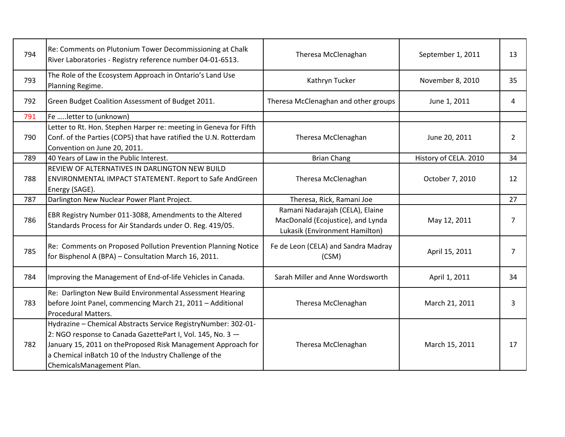| 794 | Re: Comments on Plutonium Tower Decommissioning at Chalk<br>River Laboratories - Registry reference number 04-01-6513.                                                                                                                                                              | Theresa McClenaghan                                                                                    | September 1, 2011     | 13 |
|-----|-------------------------------------------------------------------------------------------------------------------------------------------------------------------------------------------------------------------------------------------------------------------------------------|--------------------------------------------------------------------------------------------------------|-----------------------|----|
| 793 | The Role of the Ecosystem Approach in Ontario's Land Use<br>Planning Regime.                                                                                                                                                                                                        | Kathryn Tucker                                                                                         | November 8, 2010      | 35 |
| 792 | Green Budget Coalition Assessment of Budget 2011.                                                                                                                                                                                                                                   | Theresa McClenaghan and other groups                                                                   | June 1, 2011          | 4  |
| 791 | Fe  letter to (unknown)                                                                                                                                                                                                                                                             |                                                                                                        |                       |    |
| 790 | Letter to Rt. Hon. Stephen Harper re: meeting in Geneva for Fifth<br>Conf. of the Parties (COP5) that have ratified the U.N. Rotterdam<br>Convention on June 20, 2011.                                                                                                              | Theresa McClenaghan                                                                                    | June 20, 2011         | 2  |
| 789 | 40 Years of Law in the Public Interest.                                                                                                                                                                                                                                             | <b>Brian Chang</b>                                                                                     | History of CELA. 2010 | 34 |
| 788 | REVIEW OF ALTERNATIVES IN DARLINGTON NEW BUILD<br><b>ENVIRONMENTAL IMPACT STATEMENT. Report to Safe AndGreen</b><br>Energy (SAGE).                                                                                                                                                  | Theresa McClenaghan                                                                                    | October 7, 2010       | 12 |
| 787 | Darlington New Nuclear Power Plant Project.                                                                                                                                                                                                                                         | Theresa, Rick, Ramani Joe                                                                              |                       | 27 |
| 786 | EBR Registry Number 011-3088, Amendments to the Altered<br>Standards Process for Air Standards under O. Reg. 419/05.                                                                                                                                                                | Ramani Nadarajah (CELA), Elaine<br>MacDonald (Ecojustice), and Lynda<br>Lukasik (Environment Hamilton) | May 12, 2011          | 7  |
| 785 | Re: Comments on Proposed Pollution Prevention Planning Notice<br>for Bisphenol A (BPA) - Consultation March 16, 2011.                                                                                                                                                               | Fe de Leon (CELA) and Sandra Madray<br>(CSM)                                                           | April 15, 2011        | 7  |
| 784 | Improving the Management of End-of-life Vehicles in Canada.                                                                                                                                                                                                                         | Sarah Miller and Anne Wordsworth                                                                       | April 1, 2011         | 34 |
| 783 | Re: Darlington New Build Environmental Assessment Hearing<br>before Joint Panel, commencing March 21, 2011 - Additional<br><b>Procedural Matters.</b>                                                                                                                               | Theresa McClenaghan                                                                                    | March 21, 2011        | 3  |
| 782 | Hydrazine - Chemical Abstracts Service RegistryNumber: 302-01-<br>2: NGO response to Canada GazettePart I, Vol. 145, No. 3 -<br>January 15, 2011 on theProposed Risk Management Approach for<br>a Chemical inBatch 10 of the Industry Challenge of the<br>ChemicalsManagement Plan. | Theresa McClenaghan                                                                                    | March 15, 2011        | 17 |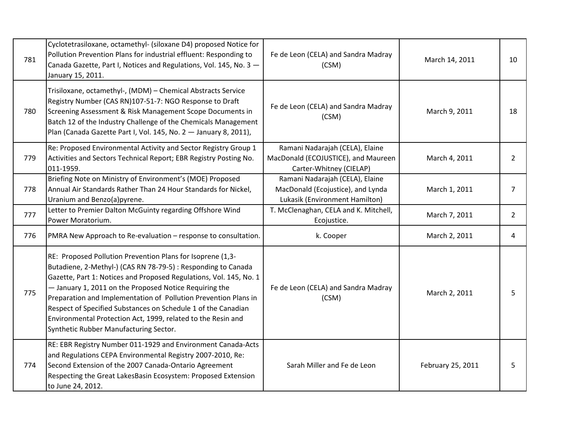| 781 | Cyclotetrasiloxane, octamethyl- (siloxane D4) proposed Notice for<br>Pollution Prevention Plans for industrial effluent: Responding to<br>Canada Gazette, Part I, Notices and Regulations, Vol. 145, No. 3 -<br>January 15, 2011.                                                                                                                                                                                                                                                                         | Fe de Leon (CELA) and Sandra Madray<br>(CSM)                                                           | March 14, 2011    | 10             |
|-----|-----------------------------------------------------------------------------------------------------------------------------------------------------------------------------------------------------------------------------------------------------------------------------------------------------------------------------------------------------------------------------------------------------------------------------------------------------------------------------------------------------------|--------------------------------------------------------------------------------------------------------|-------------------|----------------|
| 780 | Trisiloxane, octamethyl-, (MDM) - Chemical Abstracts Service<br>Registry Number (CAS RN)107-51-7: NGO Response to Draft<br>Screening Assessment & Risk Management Scope Documents in<br>Batch 12 of the Industry Challenge of the Chemicals Management<br>Plan (Canada Gazette Part I, Vol. 145, No. 2 - January 8, 2011),                                                                                                                                                                                | Fe de Leon (CELA) and Sandra Madray<br>(CSM)                                                           | March 9, 2011     | 18             |
| 779 | Re: Proposed Environmental Activity and Sector Registry Group 1<br>Activities and Sectors Technical Report; EBR Registry Posting No.<br>011-1959.                                                                                                                                                                                                                                                                                                                                                         | Ramani Nadarajah (CELA), Elaine<br>MacDonald (ECOJUSTICE), and Maureen<br>Carter-Whitney (CIELAP)      | March 4, 2011     | $\overline{2}$ |
| 778 | Briefing Note on Ministry of Environment's (MOE) Proposed<br>Annual Air Standards Rather Than 24 Hour Standards for Nickel,<br>Uranium and Benzo(a)pyrene.                                                                                                                                                                                                                                                                                                                                                | Ramani Nadarajah (CELA), Elaine<br>MacDonald (Ecojustice), and Lynda<br>Lukasik (Environment Hamilton) | March 1, 2011     | 7              |
| 777 | Letter to Premier Dalton McGuinty regarding Offshore Wind<br>Power Moratorium.                                                                                                                                                                                                                                                                                                                                                                                                                            | T. McClenaghan, CELA and K. Mitchell,<br>Ecojustice.                                                   | March 7, 2011     | $2^{\circ}$    |
| 776 | PMRA New Approach to Re-evaluation - response to consultation.                                                                                                                                                                                                                                                                                                                                                                                                                                            | k. Cooper                                                                                              | March 2, 2011     | 4              |
| 775 | RE: Proposed Pollution Prevention Plans for Isoprene (1,3-<br>Butadiene, 2-Methyl-) (CAS RN 78-79-5) : Responding to Canada<br>Gazette, Part 1: Notices and Proposed Regulations, Vol. 145, No. 1<br>- January 1, 2011 on the Proposed Notice Requiring the<br>Preparation and Implementation of Pollution Prevention Plans in<br>Respect of Specified Substances on Schedule 1 of the Canadian<br>Environmental Protection Act, 1999, related to the Resin and<br>Synthetic Rubber Manufacturing Sector. | Fe de Leon (CELA) and Sandra Madray<br>(CSM)                                                           | March 2, 2011     | 5              |
| 774 | RE: EBR Registry Number 011-1929 and Environment Canada-Acts<br>and Regulations CEPA Environmental Registry 2007-2010, Re:<br>Second Extension of the 2007 Canada-Ontario Agreement<br>Respecting the Great LakesBasin Ecosystem: Proposed Extension<br>to June 24, 2012.                                                                                                                                                                                                                                 | Sarah Miller and Fe de Leon                                                                            | February 25, 2011 | 5              |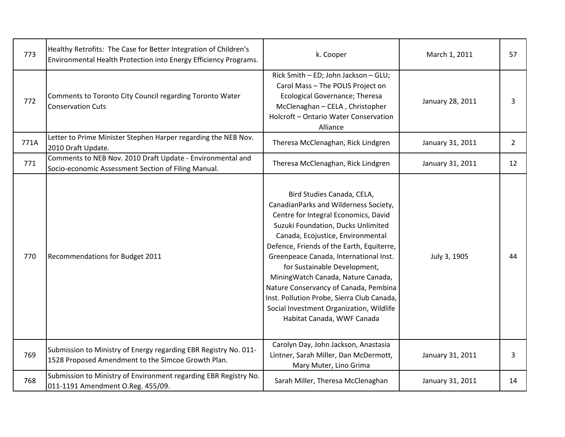| 773  | Healthy Retrofits: The Case for Better Integration of Children's<br>Environmental Health Protection into Energy Efficiency Programs. | k. Cooper                                                                                                                                                                                                                                                                                                                                                                                                                                                                                                            | March 1, 2011    | 57             |
|------|--------------------------------------------------------------------------------------------------------------------------------------|----------------------------------------------------------------------------------------------------------------------------------------------------------------------------------------------------------------------------------------------------------------------------------------------------------------------------------------------------------------------------------------------------------------------------------------------------------------------------------------------------------------------|------------------|----------------|
| 772  | Comments to Toronto City Council regarding Toronto Water<br><b>Conservation Cuts</b>                                                 | Rick Smith - ED; John Jackson - GLU;<br>Carol Mass - The POLIS Project on<br><b>Ecological Governance; Theresa</b><br>McClenaghan - CELA, Christopher<br>Holcroft - Ontario Water Conservation<br>Alliance                                                                                                                                                                                                                                                                                                           | January 28, 2011 | 3              |
| 771A | Letter to Prime Minister Stephen Harper regarding the NEB Nov.<br>2010 Draft Update.                                                 | Theresa McClenaghan, Rick Lindgren                                                                                                                                                                                                                                                                                                                                                                                                                                                                                   | January 31, 2011 | $\overline{2}$ |
| 771  | Comments to NEB Nov. 2010 Draft Update - Environmental and<br>Socio-economic Assessment Section of Filing Manual.                    | Theresa McClenaghan, Rick Lindgren                                                                                                                                                                                                                                                                                                                                                                                                                                                                                   | January 31, 2011 | 12             |
| 770  | <b>Recommendations for Budget 2011</b>                                                                                               | Bird Studies Canada, CELA,<br>CanadianParks and Wilderness Society,<br>Centre for Integral Economics, David<br>Suzuki Foundation, Ducks Unlimited<br>Canada, Ecojustice, Environmental<br>Defence, Friends of the Earth, Equiterre,<br>Greenpeace Canada, International Inst.<br>for Sustainable Development,<br>MiningWatch Canada, Nature Canada,<br>Nature Conservancy of Canada, Pembina<br>Inst. Pollution Probe, Sierra Club Canada,<br>Social Investment Organization, Wildlife<br>Habitat Canada, WWF Canada | July 3, 1905     | 44             |
| 769  | Submission to Ministry of Energy regarding EBR Registry No. 011-<br>1528 Proposed Amendment to the Simcoe Growth Plan.               | Carolyn Day, John Jackson, Anastasia<br>Lintner, Sarah Miller, Dan McDermott,<br>Mary Muter, Lino Grima                                                                                                                                                                                                                                                                                                                                                                                                              | January 31, 2011 | 3              |
| 768  | Submission to Ministry of Environment regarding EBR Registry No.<br>011-1191 Amendment O.Reg. 455/09.                                | Sarah Miller, Theresa McClenaghan                                                                                                                                                                                                                                                                                                                                                                                                                                                                                    | January 31, 2011 | 14             |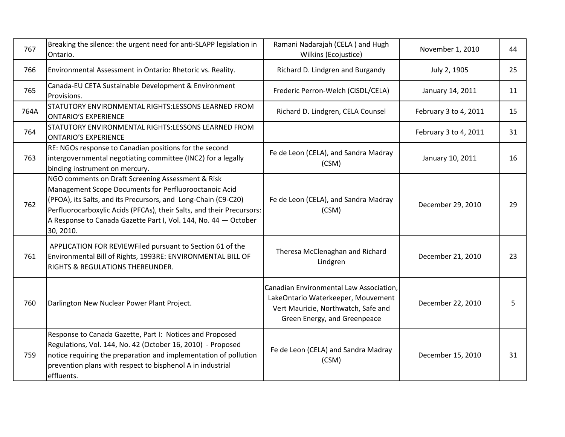| 767  | Breaking the silence: the urgent need for anti-SLAPP legislation in<br>Ontario.                                                                                                                                                                                                                                                       | Ramani Nadarajah (CELA) and Hugh<br>Wilkins (Ecojustice)                                                                                             | November 1, 2010      | 44 |
|------|---------------------------------------------------------------------------------------------------------------------------------------------------------------------------------------------------------------------------------------------------------------------------------------------------------------------------------------|------------------------------------------------------------------------------------------------------------------------------------------------------|-----------------------|----|
| 766  | Environmental Assessment in Ontario: Rhetoric vs. Reality.                                                                                                                                                                                                                                                                            | Richard D. Lindgren and Burgandy                                                                                                                     | July 2, 1905          | 25 |
| 765  | Canada-EU CETA Sustainable Development & Environment<br>Provisions.                                                                                                                                                                                                                                                                   | Frederic Perron-Welch (CISDL/CELA)                                                                                                                   | January 14, 2011      | 11 |
| 764A | STATUTORY ENVIRONMENTAL RIGHTS:LESSONS LEARNED FROM<br><b>ONTARIO'S EXPERIENCE</b>                                                                                                                                                                                                                                                    | Richard D. Lindgren, CELA Counsel                                                                                                                    | February 3 to 4, 2011 | 15 |
| 764  | STATUTORY ENVIRONMENTAL RIGHTS:LESSONS LEARNED FROM<br><b>ONTARIO'S EXPERIENCE</b>                                                                                                                                                                                                                                                    |                                                                                                                                                      | February 3 to 4, 2011 | 31 |
| 763  | RE: NGOs response to Canadian positions for the second<br>intergovernmental negotiating committee (INC2) for a legally<br>binding instrument on mercury.                                                                                                                                                                              | Fe de Leon (CELA), and Sandra Madray<br>(CSM)                                                                                                        | January 10, 2011      | 16 |
| 762  | NGO comments on Draft Screening Assessment & Risk<br>Management Scope Documents for Perfluorooctanoic Acid<br>(PFOA), its Salts, and its Precursors, and Long-Chain (C9-C20)<br>Perfluorocarboxylic Acids (PFCAs), their Salts, and their Precursors:<br>A Response to Canada Gazette Part I, Vol. 144, No. 44 - October<br>30, 2010. | Fe de Leon (CELA), and Sandra Madray<br>(CSM)                                                                                                        | December 29, 2010     | 29 |
| 761  | APPLICATION FOR REVIEWFiled pursuant to Section 61 of the<br>Environmental Bill of Rights, 1993RE: ENVIRONMENTAL BILL OF<br>RIGHTS & REGULATIONS THEREUNDER.                                                                                                                                                                          | Theresa McClenaghan and Richard<br>Lindgren                                                                                                          | December 21, 2010     | 23 |
| 760  | Darlington New Nuclear Power Plant Project.                                                                                                                                                                                                                                                                                           | Canadian Environmental Law Association,<br>LakeOntario Waterkeeper, Mouvement<br>Vert Mauricie, Northwatch, Safe and<br>Green Energy, and Greenpeace | December 22, 2010     | 5  |
| 759  | Response to Canada Gazette, Part I: Notices and Proposed<br>Regulations, Vol. 144, No. 42 (October 16, 2010) - Proposed<br>notice requiring the preparation and implementation of pollution<br>prevention plans with respect to bisphenol A in industrial<br>effluents.                                                               | Fe de Leon (CELA) and Sandra Madray<br>(CSM)                                                                                                         | December 15, 2010     | 31 |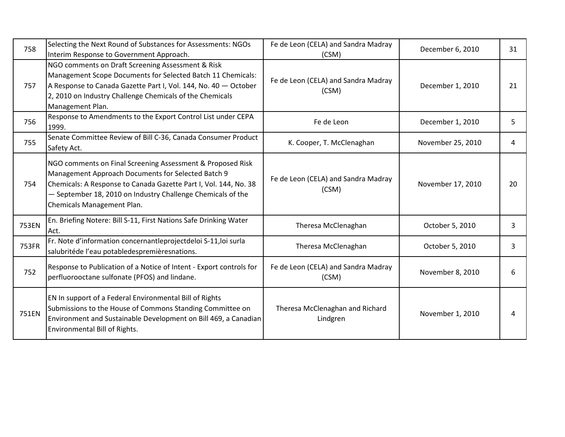| 758   | Selecting the Next Round of Substances for Assessments: NGOs<br>Interim Response to Government Approach.                                                                                                                                                                          | Fe de Leon (CELA) and Sandra Madray<br>(CSM) | December 6, 2010  | 31 |
|-------|-----------------------------------------------------------------------------------------------------------------------------------------------------------------------------------------------------------------------------------------------------------------------------------|----------------------------------------------|-------------------|----|
| 757   | NGO comments on Draft Screening Assessment & Risk<br>Management Scope Documents for Selected Batch 11 Chemicals:<br>A Response to Canada Gazette Part I, Vol. 144, No. 40 - October<br>2, 2010 on Industry Challenge Chemicals of the Chemicals<br>Management Plan.               | Fe de Leon (CELA) and Sandra Madray<br>(CSM) | December 1, 2010  | 21 |
| 756   | Response to Amendments to the Export Control List under CEPA<br>1999.                                                                                                                                                                                                             | Fe de Leon                                   | December 1, 2010  | 5  |
| 755   | Senate Committee Review of Bill C-36, Canada Consumer Product<br>Safety Act.                                                                                                                                                                                                      | K. Cooper, T. McClenaghan                    | November 25, 2010 | 4  |
| 754   | NGO comments on Final Screening Assessment & Proposed Risk<br>Management Approach Documents for Selected Batch 9<br>Chemicals: A Response to Canada Gazette Part I, Vol. 144, No. 38<br>- September 18, 2010 on Industry Challenge Chemicals of the<br>Chemicals Management Plan. | Fe de Leon (CELA) and Sandra Madray<br>(CSM) | November 17, 2010 | 20 |
| 753EN | En. Briefing Notere: Bill S-11, First Nations Safe Drinking Water<br>Act.                                                                                                                                                                                                         | Theresa McClenaghan                          | October 5, 2010   | 3  |
| 753FR | Fr. Note d'information concernantleprojectdeloi S-11, loi surla<br>salubritéde l'eau potabledespremièresnations.                                                                                                                                                                  | Theresa McClenaghan                          | October 5, 2010   | 3  |
| 752   | Response to Publication of a Notice of Intent - Export controls for<br>perfluorooctane sulfonate (PFOS) and lindane.                                                                                                                                                              | Fe de Leon (CELA) and Sandra Madray<br>(CSM) | November 8, 2010  | 6  |
| 751EN | EN In support of a Federal Environmental Bill of Rights<br>Submissions to the House of Commons Standing Committee on<br>Environment and Sustainable Development on Bill 469, a Canadian<br>Environmental Bill of Rights.                                                          | Theresa McClenaghan and Richard<br>Lindgren  | November 1, 2010  | 4  |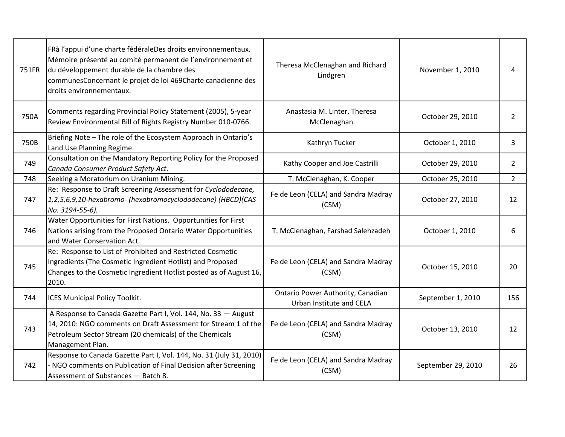| 751FR | FRà l'appui d'une charte fédéraleDes droits environnementaux.<br>Mémoire présenté au comité permanent de l'environnement et<br>du développement durable de la chambre des<br>communesConcernant le projet de loi 469Charte canadienne des<br>droits environnementaux. | Theresa McClenaghan and Richard<br>Lindgren                   | November 1, 2010   | 4              |
|-------|-----------------------------------------------------------------------------------------------------------------------------------------------------------------------------------------------------------------------------------------------------------------------|---------------------------------------------------------------|--------------------|----------------|
| 750A  | Comments regarding Provincial Policy Statement (2005), 5-year<br>Review Environmental Bill of Rights Registry Number 010-0766.                                                                                                                                        | Anastasia M. Linter, Theresa<br>McClenaghan                   | October 29, 2010   | $\overline{2}$ |
| 750B  | Briefing Note - The role of the Ecosystem Approach in Ontario's<br>Land Use Planning Regime.                                                                                                                                                                          | Kathryn Tucker                                                | October 1, 2010    | 3              |
| 749   | Consultation on the Mandatory Reporting Policy for the Proposed<br>Canada Consumer Product Safety Act.                                                                                                                                                                | Kathy Cooper and Joe Castrilli                                | October 29, 2010   | $\overline{2}$ |
| 748   | Seeking a Moratorium on Uranium Mining.                                                                                                                                                                                                                               | T. McClenaghan, K. Cooper                                     | October 25, 2010   | $\overline{2}$ |
| 747   | Re: Response to Draft Screening Assessment for Cyclododecane,<br>1,2,5,6,9,10-hexabromo- (hexabromocyclododecane) (HBCD)(CAS<br>No. 3194-55-6).                                                                                                                       | Fe de Leon (CELA) and Sandra Madray<br>(CSM)                  | October 27, 2010   | 12             |
| 746   | Water Opportunities for First Nations. Opportunities for First<br>Nations arising from the Proposed Ontario Water Opportunities<br>and Water Conservation Act.                                                                                                        | T. McClenaghan, Farshad Salehzadeh                            | October 1, 2010    | 6              |
| 745   | Re: Response to List of Prohibited and Restricted Cosmetic<br>Ingredients (The Cosmetic Ingredient Hotlist) and Proposed<br>Changes to the Cosmetic Ingredient Hotlist posted as of August 16,<br>2010.                                                               | Fe de Leon (CELA) and Sandra Madray<br>(CSM)                  | October 15, 2010   | 20             |
| 744   | <b>ICES Municipal Policy Toolkit.</b>                                                                                                                                                                                                                                 | Ontario Power Authority, Canadian<br>Urban Institute and CELA | September 1, 2010  | 156            |
| 743   | A Response to Canada Gazette Part I, Vol. 144, No. 33 - August<br>14, 2010: NGO comments on Draft Assessment for Stream 1 of the<br>Petroleum Sector Stream (20 chemicals) of the Chemicals<br>Management Plan.                                                       | Fe de Leon (CELA) and Sandra Madray<br>(CSM)                  | October 13, 2010   | 12             |
| 742   | Response to Canada Gazette Part I, Vol. 144, No. 31 (July 31, 2010)<br>NGO comments on Publication of Final Decision after Screening<br>Assessment of Substances - Batch 8.                                                                                           | Fe de Leon (CELA) and Sandra Madray<br>(CSM)                  | September 29, 2010 | 26             |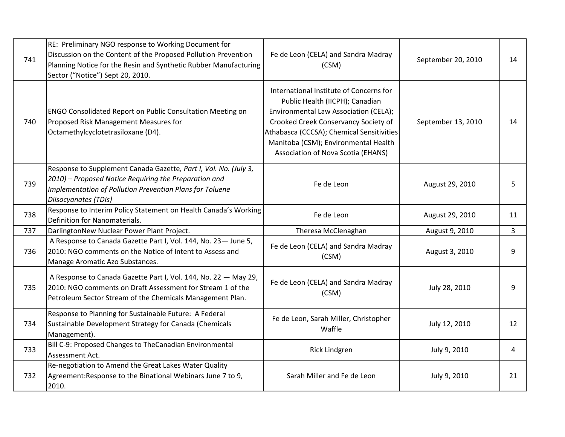| 741 | RE: Preliminary NGO response to Working Document for<br>Discussion on the Content of the Proposed Pollution Prevention<br>Planning Notice for the Resin and Synthetic Rubber Manufacturing<br>Sector ("Notice") Sept 20, 2010. | Fe de Leon (CELA) and Sandra Madray<br>(CSM)                                                                                                                                                                                                                                           | September 20, 2010 | 14             |
|-----|--------------------------------------------------------------------------------------------------------------------------------------------------------------------------------------------------------------------------------|----------------------------------------------------------------------------------------------------------------------------------------------------------------------------------------------------------------------------------------------------------------------------------------|--------------------|----------------|
| 740 | ENGO Consolidated Report on Public Consultation Meeting on<br>Proposed Risk Management Measures for<br>Octamethylcyclotetrasiloxane (D4).                                                                                      | International Institute of Concerns for<br>Public Health (IICPH); Canadian<br>Environmental Law Association (CELA);<br>Crooked Creek Conservancy Society of<br>Athabasca (CCCSA); Chemical Sensitivities<br>Manitoba (CSM); Environmental Health<br>Association of Nova Scotia (EHANS) | September 13, 2010 | 14             |
| 739 | Response to Supplement Canada Gazette, Part I, Vol. No. (July 3,<br>2010) - Proposed Notice Requiring the Preparation and<br>Implementation of Pollution Prevention Plans for Toluene<br>Diisocyanates (TDIs)                  | Fe de Leon                                                                                                                                                                                                                                                                             | August 29, 2010    | 5              |
| 738 | Response to Interim Policy Statement on Health Canada's Working<br>Definition for Nanomaterials.                                                                                                                               | Fe de Leon                                                                                                                                                                                                                                                                             | August 29, 2010    | 11             |
| 737 | DarlingtonNew Nuclear Power Plant Project.                                                                                                                                                                                     | Theresa McClenaghan                                                                                                                                                                                                                                                                    | August 9, 2010     | $\overline{3}$ |
| 736 | A Response to Canada Gazette Part I, Vol. 144, No. 23- June 5,<br>2010: NGO comments on the Notice of Intent to Assess and<br>Manage Aromatic Azo Substances.                                                                  | Fe de Leon (CELA) and Sandra Madray<br>(CSM)                                                                                                                                                                                                                                           | August 3, 2010     | 9              |
| 735 | A Response to Canada Gazette Part I, Vol. 144, No. 22 - May 29,<br>2010: NGO comments on Draft Assessment for Stream 1 of the<br>Petroleum Sector Stream of the Chemicals Management Plan.                                     | Fe de Leon (CELA) and Sandra Madray<br>(CSM)                                                                                                                                                                                                                                           | July 28, 2010      | 9              |
| 734 | Response to Planning for Sustainable Future: A Federal<br>Sustainable Development Strategy for Canada (Chemicals<br>Management).                                                                                               | Fe de Leon, Sarah Miller, Christopher<br>Waffle                                                                                                                                                                                                                                        | July 12, 2010      | 12             |
| 733 | Bill C-9: Proposed Changes to TheCanadian Environmental<br>Assessment Act.                                                                                                                                                     | <b>Rick Lindgren</b>                                                                                                                                                                                                                                                                   | July 9, 2010       | 4              |
| 732 | Re-negotiation to Amend the Great Lakes Water Quality<br>Agreement: Response to the Binational Webinars June 7 to 9,<br>2010.                                                                                                  | Sarah Miller and Fe de Leon                                                                                                                                                                                                                                                            | July 9, 2010       | 21             |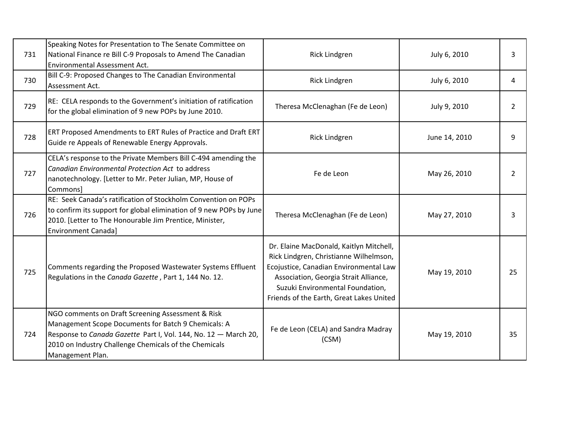| 731 | Speaking Notes for Presentation to The Senate Committee on<br>National Finance re Bill C-9 Proposals to Amend The Canadian<br><b>Environmental Assessment Act.</b>                                                                                       | Rick Lindgren                                                                                                                                                                                                                                        | July 6, 2010  | 3              |
|-----|----------------------------------------------------------------------------------------------------------------------------------------------------------------------------------------------------------------------------------------------------------|------------------------------------------------------------------------------------------------------------------------------------------------------------------------------------------------------------------------------------------------------|---------------|----------------|
| 730 | Bill C-9: Proposed Changes to The Canadian Environmental<br>Assessment Act.                                                                                                                                                                              | Rick Lindgren                                                                                                                                                                                                                                        | July 6, 2010  | 4              |
| 729 | RE: CELA responds to the Government's initiation of ratification<br>for the global elimination of 9 new POPs by June 2010.                                                                                                                               | Theresa McClenaghan (Fe de Leon)                                                                                                                                                                                                                     | July 9, 2010  | $\overline{2}$ |
| 728 | ERT Proposed Amendments to ERT Rules of Practice and Draft ERT<br>Guide re Appeals of Renewable Energy Approvals.                                                                                                                                        | Rick Lindgren                                                                                                                                                                                                                                        | June 14, 2010 | q              |
| 727 | CELA's response to the Private Members Bill C-494 amending the<br>Canadian Environmental Protection Act to address<br>nanotechnology. [Letter to Mr. Peter Julian, MP, House of<br>Commons]                                                              | Fe de Leon                                                                                                                                                                                                                                           | May 26, 2010  | 2              |
| 726 | RE: Seek Canada's ratification of Stockholm Convention on POPs<br>to confirm its support for global elimination of 9 new POPs by June<br>2010. [Letter to The Honourable Jim Prentice, Minister,<br><b>Environment Canadal</b>                           | Theresa McClenaghan (Fe de Leon)                                                                                                                                                                                                                     | May 27, 2010  |                |
| 725 | Comments regarding the Proposed Wastewater Systems Effluent<br>Regulations in the Canada Gazette, Part 1, 144 No. 12.                                                                                                                                    | Dr. Elaine MacDonald, Kaitlyn Mitchell,<br>Rick Lindgren, Christianne Wilhelmson,<br>Ecojustice, Canadian Environmental Law<br>Association, Georgia Strait Alliance,<br>Suzuki Environmental Foundation,<br>Friends of the Earth, Great Lakes United | May 19, 2010  | 25             |
| 724 | NGO comments on Draft Screening Assessment & Risk<br>Management Scope Documents for Batch 9 Chemicals: A<br>Response to Canada Gazette Part I, Vol. 144, No. 12 - March 20,<br>2010 on Industry Challenge Chemicals of the Chemicals<br>Management Plan. | Fe de Leon (CELA) and Sandra Madray<br>(CSM)                                                                                                                                                                                                         | May 19, 2010  | 35             |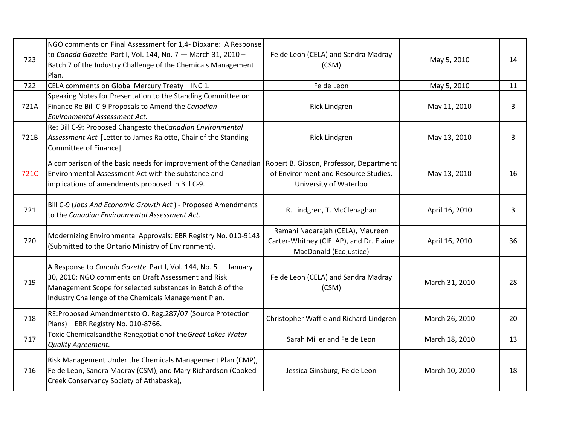| 723  | NGO comments on Final Assessment for 1,4- Dioxane: A Response<br>to Canada Gazette Part I, Vol. 144, No. 7 - March 31, 2010 -<br>Batch 7 of the Industry Challenge of the Chemicals Management<br>Plan.                                     | Fe de Leon (CELA) and Sandra Madray<br>(CSM)                                                          | May 5, 2010    | 14 |
|------|---------------------------------------------------------------------------------------------------------------------------------------------------------------------------------------------------------------------------------------------|-------------------------------------------------------------------------------------------------------|----------------|----|
| 722  | CELA comments on Global Mercury Treaty - INC 1.                                                                                                                                                                                             | Fe de Leon                                                                                            | May 5, 2010    | 11 |
| 721A | Speaking Notes for Presentation to the Standing Committee on<br>Finance Re Bill C-9 Proposals to Amend the Canadian<br>Environmental Assessment Act.                                                                                        | <b>Rick Lindgren</b>                                                                                  | May 11, 2010   | 3  |
| 721B | Re: Bill C-9: Proposed Changesto the Canadian Environmental<br>Assessment Act [Letter to James Rajotte, Chair of the Standing<br>Committee of Finance].                                                                                     | <b>Rick Lindgren</b>                                                                                  | May 13, 2010   | 3  |
| 721C | A comparison of the basic needs for improvement of the Canadian Robert B. Gibson, Professor, Department<br>Environmental Assessment Act with the substance and<br>implications of amendments proposed in Bill C-9.                          | of Environment and Resource Studies,<br>University of Waterloo                                        | May 13, 2010   | 16 |
| 721  | Bill C-9 (Jobs And Economic Growth Act) - Proposed Amendments<br>to the Canadian Environmental Assessment Act.                                                                                                                              | R. Lindgren, T. McClenaghan                                                                           | April 16, 2010 | 3  |
| 720  | Modernizing Environmental Approvals: EBR Registry No. 010-9143<br>(Submitted to the Ontario Ministry of Environment).                                                                                                                       | Ramani Nadarajah (CELA), Maureen<br>Carter-Whitney (CIELAP), and Dr. Elaine<br>MacDonald (Ecojustice) | April 16, 2010 | 36 |
| 719  | A Response to Canada Gazette Part I, Vol. 144, No. 5 - January<br>30, 2010: NGO comments on Draft Assessment and Risk<br>Management Scope for selected substances in Batch 8 of the<br>Industry Challenge of the Chemicals Management Plan. | Fe de Leon (CELA) and Sandra Madray<br>(CSM)                                                          | March 31, 2010 | 28 |
| 718  | RE:Proposed Amendmentsto O. Reg.287/07 (Source Protection<br>Plans) - EBR Registry No. 010-8766.                                                                                                                                            | Christopher Waffle and Richard Lindgren                                                               | March 26, 2010 | 20 |
| 717  | Toxic Chemicalsandthe Renegotiationof the Great Lakes Water<br>Quality Agreement.                                                                                                                                                           | Sarah Miller and Fe de Leon                                                                           | March 18, 2010 | 13 |
| 716  | Risk Management Under the Chemicals Management Plan (CMP),<br>Fe de Leon, Sandra Madray (CSM), and Mary Richardson (Cooked<br>Creek Conservancy Society of Athabaska),                                                                      | Jessica Ginsburg, Fe de Leon                                                                          | March 10, 2010 | 18 |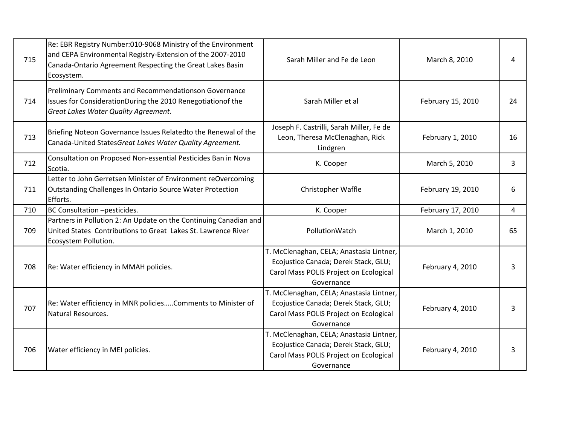| 715 | Re: EBR Registry Number:010-9068 Ministry of the Environment<br>and CEPA Environmental Registry-Extension of the 2007-2010<br>Canada-Ontario Agreement Respecting the Great Lakes Basin<br>Ecosystem. | Sarah Miller and Fe de Leon                                                                                                              | March 8, 2010     | 4  |
|-----|-------------------------------------------------------------------------------------------------------------------------------------------------------------------------------------------------------|------------------------------------------------------------------------------------------------------------------------------------------|-------------------|----|
| 714 | Preliminary Comments and Recommendationson Governance<br>Issues for ConsiderationDuring the 2010 Renegotiationof the<br><b>Great Lakes Water Quality Agreement.</b>                                   | Sarah Miller et al                                                                                                                       | February 15, 2010 | 24 |
| 713 | Briefing Noteon Governance Issues Relatedto the Renewal of the<br>Canada-United StatesGreat Lakes Water Quality Agreement.                                                                            | Joseph F. Castrilli, Sarah Miller, Fe de<br>Leon, Theresa McClenaghan, Rick<br>Lindgren                                                  | February 1, 2010  | 16 |
| 712 | Consultation on Proposed Non-essential Pesticides Ban in Nova<br>Scotia.                                                                                                                              | K. Cooper                                                                                                                                | March 5, 2010     | 3  |
| 711 | Letter to John Gerretsen Minister of Environment reOvercoming<br>Outstanding Challenges In Ontario Source Water Protection<br>Efforts.                                                                | Christopher Waffle                                                                                                                       | February 19, 2010 | 6  |
| 710 | BC Consultation -pesticides.                                                                                                                                                                          | K. Cooper                                                                                                                                | February 17, 2010 | 4  |
| 709 | Partners in Pollution 2: An Update on the Continuing Canadian and<br>United States Contributions to Great Lakes St. Lawrence River<br>Ecosystem Pollution.                                            | PollutionWatch                                                                                                                           | March 1, 2010     | 65 |
| 708 | Re: Water efficiency in MMAH policies.                                                                                                                                                                | T. McClenaghan, CELA; Anastasia Lintner,<br>Ecojustice Canada; Derek Stack, GLU;<br>Carol Mass POLIS Project on Ecological<br>Governance | February 4, 2010  | 3  |
| 707 | Re: Water efficiency in MNR policiesComments to Minister of<br>Natural Resources.                                                                                                                     | T. McClenaghan, CELA; Anastasia Lintner,<br>Ecojustice Canada; Derek Stack, GLU;<br>Carol Mass POLIS Project on Ecological<br>Governance | February 4, 2010  | 3  |
|     |                                                                                                                                                                                                       | T. McClenaghan, CELA; Anastasia Lintner,                                                                                                 |                   |    |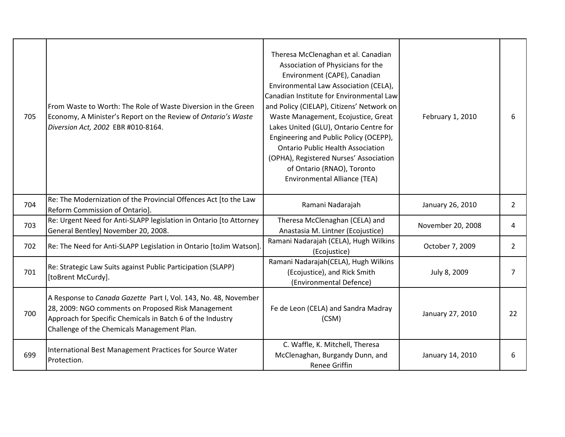| 705 | From Waste to Worth: The Role of Waste Diversion in the Green<br>Economy, A Minister's Report on the Review of Ontario's Waste<br>Diversion Act, 2002 EBR #010-8164.                                                               | Theresa McClenaghan et al. Canadian<br>Association of Physicians for the<br>Environment (CAPE), Canadian<br>Environmental Law Association (CELA),<br>Canadian Institute for Environmental Law<br>and Policy (CIELAP), Citizens' Network on<br>Waste Management, Ecojustice, Great<br>Lakes United (GLU), Ontario Centre for<br>Engineering and Public Policy (OCEPP),<br><b>Ontario Public Health Association</b><br>(OPHA), Registered Nurses' Association<br>of Ontario (RNAO), Toronto<br><b>Environmental Alliance (TEA)</b> | February 1, 2010  | 6              |
|-----|------------------------------------------------------------------------------------------------------------------------------------------------------------------------------------------------------------------------------------|----------------------------------------------------------------------------------------------------------------------------------------------------------------------------------------------------------------------------------------------------------------------------------------------------------------------------------------------------------------------------------------------------------------------------------------------------------------------------------------------------------------------------------|-------------------|----------------|
| 704 | Re: The Modernization of the Provincial Offences Act [to the Law<br>Reform Commission of Ontario].                                                                                                                                 | Ramani Nadarajah                                                                                                                                                                                                                                                                                                                                                                                                                                                                                                                 | January 26, 2010  | $\overline{2}$ |
| 703 | Re: Urgent Need for Anti-SLAPP legislation in Ontario [to Attorney<br>General Bentley] November 20, 2008.                                                                                                                          | Theresa McClenaghan (CELA) and<br>Anastasia M. Lintner (Ecojustice)                                                                                                                                                                                                                                                                                                                                                                                                                                                              | November 20, 2008 | 4              |
| 702 | Re: The Need for Anti-SLAPP Legislation in Ontario [toJim Watson].                                                                                                                                                                 | Ramani Nadarajah (CELA), Hugh Wilkins<br>(Ecojustice)                                                                                                                                                                                                                                                                                                                                                                                                                                                                            | October 7, 2009   | $\overline{2}$ |
| 701 | Re: Strategic Law Suits against Public Participation (SLAPP)<br>[toBrent McCurdy].                                                                                                                                                 | Ramani Nadarajah (CELA), Hugh Wilkins<br>(Ecojustice), and Rick Smith<br>(Environmental Defence)                                                                                                                                                                                                                                                                                                                                                                                                                                 | July 8, 2009      | 7              |
| 700 | A Response to Canada Gazette Part I, Vol. 143, No. 48, November<br>28, 2009: NGO comments on Proposed Risk Management<br>Approach for Specific Chemicals in Batch 6 of the Industry<br>Challenge of the Chemicals Management Plan. | Fe de Leon (CELA) and Sandra Madray<br>(CSM)                                                                                                                                                                                                                                                                                                                                                                                                                                                                                     | January 27, 2010  | 22             |
| 699 | International Best Management Practices for Source Water<br>Protection.                                                                                                                                                            | C. Waffle, K. Mitchell, Theresa<br>McClenaghan, Burgandy Dunn, and<br><b>Renee Griffin</b>                                                                                                                                                                                                                                                                                                                                                                                                                                       | January 14, 2010  | 6              |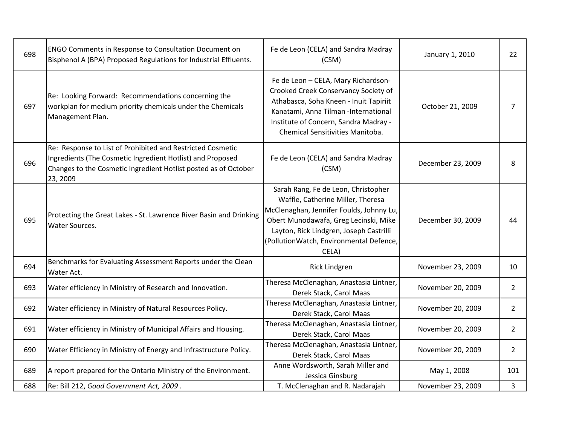| 698 | ENGO Comments in Response to Consultation Document on<br>Bisphenol A (BPA) Proposed Regulations for Industrial Effluents.                                                                               | Fe de Leon (CELA) and Sandra Madray<br>(CSM)                                                                                                                                                                                                                 | January 1, 2010   | 22             |
|-----|---------------------------------------------------------------------------------------------------------------------------------------------------------------------------------------------------------|--------------------------------------------------------------------------------------------------------------------------------------------------------------------------------------------------------------------------------------------------------------|-------------------|----------------|
| 697 | Re: Looking Forward: Recommendations concerning the<br>workplan for medium priority chemicals under the Chemicals<br>Management Plan.                                                                   | Fe de Leon - CELA, Mary Richardson-<br>Crooked Creek Conservancy Society of<br>Athabasca, Soha Kneen - Inuit Tapiriit<br>Kanatami, Anna Tilman -International<br>Institute of Concern, Sandra Madray -<br>Chemical Sensitivities Manitoba.                   | October 21, 2009  | 7              |
| 696 | Re: Response to List of Prohibited and Restricted Cosmetic<br>Ingredients (The Cosmetic Ingredient Hotlist) and Proposed<br>Changes to the Cosmetic Ingredient Hotlist posted as of October<br>23, 2009 | Fe de Leon (CELA) and Sandra Madray<br>(CSM)                                                                                                                                                                                                                 | December 23, 2009 | 8              |
| 695 | Protecting the Great Lakes - St. Lawrence River Basin and Drinking<br>Water Sources.                                                                                                                    | Sarah Rang, Fe de Leon, Christopher<br>Waffle, Catherine Miller, Theresa<br>McClenaghan, Jennifer Foulds, Johnny Lu,<br>Obert Munodawafa, Greg Lecinski, Mike<br>Layton, Rick Lindgren, Joseph Castrilli<br>(PollutionWatch, Environmental Defence,<br>CELA) | December 30, 2009 | 44             |
| 694 | Benchmarks for Evaluating Assessment Reports under the Clean<br>Water Act.                                                                                                                              | <b>Rick Lindgren</b>                                                                                                                                                                                                                                         | November 23, 2009 | 10             |
| 693 | Water efficiency in Ministry of Research and Innovation.                                                                                                                                                | Theresa McClenaghan, Anastasia Lintner,<br>Derek Stack, Carol Maas                                                                                                                                                                                           | November 20, 2009 | $\overline{2}$ |
| 692 | Water efficiency in Ministry of Natural Resources Policy.                                                                                                                                               | Theresa McClenaghan, Anastasia Lintner,<br>Derek Stack, Carol Maas                                                                                                                                                                                           | November 20, 2009 | $\overline{2}$ |
| 691 | Water efficiency in Ministry of Municipal Affairs and Housing.                                                                                                                                          | Theresa McClenaghan, Anastasia Lintner,<br>Derek Stack, Carol Maas                                                                                                                                                                                           | November 20, 2009 | $\overline{2}$ |
| 690 | Water Efficiency in Ministry of Energy and Infrastructure Policy.                                                                                                                                       | Theresa McClenaghan, Anastasia Lintner,<br>Derek Stack, Carol Maas                                                                                                                                                                                           | November 20, 2009 | $\overline{2}$ |
| 689 | A report prepared for the Ontario Ministry of the Environment.                                                                                                                                          | Anne Wordsworth, Sarah Miller and<br>Jessica Ginsburg                                                                                                                                                                                                        | May 1, 2008       | 101            |
| 688 | Re: Bill 212, Good Government Act, 2009.                                                                                                                                                                | T. McClenaghan and R. Nadarajah                                                                                                                                                                                                                              | November 23, 2009 | 3              |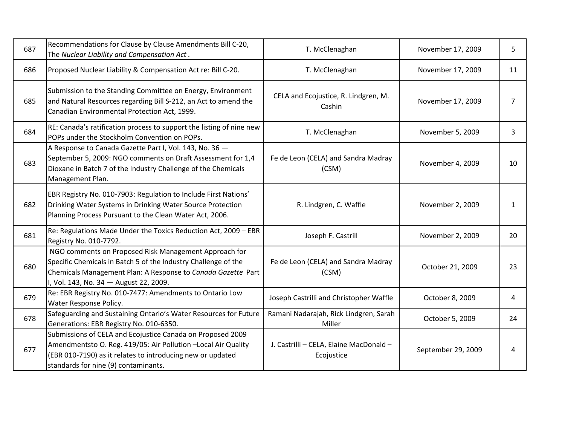| 687 | Recommendations for Clause by Clause Amendments Bill C-20,<br>The Nuclear Liability and Compensation Act.                                                                                                                          | T. McClenaghan                                        | November 17, 2009  | 5  |
|-----|------------------------------------------------------------------------------------------------------------------------------------------------------------------------------------------------------------------------------------|-------------------------------------------------------|--------------------|----|
| 686 | Proposed Nuclear Liability & Compensation Act re: Bill C-20.                                                                                                                                                                       | T. McClenaghan                                        | November 17, 2009  | 11 |
| 685 | Submission to the Standing Committee on Energy, Environment<br>and Natural Resources regarding Bill S-212, an Act to amend the<br>Canadian Environmental Protection Act, 1999.                                                     | CELA and Ecojustice, R. Lindgren, M.<br>Cashin        | November 17, 2009  | 7  |
| 684 | RE: Canada's ratification process to support the listing of nine new<br>POPs under the Stockholm Convention on POPs.                                                                                                               | T. McClenaghan                                        | November 5, 2009   | 3  |
| 683 | A Response to Canada Gazette Part I, Vol. 143, No. 36 -<br>September 5, 2009: NGO comments on Draft Assessment for 1,4<br>Dioxane in Batch 7 of the Industry Challenge of the Chemicals<br>Management Plan.                        | Fe de Leon (CELA) and Sandra Madray<br>(CSM)          | November 4, 2009   | 10 |
| 682 | EBR Registry No. 010-7903: Regulation to Include First Nations'<br>Drinking Water Systems in Drinking Water Source Protection<br>Planning Process Pursuant to the Clean Water Act, 2006.                                           | R. Lindgren, C. Waffle                                | November 2, 2009   | 1  |
| 681 | Re: Regulations Made Under the Toxics Reduction Act, 2009 - EBR<br>Registry No. 010-7792.                                                                                                                                          | Joseph F. Castrill                                    | November 2, 2009   | 20 |
| 680 | NGO comments on Proposed Risk Management Approach for<br>Specific Chemicals in Batch 5 of the Industry Challenge of the<br>Chemicals Management Plan: A Response to Canada Gazette Part<br>I, Vol. 143, No. 34 - August 22, 2009.  | Fe de Leon (CELA) and Sandra Madray<br>(CSM)          | October 21, 2009   | 23 |
| 679 | Re: EBR Registry No. 010-7477: Amendments to Ontario Low<br>Water Response Policy.                                                                                                                                                 | Joseph Castrilli and Christopher Waffle               | October 8, 2009    | 4  |
| 678 | Safeguarding and Sustaining Ontario's Water Resources for Future<br>Generations: EBR Registry No. 010-6350.                                                                                                                        | Ramani Nadarajah, Rick Lindgren, Sarah<br>Miller      | October 5, 2009    | 24 |
| 677 | Submissions of CELA and Ecojustice Canada on Proposed 2009<br>Amendmentsto O. Reg. 419/05: Air Pollution - Local Air Quality<br>(EBR 010-7190) as it relates to introducing new or updated<br>standards for nine (9) contaminants. | J. Castrilli - CELA, Elaine MacDonald -<br>Ecojustice | September 29, 2009 | 4  |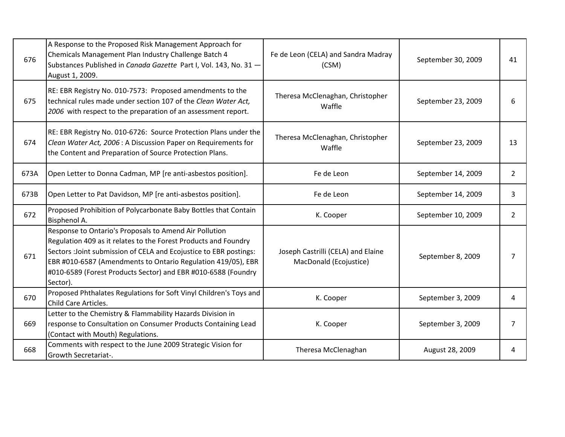| 676  | A Response to the Proposed Risk Management Approach for<br>Chemicals Management Plan Industry Challenge Batch 4<br>Substances Published in Canada Gazette Part I, Vol. 143, No. 31 -<br>August 1, 2009.                                                                                                                                      | Fe de Leon (CELA) and Sandra Madray<br>(CSM)                 | September 30, 2009 | 41             |
|------|----------------------------------------------------------------------------------------------------------------------------------------------------------------------------------------------------------------------------------------------------------------------------------------------------------------------------------------------|--------------------------------------------------------------|--------------------|----------------|
| 675  | RE: EBR Registry No. 010-7573: Proposed amendments to the<br>technical rules made under section 107 of the Clean Water Act,<br>2006 with respect to the preparation of an assessment report.                                                                                                                                                 | Theresa McClenaghan, Christopher<br>Waffle                   | September 23, 2009 | 6              |
| 674  | RE: EBR Registry No. 010-6726: Source Protection Plans under the<br>Clean Water Act, 2006 : A Discussion Paper on Requirements for<br>the Content and Preparation of Source Protection Plans.                                                                                                                                                | Theresa McClenaghan, Christopher<br>Waffle                   | September 23, 2009 | 13             |
| 673A | Open Letter to Donna Cadman, MP [re anti-asbestos position].                                                                                                                                                                                                                                                                                 | Fe de Leon                                                   | September 14, 2009 | $\overline{2}$ |
| 673B | Open Letter to Pat Davidson, MP [re anti-asbestos position].                                                                                                                                                                                                                                                                                 | Fe de Leon                                                   | September 14, 2009 | 3              |
| 672  | Proposed Prohibition of Polycarbonate Baby Bottles that Contain<br>Bisphenol A.                                                                                                                                                                                                                                                              | K. Cooper                                                    | September 10, 2009 | $2^{\circ}$    |
| 671  | Response to Ontario's Proposals to Amend Air Pollution<br>Regulation 409 as it relates to the Forest Products and Foundry<br>Sectors : Joint submission of CELA and Ecojustice to EBR postings:<br>EBR #010-6587 (Amendments to Ontario Regulation 419/05), EBR<br>#010-6589 (Forest Products Sector) and EBR #010-6588 (Foundry<br>Sector). | Joseph Castrilli (CELA) and Elaine<br>MacDonald (Ecojustice) | September 8, 2009  | 7              |
| 670  | Proposed Phthalates Regulations for Soft Vinyl Children's Toys and<br>Child Care Articles.                                                                                                                                                                                                                                                   | K. Cooper                                                    | September 3, 2009  | 4              |
| 669  | Letter to the Chemistry & Flammability Hazards Division in<br>response to Consultation on Consumer Products Containing Lead<br>(Contact with Mouth) Regulations.                                                                                                                                                                             | K. Cooper                                                    | September 3, 2009  | 7              |
| 668  | Comments with respect to the June 2009 Strategic Vision for<br>Growth Secretariat-.                                                                                                                                                                                                                                                          | Theresa McClenaghan                                          | August 28, 2009    | 4              |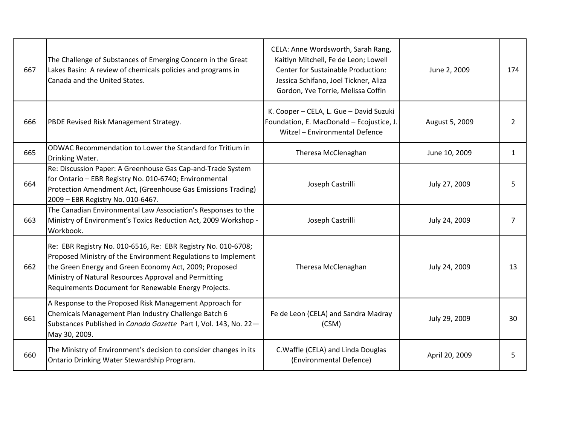| 667 | The Challenge of Substances of Emerging Concern in the Great<br>Lakes Basin: A review of chemicals policies and programs in<br>Canada and the United States.                                                                                                                                              | CELA: Anne Wordsworth, Sarah Rang,<br>Kaitlyn Mitchell, Fe de Leon; Lowell<br>Center for Sustainable Production:<br>Jessica Schifano, Joel Tickner, Aliza<br>Gordon, Yve Torrie, Melissa Coffin | June 2, 2009   | 174 |
|-----|-----------------------------------------------------------------------------------------------------------------------------------------------------------------------------------------------------------------------------------------------------------------------------------------------------------|-------------------------------------------------------------------------------------------------------------------------------------------------------------------------------------------------|----------------|-----|
| 666 | PBDE Revised Risk Management Strategy.                                                                                                                                                                                                                                                                    | K. Cooper - CELA, L. Gue - David Suzuki<br>Foundation, E. MacDonald - Ecojustice, J.<br>Witzel - Environmental Defence                                                                          | August 5, 2009 | 2   |
| 665 | ODWAC Recommendation to Lower the Standard for Tritium in<br>Drinking Water.                                                                                                                                                                                                                              | Theresa McClenaghan                                                                                                                                                                             | June 10, 2009  | 1   |
| 664 | Re: Discussion Paper: A Greenhouse Gas Cap-and-Trade System<br>for Ontario - EBR Registry No. 010-6740; Environmental<br>Protection Amendment Act, (Greenhouse Gas Emissions Trading)<br>2009 - EBR Registry No. 010-6467.                                                                                | Joseph Castrilli                                                                                                                                                                                | July 27, 2009  | 5   |
| 663 | The Canadian Environmental Law Association's Responses to the<br>Ministry of Environment's Toxics Reduction Act, 2009 Workshop -<br>Workbook.                                                                                                                                                             | Joseph Castrilli                                                                                                                                                                                | July 24, 2009  | 7   |
| 662 | Re: EBR Registry No. 010-6516, Re: EBR Registry No. 010-6708;<br>Proposed Ministry of the Environment Regulations to Implement<br>the Green Energy and Green Economy Act, 2009; Proposed<br>Ministry of Natural Resources Approval and Permitting<br>Requirements Document for Renewable Energy Projects. | Theresa McClenaghan                                                                                                                                                                             | July 24, 2009  | 13  |
| 661 | A Response to the Proposed Risk Management Approach for<br>Chemicals Management Plan Industry Challenge Batch 6<br>Substances Published in Canada Gazette Part I, Vol. 143, No. 22-<br>May 30, 2009.                                                                                                      | Fe de Leon (CELA) and Sandra Madray<br>(CSM)                                                                                                                                                    | July 29, 2009  | 30  |
| 660 | The Ministry of Environment's decision to consider changes in its<br>Ontario Drinking Water Stewardship Program.                                                                                                                                                                                          | C. Waffle (CELA) and Linda Douglas<br>(Environmental Defence)                                                                                                                                   | April 20, 2009 | 5   |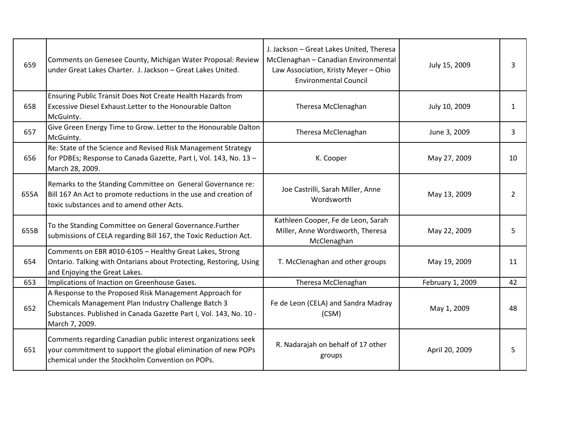| 659  | Comments on Genesee County, Michigan Water Proposal: Review<br>under Great Lakes Charter. J. Jackson - Great Lakes United.                                                                              | J. Jackson - Great Lakes United, Theresa<br>McClenaghan - Canadian Environmental<br>Law Association, Kristy Meyer - Ohio<br><b>Environmental Council</b> | July 15, 2009    | 3             |
|------|---------------------------------------------------------------------------------------------------------------------------------------------------------------------------------------------------------|----------------------------------------------------------------------------------------------------------------------------------------------------------|------------------|---------------|
| 658  | Ensuring Public Transit Does Not Create Health Hazards from<br>Excessive Diesel Exhaust. Letter to the Honourable Dalton<br>McGuinty.                                                                   | Theresa McClenaghan                                                                                                                                      | July 10, 2009    | 1             |
| 657  | Give Green Energy Time to Grow. Letter to the Honourable Dalton<br>McGuinty.                                                                                                                            | Theresa McClenaghan                                                                                                                                      | June 3, 2009     | 3             |
| 656  | Re: State of the Science and Revised Risk Management Strategy<br>for PDBEs; Response to Canada Gazette, Part I, Vol. 143, No. 13 -<br>March 28, 2009.                                                   | K. Cooper                                                                                                                                                | May 27, 2009     | 10            |
| 655A | Remarks to the Standing Committee on General Governance re:<br>Bill 167 An Act to promote reductions in the use and creation of<br>toxic substances and to amend other Acts.                            | Joe Castrilli, Sarah Miller, Anne<br>Wordsworth                                                                                                          | May 13, 2009     | $\mathcal{P}$ |
| 655B | To the Standing Committee on General Governance.Further<br>submissions of CELA regarding Bill 167, the Toxic Reduction Act.                                                                             | Kathleen Cooper, Fe de Leon, Sarah<br>Miller, Anne Wordsworth, Theresa<br>McClenaghan                                                                    | May 22, 2009     | 5             |
| 654  | Comments on EBR #010-6105 - Healthy Great Lakes, Strong<br>Ontario. Talking with Ontarians about Protecting, Restoring, Using<br>and Enjoying the Great Lakes.                                          | T. McClenaghan and other groups                                                                                                                          | May 19, 2009     | 11            |
| 653  | Implications of Inaction on Greenhouse Gases.                                                                                                                                                           | Theresa McClenaghan                                                                                                                                      | February 1, 2009 | 42            |
| 652  | A Response to the Proposed Risk Management Approach for<br>Chemicals Management Plan Industry Challenge Batch 3<br>Substances. Published in Canada Gazette Part I, Vol. 143, No. 10 -<br>March 7, 2009. | Fe de Leon (CELA) and Sandra Madray<br>(CSM)                                                                                                             | May 1, 2009      | 48            |
| 651  | Comments regarding Canadian public interest organizations seek<br>your commitment to support the global elimination of new POPs<br>chemical under the Stockholm Convention on POPs.                     | R. Nadarajah on behalf of 17 other<br>groups                                                                                                             | April 20, 2009   | 5             |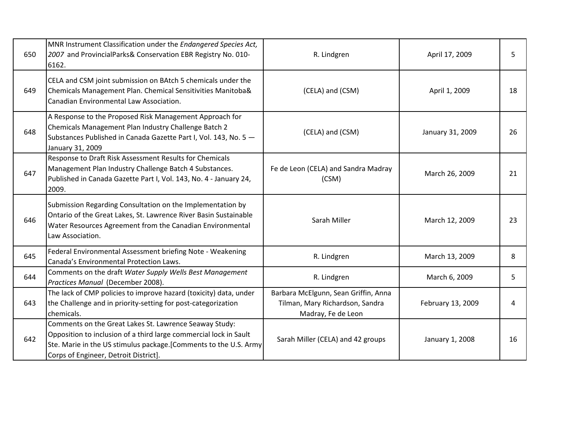| 650 | MNR Instrument Classification under the Endangered Species Act,<br>2007 and ProvincialParks& Conservation EBR Registry No. 010-<br>6162.                                                                                                  | R. Lindgren                                                                                   | April 17, 2009    | 5  |
|-----|-------------------------------------------------------------------------------------------------------------------------------------------------------------------------------------------------------------------------------------------|-----------------------------------------------------------------------------------------------|-------------------|----|
| 649 | CELA and CSM joint submission on BAtch 5 chemicals under the<br>Chemicals Management Plan. Chemical Sensitivities Manitoba&<br>Canadian Environmental Law Association.                                                                    | (CELA) and (CSM)                                                                              | April 1, 2009     | 18 |
| 648 | A Response to the Proposed Risk Management Approach for<br>Chemicals Management Plan Industry Challenge Batch 2<br>Substances Published in Canada Gazette Part I, Vol. 143, No. 5 -<br>January 31, 2009                                   | (CELA) and (CSM)                                                                              | January 31, 2009  | 26 |
| 647 | Response to Draft Risk Assessment Results for Chemicals<br>Management Plan Industry Challenge Batch 4 Substances.<br>Published in Canada Gazette Part I, Vol. 143, No. 4 - January 24,<br>2009.                                           | Fe de Leon (CELA) and Sandra Madray<br>(CSM)                                                  | March 26, 2009    | 21 |
| 646 | Submission Regarding Consultation on the Implementation by<br>Ontario of the Great Lakes, St. Lawrence River Basin Sustainable<br>Water Resources Agreement from the Canadian Environmental<br>Law Association.                           | Sarah Miller                                                                                  | March 12, 2009    | 23 |
| 645 | Federal Environmental Assessment briefing Note - Weakening<br>Canada's Environmental Protection Laws.                                                                                                                                     | R. Lindgren                                                                                   | March 13, 2009    | 8  |
| 644 | Comments on the draft Water Supply Wells Best Management<br>Practices Manual (December 2008).                                                                                                                                             | R. Lindgren                                                                                   | March 6, 2009     | 5  |
| 643 | The lack of CMP policies to improve hazard (toxicity) data, under<br>the Challenge and in priority-setting for post-categorization<br>chemicals.                                                                                          | Barbara McElgunn, Sean Griffin, Anna<br>Tilman, Mary Richardson, Sandra<br>Madray, Fe de Leon | February 13, 2009 | 4  |
| 642 | Comments on the Great Lakes St. Lawrence Seaway Study:<br>Opposition to inclusion of a third large commercial lock in Sault<br>Ste. Marie in the US stimulus package. [Comments to the U.S. Army<br>Corps of Engineer, Detroit District]. | Sarah Miller (CELA) and 42 groups                                                             | January 1, 2008   | 16 |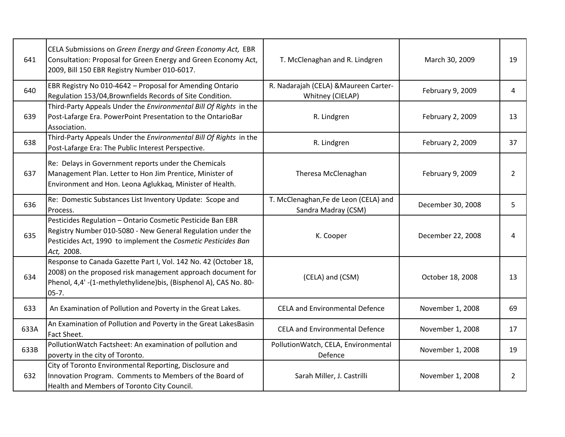| 641  | CELA Submissions on Green Energy and Green Economy Act, EBR<br>Consultation: Proposal for Green Energy and Green Economy Act,<br>2009, Bill 150 EBR Registry Number 010-6017.                                    | T. McClenaghan and R. Lindgren                               | March 30, 2009    | 19             |
|------|------------------------------------------------------------------------------------------------------------------------------------------------------------------------------------------------------------------|--------------------------------------------------------------|-------------------|----------------|
| 640  | EBR Registry No 010-4642 - Proposal for Amending Ontario<br>Regulation 153/04, Brownfields Records of Site Condition.                                                                                            | R. Nadarajah (CELA) & Maureen Carter-<br>Whitney (CIELAP)    | February 9, 2009  | 4              |
| 639  | Third-Party Appeals Under the Environmental Bill Of Rights in the<br>Post-Lafarge Era. PowerPoint Presentation to the OntarioBar<br>Association.                                                                 | R. Lindgren                                                  | February 2, 2009  | 13             |
| 638  | Third-Party Appeals Under the Environmental Bill Of Rights in the<br>Post-Lafarge Era: The Public Interest Perspective.                                                                                          | R. Lindgren                                                  | February 2, 2009  | 37             |
| 637  | Re: Delays in Government reports under the Chemicals<br>Management Plan. Letter to Hon Jim Prentice, Minister of<br>Environment and Hon. Leona Aglukkaq, Minister of Health.                                     | Theresa McClenaghan                                          | February 9, 2009  | $\overline{2}$ |
| 636  | Re: Domestic Substances List Inventory Update: Scope and<br>Process.                                                                                                                                             | T. McClenaghan, Fe de Leon (CELA) and<br>Sandra Madray (CSM) | December 30, 2008 | 5              |
| 635  | Pesticides Regulation - Ontario Cosmetic Pesticide Ban EBR<br>Registry Number 010-5080 - New General Regulation under the<br>Pesticides Act, 1990 to implement the Cosmetic Pesticides Ban<br>Act, 2008.         | K. Cooper                                                    | December 22, 2008 | 4              |
| 634  | Response to Canada Gazette Part I, Vol. 142 No. 42 (October 18,<br>2008) on the proposed risk management approach document for<br>Phenol, 4,4' -(1-methylethylidene)bis, (Bisphenol A), CAS No. 80-<br>$05 - 7.$ | (CELA) and (CSM)                                             | October 18, 2008  | 13             |
| 633  | An Examination of Pollution and Poverty in the Great Lakes.                                                                                                                                                      | <b>CELA and Environmental Defence</b>                        | November 1, 2008  | 69             |
| 633A | An Examination of Pollution and Poverty in the Great LakesBasin<br>Fact Sheet.                                                                                                                                   | <b>CELA and Environmental Defence</b>                        | November 1, 2008  | 17             |
| 633B | PollutionWatch Factsheet: An examination of pollution and<br>poverty in the city of Toronto.                                                                                                                     | PollutionWatch, CELA, Environmental<br>Defence               | November 1, 2008  | 19             |
| 632  | City of Toronto Environmental Reporting, Disclosure and<br>Innovation Program. Comments to Members of the Board of<br>Health and Members of Toronto City Council.                                                | Sarah Miller, J. Castrilli                                   | November 1, 2008  | $\overline{2}$ |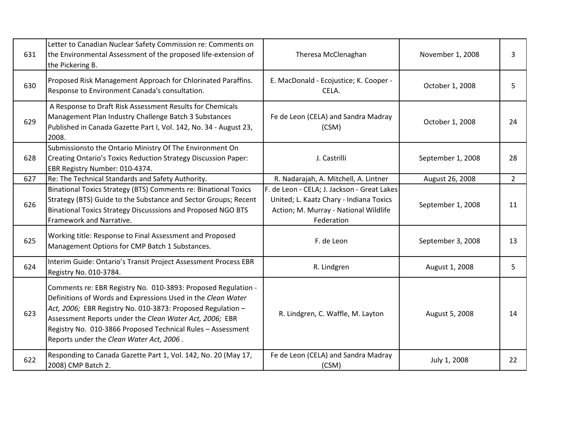| 631 | Letter to Canadian Nuclear Safety Commission re: Comments on<br>the Environmental Assessment of the proposed life-extension of<br>the Pickering B.                                                                                                                                                                                                                 | Theresa McClenaghan                                                                                                                           | November 1, 2008  | 3              |
|-----|--------------------------------------------------------------------------------------------------------------------------------------------------------------------------------------------------------------------------------------------------------------------------------------------------------------------------------------------------------------------|-----------------------------------------------------------------------------------------------------------------------------------------------|-------------------|----------------|
| 630 | Proposed Risk Management Approach for Chlorinated Paraffins.<br>Response to Environment Canada's consultation.                                                                                                                                                                                                                                                     | E. MacDonald - Ecojustice; K. Cooper -<br>CELA.                                                                                               | October 1, 2008   | 5              |
| 629 | A Response to Draft Risk Assessment Results for Chemicals<br>Management Plan Industry Challenge Batch 3 Substances<br>Published in Canada Gazette Part I, Vol. 142, No. 34 - August 23,<br>2008.                                                                                                                                                                   | Fe de Leon (CELA) and Sandra Madray<br>(CSM)                                                                                                  | October 1, 2008   | 24             |
| 628 | Submissionsto the Ontario Ministry Of The Environment On<br>Creating Ontario's Toxics Reduction Strategy Discussion Paper:<br>EBR Registry Number: 010-4374.                                                                                                                                                                                                       | J. Castrilli                                                                                                                                  | September 1, 2008 | 28             |
| 627 | Re: The Technical Standards and Safety Authority.                                                                                                                                                                                                                                                                                                                  | R. Nadarajah, A. Mitchell, A. Lintner                                                                                                         | August 26, 2008   | $\overline{2}$ |
| 626 | Binational Toxics Strategy (BTS) Comments re: Binational Toxics<br>Strategy (BTS) Guide to the Substance and Sector Groups; Recent<br>Binational Toxics Strategy Discusssions and Proposed NGO BTS<br>Framework and Narrative.                                                                                                                                     | F. de Leon - CELA; J. Jackson - Great Lakes<br>United; L. Kaatz Chary - Indiana Toxics<br>Action; M. Murray - National Wildlife<br>Federation | September 1, 2008 | 11             |
| 625 | Working title: Response to Final Assessment and Proposed<br>Management Options for CMP Batch 1 Substances.                                                                                                                                                                                                                                                         | F. de Leon                                                                                                                                    | September 3, 2008 | 13             |
| 624 | Interim Guide: Ontario's Transit Project Assessment Process EBR<br>Registry No. 010-3784.                                                                                                                                                                                                                                                                          | R. Lindgren                                                                                                                                   | August 1, 2008    | 5              |
| 623 | Comments re: EBR Registry No. 010-3893: Proposed Regulation -<br>Definitions of Words and Expressions Used in the Clean Water<br>Act, 2006; EBR Registry No. 010-3873: Proposed Regulation -<br>Assessment Reports under the Clean Water Act, 2006; EBR<br>Registry No. 010-3866 Proposed Technical Rules - Assessment<br>Reports under the Clean Water Act, 2006. | R. Lindgren, C. Waffle, M. Layton                                                                                                             | August 5, 2008    | 14             |
| 622 | Responding to Canada Gazette Part 1, Vol. 142, No. 20 (May 17,<br>2008) CMP Batch 2.                                                                                                                                                                                                                                                                               | Fe de Leon (CELA) and Sandra Madray<br>(CSM)                                                                                                  | July 1, 2008      | 22             |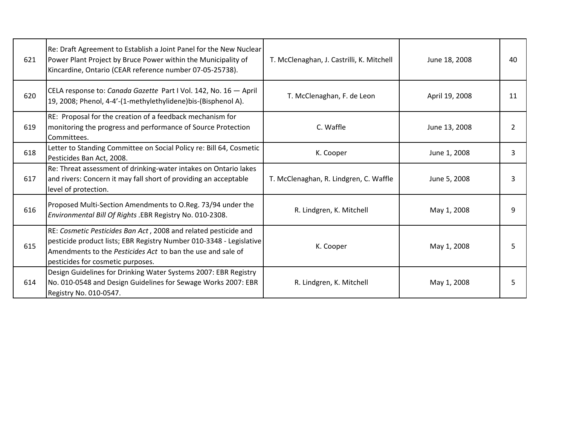| 621 | Re: Draft Agreement to Establish a Joint Panel for the New Nuclear<br>Power Plant Project by Bruce Power within the Municipality of<br>Kincardine, Ontario (CEAR reference number 07-05-25738).                                             | T. McClenaghan, J. Castrilli, K. Mitchell | June 18, 2008  | 40 |
|-----|---------------------------------------------------------------------------------------------------------------------------------------------------------------------------------------------------------------------------------------------|-------------------------------------------|----------------|----|
| 620 | CELA response to: Canada Gazette Part I Vol. 142, No. 16 - April<br>19, 2008; Phenol, 4-4'-(1-methylethylidene)bis-(Bisphenol A).                                                                                                           | T. McClenaghan, F. de Leon                | April 19, 2008 | 11 |
| 619 | RE: Proposal for the creation of a feedback mechanism for<br>monitoring the progress and performance of Source Protection<br>Committees.                                                                                                    | C. Waffle                                 | June 13, 2008  | 2  |
| 618 | Letter to Standing Committee on Social Policy re: Bill 64, Cosmetic<br>Pesticides Ban Act, 2008.                                                                                                                                            | K. Cooper                                 | June 1, 2008   | 3  |
| 617 | Re: Threat assessment of drinking-water intakes on Ontario lakes<br>and rivers: Concern it may fall short of providing an acceptable<br>level of protection.                                                                                | T. McClenaghan, R. Lindgren, C. Waffle    | June 5, 2008   | ξ  |
| 616 | Proposed Multi-Section Amendments to O.Reg. 73/94 under the<br>Environmental Bill Of Rights .EBR Registry No. 010-2308.                                                                                                                     | R. Lindgren, K. Mitchell                  | May 1, 2008    | q  |
| 615 | RE: Cosmetic Pesticides Ban Act, 2008 and related pesticide and<br>pesticide product lists; EBR Registry Number 010-3348 - Legislative<br>lAmendments to the Pesticides Act to ban the use and sale of<br>pesticides for cosmetic purposes. | K. Cooper                                 | May 1, 2008    | 5  |
| 614 | Design Guidelines for Drinking Water Systems 2007: EBR Registry<br>No. 010-0548 and Design Guidelines for Sewage Works 2007: EBR<br>Registry No. 010-0547.                                                                                  | R. Lindgren, K. Mitchell                  | May 1, 2008    | 5  |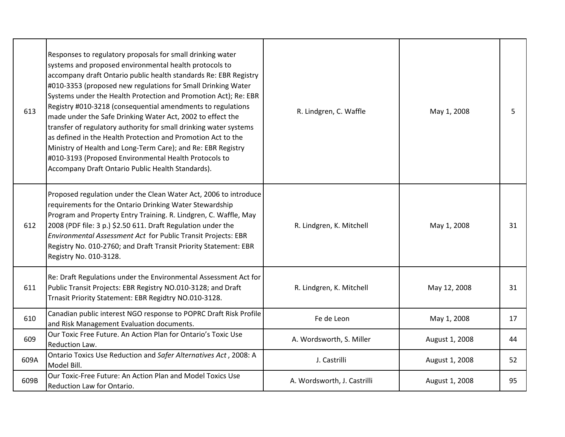| 613  | Responses to regulatory proposals for small drinking water<br>systems and proposed environmental health protocols to<br>accompany draft Ontario public health standards Re: EBR Registry<br>#010-3353 (proposed new regulations for Small Drinking Water<br>Systems under the Health Protection and Promotion Act); Re: EBR<br>Registry #010-3218 (consequential amendments to regulations<br>made under the Safe Drinking Water Act, 2002 to effect the<br>transfer of regulatory authority for small drinking water systems<br>as defined in the Health Protection and Promotion Act to the<br>Ministry of Health and Long-Term Care); and Re: EBR Registry<br>#010-3193 (Proposed Environmental Health Protocols to<br>Accompany Draft Ontario Public Health Standards). | R. Lindgren, C. Waffle      | May 1, 2008    | 5  |
|------|-----------------------------------------------------------------------------------------------------------------------------------------------------------------------------------------------------------------------------------------------------------------------------------------------------------------------------------------------------------------------------------------------------------------------------------------------------------------------------------------------------------------------------------------------------------------------------------------------------------------------------------------------------------------------------------------------------------------------------------------------------------------------------|-----------------------------|----------------|----|
| 612  | Proposed regulation under the Clean Water Act, 2006 to introduce<br>requirements for the Ontario Drinking Water Stewardship<br>Program and Property Entry Training. R. Lindgren, C. Waffle, May<br>2008 (PDF file: 3 p.) \$2.50 611. Draft Regulation under the<br>Environmental Assessment Act for Public Transit Projects: EBR<br>Registry No. 010-2760; and Draft Transit Priority Statement: EBR<br>Registry No. 010-3128.                                                                                                                                                                                                                                                                                                                                              | R. Lindgren, K. Mitchell    | May 1, 2008    | 31 |
| 611  | Re: Draft Regulations under the Environmental Assessment Act for<br>Public Transit Projects: EBR Registry NO.010-3128; and Draft<br>Trnasit Priority Statement: EBR Regidtry NO.010-3128.                                                                                                                                                                                                                                                                                                                                                                                                                                                                                                                                                                                   | R. Lindgren, K. Mitchell    | May 12, 2008   | 31 |
| 610  | Canadian public interest NGO response to POPRC Draft Risk Profile<br>and Risk Management Evaluation documents.                                                                                                                                                                                                                                                                                                                                                                                                                                                                                                                                                                                                                                                              | Fe de Leon                  | May 1, 2008    | 17 |
| 609  | Our Toxic Free Future. An Action Plan for Ontario's Toxic Use<br>Reduction Law.                                                                                                                                                                                                                                                                                                                                                                                                                                                                                                                                                                                                                                                                                             | A. Wordsworth, S. Miller    | August 1, 2008 | 44 |
| 609A | Ontario Toxics Use Reduction and Safer Alternatives Act, 2008: A<br>Model Bill.                                                                                                                                                                                                                                                                                                                                                                                                                                                                                                                                                                                                                                                                                             | J. Castrilli                | August 1, 2008 | 52 |
| 609B | Our Toxic-Free Future: An Action Plan and Model Toxics Use<br>Reduction Law for Ontario.                                                                                                                                                                                                                                                                                                                                                                                                                                                                                                                                                                                                                                                                                    | A. Wordsworth, J. Castrilli | August 1, 2008 | 95 |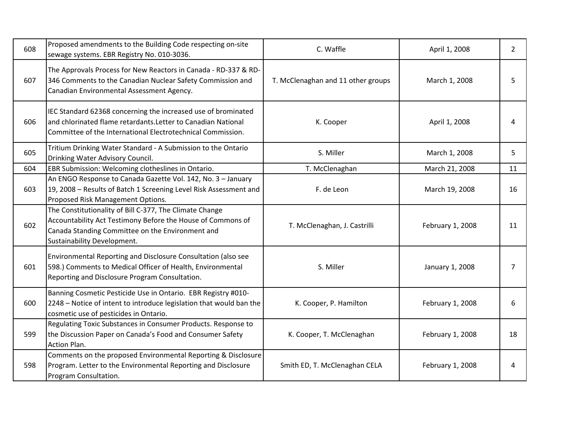| 608 | Proposed amendments to the Building Code respecting on-site<br>sewage systems. EBR Registry No. 010-3036.                                                                                                 | C. Waffle                          | April 1, 2008    | $\overline{2}$ |
|-----|-----------------------------------------------------------------------------------------------------------------------------------------------------------------------------------------------------------|------------------------------------|------------------|----------------|
| 607 | The Approvals Process for New Reactors in Canada - RD-337 & RD-<br>346 Comments to the Canadian Nuclear Safety Commission and<br>Canadian Environmental Assessment Agency.                                | T. McClenaghan and 11 other groups | March 1, 2008    | 5              |
| 606 | IEC Standard 62368 concerning the increased use of brominated<br>and chlorinated flame retardants. Letter to Canadian National<br>Committee of the International Electrotechnical Commission.             | K. Cooper                          | April 1, 2008    | 4              |
| 605 | Tritium Drinking Water Standard - A Submission to the Ontario<br>Drinking Water Advisory Council.                                                                                                         | S. Miller                          | March 1, 2008    | 5              |
| 604 | EBR Submission: Welcoming clotheslines in Ontario.                                                                                                                                                        | T. McClenaghan                     | March 21, 2008   | 11             |
| 603 | An ENGO Response to Canada Gazette Vol. 142, No. 3 - January<br>19, 2008 - Results of Batch 1 Screening Level Risk Assessment and<br>Proposed Risk Management Options.                                    | F. de Leon                         | March 19, 2008   | 16             |
| 602 | The Constitutionality of Bill C-377, The Climate Change<br>Accountability Act Testimony Before the House of Commons of<br>Canada Standing Committee on the Environment and<br>Sustainability Development. | T. McClenaghan, J. Castrilli       | February 1, 2008 | 11             |
| 601 | Environmental Reporting and Disclosure Consultation (also see<br>598.) Comments to Medical Officer of Health, Environmental<br>Reporting and Disclosure Program Consultation.                             | S. Miller                          | January 1, 2008  | 7              |
| 600 | Banning Cosmetic Pesticide Use in Ontario. EBR Registry #010-<br>2248 - Notice of intent to introduce legislation that would ban the<br>cosmetic use of pesticides in Ontario.                            | K. Cooper, P. Hamilton             | February 1, 2008 | 6              |
| 599 | Regulating Toxic Substances in Consumer Products. Response to<br>the Discussion Paper on Canada's Food and Consumer Safety<br>Action Plan.                                                                | K. Cooper, T. McClenaghan          | February 1, 2008 | 18             |
| 598 | Comments on the proposed Environmental Reporting & Disclosure<br>Program. Letter to the Environmental Reporting and Disclosure<br>Program Consultation.                                                   | Smith ED, T. McClenaghan CELA      | February 1, 2008 | 4              |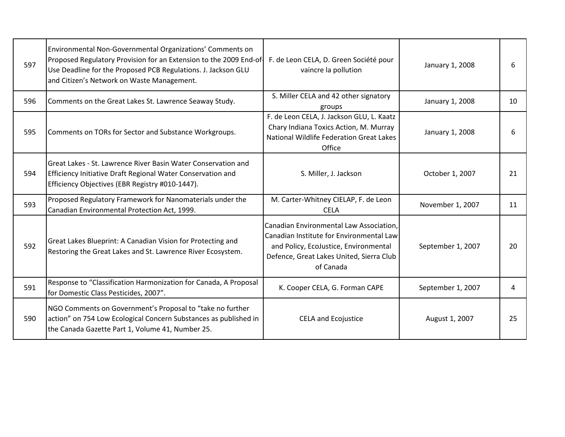| 597 | Environmental Non-Governmental Organizations' Comments on<br>Proposed Regulatory Provision for an Extension to the 2009 End-of<br>Use Deadline for the Proposed PCB Regulations. J. Jackson GLU<br>and Citizen's Network on Waste Management. | F. de Leon CELA, D. Green Société pour<br>vaincre la pollution                                                                                                                        | January 1, 2008   | 6  |
|-----|-----------------------------------------------------------------------------------------------------------------------------------------------------------------------------------------------------------------------------------------------|---------------------------------------------------------------------------------------------------------------------------------------------------------------------------------------|-------------------|----|
| 596 | Comments on the Great Lakes St. Lawrence Seaway Study.                                                                                                                                                                                        | S. Miller CELA and 42 other signatory<br>groups                                                                                                                                       | January 1, 2008   | 10 |
| 595 | Comments on TORs for Sector and Substance Workgroups.                                                                                                                                                                                         | F. de Leon CELA, J. Jackson GLU, L. Kaatz<br>Chary Indiana Toxics Action, M. Murray<br>National Wildlife Federation Great Lakes<br>Office                                             | January 1, 2008   | 6  |
| 594 | Great Lakes - St. Lawrence River Basin Water Conservation and<br>Efficiency Initiative Draft Regional Water Conservation and<br>Efficiency Objectives (EBR Registry #010-1447).                                                               | S. Miller, J. Jackson                                                                                                                                                                 | October 1, 2007   | 21 |
| 593 | Proposed Regulatory Framework for Nanomaterials under the<br>Canadian Environmental Protection Act, 1999.                                                                                                                                     | M. Carter-Whitney CIELAP, F. de Leon<br><b>CELA</b>                                                                                                                                   | November 1, 2007  | 11 |
| 592 | Great Lakes Blueprint: A Canadian Vision for Protecting and<br>Restoring the Great Lakes and St. Lawrence River Ecosystem.                                                                                                                    | Canadian Environmental Law Association,<br>Canadian Institute for Environmental Law<br>and Policy, EcoJustice, Environmental<br>Defence, Great Lakes United, Sierra Club<br>of Canada | September 1, 2007 | 20 |
| 591 | Response to "Classification Harmonization for Canada, A Proposal<br>for Domestic Class Pesticides, 2007".                                                                                                                                     | K. Cooper CELA, G. Forman CAPE                                                                                                                                                        | September 1, 2007 | 4  |
| 590 | NGO Comments on Government's Proposal to "take no further<br>action" on 754 Low Ecological Concern Substances as published in<br>the Canada Gazette Part 1, Volume 41, Number 25.                                                             | <b>CELA and Ecojustice</b>                                                                                                                                                            | August 1, 2007    | 25 |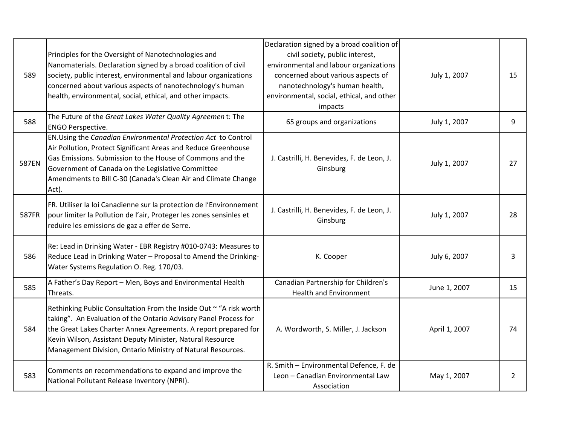| 589   | Principles for the Oversight of Nanotechnologies and<br>Nanomaterials. Declaration signed by a broad coalition of civil<br>society, public interest, environmental and labour organizations<br>concerned about various aspects of nanotechnology's human<br>health, environmental, social, ethical, and other impacts.                | Declaration signed by a broad coalition of<br>civil society, public interest,<br>environmental and labour organizations<br>concerned about various aspects of<br>nanotechnology's human health,<br>environmental, social, ethical, and other<br>impacts | July 1, 2007  | 15 |
|-------|---------------------------------------------------------------------------------------------------------------------------------------------------------------------------------------------------------------------------------------------------------------------------------------------------------------------------------------|---------------------------------------------------------------------------------------------------------------------------------------------------------------------------------------------------------------------------------------------------------|---------------|----|
| 588   | The Future of the Great Lakes Water Quality Agreemen t: The<br><b>ENGO Perspective.</b>                                                                                                                                                                                                                                               | 65 groups and organizations                                                                                                                                                                                                                             | July 1, 2007  | 9  |
| 587EN | EN.Using the Canadian Environmental Protection Act to Control<br>Air Pollution, Protect Significant Areas and Reduce Greenhouse<br>Gas Emissions. Submission to the House of Commons and the<br>Government of Canada on the Legislative Committee<br>Amendments to Bill C-30 (Canada's Clean Air and Climate Change<br>Act).          | J. Castrilli, H. Benevides, F. de Leon, J.<br>Ginsburg                                                                                                                                                                                                  | July 1, 2007  | 27 |
| 587FR | FR. Utiliser la loi Canadienne sur la protection de l'Environnement<br>pour limiter la Pollution de l'air, Proteger les zones sensinles et<br>reduire les emissions de gaz a effer de Serre.                                                                                                                                          | J. Castrilli, H. Benevides, F. de Leon, J.<br>Ginsburg                                                                                                                                                                                                  | July 1, 2007  | 28 |
| 586   | Re: Lead in Drinking Water - EBR Registry #010-0743: Measures to<br>Reduce Lead in Drinking Water - Proposal to Amend the Drinking-<br>Water Systems Regulation O. Reg. 170/03.                                                                                                                                                       | K. Cooper                                                                                                                                                                                                                                               | July 6, 2007  | 3  |
| 585   | A Father's Day Report - Men, Boys and Environmental Health<br>Threats.                                                                                                                                                                                                                                                                | Canadian Partnership for Children's<br><b>Health and Environment</b>                                                                                                                                                                                    | June 1, 2007  | 15 |
| 584   | Rethinking Public Consultation From the Inside Out ~ "A risk worth<br>taking". An Evaluation of the Ontario Advisory Panel Process for<br>the Great Lakes Charter Annex Agreements. A report prepared for<br>Kevin Wilson, Assistant Deputy Minister, Natural Resource<br>Management Division, Ontario Ministry of Natural Resources. | A. Wordworth, S. Miller, J. Jackson                                                                                                                                                                                                                     | April 1, 2007 | 74 |
| 583   | Comments on recommendations to expand and improve the<br>National Pollutant Release Inventory (NPRI).                                                                                                                                                                                                                                 | R. Smith - Environmental Defence, F. de<br>Leon - Canadian Environmental Law<br>Association                                                                                                                                                             | May 1, 2007   | 2  |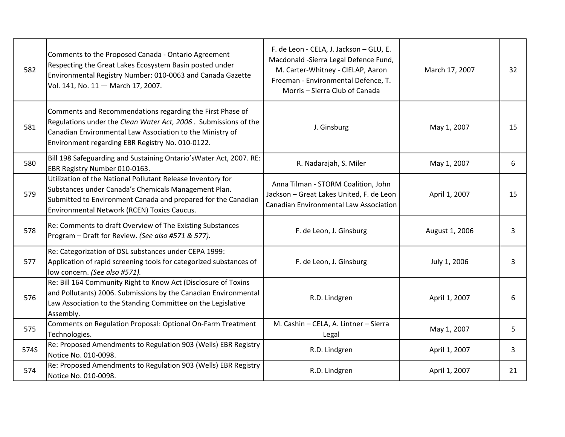| 582  | Comments to the Proposed Canada - Ontario Agreement<br>Respecting the Great Lakes Ecosystem Basin posted under<br>Environmental Registry Number: 010-0063 and Canada Gazette<br>Vol. 141, No. 11 - March 17, 2007.                            | F. de Leon - CELA, J. Jackson - GLU, E.<br>Macdonald -Sierra Legal Defence Fund,<br>M. Carter-Whitney - CIELAP, Aaron<br>Freeman - Environmental Defence, T.<br>Morris - Sierra Club of Canada | March 17, 2007 | 32 |
|------|-----------------------------------------------------------------------------------------------------------------------------------------------------------------------------------------------------------------------------------------------|------------------------------------------------------------------------------------------------------------------------------------------------------------------------------------------------|----------------|----|
| 581  | Comments and Recommendations regarding the First Phase of<br>Regulations under the Clean Water Act, 2006. Submissions of the<br>Canadian Environmental Law Association to the Ministry of<br>Environment regarding EBR Registry No. 010-0122. | J. Ginsburg                                                                                                                                                                                    | May 1, 2007    | 15 |
| 580  | Bill 198 Safeguarding and Sustaining Ontario's Water Act, 2007. RE:<br>EBR Registry Number 010-0163.                                                                                                                                          | R. Nadarajah, S. Miler                                                                                                                                                                         | May 1, 2007    | 6  |
| 579  | Utilization of the National Pollutant Release Inventory for<br>Substances under Canada's Chemicals Management Plan.<br>Submitted to Environment Canada and prepared for the Canadian<br>Environmental Network (RCEN) Toxics Caucus.           | Anna Tilman - STORM Coalition, John<br>Jackson - Great Lakes United, F. de Leon<br><b>Canadian Environmental Law Association</b>                                                               | April 1, 2007  | 15 |
| 578  | Re: Comments to draft Overview of The Existing Substances<br>Program - Draft for Review. (See also #571 & 577).                                                                                                                               | F. de Leon, J. Ginsburg                                                                                                                                                                        | August 1, 2006 | 3  |
| 577  | Re: Categorization of DSL substances under CEPA 1999:<br>Application of rapid screening tools for categorized substances of<br>low concern. (See also #571).                                                                                  | F. de Leon, J. Ginsburg                                                                                                                                                                        | July 1, 2006   | 3  |
| 576  | Re: Bill 164 Community Right to Know Act (Disclosure of Toxins<br>and Pollutants) 2006. Submissions by the Canadian Environmental<br>Law Association to the Standing Committee on the Legislative<br>Assembly.                                | R.D. Lindgren                                                                                                                                                                                  | April 1, 2007  | 6  |
| 575  | Comments on Regulation Proposal: Optional On-Farm Treatment<br>Technologies.                                                                                                                                                                  | M. Cashin - CELA, A. Lintner - Sierra<br>Legal                                                                                                                                                 | May 1, 2007    | 5  |
| 574S | Re: Proposed Amendments to Regulation 903 (Wells) EBR Registry<br>Notice No. 010-0098.                                                                                                                                                        | R.D. Lindgren                                                                                                                                                                                  | April 1, 2007  | 3  |
| 574  | Re: Proposed Amendments to Regulation 903 (Wells) EBR Registry<br>Notice No. 010-0098.                                                                                                                                                        | R.D. Lindgren                                                                                                                                                                                  | April 1, 2007  | 21 |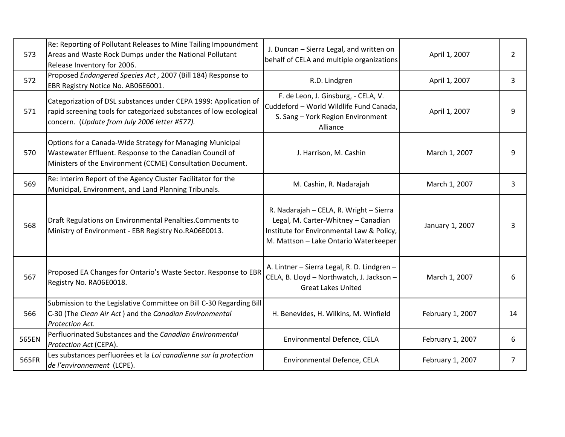| 573   | Re: Reporting of Pollutant Releases to Mine Tailing Impoundment<br>Areas and Waste Rock Dumps under the National Pollutant<br>Release Inventory for 2006.                               | J. Duncan - Sierra Legal, and written on<br>behalf of CELA and multiple organizations                                                                                | April 1, 2007    | $\overline{2}$ |
|-------|-----------------------------------------------------------------------------------------------------------------------------------------------------------------------------------------|----------------------------------------------------------------------------------------------------------------------------------------------------------------------|------------------|----------------|
| 572   | Proposed Endangered Species Act, 2007 (Bill 184) Response to<br>EBR Registry Notice No. AB06E6001.                                                                                      | R.D. Lindgren                                                                                                                                                        | April 1, 2007    | 3              |
| 571   | Categorization of DSL substances under CEPA 1999: Application of<br>rapid screening tools for categorized substances of low ecological<br>concern. (Update from July 2006 letter #577). | F. de Leon, J. Ginsburg, - CELA, V.<br>Cuddeford - World Wildlife Fund Canada,<br>S. Sang - York Region Environment<br>Alliance                                      | April 1, 2007    | q              |
| 570   | Options for a Canada-Wide Strategy for Managing Municipal<br>Wastewater Effluent. Response to the Canadian Council of<br>Ministers of the Environment (CCME) Consultation Document.     | J. Harrison, M. Cashin                                                                                                                                               | March 1, 2007    | 9              |
| 569   | Re: Interim Report of the Agency Cluster Facilitator for the<br>Municipal, Environment, and Land Planning Tribunals.                                                                    | M. Cashin, R. Nadarajah                                                                                                                                              | March 1, 2007    | 3              |
| 568   | Draft Regulations on Environmental Penalties.Comments to<br>Ministry of Environment - EBR Registry No.RA06E0013.                                                                        | R. Nadarajah - CELA, R. Wright - Sierra<br>Legal, M. Carter-Whitney - Canadian<br>Institute for Environmental Law & Policy,<br>M. Mattson - Lake Ontario Waterkeeper | January 1, 2007  | 3              |
| 567   | Proposed EA Changes for Ontario's Waste Sector. Response to EBR<br>Registry No. RA06E0018.                                                                                              | A. Lintner - Sierra Legal, R. D. Lindgren -<br>CELA, B. Lloyd - Northwatch, J. Jackson -<br><b>Great Lakes United</b>                                                | March 1, 2007    | 6              |
| 566   | Submission to the Legislative Committee on Bill C-30 Regarding Bill<br>C-30 (The Clean Air Act) and the Canadian Environmental<br>Protection Act.                                       | H. Benevides, H. Wilkins, M. Winfield                                                                                                                                | February 1, 2007 | 14             |
| 565EN | Perfluorinated Substances and the Canadian Environmental<br>Protection Act (CEPA).                                                                                                      | Environmental Defence, CELA                                                                                                                                          | February 1, 2007 | 6              |
| 565FR | Les substances perfluorées et la Loi canadienne sur la protection<br>de l'environnement (LCPE).                                                                                         | Environmental Defence, CELA                                                                                                                                          | February 1, 2007 | 7              |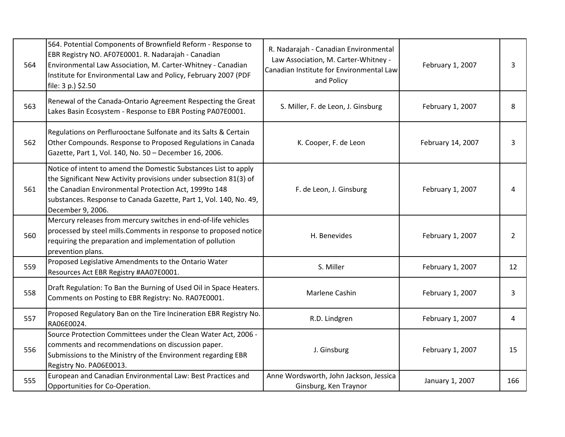| 564 | 564. Potential Components of Brownfield Reform - Response to<br>EBR Registry NO. AF07E0001. R. Nadarajah - Canadian<br>Environmental Law Association, M. Carter-Whitney - Canadian<br>Institute for Environmental Law and Policy, February 2007 (PDF<br>file: 3 p.) \$2.50              | R. Nadarajah - Canadian Environmental<br>Law Association, M. Carter-Whitney -<br>Canadian Institute for Environmental Law<br>and Policy | February 1, 2007  | 3              |
|-----|-----------------------------------------------------------------------------------------------------------------------------------------------------------------------------------------------------------------------------------------------------------------------------------------|-----------------------------------------------------------------------------------------------------------------------------------------|-------------------|----------------|
| 563 | Renewal of the Canada-Ontario Agreement Respecting the Great<br>Lakes Basin Ecosystem - Response to EBR Posting PA07E0001.                                                                                                                                                              | S. Miller, F. de Leon, J. Ginsburg                                                                                                      | February 1, 2007  | 8              |
| 562 | Regulations on Perflurooctane Sulfonate and its Salts & Certain<br>Other Compounds. Response to Proposed Regulations in Canada<br>Gazette, Part 1, Vol. 140, No. 50 - December 16, 2006.                                                                                                | K. Cooper, F. de Leon                                                                                                                   | February 14, 2007 | 3              |
| 561 | Notice of intent to amend the Domestic Substances List to apply<br>the Significant New Activity provisions under subsection 81(3) of<br>the Canadian Environmental Protection Act, 1999to 148<br>substances. Response to Canada Gazette, Part 1, Vol. 140, No. 49,<br>December 9, 2006. | F. de Leon, J. Ginsburg                                                                                                                 | February 1, 2007  | 4              |
| 560 | Mercury releases from mercury switches in end-of-life vehicles<br>processed by steel mills. Comments in response to proposed notice<br>requiring the preparation and implementation of pollution<br>prevention plans.                                                                   | H. Benevides                                                                                                                            | February 1, 2007  | $\overline{2}$ |
| 559 | Proposed Legislative Amendments to the Ontario Water<br>Resources Act EBR Registry #AA07E0001.                                                                                                                                                                                          | S. Miller                                                                                                                               | February 1, 2007  | 12             |
| 558 | Draft Regulation: To Ban the Burning of Used Oil in Space Heaters.<br>Comments on Posting to EBR Registry: No. RA07E0001.                                                                                                                                                               | Marlene Cashin                                                                                                                          | February 1, 2007  | 3              |
| 557 | Proposed Regulatory Ban on the Tire Incineration EBR Registry No.<br>RA06E0024.                                                                                                                                                                                                         | R.D. Lindgren                                                                                                                           | February 1, 2007  | 4              |
| 556 | Source Protection Committees under the Clean Water Act, 2006 -<br>comments and recommendations on discussion paper.<br>Submissions to the Ministry of the Environment regarding EBR<br>Registry No. PA06E0013.                                                                          | J. Ginsburg                                                                                                                             | February 1, 2007  | 15             |
| 555 | European and Canadian Environmental Law: Best Practices and<br>Opportunities for Co-Operation.                                                                                                                                                                                          | Anne Wordsworth, John Jackson, Jessica<br>Ginsburg, Ken Traynor                                                                         | January 1, 2007   | 166            |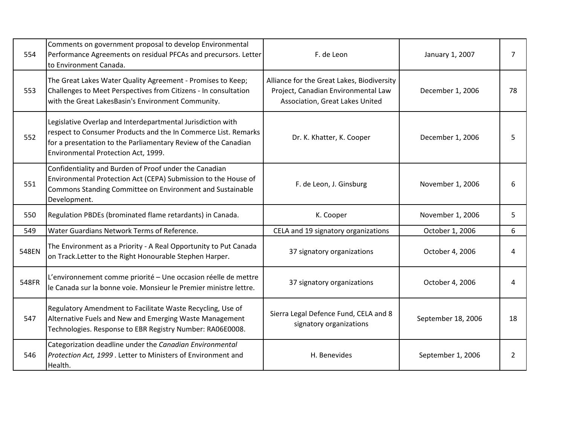| 554   | Comments on government proposal to develop Environmental<br>Performance Agreements on residual PFCAs and precursors. Letter<br>to Environment Canada.                                                                                  | F. de Leon                                                                                                           | January 1, 2007    | $\overline{7}$ |
|-------|----------------------------------------------------------------------------------------------------------------------------------------------------------------------------------------------------------------------------------------|----------------------------------------------------------------------------------------------------------------------|--------------------|----------------|
| 553   | The Great Lakes Water Quality Agreement - Promises to Keep;<br>Challenges to Meet Perspectives from Citizens - In consultation<br>with the Great LakesBasin's Environment Community.                                                   | Alliance for the Great Lakes, Biodiversity<br>Project, Canadian Environmental Law<br>Association, Great Lakes United | December 1, 2006   | 78             |
| 552   | Legislative Overlap and Interdepartmental Jurisdiction with<br>respect to Consumer Products and the In Commerce List. Remarks<br>for a presentation to the Parliamentary Review of the Canadian<br>Environmental Protection Act, 1999. | Dr. K. Khatter, K. Cooper                                                                                            | December 1, 2006   | 5              |
| 551   | Confidentiality and Burden of Proof under the Canadian<br>Environmental Protection Act (CEPA) Submission to the House of<br>Commons Standing Committee on Environment and Sustainable<br>Development.                                  | F. de Leon, J. Ginsburg                                                                                              | November 1, 2006   | 6              |
| 550   | Regulation PBDEs (brominated flame retardants) in Canada.                                                                                                                                                                              | K. Cooper                                                                                                            | November 1, 2006   | 5              |
| 549   | Water Guardians Network Terms of Reference.                                                                                                                                                                                            | CELA and 19 signatory organizations                                                                                  | October 1, 2006    | 6              |
| 548EN | The Environment as a Priority - A Real Opportunity to Put Canada<br>on Track. Letter to the Right Honourable Stephen Harper.                                                                                                           | 37 signatory organizations                                                                                           | October 4, 2006    | 4              |
| 548FR | L'environnement comme priorité - Une occasion réelle de mettre<br>le Canada sur la bonne voie. Monsieur le Premier ministre lettre.                                                                                                    | 37 signatory organizations                                                                                           | October 4, 2006    | 4              |
| 547   | Regulatory Amendment to Facilitate Waste Recycling, Use of<br>Alternative Fuels and New and Emerging Waste Management<br>Technologies. Response to EBR Registry Number: RA06E0008.                                                     | Sierra Legal Defence Fund, CELA and 8<br>signatory organizations                                                     | September 18, 2006 | 18             |
| 546   | Categorization deadline under the Canadian Environmental<br>Protection Act, 1999. Letter to Ministers of Environment and<br>Health.                                                                                                    | H. Benevides                                                                                                         | September 1, 2006  | $\overline{2}$ |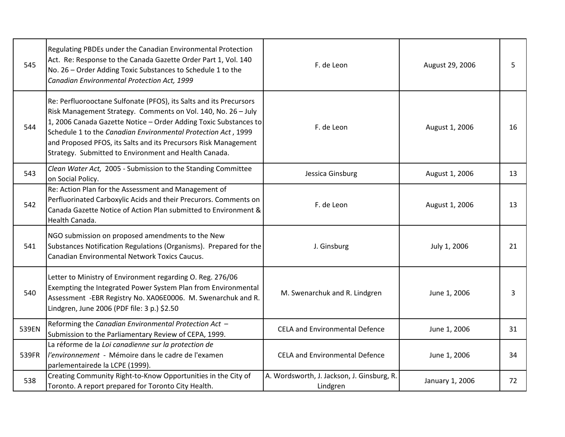| 545   | Regulating PBDEs under the Canadian Environmental Protection<br>Act. Re: Response to the Canada Gazette Order Part 1, Vol. 140<br>No. 26 - Order Adding Toxic Substances to Schedule 1 to the<br>Canadian Environmental Protection Act, 1999                                                                                                                                                         | F. de Leon                                             | August 29, 2006 | 5  |
|-------|------------------------------------------------------------------------------------------------------------------------------------------------------------------------------------------------------------------------------------------------------------------------------------------------------------------------------------------------------------------------------------------------------|--------------------------------------------------------|-----------------|----|
| 544   | Re: Perfluorooctane Sulfonate (PFOS), its Salts and its Precursors<br>Risk Management Strategy. Comments on Vol. 140, No. 26 - July<br>1, 2006 Canada Gazette Notice - Order Adding Toxic Substances to<br>Schedule 1 to the Canadian Environmental Protection Act, 1999<br>and Proposed PFOS, its Salts and its Precursors Risk Management<br>Strategy. Submitted to Environment and Health Canada. | F. de Leon                                             | August 1, 2006  | 16 |
| 543   | Clean Water Act, 2005 - Submission to the Standing Committee<br>on Social Policy.                                                                                                                                                                                                                                                                                                                    | Jessica Ginsburg                                       | August 1, 2006  | 13 |
| 542   | Re: Action Plan for the Assessment and Management of<br>Perfluorinated Carboxylic Acids and their Precurors. Comments on<br>Canada Gazette Notice of Action Plan submitted to Environment &<br>Health Canada.                                                                                                                                                                                        | F. de Leon                                             | August 1, 2006  | 13 |
| 541   | NGO submission on proposed amendments to the New<br>Substances Notification Regulations (Organisms). Prepared for the<br><b>Canadian Environmental Network Toxics Caucus.</b>                                                                                                                                                                                                                        | J. Ginsburg                                            | July 1, 2006    | 21 |
| 540   | Letter to Ministry of Environment regarding O. Reg. 276/06<br>Exempting the Integrated Power System Plan from Environmental<br>Assessment -EBR Registry No. XA06E0006. M. Swenarchuk and R.<br>Lindgren, June 2006 (PDF file: 3 p.) \$2.50                                                                                                                                                           | M. Swenarchuk and R. Lindgren                          | June 1, 2006    | 3  |
| 539EN | Reforming the Canadian Environmental Protection Act -<br>Submission to the Parliamentary Review of CEPA, 1999.                                                                                                                                                                                                                                                                                       | <b>CELA and Environmental Defence</b>                  | June 1, 2006    | 31 |
| 539FR | La réforme de la Loi canadienne sur la protection de<br>l'environnement - Mémoire dans le cadre de l'examen<br>parlementairede la LCPE (1999).                                                                                                                                                                                                                                                       | <b>CELA and Environmental Defence</b>                  | June 1, 2006    | 34 |
| 538   | Creating Community Right-to-Know Opportunities in the City of<br>Toronto. A report prepared for Toronto City Health.                                                                                                                                                                                                                                                                                 | A. Wordsworth, J. Jackson, J. Ginsburg, R.<br>Lindgren | January 1, 2006 | 72 |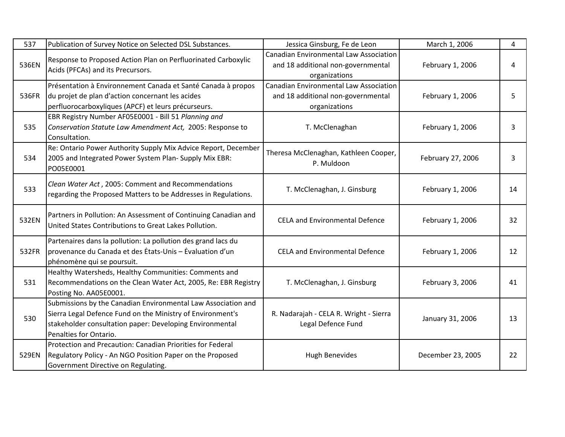| 537   | Publication of Survey Notice on Selected DSL Substances.                                                                                                                                                          | Jessica Ginsburg, Fe de Leon                                                                         | March 1, 2006     | 4  |
|-------|-------------------------------------------------------------------------------------------------------------------------------------------------------------------------------------------------------------------|------------------------------------------------------------------------------------------------------|-------------------|----|
| 536EN | Response to Proposed Action Plan on Perfluorinated Carboxylic<br>Acids (PFCAs) and its Precursors.                                                                                                                | <b>Canadian Environmental Law Association</b><br>and 18 additional non-governmental<br>organizations | February 1, 2006  | 4  |
|       | Présentation à Environnement Canada et Santé Canada à propos                                                                                                                                                      | <b>Canadian Environmental Law Association</b>                                                        |                   |    |
| 536FR | du projet de plan d'action concernant les acides<br>perfluorocarboxyliques (APCF) et leurs précurseurs.                                                                                                           | and 18 additional non-governmental<br>organizations                                                  | February 1, 2006  | 5  |
| 535   | EBR Registry Number AF05E0001 - Bill 51 Planning and<br>Conservation Statute Law Amendment Act, 2005: Response to<br>Consultation.                                                                                | T. McClenaghan                                                                                       | February 1, 2006  | 3  |
| 534   | Re: Ontario Power Authority Supply Mix Advice Report, December<br>2005 and Integrated Power System Plan- Supply Mix EBR:<br>PO05E0001                                                                             | Theresa McClenaghan, Kathleen Cooper,<br>P. Muldoon                                                  | February 27, 2006 | 3  |
| 533   | Clean Water Act, 2005: Comment and Recommendations<br>regarding the Proposed Matters to be Addresses in Regulations.                                                                                              | T. McClenaghan, J. Ginsburg                                                                          | February 1, 2006  | 14 |
| 532EN | Partners in Pollution: An Assessment of Continuing Canadian and<br>United States Contributions to Great Lakes Pollution.                                                                                          | <b>CELA and Environmental Defence</b>                                                                | February 1, 2006  | 32 |
| 532FR | Partenaires dans la pollution: La pollution des grand lacs du<br>provenance du Canada et des Etats-Unis - Evaluation d'un<br>phénomène qui se poursuit.                                                           | <b>CELA and Environmental Defence</b>                                                                | February 1, 2006  | 12 |
| 531   | Healthy Watersheds, Healthy Communities: Comments and<br>Recommendations on the Clean Water Act, 2005, Re: EBR Registry<br>Posting No. AA05E0001.                                                                 | T. McClenaghan, J. Ginsburg                                                                          | February 3, 2006  | 41 |
| 530   | Submissions by the Canadian Environmental Law Association and<br>Sierra Legal Defence Fund on the Ministry of Environment's<br>stakeholder consultation paper: Developing Environmental<br>Penalties for Ontario. | R. Nadarajah - CELA R. Wright - Sierra<br>Legal Defence Fund                                         | January 31, 2006  | 13 |
| 529EN | Protection and Precaution: Canadian Priorities for Federal<br>Regulatory Policy - An NGO Position Paper on the Proposed<br>Government Directive on Regulating.                                                    | <b>Hugh Benevides</b>                                                                                | December 23, 2005 | 22 |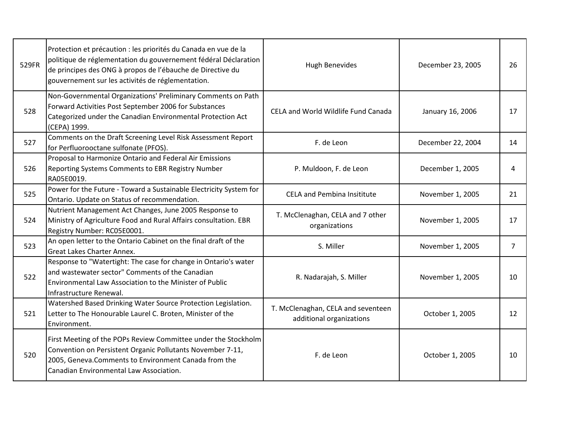| 529FR | Protection et précaution : les priorités du Canada en vue de la<br>politique de réglementation du gouvernement fédéral Déclaration<br>de principes des ONG à propos de l'ébauche de Directive du<br>gouvernement sur les activités de réglementation. | <b>Hugh Benevides</b>                                          | December 23, 2005 | 26             |
|-------|-------------------------------------------------------------------------------------------------------------------------------------------------------------------------------------------------------------------------------------------------------|----------------------------------------------------------------|-------------------|----------------|
| 528   | Non-Governmental Organizations' Preliminary Comments on Path<br>Forward Activities Post September 2006 for Substances<br>Categorized under the Canadian Environmental Protection Act<br>(CEPA) 1999.                                                  | CELA and World Wildlife Fund Canada                            | January 16, 2006  | 17             |
| 527   | Comments on the Draft Screening Level Risk Assessment Report<br>for Perfluorooctane sulfonate (PFOS).                                                                                                                                                 | F. de Leon                                                     | December 22, 2004 | 14             |
| 526   | Proposal to Harmonize Ontario and Federal Air Emissions<br>Reporting Systems Comments to EBR Registry Number<br>RA05E0019.                                                                                                                            | P. Muldoon, F. de Leon                                         | December 1, 2005  | 4              |
| 525   | Power for the Future - Toward a Sustainable Electricity System for<br>Ontario. Update on Status of recommendation.                                                                                                                                    | <b>CELA and Pembina Insititute</b>                             | November 1, 2005  | 21             |
| 524   | Nutrient Management Act Changes, June 2005 Response to<br>Ministry of Agriculture Food and Rural Affairs consultation. EBR<br>Registry Number: RC05E0001.                                                                                             | T. McClenaghan, CELA and 7 other<br>organizations              | November 1, 2005  | 17             |
| 523   | An open letter to the Ontario Cabinet on the final draft of the<br><b>Great Lakes Charter Annex.</b>                                                                                                                                                  | S. Miller                                                      | November 1, 2005  | $\overline{7}$ |
| 522   | Response to "Watertight: The case for change in Ontario's water<br>and wastewater sector" Comments of the Canadian<br>Environmental Law Association to the Minister of Public<br>Infrastructure Renewal.                                              | R. Nadarajah, S. Miller                                        | November 1, 2005  | 10             |
| 521   | Watershed Based Drinking Water Source Protection Legislation.<br>Letter to The Honourable Laurel C. Broten, Minister of the<br>Environment.                                                                                                           | T. McClenaghan, CELA and seventeen<br>additional organizations | October 1, 2005   | 12             |
| 520   | First Meeting of the POPs Review Committee under the Stockholm<br>Convention on Persistent Organic Pollutants November 7-11,<br>2005, Geneva. Comments to Environment Canada from the<br>Canadian Environmental Law Association.                      | F. de Leon                                                     | October 1, 2005   | 10             |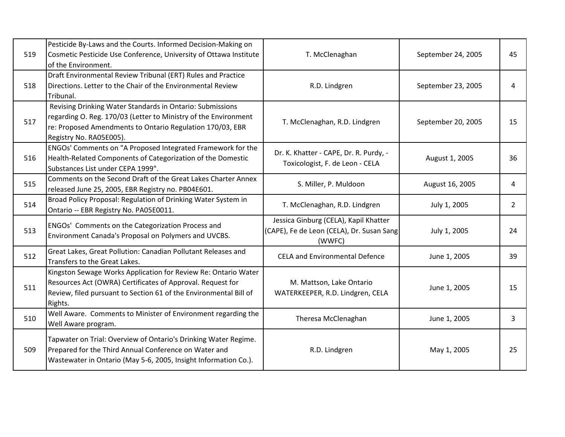| 519 | Pesticide By-Laws and the Courts. Informed Decision-Making on<br>Cosmetic Pesticide Use Conference, University of Ottawa Institute<br>of the Environment.                                                            | T. McClenaghan                                                                               | September 24, 2005 | 45             |
|-----|----------------------------------------------------------------------------------------------------------------------------------------------------------------------------------------------------------------------|----------------------------------------------------------------------------------------------|--------------------|----------------|
| 518 | Draft Environmental Review Tribunal (ERT) Rules and Practice<br>Directions. Letter to the Chair of the Environmental Review<br>Tribunal.                                                                             | R.D. Lindgren                                                                                | September 23, 2005 | 4              |
| 517 | Revising Drinking Water Standards in Ontario: Submissions<br>regarding O. Reg. 170/03 (Letter to Ministry of the Environment<br>re: Proposed Amendments to Ontario Regulation 170/03, EBR<br>Registry No. RA05E005). | T. McClenaghan, R.D. Lindgren                                                                | September 20, 2005 | 15             |
| 516 | ENGOs' Comments on "A Proposed Integrated Framework for the<br>Health-Related Components of Categorization of the Domestic<br>Substances List under CEPA 1999".                                                      | Dr. K. Khatter - CAPE, Dr. R. Purdy, -<br>Toxicologist, F. de Leon - CELA                    | August 1, 2005     | 36             |
| 515 | Comments on the Second Draft of the Great Lakes Charter Annex<br>released June 25, 2005, EBR Registry no. PB04E601.                                                                                                  | S. Miller, P. Muldoon                                                                        | August 16, 2005    | 4              |
| 514 | Broad Policy Proposal: Regulation of Drinking Water System in<br>Ontario -- EBR Registry No. PA05E0011.                                                                                                              | T. McClenaghan, R.D. Lindgren                                                                | July 1, 2005       | $\overline{2}$ |
| 513 | ENGOs' Comments on the Categorization Process and<br>Environment Canada's Proposal on Polymers and UVCBS.                                                                                                            | Jessica Ginburg (CELA), Kapil Khatter<br>(CAPE), Fe de Leon (CELA), Dr. Susan Sang<br>(WWFC) | July 1, 2005       | 24             |
| 512 | Great Lakes, Great Pollution: Canadian Pollutant Releases and<br>Transfers to the Great Lakes.                                                                                                                       | <b>CELA and Environmental Defence</b>                                                        | June 1, 2005       | 39             |
| 511 | Kingston Sewage Works Application for Review Re: Ontario Water<br>Resources Act (OWRA) Certificates of Approval. Request for<br>Review, filed pursuant to Section 61 of the Environmental Bill of<br>Rights.         | M. Mattson, Lake Ontario<br>WATERKEEPER, R.D. Lindgren, CELA                                 | June 1, 2005       | 15             |
| 510 | Well Aware. Comments to Minister of Environment regarding the<br>Well Aware program.                                                                                                                                 | Theresa McClenaghan                                                                          | June 1, 2005       | 3              |
| 509 | Tapwater on Trial: Overview of Ontario's Drinking Water Regime.<br>Prepared for the Third Annual Conference on Water and<br>Wastewater in Ontario (May 5-6, 2005, Insight Information Co.).                          | R.D. Lindgren                                                                                | May 1, 2005        | 25             |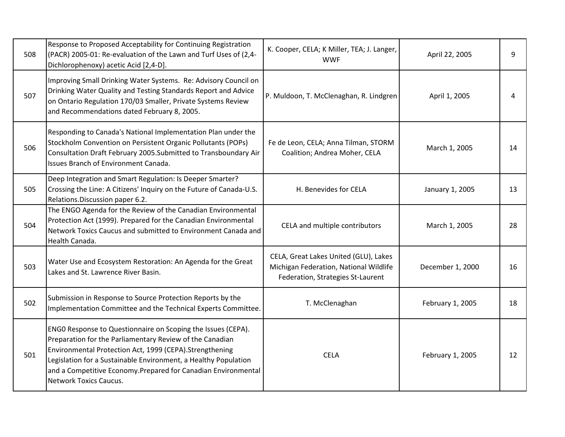| 508 | Response to Proposed Acceptability for Continuing Registration<br>(PACR) 2005-01: Re-evaluation of the Lawn and Turf Uses of (2,4-<br>Dichlorophenoxy) acetic Acid [2,4-D].                                                                                                                                                                               | K. Cooper, CELA; K Miller, TEA; J. Langer,<br><b>WWF</b>                                                             | April 22, 2005   | 9  |
|-----|-----------------------------------------------------------------------------------------------------------------------------------------------------------------------------------------------------------------------------------------------------------------------------------------------------------------------------------------------------------|----------------------------------------------------------------------------------------------------------------------|------------------|----|
| 507 | Improving Small Drinking Water Systems. Re: Advisory Council on<br>Drinking Water Quality and Testing Standards Report and Advice<br>on Ontario Regulation 170/03 Smaller, Private Systems Review<br>and Recommendations dated February 8, 2005.                                                                                                          | P. Muldoon, T. McClenaghan, R. Lindgren                                                                              | April 1, 2005    | 4  |
| 506 | Responding to Canada's National Implementation Plan under the<br>Stockholm Convention on Persistent Organic Pollutants (POPs)<br>Consultation Draft February 2005.Submitted to Transboundary Air<br>Issues Branch of Environment Canada.                                                                                                                  | Fe de Leon, CELA; Anna Tilman, STORM<br>Coalition; Andrea Moher, CELA                                                | March 1, 2005    | 14 |
| 505 | Deep Integration and Smart Regulation: Is Deeper Smarter?<br>Crossing the Line: A Citizens' Inquiry on the Future of Canada-U.S.<br>Relations.Discussion paper 6.2.                                                                                                                                                                                       | H. Benevides for CELA                                                                                                | January 1, 2005  | 13 |
| 504 | The ENGO Agenda for the Review of the Canadian Environmental<br>Protection Act (1999). Prepared for the Canadian Environmental<br>Network Toxics Caucus and submitted to Environment Canada and<br>Health Canada.                                                                                                                                         | CELA and multiple contributors                                                                                       | March 1, 2005    | 28 |
| 503 | Water Use and Ecosystem Restoration: An Agenda for the Great<br>Lakes and St. Lawrence River Basin.                                                                                                                                                                                                                                                       | CELA, Great Lakes United (GLU), Lakes<br>Michigan Federation, National Wildlife<br>Federation, Strategies St-Laurent | December 1, 2000 | 16 |
| 502 | Submission in Response to Source Protection Reports by the<br>Implementation Committee and the Technical Experts Committee.                                                                                                                                                                                                                               | T. McClenaghan                                                                                                       | February 1, 2005 | 18 |
| 501 | ENGO Response to Questionnaire on Scoping the Issues (CEPA).<br>Preparation for the Parliamentary Review of the Canadian<br>Environmental Protection Act, 1999 (CEPA).Strengthening<br>Legislation for a Sustainable Environment, a Healthy Population<br>and a Competitive Economy. Prepared for Canadian Environmental<br><b>Network Toxics Caucus.</b> | <b>CELA</b>                                                                                                          | February 1, 2005 | 12 |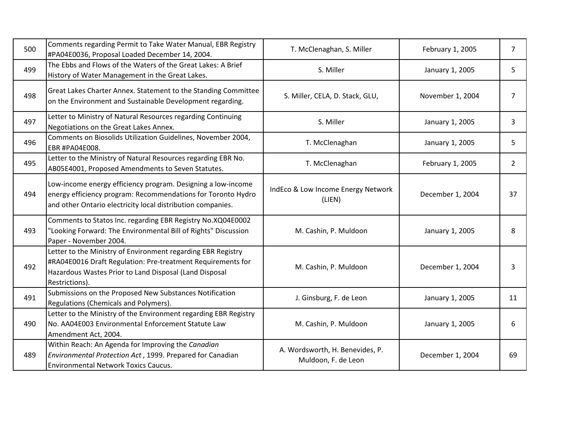| 500 | Comments regarding Permit to Take Water Manual, EBR Registry<br>#PA04E0036, Proposal Loaded December 14, 2004.                                                                                          | T. McClenaghan, S. Miller                              | February 1, 2005 | $\overline{7}$ |
|-----|---------------------------------------------------------------------------------------------------------------------------------------------------------------------------------------------------------|--------------------------------------------------------|------------------|----------------|
| 499 | The Ebbs and Flows of the Waters of the Great Lakes: A Brief<br>History of Water Management in the Great Lakes.                                                                                         | S. Miller                                              | January 1, 2005  | 5              |
| 498 | Great Lakes Charter Annex. Statement to the Standing Committee<br>on the Environment and Sustainable Development regarding.                                                                             | S. Miller, CELA, D. Stack, GLU,                        | November 1, 2004 | $\overline{7}$ |
| 497 | Letter to Ministry of Natural Resources regarding Continuing<br>Negotiations on the Great Lakes Annex.                                                                                                  | S. Miller                                              | January 1, 2005  | 3              |
| 496 | Comments on Biosolids Utilization Guidelines, November 2004,<br>EBR #PA04E008.                                                                                                                          | T. McClenaghan                                         | January 1, 2005  | 5              |
| 495 | Letter to the Ministry of Natural Resources regarding EBR No.<br>AB05E4001, Proposed Amendments to Seven Statutes.                                                                                      | T. McClenaghan                                         | February 1, 2005 | $\overline{2}$ |
| 494 | Low-income energy efficiency program. Designing a low-income<br>energy efficiency program: Recommendations for Toronto Hydro<br>and other Ontario electricity local distribution companies.             | IndEco & Low Income Energy Network<br>(LIEN)           | December 1, 2004 | 37             |
| 493 | Comments to Statos Inc. regarding EBR Registry No.XQ04E0002<br>"Looking Forward: The Environmental Bill of Rights" Discussion<br>Paper - November 2004.                                                 | M. Cashin, P. Muldoon                                  | January 1, 2005  | 8              |
| 492 | Letter to the Ministry of Environment regarding EBR Registry<br>#RA04E0016 Draft Regulation: Pre-treatment Requirements for<br>Hazardous Wastes Prior to Land Disposal (Land Disposal<br>Restrictions). | M. Cashin, P. Muldoon                                  | December 1, 2004 | 3              |
| 491 | Submissions on the Proposed New Substances Notification<br>Regulations (Chemicals and Polymers).                                                                                                        | J. Ginsburg, F. de Leon                                | January 1, 2005  | 11             |
| 490 | Letter to the Ministry of the Environment regarding EBR Registry<br>No. AA04E003 Environmental Enforcement Statute Law<br>Amendment Act, 2004.                                                          | M. Cashin, P. Muldoon                                  | January 1, 2005  | 6              |
| 489 | Within Reach: An Agenda for Improving the Canadian<br>Environmental Protection Act, 1999. Prepared for Canadian<br><b>Environmental Network Toxics Caucus.</b>                                          | A. Wordsworth, H. Benevides, P.<br>Muldoon, F. de Leon | December 1, 2004 | 69             |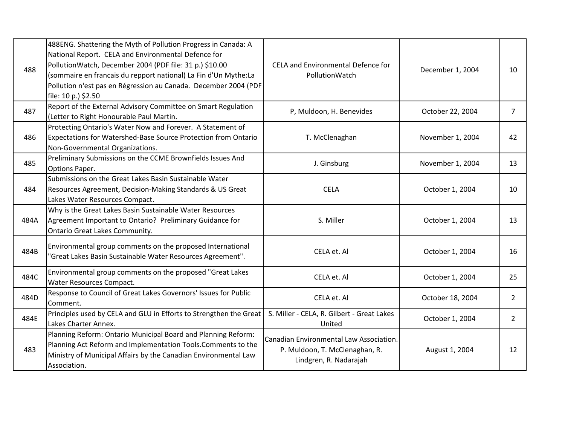| 488  | 488ENG. Shattering the Myth of Pollution Progress in Canada: A<br>National Report. CELA and Environmental Defence for<br>PollutionWatch, December 2004 (PDF file: 31 p.) \$10.00<br>(sommaire en francais du repport national) La Fin d'Un Mythe:La<br>Pollution n'est pas en Régression au Canada. December 2004 (PDF<br>file: 10 p.) \$2.50 | CELA and Environmental Defence for<br>PollutionWatch                                                | December 1, 2004 | 10             |
|------|-----------------------------------------------------------------------------------------------------------------------------------------------------------------------------------------------------------------------------------------------------------------------------------------------------------------------------------------------|-----------------------------------------------------------------------------------------------------|------------------|----------------|
| 487  | Report of the External Advisory Committee on Smart Regulation<br>(Letter to Right Honourable Paul Martin.                                                                                                                                                                                                                                     | P, Muldoon, H. Benevides                                                                            | October 22, 2004 | $\overline{7}$ |
| 486  | Protecting Ontario's Water Now and Forever. A Statement of<br>Expectations for Watershed-Base Source Protection from Ontario<br>Non-Governmental Organizations.                                                                                                                                                                               | T. McClenaghan                                                                                      | November 1, 2004 | 42             |
| 485  | Preliminary Submissions on the CCME Brownfields Issues And<br>Options Paper.                                                                                                                                                                                                                                                                  | J. Ginsburg                                                                                         | November 1, 2004 | 13             |
| 484  | Submissions on the Great Lakes Basin Sustainable Water<br>Resources Agreement, Decision-Making Standards & US Great<br>Lakes Water Resources Compact.                                                                                                                                                                                         | <b>CELA</b>                                                                                         | October 1, 2004  | 10             |
| 484A | Why is the Great Lakes Basin Sustainable Water Resources<br>Agreement Important to Ontario? Preliminary Guidance for<br><b>Ontario Great Lakes Community.</b>                                                                                                                                                                                 | S. Miller                                                                                           | October 1, 2004  | 13             |
| 484B | Environmental group comments on the proposed International<br>"Great Lakes Basin Sustainable Water Resources Agreement".                                                                                                                                                                                                                      | CELA et. Al                                                                                         | October 1, 2004  | 16             |
| 484C | Environmental group comments on the proposed "Great Lakes<br>Water Resources Compact.                                                                                                                                                                                                                                                         | CELA et. Al                                                                                         | October 1, 2004  | 25             |
| 484D | Response to Council of Great Lakes Governors' Issues for Public<br>Comment.                                                                                                                                                                                                                                                                   | CELA et. Al                                                                                         | October 18, 2004 | $\overline{2}$ |
| 484E | Principles used by CELA and GLU in Efforts to Strengthen the Great<br>Lakes Charter Annex.                                                                                                                                                                                                                                                    | S. Miller - CELA, R. Gilbert - Great Lakes<br>United                                                | October 1, 2004  | $\overline{2}$ |
| 483  | Planning Reform: Ontario Municipal Board and Planning Reform:<br>Planning Act Reform and Implementation Tools.Comments to the<br>Ministry of Municipal Affairs by the Canadian Environmental Law<br>Association.                                                                                                                              | Canadian Environmental Law Association.<br>P. Muldoon, T. McClenaghan, R.<br>Lindgren, R. Nadarajah | August 1, 2004   | 12             |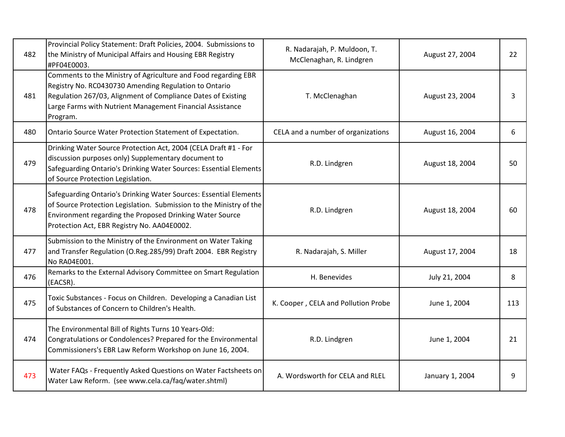| 482 | Provincial Policy Statement: Draft Policies, 2004. Submissions to<br>the Ministry of Municipal Affairs and Housing EBR Registry<br>#PF04E0003.                                                                                                                   | R. Nadarajah, P. Muldoon, T.<br>McClenaghan, R. Lindgren | August 27, 2004 | 22  |
|-----|------------------------------------------------------------------------------------------------------------------------------------------------------------------------------------------------------------------------------------------------------------------|----------------------------------------------------------|-----------------|-----|
| 481 | Comments to the Ministry of Agriculture and Food regarding EBR<br>Registry No. RC0430730 Amending Regulation to Ontario<br>Regulation 267/03, Alignment of Compliance Dates of Existing<br>Large Farms with Nutrient Management Financial Assistance<br>Program. | T. McClenaghan                                           | August 23, 2004 | 3   |
| 480 | Ontario Source Water Protection Statement of Expectation.                                                                                                                                                                                                        | CELA and a number of organizations                       | August 16, 2004 | 6   |
| 479 | Drinking Water Source Protection Act, 2004 (CELA Draft #1 - For<br>discussion purposes only) Supplementary document to<br>Safeguarding Ontario's Drinking Water Sources: Essential Elements<br>of Source Protection Legislation.                                 | R.D. Lindgren                                            | August 18, 2004 | 50  |
| 478 | Safeguarding Ontario's Drinking Water Sources: Essential Elements<br>of Source Protection Legislation. Submission to the Ministry of the<br>Environment regarding the Proposed Drinking Water Source<br>Protection Act, EBR Registry No. AA04E0002.              | R.D. Lindgren                                            | August 18, 2004 | 60  |
| 477 | Submission to the Ministry of the Environment on Water Taking<br>and Transfer Regulation (O.Reg.285/99) Draft 2004. EBR Registry<br>No RA04E001.                                                                                                                 | R. Nadarajah, S. Miller                                  | August 17, 2004 | 18  |
| 476 | Remarks to the External Advisory Committee on Smart Regulation<br>(EACSR).                                                                                                                                                                                       | H. Benevides                                             | July 21, 2004   | 8   |
| 475 | Toxic Substances - Focus on Children. Developing a Canadian List<br>of Substances of Concern to Children's Health.                                                                                                                                               | K. Cooper, CELA and Pollution Probe                      | June 1, 2004    | 113 |
| 474 | The Environmental Bill of Rights Turns 10 Years-Old:<br>Congratulations or Condolences? Prepared for the Environmental<br>Commissioners's EBR Law Reform Workshop on June 16, 2004.                                                                              | R.D. Lindgren                                            | June 1, 2004    | 21  |
| 473 | Water FAQs - Frequently Asked Questions on Water Factsheets on<br>Water Law Reform. (see www.cela.ca/faq/water.shtml)                                                                                                                                            | A. Wordsworth for CELA and RLEL                          | January 1, 2004 | 9   |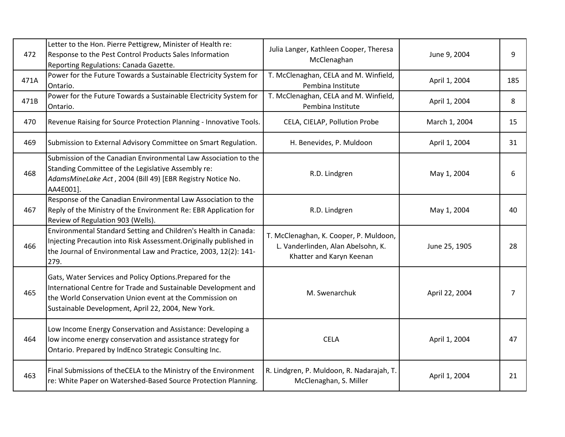| 472  | Letter to the Hon. Pierre Pettigrew, Minister of Health re:<br>Response to the Pest Control Products Sales Information<br>Reporting Regulations: Canada Gazette.                                                                             | Julia Langer, Kathleen Cooper, Theresa<br>McClenaghan                                                    | June 9, 2004   | 9   |
|------|----------------------------------------------------------------------------------------------------------------------------------------------------------------------------------------------------------------------------------------------|----------------------------------------------------------------------------------------------------------|----------------|-----|
| 471A | Power for the Future Towards a Sustainable Electricity System for<br>Ontario.                                                                                                                                                                | T. McClenaghan, CELA and M. Winfield,<br>Pembina Institute                                               | April 1, 2004  | 185 |
| 471B | Power for the Future Towards a Sustainable Electricity System for<br>Ontario.                                                                                                                                                                | T. McClenaghan, CELA and M. Winfield,<br>Pembina Institute                                               | April 1, 2004  | 8   |
| 470  | Revenue Raising for Source Protection Planning - Innovative Tools.                                                                                                                                                                           | CELA, CIELAP, Pollution Probe                                                                            | March 1, 2004  | 15  |
| 469  | Submission to External Advisory Committee on Smart Regulation.                                                                                                                                                                               | H. Benevides, P. Muldoon                                                                                 | April 1, 2004  | 31  |
| 468  | Submission of the Canadian Environmental Law Association to the<br>Standing Committee of the Legislative Assembly re:<br>AdamsMineLake Act, 2004 (Bill 49) [EBR Registry Notice No.<br>AA4E001].                                             | R.D. Lindgren                                                                                            | May 1, 2004    | 6   |
| 467  | Response of the Canadian Environmental Law Association to the<br>Reply of the Ministry of the Environment Re: EBR Application for<br>Review of Regulation 903 (Wells).                                                                       | R.D. Lindgren                                                                                            | May 1, 2004    | 40  |
| 466  | Environmental Standard Setting and Children's Health in Canada:<br>Injecting Precaution into Risk Assessment. Originally published in<br>the Journal of Environmental Law and Practice, 2003, 12(2): 141-<br>279.                            | T. McClenaghan, K. Cooper, P. Muldoon,<br>L. Vanderlinden, Alan Abelsohn, K.<br>Khatter and Karyn Keenan | June 25, 1905  | 28  |
| 465  | Gats, Water Services and Policy Options. Prepared for the<br>International Centre for Trade and Sustainable Development and<br>the World Conservation Union event at the Commission on<br>Sustainable Development, April 22, 2004, New York. | M. Swenarchuk                                                                                            | April 22, 2004 | 7   |
| 464  | Low Income Energy Conservation and Assistance: Developing a<br>low income energy conservation and assistance strategy for<br>Ontario. Prepared by IndEnco Strategic Consulting Inc.                                                          | <b>CELA</b>                                                                                              | April 1, 2004  | 47  |
| 463  | Final Submissions of theCELA to the Ministry of the Environment<br>re: White Paper on Watershed-Based Source Protection Planning.                                                                                                            | R. Lindgren, P. Muldoon, R. Nadarajah, T.<br>McClenaghan, S. Miller                                      | April 1, 2004  | 21  |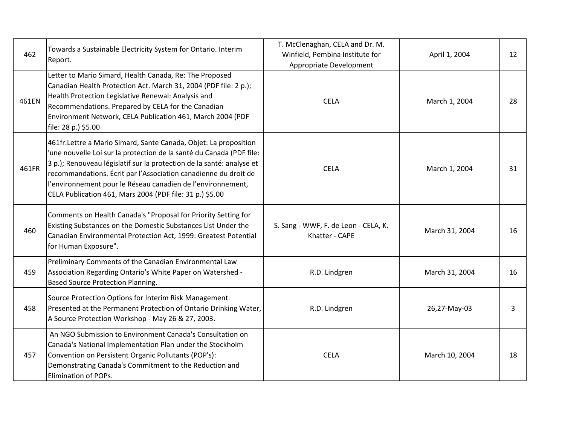| 462   | Towards a Sustainable Electricity System for Ontario. Interim<br>Report.                                                                                                                                                                                                                                                                                                                                         | T. McClenaghan, CELA and Dr. M.<br>Winfield, Pembina Institute for<br>Appropriate Development | April 1, 2004  | 12 |
|-------|------------------------------------------------------------------------------------------------------------------------------------------------------------------------------------------------------------------------------------------------------------------------------------------------------------------------------------------------------------------------------------------------------------------|-----------------------------------------------------------------------------------------------|----------------|----|
| 461EN | Letter to Mario Simard, Health Canada, Re: The Proposed<br>Canadian Health Protection Act. March 31, 2004 (PDF file: 2 p.);<br>Health Protection Legislative Renewal: Analysis and<br>Recommendations. Prepared by CELA for the Canadian<br>Environment Network, CELA Publication 461, March 2004 (PDF<br>file: 28 p.) \$5.00                                                                                    | <b>CELA</b>                                                                                   | March 1, 2004  | 28 |
| 461FR | 461fr. Lettre a Mario Simard, Sante Canada, Objet: La proposition<br>'une nouvelle Loi sur la protection de la santé du Canada (PDF file:<br>3 p.); Renouveau législatif sur la protection de la santé: analyse et<br>recommandations. Écrit par l'Association canadienne du droit de<br>l'environnement pour le Réseau canadien de l'environnement,<br>CELA Publication 461, Mars 2004 (PDF file: 31 p.) \$5.00 | <b>CELA</b>                                                                                   | March 1, 2004  | 31 |
| 460   | Comments on Health Canada's "Proposal for Priority Setting for<br>Existing Substances on the Domestic Substances List Under the<br>Canadian Environmental Protection Act, 1999: Greatest Potential<br>for Human Exposure".                                                                                                                                                                                       | S. Sang - WWF, F. de Leon - CELA, K.<br>Khatter - CAPE                                        | March 31, 2004 | 16 |
| 459   | Preliminary Comments of the Canadian Environmental Law<br>Association Regarding Ontario's White Paper on Watershed -<br><b>Based Source Protection Planning.</b>                                                                                                                                                                                                                                                 | R.D. Lindgren                                                                                 | March 31, 2004 | 16 |
| 458   | Source Protection Options for Interim Risk Management.<br>Presented at the Permanent Protection of Ontario Drinking Water,<br>A Source Protection Workshop - May 26 & 27, 2003.                                                                                                                                                                                                                                  | R.D. Lindgren                                                                                 | 26,27-May-03   | 3  |
| 457   | An NGO Submission to Environment Canada's Consultation on<br>Canada's National Implementation Plan under the Stockholm<br>Convention on Persistent Organic Pollutants (POP's):<br>Demonstrating Canada's Commitment to the Reduction and<br>Elimination of POPs.                                                                                                                                                 | <b>CELA</b>                                                                                   | March 10, 2004 | 18 |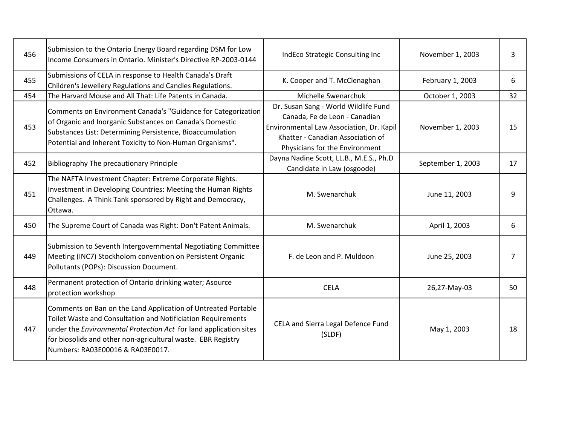| 456 | Submission to the Ontario Energy Board regarding DSM for Low<br>Income Consumers in Ontario. Minister's Directive RP-2003-0144                                                                                                                                                                         | IndEco Strategic Consulting Inc                                                                                                                                                          | November 1, 2003  | 3              |
|-----|--------------------------------------------------------------------------------------------------------------------------------------------------------------------------------------------------------------------------------------------------------------------------------------------------------|------------------------------------------------------------------------------------------------------------------------------------------------------------------------------------------|-------------------|----------------|
| 455 | Submissions of CELA in response to Health Canada's Draft<br>Children's Jewellery Regulations and Candles Regulations.                                                                                                                                                                                  | K. Cooper and T. McClenaghan                                                                                                                                                             | February 1, 2003  | 6              |
| 454 | The Harvard Mouse and All That: Life Patents in Canada.                                                                                                                                                                                                                                                | Michelle Swenarchuk                                                                                                                                                                      | October 1, 2003   | 32             |
| 453 | Comments on Environment Canada's "Guidance for Categorization<br>of Organic and Inorganic Substances on Canada's Domestic<br>Substances List: Determining Persistence, Bioaccumulation<br>Potential and Inherent Toxicity to Non-Human Organisms".                                                     | Dr. Susan Sang - World Wildlife Fund<br>Canada, Fe de Leon - Canadian<br>Environmental Law Association, Dr. Kapil<br>Khatter - Canadian Association of<br>Physicians for the Environment | November 1, 2003  | 15             |
| 452 | <b>Bibliography The precautionary Principle</b>                                                                                                                                                                                                                                                        | Dayna Nadine Scott, LL.B., M.E.S., Ph.D<br>Candidate in Law (osgoode)                                                                                                                    | September 1, 2003 | 17             |
| 451 | The NAFTA Investment Chapter: Extreme Corporate Rights.<br>Investment in Developing Countries: Meeting the Human Rights<br>Challenges. A Think Tank sponsored by Right and Democracy,<br>Ottawa.                                                                                                       | M. Swenarchuk                                                                                                                                                                            | June 11, 2003     | 9              |
| 450 | The Supreme Court of Canada was Right: Don't Patent Animals.                                                                                                                                                                                                                                           | M. Swenarchuk                                                                                                                                                                            | April 1, 2003     | 6              |
| 449 | Submission to Seventh Intergovernmental Negotiating Committee<br>Meeting (INC7) Stockholom convention on Persistent Organic<br>Pollutants (POPs): Discussion Document.                                                                                                                                 | F. de Leon and P. Muldoon                                                                                                                                                                | June 25, 2003     | $\overline{7}$ |
| 448 | Permanent protection of Ontario drinking water; Asource<br>protection workshop                                                                                                                                                                                                                         | <b>CELA</b>                                                                                                                                                                              | 26,27-May-03      | 50             |
| 447 | Comments on Ban on the Land Application of Untreated Portable<br>Toilet Waste and Consultation and Notificiation Requirements<br>under the Environmental Protection Act for land application sites<br>for biosolids and other non-agricultural waste. EBR Registry<br>Numbers: RA03E00016 & RA03E0017. | CELA and Sierra Legal Defence Fund<br>(SLDF)                                                                                                                                             | May 1, 2003       | 18             |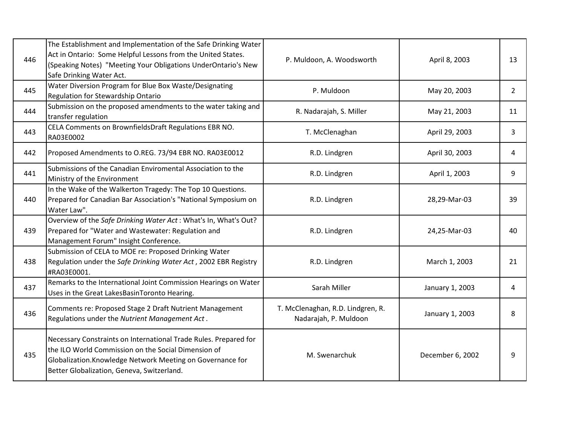| 446 | The Establishment and Implementation of the Safe Drinking Water<br>Act in Ontario: Some Helpful Lessons from the United States.<br>(Speaking Notes) "Meeting Your Obligations UnderOntario's New<br>Safe Drinking Water Act.        | P. Muldoon, A. Woodsworth                                  | April 8, 2003    | 13             |
|-----|-------------------------------------------------------------------------------------------------------------------------------------------------------------------------------------------------------------------------------------|------------------------------------------------------------|------------------|----------------|
| 445 | Water Diversion Program for Blue Box Waste/Designating<br>Regulation for Stewardship Ontario                                                                                                                                        | P. Muldoon                                                 | May 20, 2003     | $\overline{2}$ |
| 444 | Submission on the proposed amendments to the water taking and<br>transfer regulation                                                                                                                                                | R. Nadarajah, S. Miller                                    | May 21, 2003     | 11             |
| 443 | CELA Comments on BrownfieldsDraft Regulations EBR NO.<br>RA03E0002                                                                                                                                                                  | T. McClenaghan                                             | April 29, 2003   | 3              |
| 442 | Proposed Amendments to O.REG. 73/94 EBR NO. RA03E0012                                                                                                                                                                               | R.D. Lindgren                                              | April 30, 2003   | 4              |
| 441 | Submissions of the Canadian Enviromental Association to the<br>Ministry of the Environment                                                                                                                                          | R.D. Lindgren                                              | April 1, 2003    | 9              |
| 440 | In the Wake of the Walkerton Tragedy: The Top 10 Questions.<br>Prepared for Canadian Bar Association's "National Symposium on<br>Water Law".                                                                                        | R.D. Lindgren                                              | 28,29-Mar-03     | 39             |
| 439 | Overview of the Safe Drinking Water Act: What's In, What's Out?<br>Prepared for "Water and Wastewater: Regulation and<br>Management Forum" Insight Conference.                                                                      | R.D. Lindgren                                              | 24,25-Mar-03     | 40             |
| 438 | Submission of CELA to MOE re: Proposed Drinking Water<br>Regulation under the Safe Drinking Water Act, 2002 EBR Registry<br>#RA03E0001.                                                                                             | R.D. Lindgren                                              | March 1, 2003    | 21             |
| 437 | Remarks to the International Joint Commission Hearings on Water<br>Uses in the Great LakesBasinToronto Hearing.                                                                                                                     | Sarah Miller                                               | January 1, 2003  | 4              |
| 436 | Comments re: Proposed Stage 2 Draft Nutrient Management<br>Regulations under the Nutrient Management Act.                                                                                                                           | T. McClenaghan, R.D. Lindgren, R.<br>Nadarajah, P. Muldoon | January 1, 2003  | 8              |
| 435 | Necessary Constraints on International Trade Rules. Prepared for<br>the ILO World Commission on the Social Dimension of<br>Globalization. Knowledge Network Meeting on Governance for<br>Better Globalization, Geneva, Switzerland. | M. Swenarchuk                                              | December 6, 2002 | 9              |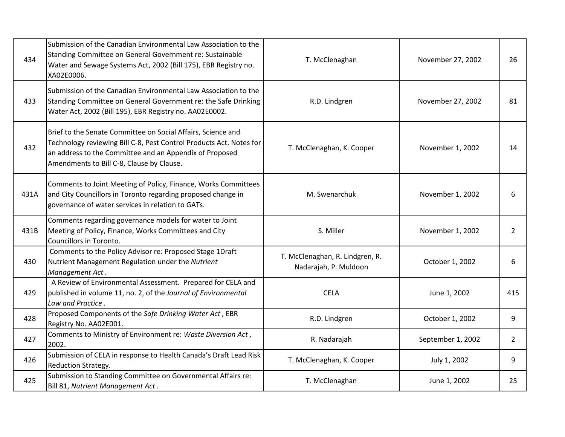| 434  | Submission of the Canadian Environmental Law Association to the<br>Standing Committee on General Government re: Sustainable<br>Water and Sewage Systems Act, 2002 (Bill 175), EBR Registry no.<br>XA02E0006.                                | T. McClenaghan                                           | November 27, 2002 | 26             |
|------|---------------------------------------------------------------------------------------------------------------------------------------------------------------------------------------------------------------------------------------------|----------------------------------------------------------|-------------------|----------------|
| 433  | Submission of the Canadian Environmental Law Association to the<br>Standing Committee on General Government re: the Safe Drinking<br>Water Act, 2002 (Bill 195), EBR Registry no. AA02E0002.                                                | R.D. Lindgren                                            | November 27, 2002 | 81             |
| 432  | Brief to the Senate Committee on Social Affairs, Science and<br>Technology reviewing Bill C-8, Pest Control Products Act. Notes for<br>an address to the Committee and an Appendix of Proposed<br>Amendments to Bill C-8, Clause by Clause. | T. McClenaghan, K. Cooper                                | November 1, 2002  | 14             |
| 431A | Comments to Joint Meeting of Policy, Finance, Works Committees<br>and City Councillors in Toronto regarding proposed change in<br>governance of water services in relation to GATs.                                                         | M. Swenarchuk                                            | November 1, 2002  | 6              |
| 431B | Comments regarding governance models for water to Joint<br>Meeting of Policy, Finance, Works Committees and City<br>Councillors in Toronto.                                                                                                 | S. Miller                                                | November 1, 2002  | $\overline{2}$ |
| 430  | Comments to the Policy Advisor re: Proposed Stage 1Draft<br>Nutrient Management Regulation under the Nutrient<br>Management Act.                                                                                                            | T. McClenaghan, R. Lindgren, R.<br>Nadarajah, P. Muldoon | October 1, 2002   | 6              |
| 429  | A Review of Environmental Assessment. Prepared for CELA and<br>published in volume 11, no. 2, of the Journal of Environmental<br>Law and Practice.                                                                                          | <b>CELA</b>                                              | June 1, 2002      | 415            |
| 428  | Proposed Components of the Safe Drinking Water Act, EBR<br>Registry No. AA02E001.                                                                                                                                                           | R.D. Lindgren                                            | October 1, 2002   | 9              |
| 427  | Comments to Ministry of Environment re: Waste Diversion Act,<br>2002.                                                                                                                                                                       | R. Nadarajah                                             | September 1, 2002 | $\overline{2}$ |
| 426  | Submission of CELA in response to Health Canada's Draft Lead Risk<br>Reduction Strategy.                                                                                                                                                    | T. McClenaghan, K. Cooper                                | July 1, 2002      | 9              |
| 425  | Submission to Standing Committee on Governmental Affairs re:<br>Bill 81, Nutrient Management Act.                                                                                                                                           | T. McClenaghan                                           | June 1, 2002      | 25             |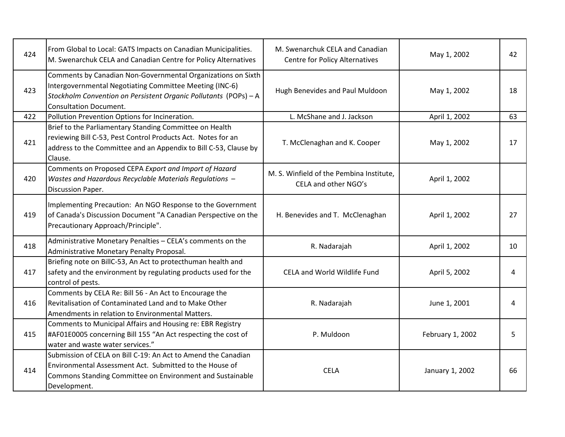| 424 | From Global to Local: GATS Impacts on Canadian Municipalities.<br>M. Swenarchuk CELA and Canadian Centre for Policy Alternatives                                                                                             | M. Swenarchuk CELA and Canadian<br><b>Centre for Policy Alternatives</b> | May 1, 2002      | 42 |
|-----|------------------------------------------------------------------------------------------------------------------------------------------------------------------------------------------------------------------------------|--------------------------------------------------------------------------|------------------|----|
| 423 | Comments by Canadian Non-Governmental Organizations on Sixth<br>Intergovernmental Negotiating Committee Meeting (INC-6)<br>Stockholm Convention on Persistent Organic Pollutants (POPs) - A<br><b>Consultation Document.</b> | Hugh Benevides and Paul Muldoon                                          | May 1, 2002      | 18 |
| 422 | Pollution Prevention Options for Incineration.                                                                                                                                                                               | L. McShane and J. Jackson                                                | April 1, 2002    | 63 |
| 421 | Brief to the Parliamentary Standing Committee on Health<br>reviewing Bill C-53, Pest Control Products Act. Notes for an<br>address to the Committee and an Appendix to Bill C-53, Clause by<br>Clause.                       | T. McClenaghan and K. Cooper                                             | May 1, 2002      | 17 |
| 420 | Comments on Proposed CEPA Export and Import of Hazard<br>Wastes and Hazardous Recyclable Materials Regulations -<br>Discussion Paper.                                                                                        | M. S. Winfield of the Pembina Institute,<br>CELA and other NGO's         | April 1, 2002    |    |
| 419 | Implementing Precaution: An NGO Response to the Government<br>of Canada's Discussion Document "A Canadian Perspective on the<br>Precautionary Approach/Principle".                                                           | H. Benevides and T. McClenaghan                                          | April 1, 2002    | 27 |
| 418 | Administrative Monetary Penalties - CELA's comments on the<br>Administrative Monetary Penalty Proposal.                                                                                                                      | R. Nadarajah                                                             | April 1, 2002    | 10 |
| 417 | Briefing note on BillC-53, An Act to protecthuman health and<br>safety and the environment by regulating products used for the<br>control of pests.                                                                          | <b>CELA and World Wildlife Fund</b>                                      | April 5, 2002    | 4  |
| 416 | Comments by CELA Re: Bill 56 - An Act to Encourage the<br>Revitalisation of Contaminated Land and to Make Other<br>Amendments in relation to Environmental Matters.                                                          | R. Nadarajah                                                             | June 1, 2001     | 4  |
| 415 | Comments to Municipal Affairs and Housing re: EBR Registry<br>#AF01E0005 concerning Bill 155 "An Act respecting the cost of<br>water and waste water services."                                                              | P. Muldoon                                                               | February 1, 2002 | 5  |
| 414 | Submission of CELA on Bill C-19: An Act to Amend the Canadian<br>Environmental Assessment Act. Submitted to the House of<br>Commons Standing Committee on Environment and Sustainable<br>Development.                        | <b>CELA</b>                                                              | January 1, 2002  | 66 |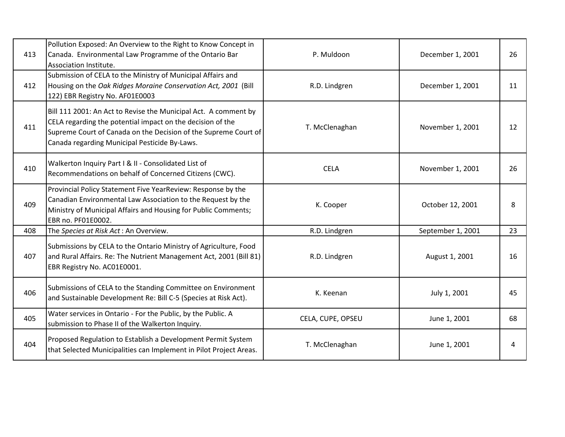| 413 | Pollution Exposed: An Overview to the Right to Know Concept in<br>Canada. Environmental Law Programme of the Ontario Bar<br>Association Institute.                                                                                                | P. Muldoon        | December 1, 2001  | 26 |
|-----|---------------------------------------------------------------------------------------------------------------------------------------------------------------------------------------------------------------------------------------------------|-------------------|-------------------|----|
| 412 | Submission of CELA to the Ministry of Municipal Affairs and<br>Housing on the Oak Ridges Moraine Conservation Act, 2001 (Bill<br>122) EBR Registry No. AF01E0003                                                                                  | R.D. Lindgren     | December 1, 2001  | 11 |
| 411 | Bill 111 2001: An Act to Revise the Municipal Act. A comment by<br>CELA regarding the potential impact on the decision of the<br>Supreme Court of Canada on the Decision of the Supreme Court of<br>Canada regarding Municipal Pesticide By-Laws. | T. McClenaghan    | November 1, 2001  | 12 |
| 410 | Walkerton Inquiry Part I & II - Consolidated List of<br>Recommendations on behalf of Concerned Citizens (CWC).                                                                                                                                    | <b>CELA</b>       | November 1, 2001  | 26 |
| 409 | Provincial Policy Statement Five YearReview: Response by the<br>Canadian Environmental Law Association to the Request by the<br>Ministry of Municipal Affairs and Housing for Public Comments;<br>EBR no. PF01E0002.                              | K. Cooper         | October 12, 2001  | 8  |
| 408 | The Species at Risk Act: An Overview.                                                                                                                                                                                                             | R.D. Lindgren     | September 1, 2001 | 23 |
| 407 | Submissions by CELA to the Ontario Ministry of Agriculture, Food<br>and Rural Affairs. Re: The Nutrient Management Act, 2001 (Bill 81)<br>EBR Registry No. AC01E0001.                                                                             | R.D. Lindgren     | August 1, 2001    | 16 |
| 406 | Submissions of CELA to the Standing Committee on Environment<br>and Sustainable Development Re: Bill C-5 (Species at Risk Act).                                                                                                                   | K. Keenan         | July 1, 2001      | 45 |
| 405 | Water services in Ontario - For the Public, by the Public. A<br>submission to Phase II of the Walkerton Inquiry.                                                                                                                                  | CELA, CUPE, OPSEU | June 1, 2001      | 68 |
| 404 | Proposed Regulation to Establish a Development Permit System<br>that Selected Municipalities can Implement in Pilot Project Areas.                                                                                                                | T. McClenaghan    | June 1, 2001      | 4  |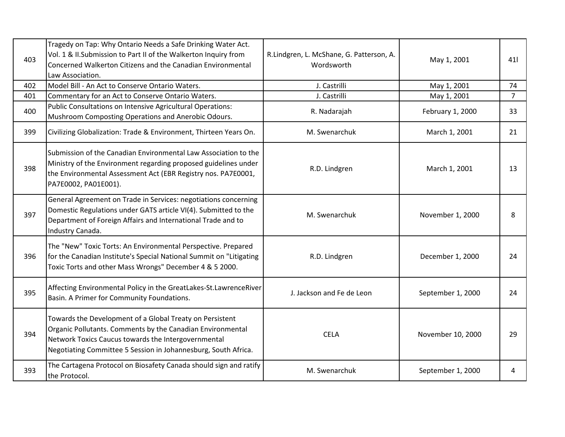| 403 | Tragedy on Tap: Why Ontario Needs a Safe Drinking Water Act.<br>Vol. 1 & II.Submission to Part II of the Walkerton Inquiry from<br>Concerned Walkerton Citizens and the Canadian Environmental<br>Law Association.                              | R.Lindgren, L. McShane, G. Patterson, A.<br>Wordsworth | May 1, 2001       | 41             |
|-----|-------------------------------------------------------------------------------------------------------------------------------------------------------------------------------------------------------------------------------------------------|--------------------------------------------------------|-------------------|----------------|
| 402 | Model Bill - An Act to Conserve Ontario Waters.                                                                                                                                                                                                 | J. Castrilli                                           | May 1, 2001       | 74             |
| 401 | Commentary for an Act to Conserve Ontario Waters.                                                                                                                                                                                               | J. Castrilli                                           | May 1, 2001       | $\overline{7}$ |
| 400 | Public Consultations on Intensive Agricultural Operations:<br>Mushroom Composting Operations and Anerobic Odours.                                                                                                                               | R. Nadarajah                                           | February 1, 2000  | 33             |
| 399 | Civilizing Globalization: Trade & Environment, Thirteen Years On.                                                                                                                                                                               | M. Swenarchuk                                          | March 1, 2001     | 21             |
| 398 | Submission of the Canadian Environmental Law Association to the<br>Ministry of the Environment regarding proposed guidelines under<br>the Environmental Assessment Act (EBR Registry nos. PA7E0001,<br>PA7E0002, PA01E001).                     | R.D. Lindgren                                          | March 1, 2001     | 13             |
| 397 | General Agreement on Trade in Services: negotiations concerning<br>Domestic Regulations under GATS article VI(4). Submitted to the<br>Department of Foreign Affairs and International Trade and to<br>Industry Canada.                          | M. Swenarchuk                                          | November 1, 2000  | 8              |
| 396 | The "New" Toxic Torts: An Environmental Perspective. Prepared<br>for the Canadian Institute's Special National Summit on "Litigating<br>Toxic Torts and other Mass Wrongs" December 4 & 5 2000.                                                 | R.D. Lindgren                                          | December 1, 2000  | 24             |
| 395 | Affecting Environmental Policy in the GreatLakes-St.LawrenceRiver<br>Basin. A Primer for Community Foundations.                                                                                                                                 | J. Jackson and Fe de Leon                              | September 1, 2000 | 24             |
| 394 | Towards the Development of a Global Treaty on Persistent<br>Organic Pollutants. Comments by the Canadian Environmental<br>Network Toxics Caucus towards the Intergovernmental<br>Negotiating Committee 5 Session in Johannesburg, South Africa. | <b>CELA</b>                                            | November 10, 2000 | 29             |
| 393 | The Cartagena Protocol on Biosafety Canada should sign and ratify<br>the Protocol.                                                                                                                                                              | M. Swenarchuk                                          | September 1, 2000 | 4              |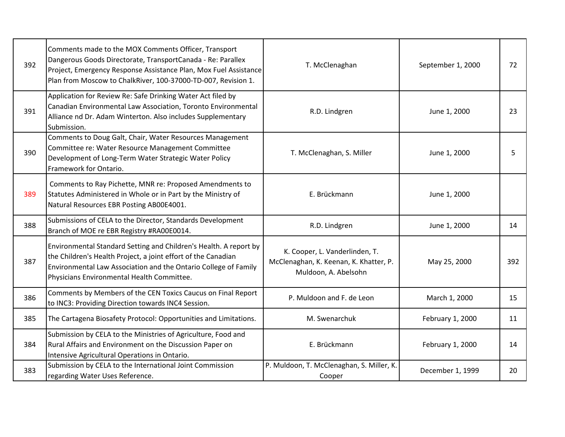| 392 | Comments made to the MOX Comments Officer, Transport<br>Dangerous Goods Directorate, TransportCanada - Re: Parallex<br>Project, Emergency Response Assistance Plan, Mox Fuel Assistance<br>Plan from Moscow to ChalkRiver, 100-37000-TD-007, Revision 1. | T. McClenaghan                                                                                   | September 1, 2000 | 72  |
|-----|----------------------------------------------------------------------------------------------------------------------------------------------------------------------------------------------------------------------------------------------------------|--------------------------------------------------------------------------------------------------|-------------------|-----|
| 391 | Application for Review Re: Safe Drinking Water Act filed by<br>Canadian Environmental Law Association, Toronto Environmental<br>Alliance nd Dr. Adam Winterton. Also includes Supplementary<br>Submission.                                               | R.D. Lindgren                                                                                    | June 1, 2000      | 23  |
| 390 | Comments to Doug Galt, Chair, Water Resources Management<br>Committee re: Water Resource Management Committee<br>Development of Long-Term Water Strategic Water Policy<br>Framework for Ontario.                                                         | T. McClenaghan, S. Miller                                                                        | June 1, 2000      | 5   |
| 389 | Comments to Ray Pichette, MNR re: Proposed Amendments to<br>Statutes Administered in Whole or in Part by the Ministry of<br>Natural Resources EBR Posting AB00E4001.                                                                                     | E. Brückmann                                                                                     | June 1, 2000      |     |
| 388 | Submissions of CELA to the Director, Standards Development<br>Branch of MOE re EBR Registry #RA00E0014.                                                                                                                                                  | R.D. Lindgren                                                                                    | June 1, 2000      | 14  |
| 387 | Environmental Standard Setting and Children's Health. A report by<br>the Children's Health Project, a joint effort of the Canadian<br>Environmental Law Association and the Ontario College of Family<br>Physicians Environmental Health Committee.      | K. Cooper, L. Vanderlinden, T.<br>McClenaghan, K. Keenan, K. Khatter, P.<br>Muldoon, A. Abelsohn | May 25, 2000      | 392 |
| 386 | Comments by Members of the CEN Toxics Caucus on Final Report<br>to INC3: Providing Direction towards INC4 Session.                                                                                                                                       | P. Muldoon and F. de Leon                                                                        | March 1, 2000     | 15  |
| 385 | The Cartagena Biosafety Protocol: Opportunities and Limitations.                                                                                                                                                                                         | M. Swenarchuk                                                                                    | February 1, 2000  | 11  |
| 384 | Submission by CELA to the Ministries of Agriculture, Food and<br>Rural Affairs and Environment on the Discussion Paper on<br>Intensive Agricultural Operations in Ontario.                                                                               | E. Brückmann                                                                                     | February 1, 2000  | 14  |
| 383 | Submission by CELA to the International Joint Commission<br>regarding Water Uses Reference.                                                                                                                                                              | P. Muldoon, T. McClenaghan, S. Miller, K.<br>Cooper                                              | December 1, 1999  | 20  |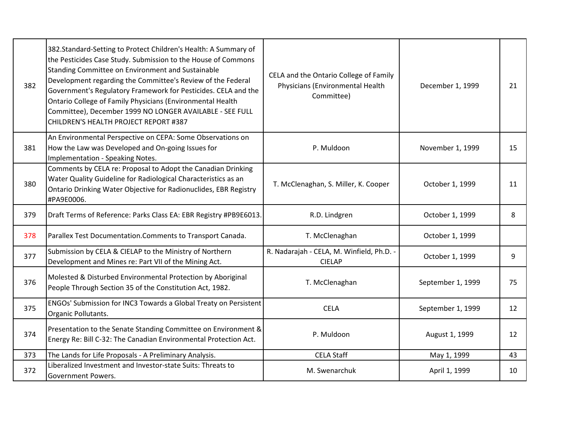| 382 | 382.Standard-Setting to Protect Children's Health: A Summary of<br>the Pesticides Case Study. Submission to the House of Commons<br>Standing Committee on Environment and Sustainable<br>Development regarding the Committee's Review of the Federal<br>Government's Regulatory Framework for Pesticides. CELA and the<br>Ontario College of Family Physicians (Environmental Health<br>Committee), December 1999 NO LONGER AVAILABLE - SEE FULL<br>CHILDREN'S HEALTH PROJECT REPORT #387 | CELA and the Ontario College of Family<br>Physicians (Environmental Health<br>Committee) | December 1, 1999  | 21 |
|-----|-------------------------------------------------------------------------------------------------------------------------------------------------------------------------------------------------------------------------------------------------------------------------------------------------------------------------------------------------------------------------------------------------------------------------------------------------------------------------------------------|------------------------------------------------------------------------------------------|-------------------|----|
| 381 | An Environmental Perspective on CEPA: Some Observations on<br>How the Law was Developed and On-going Issues for<br>Implementation - Speaking Notes.                                                                                                                                                                                                                                                                                                                                       | P. Muldoon                                                                               | November 1, 1999  | 15 |
| 380 | Comments by CELA re: Proposal to Adopt the Canadian Drinking<br>Water Quality Guideline for Radiological Characteristics as an<br>Ontario Drinking Water Objective for Radionuclides, EBR Registry<br>#PA9E0006.                                                                                                                                                                                                                                                                          | T. McClenaghan, S. Miller, K. Cooper                                                     | October 1, 1999   | 11 |
| 379 | Draft Terms of Reference: Parks Class EA: EBR Registry #PB9E6013.                                                                                                                                                                                                                                                                                                                                                                                                                         | R.D. Lindgren                                                                            | October 1, 1999   | 8  |
| 378 | Parallex Test Documentation. Comments to Transport Canada.                                                                                                                                                                                                                                                                                                                                                                                                                                | T. McClenaghan                                                                           | October 1, 1999   |    |
| 377 | Submission by CELA & CIELAP to the Ministry of Northern<br>Development and Mines re: Part VII of the Mining Act.                                                                                                                                                                                                                                                                                                                                                                          | R. Nadarajah - CELA, M. Winfield, Ph.D. -<br><b>CIELAP</b>                               | October 1, 1999   | 9  |
| 376 | Molested & Disturbed Environmental Protection by Aboriginal<br>People Through Section 35 of the Constitution Act, 1982.                                                                                                                                                                                                                                                                                                                                                                   | T. McClenaghan                                                                           | September 1, 1999 | 75 |
| 375 | ENGOs' Submission for INC3 Towards a Global Treaty on Persistent<br>Organic Pollutants.                                                                                                                                                                                                                                                                                                                                                                                                   | <b>CELA</b>                                                                              | September 1, 1999 | 12 |
| 374 | Presentation to the Senate Standing Committee on Environment &<br>Energy Re: Bill C-32: The Canadian Environmental Protection Act.                                                                                                                                                                                                                                                                                                                                                        | P. Muldoon                                                                               | August 1, 1999    | 12 |
| 373 | The Lands for Life Proposals - A Preliminary Analysis.                                                                                                                                                                                                                                                                                                                                                                                                                                    | <b>CELA Staff</b>                                                                        | May 1, 1999       | 43 |
| 372 | Liberalized Investment and Investor-state Suits: Threats to<br><b>Government Powers.</b>                                                                                                                                                                                                                                                                                                                                                                                                  | M. Swenarchuk                                                                            | April 1, 1999     | 10 |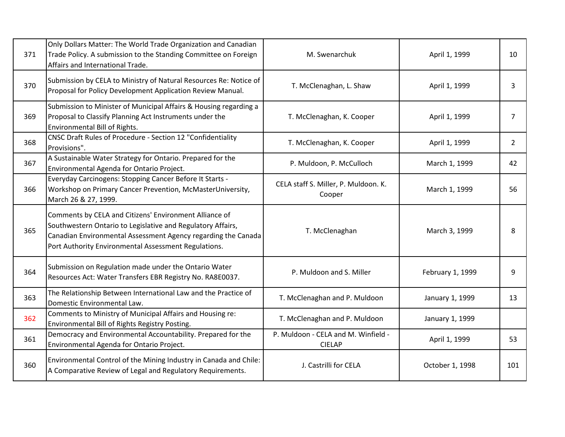| 371 | Only Dollars Matter: The World Trade Organization and Canadian<br>Trade Policy. A submission to the Standing Committee on Foreign<br>Affairs and International Trade.                                                                          | M. Swenarchuk                                        | April 1, 1999    | 10             |
|-----|------------------------------------------------------------------------------------------------------------------------------------------------------------------------------------------------------------------------------------------------|------------------------------------------------------|------------------|----------------|
| 370 | Submission by CELA to Ministry of Natural Resources Re: Notice of<br>Proposal for Policy Development Application Review Manual.                                                                                                                | T. McClenaghan, L. Shaw                              | April 1, 1999    | 3              |
| 369 | Submission to Minister of Municipal Affairs & Housing regarding a<br>Proposal to Classify Planning Act Instruments under the<br>Environmental Bill of Rights.                                                                                  | T. McClenaghan, K. Cooper                            | April 1, 1999    | $\overline{7}$ |
| 368 | CNSC Draft Rules of Procedure - Section 12 "Confidentiality<br>Provisions".                                                                                                                                                                    | T. McClenaghan, K. Cooper                            | April 1, 1999    | 2              |
| 367 | A Sustainable Water Strategy for Ontario. Prepared for the<br>Environmental Agenda for Ontario Project.                                                                                                                                        | P. Muldoon, P. McCulloch                             | March 1, 1999    | 42             |
| 366 | Everyday Carcinogens: Stopping Cancer Before It Starts -<br>Workshop on Primary Cancer Prevention, McMasterUniversity,<br>March 26 & 27, 1999.                                                                                                 | CELA staff S. Miller, P. Muldoon. K.<br>Cooper       | March 1, 1999    | 56             |
| 365 | Comments by CELA and Citizens' Environment Alliance of<br>Southwestern Ontario to Legislative and Regulatory Affairs,<br>Canadian Environmental Assessment Agency regarding the Canada<br>Port Authority Environmental Assessment Regulations. | T. McClenaghan                                       | March 3, 1999    | 8              |
| 364 | Submission on Regulation made under the Ontario Water<br>Resources Act: Water Transfers EBR Registry No. RA8E0037.                                                                                                                             | P. Muldoon and S. Miller                             | February 1, 1999 | 9              |
| 363 | The Relationship Between International Law and the Practice of<br>Domestic Environmental Law.                                                                                                                                                  | T. McClenaghan and P. Muldoon                        | January 1, 1999  | 13             |
| 362 | Comments to Ministry of Municipal Affairs and Housing re:<br>Environmental Bill of Rights Registry Posting.                                                                                                                                    | T. McClenaghan and P. Muldoon                        | January 1, 1999  |                |
| 361 | Democracy and Environmental Accountability. Prepared for the<br>Environmental Agenda for Ontario Project.                                                                                                                                      | P. Muldoon - CELA and M. Winfield -<br><b>CIELAP</b> | April 1, 1999    | 53             |
| 360 | Environmental Control of the Mining Industry in Canada and Chile:<br>A Comparative Review of Legal and Regulatory Requirements.                                                                                                                | J. Castrilli for CELA                                | October 1, 1998  | 101            |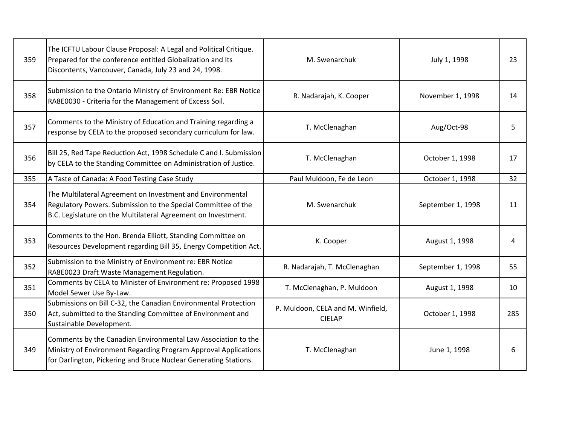| 359 | The ICFTU Labour Clause Proposal: A Legal and Political Critique.<br>Prepared for the conference entitled Globalization and Its<br>Discontents, Vancouver, Canada, July 23 and 24, 1998.             | M. Swenarchuk                                      | July 1, 1998      | 23  |
|-----|------------------------------------------------------------------------------------------------------------------------------------------------------------------------------------------------------|----------------------------------------------------|-------------------|-----|
| 358 | Submission to the Ontario Ministry of Environment Re: EBR Notice<br>RA8E0030 - Criteria for the Management of Excess Soil.                                                                           | R. Nadarajah, K. Cooper                            | November 1, 1998  | 14  |
| 357 | Comments to the Ministry of Education and Training regarding a<br>response by CELA to the proposed secondary curriculum for law.                                                                     | T. McClenaghan                                     | Aug/Oct-98        | 5   |
| 356 | Bill 25, Red Tape Reduction Act, 1998 Schedule C and I. Submission<br>by CELA to the Standing Committee on Administration of Justice.                                                                | T. McClenaghan                                     | October 1, 1998   | 17  |
| 355 | A Taste of Canada: A Food Testing Case Study                                                                                                                                                         | Paul Muldoon, Fe de Leon                           | October 1, 1998   | 32  |
| 354 | The Multilateral Agreement on Investment and Environmental<br>Regulatory Powers. Submission to the Special Committee of the<br>B.C. Legislature on the Multilateral Agreement on Investment.         | M. Swenarchuk                                      | September 1, 1998 | 11  |
| 353 | Comments to the Hon. Brenda Elliott, Standing Committee on<br>Resources Development regarding Bill 35, Energy Competition Act.                                                                       | K. Cooper                                          | August 1, 1998    | 4   |
| 352 | Submission to the Ministry of Environment re: EBR Notice<br>RA8E0023 Draft Waste Management Regulation.                                                                                              | R. Nadarajah, T. McClenaghan                       | September 1, 1998 | 55  |
| 351 | Comments by CELA to Minister of Environment re: Proposed 1998<br>Model Sewer Use By-Law.                                                                                                             | T. McClenaghan, P. Muldoon                         | August 1, 1998    | 10  |
| 350 | Submissions on Bill C-32, the Canadian Environmental Protection<br>Act, submitted to the Standing Committee of Environment and<br>Sustainable Development.                                           | P. Muldoon, CELA and M. Winfield,<br><b>CIELAP</b> | October 1, 1998   | 285 |
| 349 | Comments by the Canadian Environmental Law Association to the<br>Ministry of Environment Regarding Program Approval Applications<br>for Darlington, Pickering and Bruce Nuclear Generating Stations. | T. McClenaghan                                     | June 1, 1998      | 6   |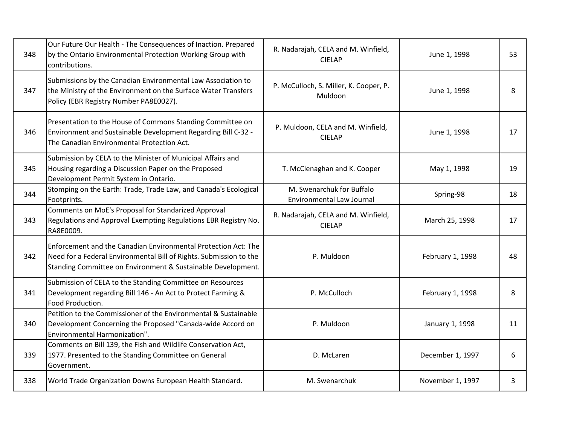| 348 | Our Future Our Health - The Consequences of Inaction. Prepared<br>by the Ontario Environmental Protection Working Group with<br>contributions.                                                       | R. Nadarajah, CELA and M. Winfield,<br><b>CIELAP</b>          | June 1, 1998     | 53 |
|-----|------------------------------------------------------------------------------------------------------------------------------------------------------------------------------------------------------|---------------------------------------------------------------|------------------|----|
| 347 | Submissions by the Canadian Environmental Law Association to<br>the Ministry of the Environment on the Surface Water Transfers<br>Policy (EBR Registry Number PA8E0027).                             | P. McCulloch, S. Miller, K. Cooper, P.<br>Muldoon             | June 1, 1998     | 8  |
| 346 | Presentation to the House of Commons Standing Committee on<br>Environment and Sustainable Development Regarding Bill C-32 -<br>The Canadian Environmental Protection Act.                            | P. Muldoon, CELA and M. Winfield,<br><b>CIELAP</b>            | June 1, 1998     | 17 |
| 345 | Submission by CELA to the Minister of Municipal Affairs and<br>Housing regarding a Discussion Paper on the Proposed<br>Development Permit System in Ontario.                                         | T. McClenaghan and K. Cooper                                  | May 1, 1998      | 19 |
| 344 | Stomping on the Earth: Trade, Trade Law, and Canada's Ecological<br>Footprints.                                                                                                                      | M. Swenarchuk for Buffalo<br><b>Environmental Law Journal</b> | Spring-98        | 18 |
| 343 | Comments on MoE's Proposal for Standarized Approval<br>Regulations and Approval Exempting Regulations EBR Registry No.<br>RA8E0009.                                                                  | R. Nadarajah, CELA and M. Winfield,<br><b>CIELAP</b>          | March 25, 1998   | 17 |
| 342 | Enforcement and the Canadian Environmental Protection Act: The<br>Need for a Federal Environmental Bill of Rights. Submission to the<br>Standing Committee on Environment & Sustainable Development. | P. Muldoon                                                    | February 1, 1998 | 48 |
| 341 | Submission of CELA to the Standing Committee on Resources<br>Development regarding Bill 146 - An Act to Protect Farming &<br>Food Production.                                                        | P. McCulloch                                                  | February 1, 1998 | 8  |
| 340 | Petition to the Commissioner of the Environmental & Sustainable<br>Development Concerning the Proposed "Canada-wide Accord on<br>Environmental Harmonization".                                       | P. Muldoon                                                    | January 1, 1998  | 11 |
| 339 | Comments on Bill 139, the Fish and Wildlife Conservation Act,<br>1977. Presented to the Standing Committee on General<br>Government.                                                                 | D. McLaren                                                    | December 1, 1997 | 6  |
| 338 | World Trade Organization Downs European Health Standard.                                                                                                                                             | M. Swenarchuk                                                 | November 1, 1997 | 3  |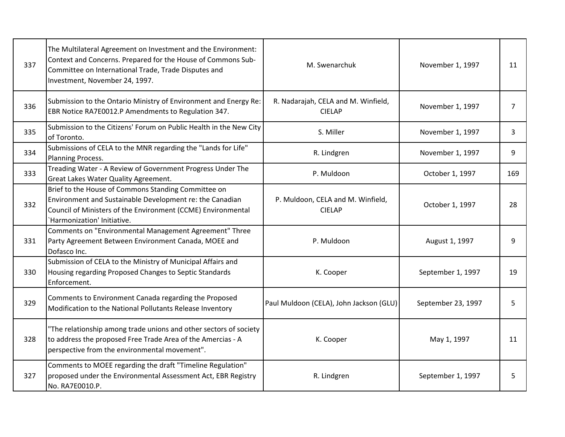| 337 | The Multilateral Agreement on Investment and the Environment:<br>Context and Concerns. Prepared for the House of Commons Sub-<br>Committee on International Trade, Trade Disputes and<br>Investment, November 24, 1997. | M. Swenarchuk                                        | November 1, 1997   | 11             |
|-----|-------------------------------------------------------------------------------------------------------------------------------------------------------------------------------------------------------------------------|------------------------------------------------------|--------------------|----------------|
| 336 | Submission to the Ontario Ministry of Environment and Energy Re:<br>EBR Notice RA7E0012.P Amendments to Regulation 347.                                                                                                 | R. Nadarajah, CELA and M. Winfield,<br><b>CIELAP</b> | November 1, 1997   | $\overline{7}$ |
| 335 | Submission to the Citizens' Forum on Public Health in the New City<br>of Toronto.                                                                                                                                       | S. Miller                                            | November 1, 1997   | 3              |
| 334 | Submissions of CELA to the MNR regarding the "Lands for Life"<br>Planning Process.                                                                                                                                      | R. Lindgren                                          | November 1, 1997   | 9              |
| 333 | Treading Water - A Review of Government Progress Under The<br><b>Great Lakes Water Quality Agreement.</b>                                                                                                               | P. Muldoon                                           | October 1, 1997    | 169            |
| 332 | Brief to the House of Commons Standing Committee on<br>Environment and Sustainable Development re: the Canadian<br>Council of Ministers of the Environment (CCME) Environmental<br>`Harmonization' Initiative.          | P. Muldoon, CELA and M. Winfield,<br><b>CIELAP</b>   | October 1, 1997    | 28             |
| 331 | Comments on "Environmental Management Agreement" Three<br>Party Agreement Between Environment Canada, MOEE and<br>Dofasco Inc.                                                                                          | P. Muldoon                                           | August 1, 1997     | q              |
| 330 | Submission of CELA to the Ministry of Municipal Affairs and<br>Housing regarding Proposed Changes to Septic Standards<br>Enforcement.                                                                                   | K. Cooper                                            | September 1, 1997  | 19             |
| 329 | Comments to Environment Canada regarding the Proposed<br>Modification to the National Pollutants Release Inventory                                                                                                      | Paul Muldoon (CELA), John Jackson (GLU)              | September 23, 1997 | 5              |
| 328 | "The relationship among trade unions and other sectors of society<br>to address the proposed Free Trade Area of the Amercias - A<br>perspective from the environmental movement".                                       | K. Cooper                                            | May 1, 1997        | 11             |
| 327 | Comments to MOEE regarding the draft "Timeline Regulation"<br>proposed under the Environmental Assessment Act, EBR Registry<br>No. RA7E0010.P.                                                                          | R. Lindgren                                          | September 1, 1997  | 5              |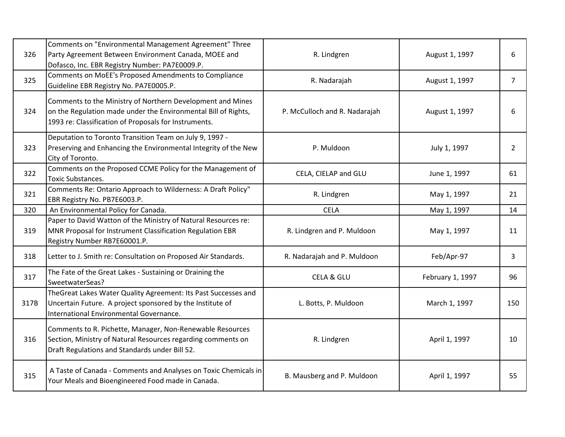| 326  | Comments on "Environmental Management Agreement" Three<br>Party Agreement Between Environment Canada, MOEE and<br>Dofasco, Inc. EBR Registry Number: PA7E0009.P.                      | R. Lindgren                   | August 1, 1997   | 6              |
|------|---------------------------------------------------------------------------------------------------------------------------------------------------------------------------------------|-------------------------------|------------------|----------------|
| 325  | Comments on MoEE's Proposed Amendments to Compliance<br>Guideline EBR Registry No. PA7E0005.P.                                                                                        | R. Nadarajah                  | August 1, 1997   | $\overline{7}$ |
| 324  | Comments to the Ministry of Northern Development and Mines<br>on the Regulation made under the Environmental Bill of Rights,<br>1993 re: Classification of Proposals for Instruments. | P. McCulloch and R. Nadarajah | August 1, 1997   | 6              |
| 323  | Deputation to Toronto Transition Team on July 9, 1997 -<br>Preserving and Enhancing the Environmental Integrity of the New<br>City of Toronto.                                        | P. Muldoon                    | July 1, 1997     | $\overline{2}$ |
| 322  | Comments on the Proposed CCME Policy for the Management of<br><b>Toxic Substances.</b>                                                                                                | CELA, CIELAP and GLU          | June 1, 1997     | 61             |
| 321  | Comments Re: Ontario Approach to Wilderness: A Draft Policy"<br>EBR Registry No. PB7E6003.P.                                                                                          | R. Lindgren                   | May 1, 1997      | 21             |
| 320  | An Environmental Policy for Canada.                                                                                                                                                   | <b>CELA</b>                   | May 1, 1997      | 14             |
| 319  | Paper to David Watton of the Ministry of Natural Resources re:<br>MNR Proposal for Instrument Classification Regulation EBR<br>Registry Number RB7E60001.P.                           | R. Lindgren and P. Muldoon    | May 1, 1997      | 11             |
| 318  | Letter to J. Smith re: Consultation on Proposed Air Standards.                                                                                                                        | R. Nadarajah and P. Muldoon   | Feb/Apr-97       | 3              |
| 317  | The Fate of the Great Lakes - Sustaining or Draining the<br>SweetwaterSeas?                                                                                                           | <b>CELA &amp; GLU</b>         | February 1, 1997 | 96             |
| 317B | TheGreat Lakes Water Quality Agreement: Its Past Successes and<br>Uncertain Future. A project sponsored by the Institute of<br>International Environmental Governance.                | L. Botts, P. Muldoon          | March 1, 1997    | 150            |
| 316  | Comments to R. Pichette, Manager, Non-Renewable Resources<br>Section, Ministry of Natural Resources regarding comments on<br>Draft Regulations and Standards under Bill 52.           | R. Lindgren                   | April 1, 1997    | 10             |
| 315  | A Taste of Canada - Comments and Analyses on Toxic Chemicals in<br>Your Meals and Bioengineered Food made in Canada.                                                                  | B. Mausberg and P. Muldoon    | April 1, 1997    | 55             |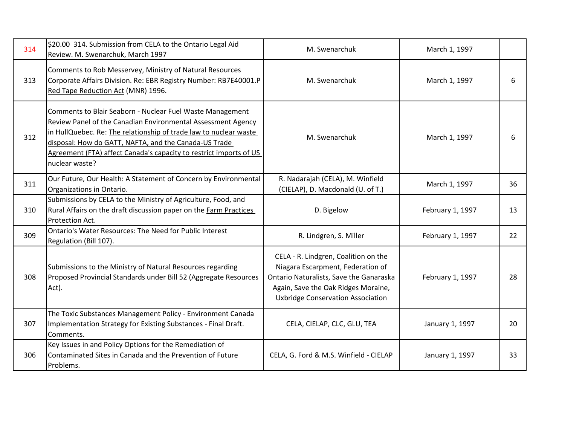| 314 | \$20.00 314. Submission from CELA to the Ontario Legal Aid<br>Review. M. Swenarchuk, March 1997                                                                                                                                                                                                                                                 | M. Swenarchuk                                                                                                                                                                                           | March 1, 1997    |    |
|-----|-------------------------------------------------------------------------------------------------------------------------------------------------------------------------------------------------------------------------------------------------------------------------------------------------------------------------------------------------|---------------------------------------------------------------------------------------------------------------------------------------------------------------------------------------------------------|------------------|----|
| 313 | Comments to Rob Messervey, Ministry of Natural Resources<br>Corporate Affairs Division. Re: EBR Registry Number: RB7E40001.P<br>Red Tape Reduction Act (MNR) 1996.                                                                                                                                                                              | M. Swenarchuk                                                                                                                                                                                           | March 1, 1997    | 6  |
| 312 | Comments to Blair Seaborn - Nuclear Fuel Waste Management<br>Review Panel of the Canadian Environmental Assessment Agency<br>in HullQuebec. Re: The relationship of trade law to nuclear waste<br>disposal: How do GATT, NAFTA, and the Canada-US Trade<br>Agreement (FTA) affect Canada's capacity to restrict imports of US<br>nuclear waste? | M. Swenarchuk                                                                                                                                                                                           | March 1, 1997    | 6  |
| 311 | Our Future, Our Health: A Statement of Concern by Environmental<br>Organizations in Ontario.                                                                                                                                                                                                                                                    | R. Nadarajah (CELA), M. Winfield<br>(CIELAP), D. Macdonald (U. of T.)                                                                                                                                   | March 1, 1997    | 36 |
| 310 | Submissions by CELA to the Ministry of Agriculture, Food, and<br>Rural Affairs on the draft discussion paper on the Farm Practices<br>Protection Act.                                                                                                                                                                                           | D. Bigelow                                                                                                                                                                                              | February 1, 1997 | 13 |
| 309 | Ontario's Water Resources: The Need for Public Interest<br>Regulation (Bill 107).                                                                                                                                                                                                                                                               | R. Lindgren, S. Miller                                                                                                                                                                                  | February 1, 1997 | 22 |
| 308 | Submissions to the Ministry of Natural Resources regarding<br>Proposed Provincial Standards under Bill 52 (Aggregate Resources<br>Act).                                                                                                                                                                                                         | CELA - R. Lindgren, Coalition on the<br>Niagara Escarpment, Federation of<br>Ontario Naturalists, Save the Ganaraska<br>Again, Save the Oak Ridges Moraine,<br><b>Uxbridge Conservation Association</b> | February 1, 1997 | 28 |
| 307 | The Toxic Substances Management Policy - Environment Canada<br>Implementation Strategy for Existing Substances - Final Draft.<br>Comments.                                                                                                                                                                                                      | CELA, CIELAP, CLC, GLU, TEA                                                                                                                                                                             | January 1, 1997  | 20 |
| 306 | Key Issues in and Policy Options for the Remediation of<br>Contaminated Sites in Canada and the Prevention of Future<br>Problems.                                                                                                                                                                                                               | CELA, G. Ford & M.S. Winfield - CIELAP                                                                                                                                                                  | January 1, 1997  | 33 |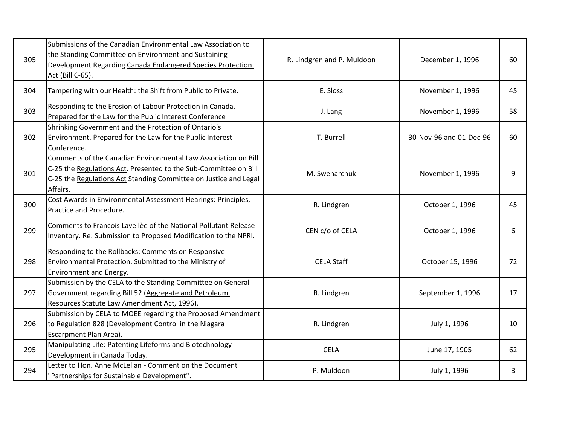| 305 | Submissions of the Canadian Environmental Law Association to<br>the Standing Committee on Environment and Sustaining<br>Development Regarding Canada Endangered Species Protection<br>Act (Bill C-65).             | R. Lindgren and P. Muldoon | December 1, 1996        | 60 |
|-----|--------------------------------------------------------------------------------------------------------------------------------------------------------------------------------------------------------------------|----------------------------|-------------------------|----|
| 304 | Tampering with our Health: the Shift from Public to Private.                                                                                                                                                       | E. Sloss                   | November 1, 1996        | 45 |
| 303 | Responding to the Erosion of Labour Protection in Canada.<br>Prepared for the Law for the Public Interest Conference                                                                                               | J. Lang                    | November 1, 1996        | 58 |
| 302 | Shrinking Government and the Protection of Ontario's<br>Environment. Prepared for the Law for the Public Interest<br>Conference.                                                                                   | T. Burrell                 | 30-Nov-96 and 01-Dec-96 | 60 |
| 301 | Comments of the Canadian Environmental Law Association on Bill<br>C-25 the Regulations Act. Presented to the Sub-Committee on Bill<br>C-25 the Regulations Act Standing Committee on Justice and Legal<br>Affairs. | M. Swenarchuk              | November 1, 1996        | q  |
| 300 | Cost Awards in Environmental Assessment Hearings: Principles,<br>Practice and Procedure.                                                                                                                           | R. Lindgren                | October 1, 1996         | 45 |
| 299 | Comments to Francois Lavellèe of the National Pollutant Release<br>Inventory. Re: Submission to Proposed Modification to the NPRI.                                                                                 | CEN c/o of CELA            | October 1, 1996         | 6  |
| 298 | Responding to the Rollbacks: Comments on Responsive<br>Environmental Protection. Submitted to the Ministry of<br>Environment and Energy.                                                                           | <b>CELA Staff</b>          | October 15, 1996        | 72 |
| 297 | Submission by the CELA to the Standing Committee on General<br>Government regarding Bill 52 (Aggregate and Petroleum<br>Resources Statute Law Amendment Act, 1996).                                                | R. Lindgren                | September 1, 1996       | 17 |
| 296 | Submission by CELA to MOEE regarding the Proposed Amendment<br>to Regulation 828 (Development Control in the Niagara<br>Escarpment Plan Area).                                                                     | R. Lindgren                | July 1, 1996            | 10 |
| 295 | Manipulating Life: Patenting Lifeforms and Biotechnology<br>Development in Canada Today.                                                                                                                           | <b>CELA</b>                | June 17, 1905           | 62 |
| 294 | Letter to Hon. Anne McLellan - Comment on the Document<br>'Partnerships for Sustainable Development".                                                                                                              | P. Muldoon                 | July 1, 1996            | 3  |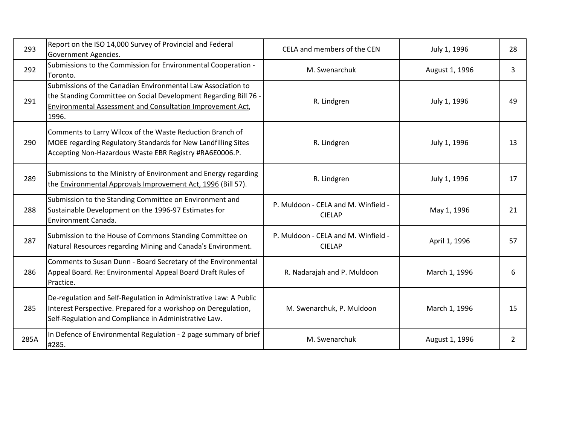| 293  | Report on the ISO 14,000 Survey of Provincial and Federal<br>Government Agencies.                                                                                                                              | CELA and members of the CEN                          | July 1, 1996   | 28 |
|------|----------------------------------------------------------------------------------------------------------------------------------------------------------------------------------------------------------------|------------------------------------------------------|----------------|----|
| 292  | Submissions to the Commission for Environmental Cooperation -<br>Toronto.                                                                                                                                      | M. Swenarchuk                                        | August 1, 1996 | 3  |
| 291  | Submissions of the Canadian Environmental Law Association to<br>the Standing Committee on Social Development Regarding Bill 76 -<br><b>Environmental Assessment and Consultation Improvement Act,</b><br>1996. | R. Lindgren                                          | July 1, 1996   | 49 |
| 290  | Comments to Larry Wilcox of the Waste Reduction Branch of<br>MOEE regarding Regulatory Standards for New Landfilling Sites<br>Accepting Non-Hazardous Waste EBR Registry #RA6E0006.P.                          | R. Lindgren                                          | July 1, 1996   | 13 |
| 289  | Submissions to the Ministry of Environment and Energy regarding<br>the Environmental Approvals Improvement Act, 1996 (Bill 57).                                                                                | R. Lindgren                                          | July 1, 1996   | 17 |
| 288  | Submission to the Standing Committee on Environment and<br>Sustainable Development on the 1996-97 Estimates for<br>Environment Canada.                                                                         | P. Muldoon - CELA and M. Winfield -<br><b>CIELAP</b> | May 1, 1996    | 21 |
| 287  | Submission to the House of Commons Standing Committee on<br>Natural Resources regarding Mining and Canada's Environment.                                                                                       | P. Muldoon - CELA and M. Winfield -<br><b>CIELAP</b> | April 1, 1996  | 57 |
| 286  | Comments to Susan Dunn - Board Secretary of the Environmental<br>Appeal Board. Re: Environmental Appeal Board Draft Rules of<br>Practice.                                                                      | R. Nadarajah and P. Muldoon                          | March 1, 1996  | 6  |
| 285  | De-regulation and Self-Regulation in Administrative Law: A Public<br>Interest Perspective. Prepared for a workshop on Deregulation,<br>Self-Regulation and Compliance in Administrative Law.                   | M. Swenarchuk, P. Muldoon                            | March 1, 1996  | 15 |
| 285A | In Defence of Environmental Regulation - 2 page summary of brief<br>#285.                                                                                                                                      | M. Swenarchuk                                        | August 1, 1996 | 2  |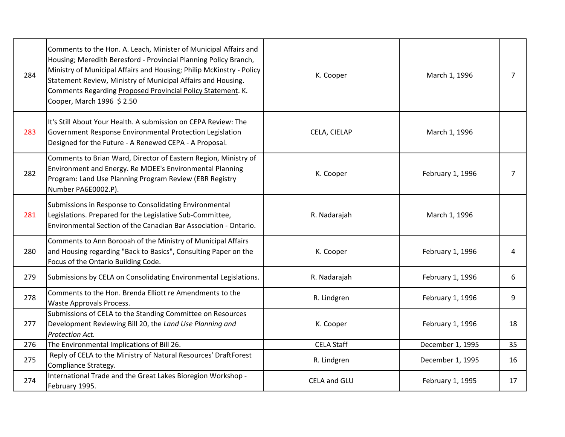| 284 | Comments to the Hon. A. Leach, Minister of Municipal Affairs and<br>Housing; Meredith Beresford - Provincial Planning Policy Branch,<br>Ministry of Municipal Affairs and Housing; Philip McKinstry - Policy<br>Statement Review, Ministry of Municipal Affairs and Housing.<br>Comments Regarding Proposed Provincial Policy Statement. K.<br>Cooper, March 1996 \$2.50 | K. Cooper           | March 1, 1996    | $\overline{7}$ |
|-----|--------------------------------------------------------------------------------------------------------------------------------------------------------------------------------------------------------------------------------------------------------------------------------------------------------------------------------------------------------------------------|---------------------|------------------|----------------|
| 283 | It's Still About Your Health. A submission on CEPA Review: The<br>Government Response Environmental Protection Legislation<br>Designed for the Future - A Renewed CEPA - A Proposal.                                                                                                                                                                                     | CELA, CIELAP        | March 1, 1996    |                |
| 282 | Comments to Brian Ward, Director of Eastern Region, Ministry of<br>Environment and Energy. Re MOEE's Environmental Planning<br>Program: Land Use Planning Program Review (EBR Registry<br>Number PA6E0002.P).                                                                                                                                                            | K. Cooper           | February 1, 1996 | 7              |
| 281 | Submissions in Response to Consolidating Environmental<br>Legislations. Prepared for the Legislative Sub-Committee,<br>Environmental Section of the Canadian Bar Association - Ontario.                                                                                                                                                                                  | R. Nadarajah        | March 1, 1996    |                |
| 280 | Comments to Ann Borooah of the Ministry of Municipal Affairs<br>and Housing regarding "Back to Basics", Consulting Paper on the<br>Focus of the Ontario Building Code.                                                                                                                                                                                                   | K. Cooper           | February 1, 1996 | 4              |
| 279 | Submissions by CELA on Consolidating Environmental Legislations.                                                                                                                                                                                                                                                                                                         | R. Nadarajah        | February 1, 1996 | 6              |
| 278 | Comments to the Hon. Brenda Elliott re Amendments to the<br>Waste Approvals Process.                                                                                                                                                                                                                                                                                     | R. Lindgren         | February 1, 1996 | 9              |
| 277 | Submissions of CELA to the Standing Committee on Resources<br>Development Reviewing Bill 20, the Land Use Planning and<br>Protection Act.                                                                                                                                                                                                                                | K. Cooper           | February 1, 1996 | 18             |
| 276 | The Environmental Implications of Bill 26.                                                                                                                                                                                                                                                                                                                               | <b>CELA Staff</b>   | December 1, 1995 | 35             |
| 275 | Reply of CELA to the Ministry of Natural Resources' DraftForest<br>Compliance Strategy.                                                                                                                                                                                                                                                                                  | R. Lindgren         | December 1, 1995 | 16             |
| 274 | International Trade and the Great Lakes Bioregion Workshop -<br>February 1995.                                                                                                                                                                                                                                                                                           | <b>CELA and GLU</b> | February 1, 1995 | 17             |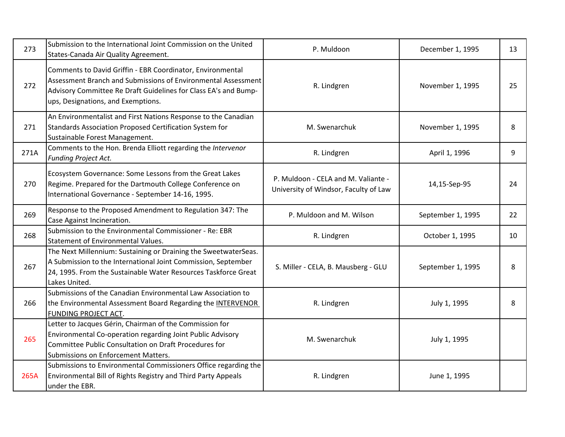| 273  | Submission to the International Joint Commission on the United<br>States-Canada Air Quality Agreement.                                                                                                                               | P. Muldoon                                                                   | December 1, 1995  | 13 |
|------|--------------------------------------------------------------------------------------------------------------------------------------------------------------------------------------------------------------------------------------|------------------------------------------------------------------------------|-------------------|----|
| 272  | Comments to David Griffin - EBR Coordinator, Environmental<br>Assessment Branch and Submissions of Environmental Assessment<br>Advisory Committee Re Draft Guidelines for Class EA's and Bump-<br>ups, Designations, and Exemptions. | R. Lindgren                                                                  | November 1, 1995  | 25 |
| 271  | An Environmentalist and First Nations Response to the Canadian<br>Standards Association Proposed Certification System for<br>Sustainable Forest Management.                                                                          | M. Swenarchuk                                                                | November 1, 1995  | 8  |
| 271A | Comments to the Hon. Brenda Elliott regarding the Intervenor<br>Funding Project Act.                                                                                                                                                 | R. Lindgren                                                                  | April 1, 1996     | 9  |
| 270  | Ecosystem Governance: Some Lessons from the Great Lakes<br>Regime. Prepared for the Dartmouth College Conference on<br>International Governance - September 14-16, 1995.                                                             | P. Muldoon - CELA and M. Valiante -<br>University of Windsor, Faculty of Law | 14,15-Sep-95      | 24 |
| 269  | Response to the Proposed Amendment to Regulation 347: The<br>Case Against Incineration.                                                                                                                                              | P. Muldoon and M. Wilson                                                     | September 1, 1995 | 22 |
| 268  | Submission to the Environmental Commissioner - Re: EBR<br>Statement of Environmental Values.                                                                                                                                         | R. Lindgren                                                                  | October 1, 1995   | 10 |
| 267  | The Next Millennium: Sustaining or Draining the SweetwaterSeas.<br>A Submission to the International Joint Commission, September<br>24, 1995. From the Sustainable Water Resources Taskforce Great<br>Lakes United.                  | S. Miller - CELA, B. Mausberg - GLU                                          | September 1, 1995 | 8  |
| 266  | Submissions of the Canadian Environmental Law Association to<br>the Environmental Assessment Board Regarding the INTERVENOR<br>FUNDING PROJECT ACT.                                                                                  | R. Lindgren                                                                  | July 1, 1995      | 8  |
| 265  | Letter to Jacques Gérin, Chairman of the Commission for<br>Environmental Co-operation regarding Joint Public Advisory<br>Committee Public Consultation on Draft Procedures for<br>Submissions on Enforcement Matters.                | M. Swenarchuk                                                                | July 1, 1995      |    |
| 265A | Submissions to Environmental Commissioners Office regarding the<br>Environmental Bill of Rights Registry and Third Party Appeals<br>under the EBR.                                                                                   | R. Lindgren                                                                  | June 1, 1995      |    |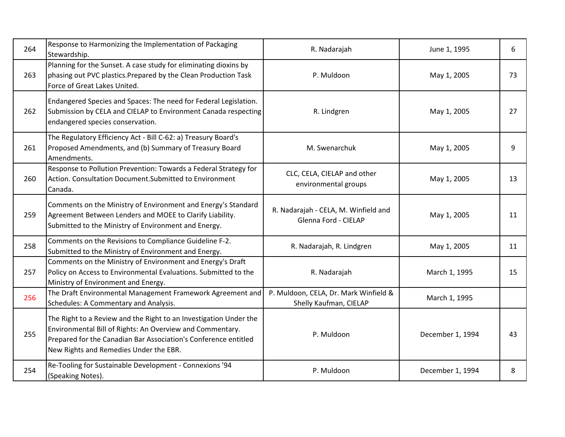| 264 | Response to Harmonizing the Implementation of Packaging<br>Stewardship.                                                                                                                                                                     | R. Nadarajah                                                    | June 1, 1995     | 6  |
|-----|---------------------------------------------------------------------------------------------------------------------------------------------------------------------------------------------------------------------------------------------|-----------------------------------------------------------------|------------------|----|
| 263 | Planning for the Sunset. A case study for eliminating dioxins by<br>phasing out PVC plastics. Prepared by the Clean Production Task<br>Force of Great Lakes United.                                                                         | P. Muldoon                                                      | May 1, 2005      | 73 |
| 262 | Endangered Species and Spaces: The need for Federal Legislation.<br>Submission by CELA and CIELAP to Environment Canada respecting<br>endangered species conservation.                                                                      | R. Lindgren                                                     | May 1, 2005      | 27 |
| 261 | The Regulatory Efficiency Act - Bill C-62: a) Treasury Board's<br>Proposed Amendments, and (b) Summary of Treasury Board<br>Amendments.                                                                                                     | M. Swenarchuk                                                   | May 1, 2005      | 9  |
| 260 | Response to Pollution Prevention: Towards a Federal Strategy for<br>Action. Consultation Document. Submitted to Environment<br>Canada.                                                                                                      | CLC, CELA, CIELAP and other<br>environmental groups             | May 1, 2005      | 13 |
| 259 | Comments on the Ministry of Environment and Energy's Standard<br>Agreement Between Lenders and MOEE to Clarify Liability.<br>Submitted to the Ministry of Environment and Energy.                                                           | R. Nadarajah - CELA, M. Winfield and<br>Glenna Ford - CIELAP    | May 1, 2005      | 11 |
| 258 | Comments on the Revisions to Compliance Guideline F-2.<br>Submitted to the Ministry of Environment and Energy.                                                                                                                              | R. Nadarajah, R. Lindgren                                       | May 1, 2005      | 11 |
| 257 | Comments on the Ministry of Environment and Energy's Draft<br>Policy on Access to Environmental Evaluations. Submitted to the<br>Ministry of Environment and Energy.                                                                        | R. Nadarajah                                                    | March 1, 1995    | 15 |
| 256 | The Draft Environmental Management Framework Agreement and<br>Schedules: A Commentary and Analysis.                                                                                                                                         | P. Muldoon, CELA, Dr. Mark Winfield &<br>Shelly Kaufman, CIELAP | March 1, 1995    |    |
| 255 | The Right to a Review and the Right to an Investigation Under the<br>Environmental Bill of Rights: An Overview and Commentary.<br>Prepared for the Canadian Bar Association's Conference entitled<br>New Rights and Remedies Under the EBR. | P. Muldoon                                                      | December 1, 1994 | 43 |
| 254 | Re-Tooling for Sustainable Development - Connexions '94<br>(Speaking Notes).                                                                                                                                                                | P. Muldoon                                                      | December 1, 1994 | 8  |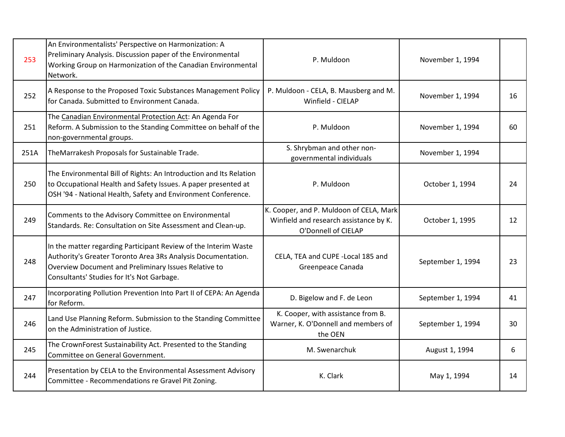| 253  | An Environmentalists' Perspective on Harmonization: A<br>Preliminary Analysis. Discussion paper of the Environmental<br>Working Group on Harmonization of the Canadian Environmental<br>Network.                                      | P. Muldoon                                                                                               | November 1, 1994  |    |
|------|---------------------------------------------------------------------------------------------------------------------------------------------------------------------------------------------------------------------------------------|----------------------------------------------------------------------------------------------------------|-------------------|----|
| 252  | A Response to the Proposed Toxic Substances Management Policy<br>for Canada. Submitted to Environment Canada.                                                                                                                         | P. Muldoon - CELA, B. Mausberg and M.<br>Winfield - CIELAP                                               | November 1, 1994  | 16 |
| 251  | The Canadian Environmental Protection Act: An Agenda For<br>Reform. A Submission to the Standing Committee on behalf of the<br>non-governmental groups.                                                                               | P. Muldoon                                                                                               | November 1, 1994  | 60 |
| 251A | TheMarrakesh Proposals for Sustainable Trade.                                                                                                                                                                                         | S. Shrybman and other non-<br>governmental individuals                                                   | November 1, 1994  |    |
| 250  | The Environmental Bill of Rights: An Introduction and Its Relation<br>to Occupational Health and Safety Issues. A paper presented at<br>OSH '94 - National Health, Safety and Environment Conference.                                 | P. Muldoon                                                                                               | October 1, 1994   | 24 |
| 249  | Comments to the Advisory Committee on Environmental<br>Standards. Re: Consultation on Site Assessment and Clean-up.                                                                                                                   | K. Cooper, and P. Muldoon of CELA, Mark<br>Winfield and research assistance by K.<br>O'Donnell of CIELAP | October 1, 1995   | 12 |
| 248  | In the matter regarding Participant Review of the Interim Waste<br>Authority's Greater Toronto Area 3Rs Analysis Documentation.<br>Overview Document and Preliminary Issues Relative to<br>Consultants' Studies for It's Not Garbage. | CELA, TEA and CUPE - Local 185 and<br>Greenpeace Canada                                                  | September 1, 1994 | 23 |
| 247  | Incorporating Pollution Prevention Into Part II of CEPA: An Agenda<br>for Reform.                                                                                                                                                     | D. Bigelow and F. de Leon                                                                                | September 1, 1994 | 41 |
| 246  | Land Use Planning Reform. Submission to the Standing Committee<br>on the Administration of Justice.                                                                                                                                   | K. Cooper, with assistance from B.<br>Warner, K. O'Donnell and members of<br>the OEN                     | September 1, 1994 | 30 |
| 245  | The CrownForest Sustainability Act. Presented to the Standing<br>Committee on General Government.                                                                                                                                     | M. Swenarchuk                                                                                            | August 1, 1994    | 6  |
| 244  | Presentation by CELA to the Environmental Assessment Advisory<br>Committee - Recommendations re Gravel Pit Zoning.                                                                                                                    | K. Clark                                                                                                 | May 1, 1994       | 14 |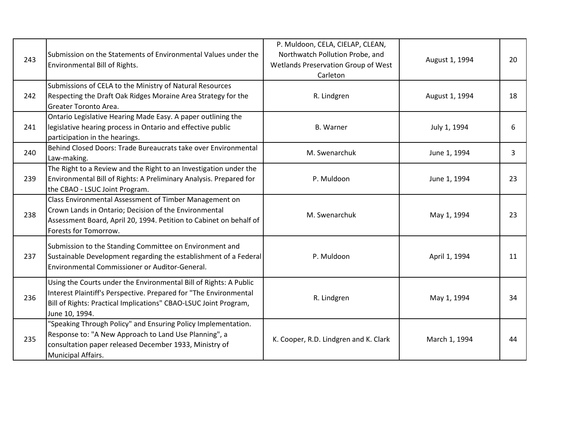| 243 | Submission on the Statements of Environmental Values under the<br>Environmental Bill of Rights.                                                                                                                              | P. Muldoon, CELA, CIELAP, CLEAN,<br>Northwatch Pollution Probe, and<br>Wetlands Preservation Group of West<br>Carleton | August 1, 1994 | 20 |
|-----|------------------------------------------------------------------------------------------------------------------------------------------------------------------------------------------------------------------------------|------------------------------------------------------------------------------------------------------------------------|----------------|----|
| 242 | Submissions of CELA to the Ministry of Natural Resources<br>Respecting the Draft Oak Ridges Moraine Area Strategy for the<br>Greater Toronto Area.                                                                           | R. Lindgren                                                                                                            | August 1, 1994 | 18 |
| 241 | Ontario Legislative Hearing Made Easy. A paper outlining the<br>legislative hearing process in Ontario and effective public<br>participation in the hearings.                                                                | <b>B.</b> Warner                                                                                                       | July 1, 1994   | 6  |
| 240 | Behind Closed Doors: Trade Bureaucrats take over Environmental<br>Law-making.                                                                                                                                                | M. Swenarchuk                                                                                                          | June 1, 1994   | 3  |
| 239 | The Right to a Review and the Right to an Investigation under the<br>Environmental Bill of Rights: A Preliminary Analysis. Prepared for<br>the CBAO - LSUC Joint Program.                                                    | P. Muldoon                                                                                                             | June 1, 1994   | 23 |
| 238 | Class Environmental Assessment of Timber Management on<br>Crown Lands in Ontario; Decision of the Environmental<br>Assessment Board, April 20, 1994. Petition to Cabinet on behalf of<br>Forests for Tomorrow.               | M. Swenarchuk                                                                                                          | May 1, 1994    | 23 |
| 237 | Submission to the Standing Committee on Environment and<br>Sustainable Development regarding the establishment of a Federal<br>Environmental Commissioner or Auditor-General.                                                | P. Muldoon                                                                                                             | April 1, 1994  | 11 |
| 236 | Using the Courts under the Environmental Bill of Rights: A Public<br>Interest Plaintiff's Perspective. Prepared for "The Environmental<br>Bill of Rights: Practical Implications" CBAO-LSUC Joint Program,<br>June 10, 1994. | R. Lindgren                                                                                                            | May 1, 1994    | 34 |
| 235 | "Speaking Through Policy" and Ensuring Policy Implementation.<br>Response to: "A New Approach to Land Use Planning", a<br>consultation paper released December 1933, Ministry of<br>Municipal Affairs.                       | K. Cooper, R.D. Lindgren and K. Clark                                                                                  | March 1, 1994  | 44 |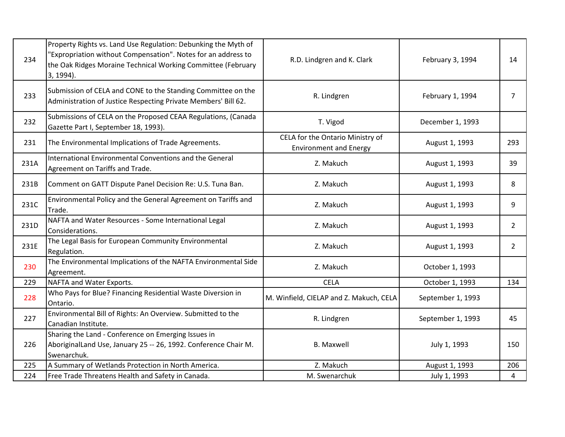| 234  | Property Rights vs. Land Use Regulation: Debunking the Myth of<br>"Expropriation without Compensation". Notes for an address to<br>the Oak Ridges Moraine Technical Working Committee (February<br>$3, 1994$ ). | R.D. Lindgren and K. Clark                                        | February 3, 1994  | 14             |
|------|-----------------------------------------------------------------------------------------------------------------------------------------------------------------------------------------------------------------|-------------------------------------------------------------------|-------------------|----------------|
| 233  | Submission of CELA and CONE to the Standing Committee on the<br>Administration of Justice Respecting Private Members' Bill 62.                                                                                  | R. Lindgren                                                       | February 1, 1994  | $\overline{7}$ |
| 232  | Submissions of CELA on the Proposed CEAA Regulations, (Canada<br>Gazette Part I, September 18, 1993).                                                                                                           | T. Vigod                                                          | December 1, 1993  |                |
| 231  | The Environmental Implications of Trade Agreements.                                                                                                                                                             | CELA for the Ontario Ministry of<br><b>Environment and Energy</b> | August 1, 1993    | 293            |
| 231A | International Environmental Conventions and the General<br>Agreement on Tariffs and Trade.                                                                                                                      | Z. Makuch                                                         | August 1, 1993    | 39             |
| 231B | Comment on GATT Dispute Panel Decision Re: U.S. Tuna Ban.                                                                                                                                                       | Z. Makuch                                                         | August 1, 1993    | 8              |
| 231C | Environmental Policy and the General Agreement on Tariffs and<br>Trade.                                                                                                                                         | Z. Makuch                                                         | August 1, 1993    | 9              |
| 231D | NAFTA and Water Resources - Some International Legal<br>Considerations.                                                                                                                                         | Z. Makuch                                                         | August 1, 1993    | $\overline{2}$ |
| 231E | The Legal Basis for European Community Environmental<br>Regulation.                                                                                                                                             | Z. Makuch                                                         | August 1, 1993    | $\overline{2}$ |
| 230  | The Environmental Implications of the NAFTA Environmental Side<br>Agreement.                                                                                                                                    | Z. Makuch                                                         | October 1, 1993   |                |
| 229  | NAFTA and Water Exports.                                                                                                                                                                                        | <b>CELA</b>                                                       | October 1, 1993   | 134            |
| 228  | Who Pays for Blue? Financing Residential Waste Diversion in<br>Ontario.                                                                                                                                         | M. Winfield, CIELAP and Z. Makuch, CELA                           | September 1, 1993 |                |
| 227  | Environmental Bill of Rights: An Overview. Submitted to the<br>Canadian Institute.                                                                                                                              | R. Lindgren                                                       | September 1, 1993 | 45             |
| 226  | Sharing the Land - Conference on Emerging Issues in<br>AboriginalLand Use, January 25 -- 26, 1992. Conference Chair M.<br>Swenarchuk.                                                                           | <b>B.</b> Maxwell                                                 | July 1, 1993      | 150            |
| 225  | A Summary of Wetlands Protection in North America.                                                                                                                                                              | Z. Makuch                                                         | August 1, 1993    | 206            |
| 224  | Free Trade Threatens Health and Safety in Canada.                                                                                                                                                               | M. Swenarchuk                                                     | July 1, 1993      | 4              |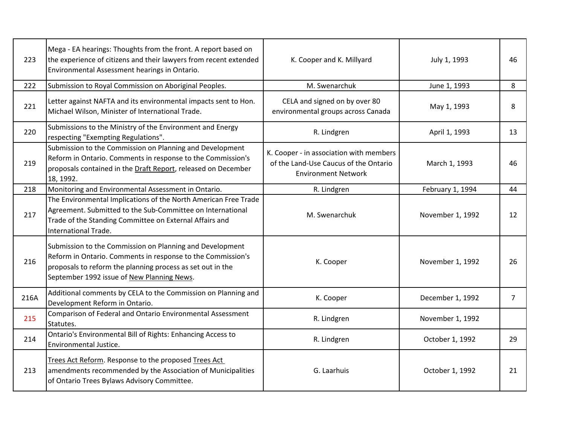| 223  | Mega - EA hearings: Thoughts from the front. A report based on<br>the experience of citizens and their lawyers from recent extended<br>Environmental Assessment hearings in Ontario.                                                | K. Cooper and K. Millyard                                                                                      | July 1, 1993     | 46             |
|------|-------------------------------------------------------------------------------------------------------------------------------------------------------------------------------------------------------------------------------------|----------------------------------------------------------------------------------------------------------------|------------------|----------------|
| 222  | Submission to Royal Commission on Aboriginal Peoples.                                                                                                                                                                               | M. Swenarchuk                                                                                                  | June 1, 1993     | 8              |
| 221  | Letter against NAFTA and its environmental impacts sent to Hon.<br>Michael Wilson, Minister of International Trade.                                                                                                                 | CELA and signed on by over 80<br>environmental groups across Canada                                            | May 1, 1993      | 8              |
| 220  | Submissions to the Ministry of the Environment and Energy<br>respecting "Exempting Regulations".                                                                                                                                    | R. Lindgren                                                                                                    | April 1, 1993    | 13             |
| 219  | Submission to the Commission on Planning and Development<br>Reform in Ontario. Comments in response to the Commission's<br>proposals contained in the Draft Report, released on December<br>18, 1992.                               | K. Cooper - in association with members<br>of the Land-Use Caucus of the Ontario<br><b>Environment Network</b> | March 1, 1993    | 46             |
| 218  | Monitoring and Environmental Assessment in Ontario.                                                                                                                                                                                 | R. Lindgren                                                                                                    | February 1, 1994 | 44             |
| 217  | The Environmental Implications of the North American Free Trade<br>Agreement. Submitted to the Sub-Committee on International<br>Trade of the Standing Committee on External Affairs and<br>International Trade.                    | M. Swenarchuk                                                                                                  | November 1, 1992 | 12             |
| 216  | Submission to the Commission on Planning and Development<br>Reform in Ontario. Comments in response to the Commission's<br>proposals to reform the planning process as set out in the<br>September 1992 issue of New Planning News. | K. Cooper                                                                                                      | November 1, 1992 | 26             |
| 216A | Additional comments by CELA to the Commission on Planning and<br>Development Reform in Ontario.                                                                                                                                     | K. Cooper                                                                                                      | December 1, 1992 | $\overline{7}$ |
| 215  | Comparison of Federal and Ontario Environmental Assessment<br>Statutes.                                                                                                                                                             | R. Lindgren                                                                                                    | November 1, 1992 |                |
| 214  | Ontario's Environmental Bill of Rights: Enhancing Access to<br>Environmental Justice.                                                                                                                                               | R. Lindgren                                                                                                    | October 1, 1992  | 29             |
| 213  | Trees Act Reform. Response to the proposed Trees Act<br>amendments recommended by the Association of Municipalities<br>of Ontario Trees Bylaws Advisory Committee.                                                                  | G. Laarhuis                                                                                                    | October 1, 1992  | 21             |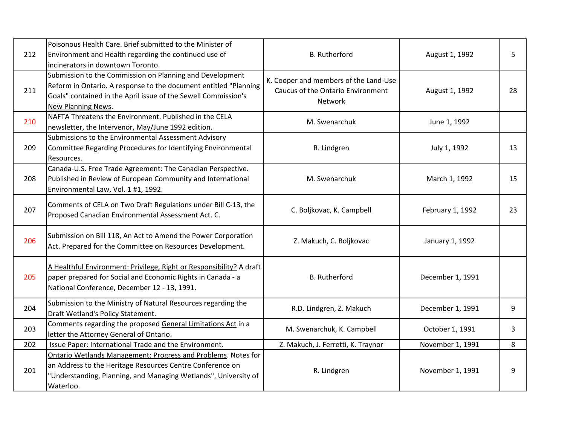| 212 | Poisonous Health Care. Brief submitted to the Minister of<br>Environment and Health regarding the continued use of<br>incinerators in downtown Toronto.                                                                     | <b>B.</b> Rutherford                                                                         | August 1, 1992   | 5  |
|-----|-----------------------------------------------------------------------------------------------------------------------------------------------------------------------------------------------------------------------------|----------------------------------------------------------------------------------------------|------------------|----|
| 211 | Submission to the Commission on Planning and Development<br>Reform in Ontario. A response to the document entitled "Planning<br>Goals" contained in the April issue of the Sewell Commission's<br><b>New Planning News.</b> | K. Cooper and members of the Land-Use<br>Caucus of the Ontario Environment<br><b>Network</b> | August 1, 1992   | 28 |
| 210 | NAFTA Threatens the Environment. Published in the CELA<br>newsletter, the Intervenor, May/June 1992 edition.                                                                                                                | M. Swenarchuk                                                                                | June 1, 1992     |    |
| 209 | Submissions to the Environmental Assessment Advisory<br>Committee Regarding Procedures for Identifying Environmental<br>Resources.                                                                                          | R. Lindgren                                                                                  | July 1, 1992     | 13 |
| 208 | Canada-U.S. Free Trade Agreement: The Canadian Perspective.<br>Published in Review of European Community and International<br>Environmental Law, Vol. 1 #1, 1992.                                                           | M. Swenarchuk                                                                                | March 1, 1992    | 15 |
| 207 | Comments of CELA on Two Draft Regulations under Bill C-13, the<br>Proposed Canadian Environmental Assessment Act. C.                                                                                                        | C. Boljkovac, K. Campbell                                                                    | February 1, 1992 | 23 |
| 206 | Submission on Bill 118, An Act to Amend the Power Corporation<br>Act. Prepared for the Committee on Resources Development.                                                                                                  | Z. Makuch, C. Boljkovac                                                                      | January 1, 1992  |    |
| 205 | A Healthful Environment: Privilege, Right or Responsibility? A draft<br>paper prepared for Social and Economic Rights in Canada - a<br>National Conference, December 12 - 13, 1991.                                         | <b>B.</b> Rutherford                                                                         | December 1, 1991 |    |
| 204 | Submission to the Ministry of Natural Resources regarding the<br>Draft Wetland's Policy Statement.                                                                                                                          | R.D. Lindgren, Z. Makuch                                                                     | December 1, 1991 | 9  |
| 203 | Comments regarding the proposed General Limitations Act in a<br>letter the Attorney General of Ontario.                                                                                                                     | M. Swenarchuk, K. Campbell                                                                   | October 1, 1991  | 3  |
| 202 | Issue Paper: International Trade and the Environment.                                                                                                                                                                       | Z. Makuch, J. Ferretti, K. Traynor                                                           | November 1, 1991 | 8  |
| 201 | Ontario Wetlands Management: Progress and Problems. Notes for<br>an Address to the Heritage Resources Centre Conference on<br>"Understanding, Planning, and Managing Wetlands", University of<br>Waterloo.                  | R. Lindgren                                                                                  | November 1, 1991 | 9  |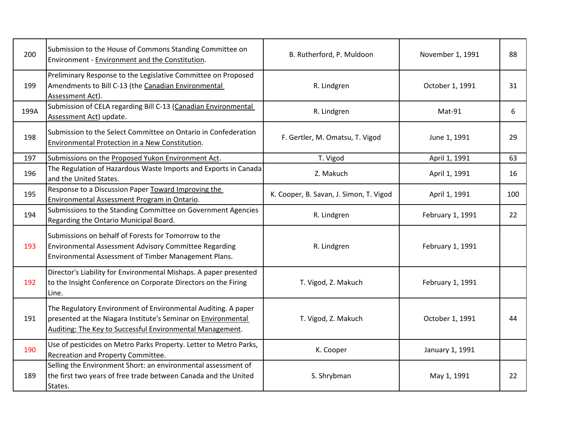| 200  | Submission to the House of Commons Standing Committee on<br>Environment - Environment and the Constitution.                                                                                 | B. Rutherford, P. Muldoon               | November 1, 1991 | 88  |
|------|---------------------------------------------------------------------------------------------------------------------------------------------------------------------------------------------|-----------------------------------------|------------------|-----|
| 199  | Preliminary Response to the Legislative Committee on Proposed<br>Amendments to Bill C-13 (the Canadian Environmental<br>Assessment Act).                                                    | R. Lindgren                             | October 1, 1991  | 31  |
| 199A | Submission of CELA regarding Bill C-13 (Canadian Environmental<br>Assessment Act) update.                                                                                                   | R. Lindgren                             | Mat-91           | 6   |
| 198  | Submission to the Select Committee on Ontario in Confederation<br>Environmental Protection in a New Constitution.                                                                           | F. Gertler, M. Omatsu, T. Vigod         | June 1, 1991     | 29  |
| 197  | Submissions on the Proposed Yukon Environment Act.                                                                                                                                          | T. Vigod                                | April 1, 1991    | 63  |
| 196  | The Regulation of Hazardous Waste Imports and Exports in Canada<br>and the United States.                                                                                                   | Z. Makuch                               | April 1, 1991    | 16  |
| 195  | Response to a Discussion Paper Toward Improving the<br>Environmental Assessment Program in Ontario.                                                                                         | K. Cooper, B. Savan, J. Simon, T. Vigod | April 1, 1991    | 100 |
| 194  | Submissions to the Standing Committee on Government Agencies<br>Regarding the Ontario Municipal Board.                                                                                      | R. Lindgren                             | February 1, 1991 | 22  |
| 193  | Submissions on behalf of Forests for Tomorrow to the<br>Environmental Assessment Advisory Committee Regarding<br>Environmental Assessment of Timber Management Plans.                       | R. Lindgren                             | February 1, 1991 |     |
| 192  | Director's Liability for Environmental Mishaps. A paper presented<br>to the Insight Conference on Corporate Directors on the Firing<br>Line.                                                | T. Vigod, Z. Makuch                     | February 1, 1991 |     |
| 191  | The Regulatory Environment of Environmental Auditing. A paper<br>presented at the Niagara Institute's Seminar on Environmental<br>Auditing: The Key to Successful Environmental Management. | T. Vigod, Z. Makuch                     | October 1, 1991  | 44  |
| 190  | Use of pesticides on Metro Parks Property. Letter to Metro Parks,<br>Recreation and Property Committee.                                                                                     | K. Cooper                               | January 1, 1991  |     |
| 189  | Selling the Environment Short: an environmental assessment of<br>the first two years of free trade between Canada and the United<br>States.                                                 | S. Shrybman                             | May 1, 1991      | 22  |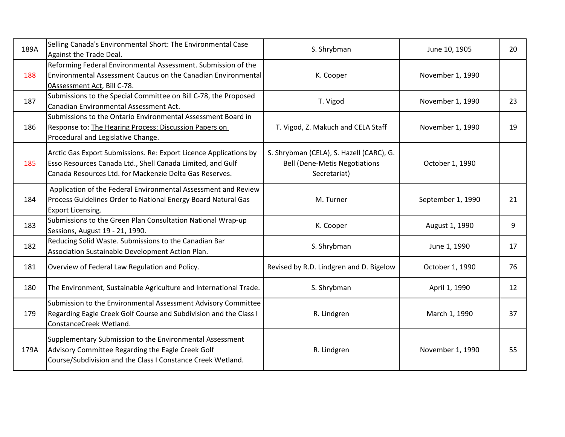| 189A | Selling Canada's Environmental Short: The Environmental Case<br>Against the Trade Deal.                                                                                                    | S. Shrybman                                                                                      | June 10, 1905     | 20 |
|------|--------------------------------------------------------------------------------------------------------------------------------------------------------------------------------------------|--------------------------------------------------------------------------------------------------|-------------------|----|
| 188  | Reforming Federal Environmental Assessment. Submission of the<br>Environmental Assessment Caucus on the Canadian Environmental<br>0Assessment Act, Bill C-78.                              | K. Cooper                                                                                        | November 1, 1990  |    |
| 187  | Submissions to the Special Committee on Bill C-78, the Proposed<br>Canadian Environmental Assessment Act.                                                                                  | T. Vigod                                                                                         | November 1, 1990  | 23 |
| 186  | Submissions to the Ontario Environmental Assessment Board in<br>Response to: The Hearing Process: Discussion Papers on<br>Procedural and Legislative Change.                               | T. Vigod, Z. Makuch and CELA Staff                                                               | November 1, 1990  | 19 |
| 185  | Arctic Gas Export Submissions. Re: Export Licence Applications by<br>Esso Resources Canada Ltd., Shell Canada Limited, and Gulf<br>Canada Resources Ltd. for Mackenzie Delta Gas Reserves. | S. Shrybman (CELA), S. Hazell (CARC), G.<br><b>Bell (Dene-Metis Negotiations</b><br>Secretariat) | October 1, 1990   |    |
| 184  | Application of the Federal Environmental Assessment and Review<br>Process Guidelines Order to National Energy Board Natural Gas<br><b>Export Licensing.</b>                                | M. Turner                                                                                        | September 1, 1990 | 21 |
| 183  | Submissions to the Green Plan Consultation National Wrap-up<br>Sessions, August 19 - 21, 1990.                                                                                             | K. Cooper                                                                                        | August 1, 1990    | 9  |
| 182  | Reducing Solid Waste. Submissions to the Canadian Bar<br>Association Sustainable Development Action Plan.                                                                                  | S. Shrybman                                                                                      | June 1, 1990      | 17 |
| 181  | Overview of Federal Law Regulation and Policy.                                                                                                                                             | Revised by R.D. Lindgren and D. Bigelow                                                          | October 1, 1990   | 76 |
| 180  | The Environment, Sustainable Agriculture and International Trade.                                                                                                                          | S. Shrybman                                                                                      | April 1, 1990     | 12 |
| 179  | Submission to the Environmental Assessment Advisory Committee<br>Regarding Eagle Creek Golf Course and Subdivision and the Class I<br>ConstanceCreek Wetland.                              | R. Lindgren                                                                                      | March 1, 1990     | 37 |
| 179A | Supplementary Submission to the Environmental Assessment<br>Advisory Committee Regarding the Eagle Creek Golf<br>Course/Subdivision and the Class I Constance Creek Wetland.               | R. Lindgren                                                                                      | November 1, 1990  | 55 |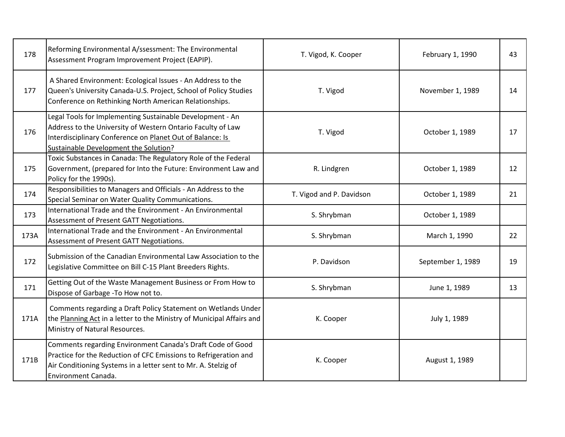| 178  | Reforming Environmental A/ssessment: The Environmental<br>Assessment Program Improvement Project (EAPIP).                                                                                                                      | T. Vigod, K. Cooper      | February 1, 1990  | 43 |
|------|--------------------------------------------------------------------------------------------------------------------------------------------------------------------------------------------------------------------------------|--------------------------|-------------------|----|
| 177  | A Shared Environment: Ecological Issues - An Address to the<br>Queen's University Canada-U.S. Project, School of Policy Studies<br>Conference on Rethinking North American Relationships.                                      | T. Vigod                 | November 1, 1989  | 14 |
| 176  | Legal Tools for Implementing Sustainable Development - An<br>Address to the University of Western Ontario Faculty of Law<br>Interdisciplinary Conference on Planet Out of Balance: Is<br>Sustainable Development the Solution? | T. Vigod                 | October 1, 1989   | 17 |
| 175  | Toxic Substances in Canada: The Regulatory Role of the Federal<br>Government, (prepared for Into the Future: Environment Law and<br>Policy for the 1990s).                                                                     | R. Lindgren              | October 1, 1989   | 12 |
| 174  | Responsibilities to Managers and Officials - An Address to the<br>Special Seminar on Water Quality Communications.                                                                                                             | T. Vigod and P. Davidson | October 1, 1989   | 21 |
| 173  | International Trade and the Environment - An Environmental<br>Assessment of Present GATT Negotiations.                                                                                                                         | S. Shrybman              | October 1, 1989   |    |
| 173A | International Trade and the Environment - An Environmental<br>Assessment of Present GATT Negotiations.                                                                                                                         | S. Shrybman              | March 1, 1990     | 22 |
| 172  | Submission of the Canadian Environmental Law Association to the<br>Legislative Committee on Bill C-15 Plant Breeders Rights.                                                                                                   | P. Davidson              | September 1, 1989 | 19 |
| 171  | Getting Out of the Waste Management Business or From How to<br>Dispose of Garbage - To How not to.                                                                                                                             | S. Shrybman              | June 1, 1989      | 13 |
| 171A | Comments regarding a Draft Policy Statement on Wetlands Under<br>the Planning Act in a letter to the Ministry of Municipal Affairs and<br>Ministry of Natural Resources.                                                       | K. Cooper                | July 1, 1989      |    |
| 171B | Comments regarding Environment Canada's Draft Code of Good<br>Practice for the Reduction of CFC Emissions to Refrigeration and<br>Air Conditioning Systems in a letter sent to Mr. A. Stelzig of<br>Environment Canada.        | K. Cooper                | August 1, 1989    |    |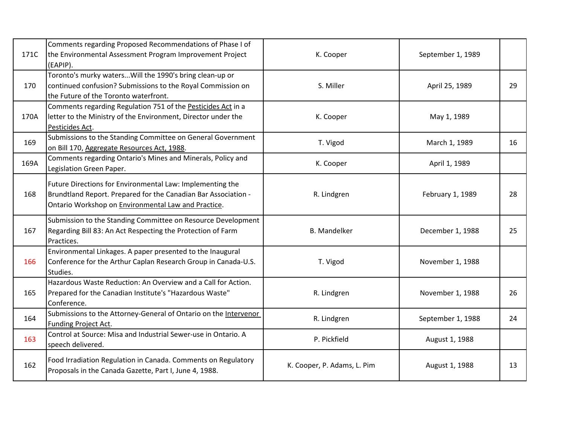| 171C | Comments regarding Proposed Recommendations of Phase I of<br>the Environmental Assessment Program Improvement Project<br>(EAPIP).                                                  | K. Cooper                   | September 1, 1989 |    |
|------|------------------------------------------------------------------------------------------------------------------------------------------------------------------------------------|-----------------------------|-------------------|----|
| 170  | Toronto's murky watersWill the 1990's bring clean-up or<br>continued confusion? Submissions to the Royal Commission on<br>the Future of the Toronto waterfront.                    | S. Miller                   | April 25, 1989    | 29 |
| 170A | Comments regarding Regulation 751 of the Pesticides Act in a<br>letter to the Ministry of the Environment, Director under the<br>Pesticides Act.                                   | K. Cooper                   | May 1, 1989       |    |
| 169  | Submissions to the Standing Committee on General Government<br>on Bill 170, Aggregate Resources Act, 1988.                                                                         | T. Vigod                    | March 1, 1989     | 16 |
| 169A | Comments regarding Ontario's Mines and Minerals, Policy and<br>Legislation Green Paper.                                                                                            | K. Cooper                   | April 1, 1989     |    |
| 168  | Future Directions for Environmental Law: Implementing the<br>Brundtland Report. Prepared for the Canadian Bar Association -<br>Ontario Workshop on Environmental Law and Practice. | R. Lindgren                 | February 1, 1989  | 28 |
| 167  | Submission to the Standing Committee on Resource Development<br>Regarding Bill 83: An Act Respecting the Protection of Farm<br>Practices.                                          | <b>B.</b> Mandelker         | December 1, 1988  | 25 |
| 166  | Environmental Linkages. A paper presented to the Inaugural<br>Conference for the Arthur Caplan Research Group in Canada-U.S.<br>Studies.                                           | T. Vigod                    | November 1, 1988  |    |
| 165  | Hazardous Waste Reduction: An Overview and a Call for Action.<br>Prepared for the Canadian Institute's "Hazardous Waste"<br>Conference.                                            | R. Lindgren                 | November 1, 1988  | 26 |
| 164  | Submissions to the Attorney-General of Ontario on the Intervenor<br>Funding Project Act.                                                                                           | R. Lindgren                 | September 1, 1988 | 24 |
| 163  | Control at Source: Misa and Industrial Sewer-use in Ontario. A<br>speech delivered.                                                                                                | P. Pickfield                | August 1, 1988    |    |
| 162  | Food Irradiation Regulation in Canada. Comments on Regulatory<br>Proposals in the Canada Gazette, Part I, June 4, 1988.                                                            | K. Cooper, P. Adams, L. Pim | August 1, 1988    | 13 |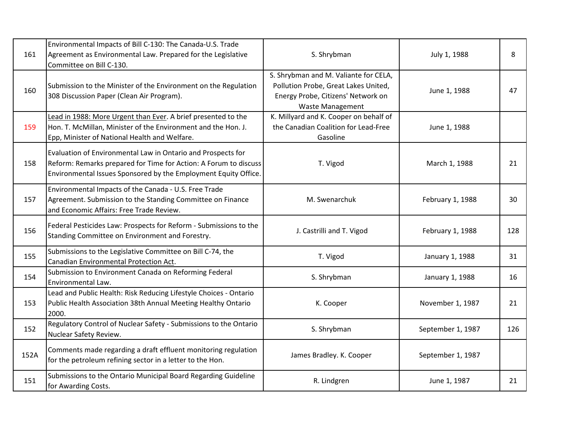| 161  | Environmental Impacts of Bill C-130: The Canada-U.S. Trade<br>Agreement as Environmental Law. Prepared for the Legislative<br>Committee on Bill C-130.                                              | S. Shrybman                                                                                                                                    | July 1, 1988      | 8   |
|------|-----------------------------------------------------------------------------------------------------------------------------------------------------------------------------------------------------|------------------------------------------------------------------------------------------------------------------------------------------------|-------------------|-----|
| 160  | Submission to the Minister of the Environment on the Regulation<br>308 Discussion Paper (Clean Air Program).                                                                                        | S. Shrybman and M. Valiante for CELA,<br>Pollution Probe, Great Lakes United,<br>Energy Probe, Citizens' Network on<br><b>Waste Management</b> | June 1, 1988      | 47  |
| 159  | Lead in 1988: More Urgent than Ever. A brief presented to the<br>Hon. T. McMillan, Minister of the Environment and the Hon. J.<br>Epp, Minister of National Health and Welfare.                     | K. Millyard and K. Cooper on behalf of<br>the Canadian Coalition for Lead-Free<br>Gasoline                                                     | June 1, 1988      |     |
| 158  | Evaluation of Environmental Law in Ontario and Prospects for<br>Reform: Remarks prepared for Time for Action: A Forum to discuss<br>Environmental Issues Sponsored by the Employment Equity Office. | T. Vigod                                                                                                                                       | March 1, 1988     | 21  |
| 157  | Environmental Impacts of the Canada - U.S. Free Trade<br>Agreement. Submission to the Standing Committee on Finance<br>and Economic Affairs: Free Trade Review.                                     | M. Swenarchuk                                                                                                                                  | February 1, 1988  | 30  |
| 156  | Federal Pesticides Law: Prospects for Reform - Submissions to the<br>Standing Committee on Environment and Forestry.                                                                                | J. Castrilli and T. Vigod                                                                                                                      | February 1, 1988  | 128 |
| 155  | Submissions to the Legislative Committee on Bill C-74, the<br>Canadian Environmental Protection Act.                                                                                                | T. Vigod                                                                                                                                       | January 1, 1988   | 31  |
| 154  | Submission to Environment Canada on Reforming Federal<br>Environmental Law.                                                                                                                         | S. Shrybman                                                                                                                                    | January 1, 1988   | 16  |
| 153  | Lead and Public Health: Risk Reducing Lifestyle Choices - Ontario<br>Public Health Association 38th Annual Meeting Healthy Ontario<br>2000.                                                         | K. Cooper                                                                                                                                      | November 1, 1987  | 21  |
| 152  | Regulatory Control of Nuclear Safety - Submissions to the Ontario<br>Nuclear Safety Review.                                                                                                         | S. Shrybman                                                                                                                                    | September 1, 1987 | 126 |
| 152A | Comments made regarding a draft effluent monitoring regulation<br>for the petroleum refining sector in a letter to the Hon.                                                                         | James Bradley. K. Cooper                                                                                                                       | September 1, 1987 |     |
| 151  | Submissions to the Ontario Municipal Board Regarding Guideline<br>for Awarding Costs.                                                                                                               | R. Lindgren                                                                                                                                    | June 1, 1987      | 21  |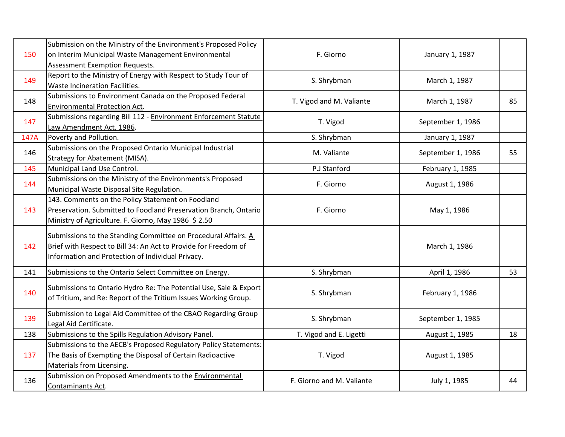| 150  | Submission on the Ministry of the Environment's Proposed Policy<br>on Interim Municipal Waste Management Environmental<br>Assessment Exemption Requests.                               | F. Giorno                 | January 1, 1987   |    |
|------|----------------------------------------------------------------------------------------------------------------------------------------------------------------------------------------|---------------------------|-------------------|----|
| 149  | Report to the Ministry of Energy with Respect to Study Tour of<br>Waste Incineration Facilities.                                                                                       | S. Shrybman               | March 1, 1987     |    |
| 148  | Submissions to Environment Canada on the Proposed Federal<br>Environmental Protection Act.                                                                                             | T. Vigod and M. Valiante  | March 1, 1987     | 85 |
| 147  | Submissions regarding Bill 112 - Environment Enforcement Statute<br>Law Amendment Act, 1986.                                                                                           | T. Vigod                  | September 1, 1986 |    |
| 147A | Poverty and Pollution.                                                                                                                                                                 | S. Shrybman               | January 1, 1987   |    |
| 146  | Submissions on the Proposed Ontario Municipal Industrial<br>Strategy for Abatement (MISA).                                                                                             | M. Valiante               | September 1, 1986 | 55 |
| 145  | Municipal Land Use Control.                                                                                                                                                            | P.J Stanford              | February 1, 1985  |    |
| 144  | Submissions on the Ministry of the Environments's Proposed<br>Municipal Waste Disposal Site Regulation.                                                                                | F. Giorno                 | August 1, 1986    |    |
| 143  | 143. Comments on the Policy Statement on Foodland<br>Preservation. Submitted to Foodland Preservation Branch, Ontario<br>Ministry of Agriculture. F. Giorno, May 1986 \$2.50           | F. Giorno                 | May 1, 1986       |    |
| 142  | Submissions to the Standing Committee on Procedural Affairs. A<br>Brief with Respect to Bill 34: An Act to Provide for Freedom of<br>Information and Protection of Individual Privacy. |                           | March 1, 1986     |    |
| 141  | Submissions to the Ontario Select Committee on Energy.                                                                                                                                 | S. Shrybman               | April 1, 1986     | 53 |
| 140  | Submissions to Ontario Hydro Re: The Potential Use, Sale & Export<br>of Tritium, and Re: Report of the Tritium Issues Working Group.                                                   | S. Shrybman               | February 1, 1986  |    |
| 139  | Submission to Legal Aid Committee of the CBAO Regarding Group<br>Legal Aid Certificate.                                                                                                | S. Shrybman               | September 1, 1985 |    |
| 138  | Submissions to the Spills Regulation Advisory Panel.                                                                                                                                   | T. Vigod and E. Ligetti   | August 1, 1985    | 18 |
| 137  | Submissions to the AECB's Proposed Regulatory Policy Statements:<br>The Basis of Exempting the Disposal of Certain Radioactive<br>Materials from Licensing.                            | T. Vigod                  | August 1, 1985    |    |
| 136  | Submission on Proposed Amendments to the Environmental<br>Contaminants Act.                                                                                                            | F. Giorno and M. Valiante | July 1, 1985      | 44 |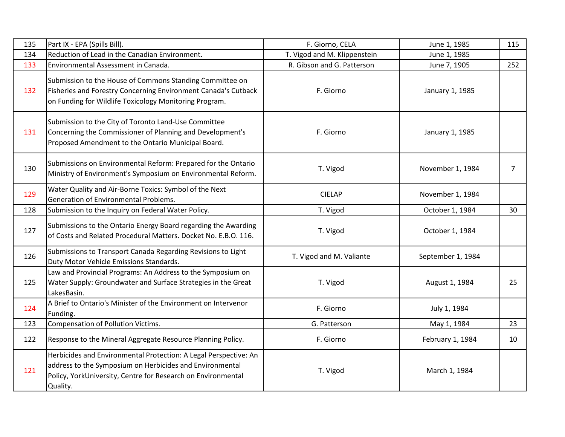| 135 | Part IX - EPA (Spills Bill).                                                                                                                                                                             | F. Giorno, CELA              | June 1, 1985      | 115 |
|-----|----------------------------------------------------------------------------------------------------------------------------------------------------------------------------------------------------------|------------------------------|-------------------|-----|
| 134 | Reduction of Lead in the Canadian Environment.                                                                                                                                                           | T. Vigod and M. Klippenstein | June 1, 1985      |     |
| 133 | Environmental Assessment in Canada.                                                                                                                                                                      | R. Gibson and G. Patterson   | June 7, 1905      | 252 |
| 132 | Submission to the House of Commons Standing Committee on<br>Fisheries and Forestry Concerning Environment Canada's Cutback<br>on Funding for Wildlife Toxicology Monitoring Program.                     | F. Giorno                    | January 1, 1985   |     |
| 131 | Submission to the City of Toronto Land-Use Committee<br>Concerning the Commissioner of Planning and Development's<br>Proposed Amendment to the Ontario Municipal Board.                                  | F. Giorno                    | January 1, 1985   |     |
| 130 | Submissions on Environmental Reform: Prepared for the Ontario<br>Ministry of Environment's Symposium on Environmental Reform.                                                                            | T. Vigod                     | November 1, 1984  | 7   |
| 129 | Water Quality and Air-Borne Toxics: Symbol of the Next<br><b>Generation of Environmental Problems.</b>                                                                                                   | <b>CIELAP</b>                | November 1, 1984  |     |
| 128 | Submission to the Inquiry on Federal Water Policy.                                                                                                                                                       | T. Vigod                     | October 1, 1984   | 30  |
| 127 | Submissions to the Ontario Energy Board regarding the Awarding<br>of Costs and Related Procedural Matters. Docket No. E.B.O. 116.                                                                        | T. Vigod                     | October 1, 1984   |     |
| 126 | Submissions to Transport Canada Regarding Revisions to Light<br>Duty Motor Vehicle Emissions Standards.                                                                                                  | T. Vigod and M. Valiante     | September 1, 1984 |     |
| 125 | Law and Provincial Programs: An Address to the Symposium on<br>Water Supply: Groundwater and Surface Strategies in the Great<br>LakesBasin.                                                              | T. Vigod                     | August 1, 1984    | 25  |
| 124 | A Brief to Ontario's Minister of the Environment on Intervenor<br>Funding.                                                                                                                               | F. Giorno                    | July 1, 1984      |     |
| 123 | <b>Compensation of Pollution Victims.</b>                                                                                                                                                                | G. Patterson                 | May 1, 1984       | 23  |
| 122 | Response to the Mineral Aggregate Resource Planning Policy.                                                                                                                                              | F. Giorno                    | February 1, 1984  | 10  |
| 121 | Herbicides and Environmental Protection: A Legal Perspective: An<br>address to the Symposium on Herbicides and Environmental<br>Policy, YorkUniversity, Centre for Research on Environmental<br>Quality. | T. Vigod                     | March 1, 1984     |     |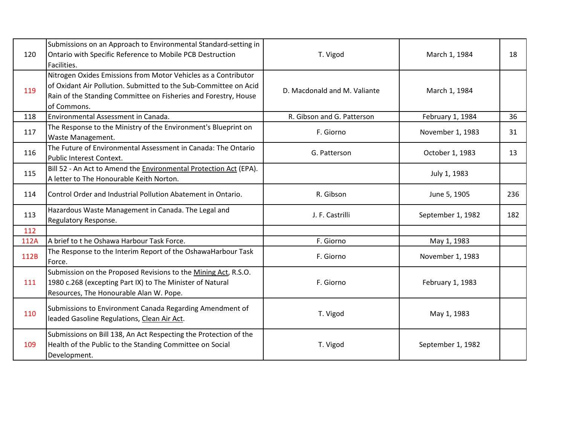| 120  | Submissions on an Approach to Environmental Standard-setting in<br>Ontario with Specific Reference to Mobile PCB Destruction<br>Facilities.                                                                          | T. Vigod                     | March 1, 1984     | 18  |
|------|----------------------------------------------------------------------------------------------------------------------------------------------------------------------------------------------------------------------|------------------------------|-------------------|-----|
| 119  | Nitrogen Oxides Emissions from Motor Vehicles as a Contributor<br>of Oxidant Air Pollution. Submitted to the Sub-Committee on Acid<br>Rain of the Standing Committee on Fisheries and Forestry, House<br>of Commons. | D. Macdonald and M. Valiante | March 1, 1984     |     |
| 118  | Environmental Assessment in Canada.                                                                                                                                                                                  | R. Gibson and G. Patterson   | February 1, 1984  | 36  |
| 117  | The Response to the Ministry of the Environment's Blueprint on<br>Waste Management.                                                                                                                                  | F. Giorno                    | November 1, 1983  | 31  |
| 116  | The Future of Environmental Assessment in Canada: The Ontario<br>Public Interest Context.                                                                                                                            | G. Patterson                 | October 1, 1983   | 13  |
| 115  | Bill 52 - An Act to Amend the Environmental Protection Act (EPA).<br>A letter to The Honourable Keith Norton.                                                                                                        |                              | July 1, 1983      |     |
| 114  | Control Order and Industrial Pollution Abatement in Ontario.                                                                                                                                                         | R. Gibson                    | June 5, 1905      | 236 |
| 113  | Hazardous Waste Management in Canada. The Legal and<br>Regulatory Response.                                                                                                                                          | J. F. Castrilli              | September 1, 1982 | 182 |
| 112  |                                                                                                                                                                                                                      |                              |                   |     |
| 112A | A brief to t he Oshawa Harbour Task Force.                                                                                                                                                                           | F. Giorno                    | May 1, 1983       |     |
| 112B | The Response to the Interim Report of the OshawaHarbour Task<br>Force.                                                                                                                                               | F. Giorno                    | November 1, 1983  |     |
| 111  | Submission on the Proposed Revisions to the Mining Act, R.S.O.<br>1980 c.268 (excepting Part IX) to The Minister of Natural<br>Resources, The Honourable Alan W. Pope.                                               | F. Giorno                    | February 1, 1983  |     |
| 110  | Submissions to Environment Canada Regarding Amendment of<br>leaded Gasoline Regulations, Clean Air Act.                                                                                                              | T. Vigod                     | May 1, 1983       |     |
| 109  | Submissions on Bill 138, An Act Respecting the Protection of the<br>Health of the Public to the Standing Committee on Social<br>Development.                                                                         | T. Vigod                     | September 1, 1982 |     |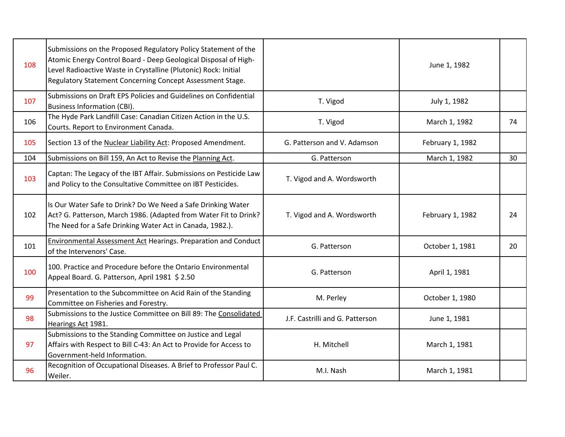| 108 | Submissions on the Proposed Regulatory Policy Statement of the<br>Atomic Energy Control Board - Deep Geological Disposal of High-<br>Level Radioactive Waste in Crystalline (Plutonic) Rock: Initial<br>Regulatory Statement Concerning Concept Assessment Stage. |                                 | June 1, 1982     |    |
|-----|-------------------------------------------------------------------------------------------------------------------------------------------------------------------------------------------------------------------------------------------------------------------|---------------------------------|------------------|----|
| 107 | Submissions on Draft EPS Policies and Guidelines on Confidential<br><b>Business Information (CBI).</b>                                                                                                                                                            | T. Vigod                        | July 1, 1982     |    |
| 106 | The Hyde Park Landfill Case: Canadian Citizen Action in the U.S.<br>Courts. Report to Environment Canada.                                                                                                                                                         | T. Vigod                        | March 1, 1982    | 74 |
| 105 | Section 13 of the Nuclear Liability Act: Proposed Amendment.                                                                                                                                                                                                      | G. Patterson and V. Adamson     | February 1, 1982 |    |
| 104 | Submissions on Bill 159, An Act to Revise the Planning Act.                                                                                                                                                                                                       | G. Patterson                    | March 1, 1982    | 30 |
| 103 | Captan: The Legacy of the IBT Affair. Submissions on Pesticide Law<br>and Policy to the Consultative Committee on IBT Pesticides.                                                                                                                                 | T. Vigod and A. Wordsworth      |                  |    |
| 102 | Is Our Water Safe to Drink? Do We Need a Safe Drinking Water<br>Act? G. Patterson, March 1986. (Adapted from Water Fit to Drink?<br>The Need for a Safe Drinking Water Act in Canada, 1982.).                                                                     | T. Vigod and A. Wordsworth      | February 1, 1982 | 24 |
| 101 | <b>Environmental Assessment Act Hearings. Preparation and Conduct</b><br>of the Intervenors' Case.                                                                                                                                                                | G. Patterson                    | October 1, 1981  | 20 |
| 100 | 100. Practice and Procedure before the Ontario Environmental<br>Appeal Board. G. Patterson, April 1981 \$ 2.50                                                                                                                                                    | G. Patterson                    | April 1, 1981    |    |
| 99  | Presentation to the Subcommittee on Acid Rain of the Standing<br>Committee on Fisheries and Forestry.                                                                                                                                                             | M. Perley                       | October 1, 1980  |    |
| 98  | Submissions to the Justice Committee on Bill 89: The Consolidated<br>Hearings Act 1981.                                                                                                                                                                           | J.F. Castrilli and G. Patterson | June 1, 1981     |    |
| 97  | Submissions to the Standing Committee on Justice and Legal<br>Affairs with Respect to Bill C-43: An Act to Provide for Access to<br>Government-held Information.                                                                                                  | H. Mitchell                     | March 1, 1981    |    |
| 96  | Recognition of Occupational Diseases. A Brief to Professor Paul C.<br>Weiler.                                                                                                                                                                                     | M.I. Nash                       | March 1, 1981    |    |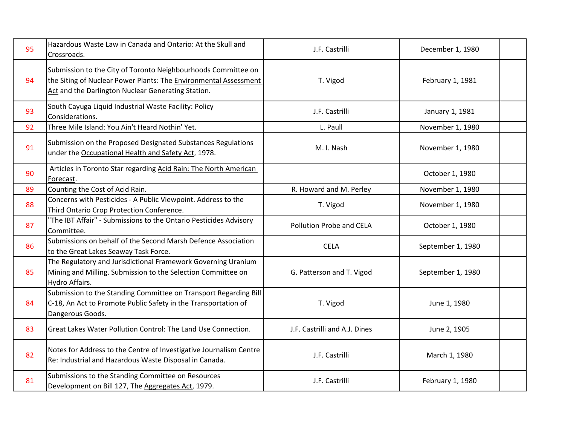| 95 | Hazardous Waste Law in Canada and Ontario: At the Skull and<br>Crossroads.                                                                                                              | J.F. Castrilli                | December 1, 1980  |  |
|----|-----------------------------------------------------------------------------------------------------------------------------------------------------------------------------------------|-------------------------------|-------------------|--|
| 94 | Submission to the City of Toronto Neighbourhoods Committee on<br>the Siting of Nuclear Power Plants: The Environmental Assessment<br>Act and the Darlington Nuclear Generating Station. | T. Vigod                      | February 1, 1981  |  |
| 93 | South Cayuga Liquid Industrial Waste Facility: Policy<br>Considerations.                                                                                                                | J.F. Castrilli                | January 1, 1981   |  |
| 92 | Three Mile Island: You Ain't Heard Nothin' Yet.                                                                                                                                         | L. Paull                      | November 1, 1980  |  |
| 91 | Submission on the Proposed Designated Substances Regulations<br>under the Occupational Health and Safety Act, 1978.                                                                     | M. I. Nash                    | November 1, 1980  |  |
| 90 | Articles in Toronto Star regarding Acid Rain: The North American<br>Forecast.                                                                                                           |                               | October 1, 1980   |  |
| 89 | Counting the Cost of Acid Rain.                                                                                                                                                         | R. Howard and M. Perley       | November 1, 1980  |  |
| 88 | Concerns with Pesticides - A Public Viewpoint. Address to the<br>Third Ontario Crop Protection Conference.                                                                              | T. Vigod                      | November 1, 1980  |  |
| 87 | "The IBT Affair" - Submissions to the Ontario Pesticides Advisory<br>Committee.                                                                                                         | Pollution Probe and CELA      | October 1, 1980   |  |
| 86 | Submissions on behalf of the Second Marsh Defence Association<br>to the Great Lakes Seaway Task Force.                                                                                  | <b>CELA</b>                   | September 1, 1980 |  |
| 85 | The Regulatory and Jurisdictional Framework Governing Uranium<br>Mining and Milling. Submission to the Selection Committee on<br>Hydro Affairs.                                         | G. Patterson and T. Vigod     | September 1, 1980 |  |
| 84 | Submission to the Standing Committee on Transport Regarding Bill<br>C-18, An Act to Promote Public Safety in the Transportation of<br>Dangerous Goods.                                  | T. Vigod                      | June 1, 1980      |  |
| 83 | Great Lakes Water Pollution Control: The Land Use Connection.                                                                                                                           | J.F. Castrilli and A.J. Dines | June 2, 1905      |  |
| 82 | Notes for Address to the Centre of Investigative Journalism Centre<br>Re: Industrial and Hazardous Waste Disposal in Canada.                                                            | J.F. Castrilli                | March 1, 1980     |  |
| 81 | Submissions to the Standing Committee on Resources<br>Development on Bill 127, The Aggregates Act, 1979.                                                                                | J.F. Castrilli                | February 1, 1980  |  |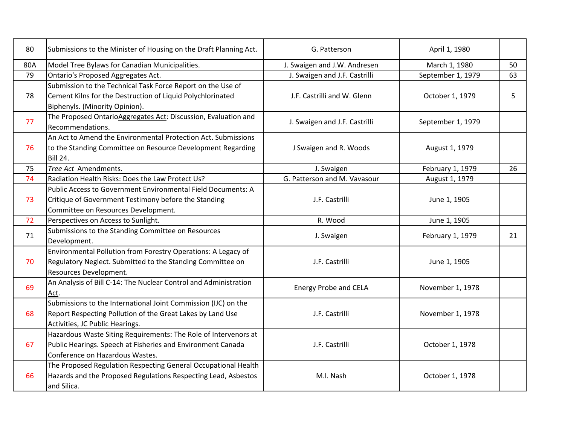| 80  | Submissions to the Minister of Housing on the Draft Planning Act.                                                                                                 | G. Patterson                  | April 1, 1980     |    |
|-----|-------------------------------------------------------------------------------------------------------------------------------------------------------------------|-------------------------------|-------------------|----|
| 80A | Model Tree Bylaws for Canadian Municipalities.                                                                                                                    | J. Swaigen and J.W. Andresen  | March 1, 1980     | 50 |
| 79  | Ontario's Proposed Aggregates Act.                                                                                                                                | J. Swaigen and J.F. Castrilli | September 1, 1979 | 63 |
| 78  | Submission to the Technical Task Force Report on the Use of<br>Cement Kilns for the Destruction of Liquid Polychlorinated<br>Biphenyls. (Minority Opinion).       | J.F. Castrilli and W. Glenn   | October 1, 1979   | 5  |
| 77  | The Proposed OntarioAggregates Act: Discussion, Evaluation and<br>Recommendations.                                                                                | J. Swaigen and J.F. Castrilli | September 1, 1979 |    |
| 76  | An Act to Amend the Environmental Protection Act. Submissions<br>to the Standing Committee on Resource Development Regarding<br><b>Bill 24.</b>                   | J Swaigen and R. Woods        | August 1, 1979    |    |
| 75  | Tree Act Amendments.                                                                                                                                              | J. Swaigen                    | February 1, 1979  | 26 |
| 74  | Radiation Health Risks: Does the Law Protect Us?                                                                                                                  | G. Patterson and M. Vavasour  | August 1, 1979    |    |
| 73  | Public Access to Government Environmental Field Documents: A<br>Critique of Government Testimony before the Standing<br>Committee on Resources Development.       | J.F. Castrilli                | June 1, 1905      |    |
| 72  | Perspectives on Access to Sunlight.                                                                                                                               | R. Wood                       | June 1, 1905      |    |
| 71  | Submissions to the Standing Committee on Resources<br>Development.                                                                                                | J. Swaigen                    | February 1, 1979  | 21 |
| 70  | Environmental Pollution from Forestry Operations: A Legacy of<br>Regulatory Neglect. Submitted to the Standing Committee on<br>Resources Development.             | J.F. Castrilli                | June 1, 1905      |    |
| 69  | An Analysis of Bill C-14: The Nuclear Control and Administration<br>Act.                                                                                          | <b>Energy Probe and CELA</b>  | November 1, 1978  |    |
| 68  | Submissions to the International Joint Commission (IJC) on the<br>Report Respecting Pollution of the Great Lakes by Land Use<br>Activities, JC Public Hearings.   | J.F. Castrilli                | November 1, 1978  |    |
| 67  | Hazardous Waste Siting Requirements: The Role of Intervenors at<br>Public Hearings. Speech at Fisheries and Environment Canada<br>Conference on Hazardous Wastes. | J.F. Castrilli                | October 1, 1978   |    |
| 66  | The Proposed Regulation Respecting General Occupational Health<br>Hazards and the Proposed Regulations Respecting Lead, Asbestos<br>and Silica.                   | M.I. Nash                     | October 1, 1978   |    |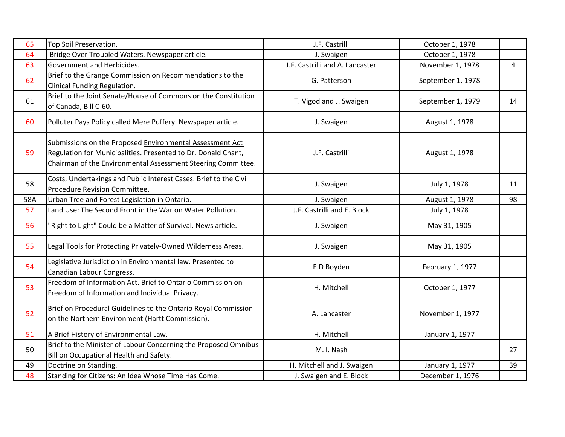| 65  | Top Soil Preservation.                                                                                                                                                                    | J.F. Castrilli                  | October 1, 1978   |    |
|-----|-------------------------------------------------------------------------------------------------------------------------------------------------------------------------------------------|---------------------------------|-------------------|----|
| 64  | Bridge Over Troubled Waters. Newspaper article.                                                                                                                                           | J. Swaigen                      | October 1, 1978   |    |
| 63  | Government and Herbicides.                                                                                                                                                                | J.F. Castrilli and A. Lancaster | November 1, 1978  | 4  |
| 62  | Brief to the Grange Commission on Recommendations to the<br>Clinical Funding Regulation.                                                                                                  | G. Patterson                    | September 1, 1978 |    |
| 61  | Brief to the Joint Senate/House of Commons on the Constitution<br>of Canada, Bill C-60.                                                                                                   | T. Vigod and J. Swaigen         | September 1, 1979 | 14 |
| 60  | Polluter Pays Policy called Mere Puffery. Newspaper article.                                                                                                                              | J. Swaigen                      | August 1, 1978    |    |
| 59  | Submissions on the Proposed Environmental Assessment Act<br>Regulation for Municipalities. Presented to Dr. Donald Chant,<br>Chairman of the Environmental Assessment Steering Committee. | J.F. Castrilli                  | August 1, 1978    |    |
| 58  | Costs, Undertakings and Public Interest Cases. Brief to the Civil<br>Procedure Revision Committee.                                                                                        | J. Swaigen                      | July 1, 1978      | 11 |
| 58A | Urban Tree and Forest Legislation in Ontario.                                                                                                                                             | J. Swaigen                      | August 1, 1978    | 98 |
| 57  | Land Use: The Second Front in the War on Water Pollution.                                                                                                                                 | J.F. Castrilli and E. Block     | July 1, 1978      |    |
| 56  | 'Right to Light" Could be a Matter of Survival. News article.                                                                                                                             | J. Swaigen                      | May 31, 1905      |    |
| 55  | Legal Tools for Protecting Privately-Owned Wilderness Areas.                                                                                                                              | J. Swaigen                      | May 31, 1905      |    |
| 54  | Legislative Jurisdiction in Environmental law. Presented to<br>Canadian Labour Congress.                                                                                                  | E.D Boyden                      | February 1, 1977  |    |
| 53  | Freedom of Information Act. Brief to Ontario Commission on<br>Freedom of Information and Individual Privacy.                                                                              | H. Mitchell                     | October 1, 1977   |    |
| 52  | Brief on Procedural Guidelines to the Ontario Royal Commission<br>on the Northern Environment (Hartt Commission).                                                                         | A. Lancaster                    | November 1, 1977  |    |
| 51  | A Brief History of Environmental Law.                                                                                                                                                     | H. Mitchell                     | January 1, 1977   |    |
| 50  | Brief to the Minister of Labour Concerning the Proposed Omnibus<br>Bill on Occupational Health and Safety.                                                                                | M. I. Nash                      |                   | 27 |
| 49  | Doctrine on Standing.                                                                                                                                                                     | H. Mitchell and J. Swaigen      | January 1, 1977   | 39 |
| 48  | Standing for Citizens: An Idea Whose Time Has Come.                                                                                                                                       | J. Swaigen and E. Block         | December 1, 1976  |    |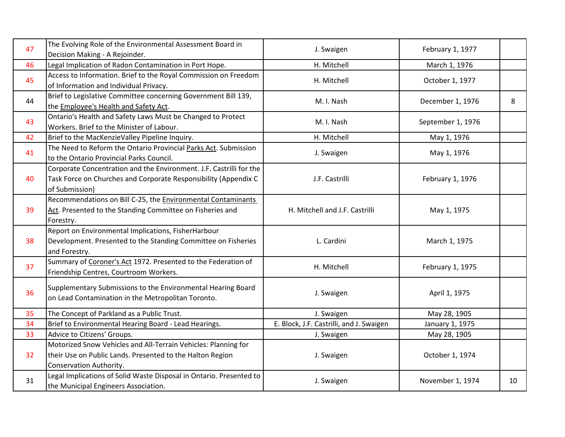| 47 | The Evolving Role of the Environmental Assessment Board in                                                                                               | J. Swaigen                               | February 1, 1977  |    |
|----|----------------------------------------------------------------------------------------------------------------------------------------------------------|------------------------------------------|-------------------|----|
| 46 | Decision Making - A Rejoinder.<br>Legal Implication of Radon Contamination in Port Hope.                                                                 | H. Mitchell                              | March 1, 1976     |    |
| 45 | Access to Information. Brief to the Royal Commission on Freedom                                                                                          | H. Mitchell                              | October 1, 1977   |    |
|    | of Information and Individual Privacy.                                                                                                                   |                                          |                   |    |
| 44 | Brief to Legislative Committee concerning Government Bill 139,<br>the Employee's Health and Safety Act.                                                  | M. I. Nash                               | December 1, 1976  | 8  |
| 43 | Ontario's Health and Safety Laws Must be Changed to Protect<br>Workers. Brief to the Minister of Labour.                                                 | M. I. Nash                               | September 1, 1976 |    |
| 42 | Brief to the MacKenzieValley Pipeline Inquiry.                                                                                                           | H. Mitchell                              | May 1, 1976       |    |
| 41 | The Need to Reform the Ontario Provincial Parks Act. Submission<br>to the Ontario Provincial Parks Council.                                              | J. Swaigen                               | May 1, 1976       |    |
| 40 | Corporate Concentration and the Environment. J.F. Castrilli for the<br>Task Force on Churches and Corporate Responsibility (Appendix C<br>of Submission) | J.F. Castrilli                           | February 1, 1976  |    |
| 39 | Recommendations on Bill C-25, the Environmental Contaminants<br>Act. Presented to the Standing Committee on Fisheries and<br>Forestry.                   | H. Mitchell and J.F. Castrilli           | May 1, 1975       |    |
| 38 | Report on Environmental Implications, FisherHarbour<br>Development. Presented to the Standing Committee on Fisheries<br>and Forestry.                    | L. Cardini                               | March 1, 1975     |    |
| 37 | Summary of Coroner's Act 1972. Presented to the Federation of<br>Friendship Centres, Courtroom Workers.                                                  | H. Mitchell                              | February 1, 1975  |    |
| 36 | Supplementary Submissions to the Environmental Hearing Board<br>on Lead Contamination in the Metropolitan Toronto.                                       | J. Swaigen                               | April 1, 1975     |    |
| 35 | The Concept of Parkland as a Public Trust.                                                                                                               | J. Swaigen                               | May 28, 1905      |    |
| 34 | Brief to Environmental Hearing Board - Lead Hearings.                                                                                                    | E. Block, J.F. Castrilli, and J. Swaigen | January 1, 1975   |    |
| 33 | Advice to Citizens' Groups.                                                                                                                              | J. Swaigen                               | May 28, 1905      |    |
| 32 | Motorized Snow Vehicles and All-Terrain Vehicles: Planning for<br>their Use on Public Lands. Presented to the Halton Region<br>Conservation Authority.   | J. Swaigen                               | October 1, 1974   |    |
| 31 | Legal Implications of Solid Waste Disposal in Ontario. Presented to<br>the Municipal Engineers Association.                                              | J. Swaigen                               | November 1, 1974  | 10 |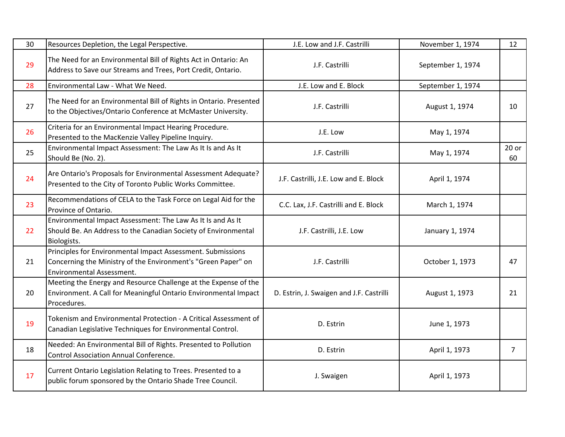| 30 | Resources Depletion, the Legal Perspective.                                                                                                                      | J.E. Low and J.F. Castrilli              | November 1, 1974  | 12             |
|----|------------------------------------------------------------------------------------------------------------------------------------------------------------------|------------------------------------------|-------------------|----------------|
| 29 | The Need for an Environmental Bill of Rights Act in Ontario: An<br>Address to Save our Streams and Trees, Port Credit, Ontario.                                  | J.F. Castrilli                           | September 1, 1974 |                |
| 28 | Environmental Law - What We Need.                                                                                                                                | J.E. Low and E. Block                    | September 1, 1974 |                |
| 27 | The Need for an Environmental Bill of Rights in Ontario. Presented<br>to the Objectives/Ontario Conference at McMaster University.                               | J.F. Castrilli                           | August 1, 1974    | 10             |
| 26 | Criteria for an Environmental Impact Hearing Procedure.<br>Presented to the MacKenzie Valley Pipeline Inquiry.                                                   | J.E. Low                                 | May 1, 1974       |                |
| 25 | Environmental Impact Assessment: The Law As It Is and As It<br>Should Be (No. 2).                                                                                | J.F. Castrilli                           | May 1, 1974       | $20$ or<br>60  |
| 24 | Are Ontario's Proposals for Environmental Assessment Adequate?<br>Presented to the City of Toronto Public Works Committee.                                       | J.F. Castrilli, J.E. Low and E. Block    | April 1, 1974     |                |
| 23 | Recommendations of CELA to the Task Force on Legal Aid for the<br>Province of Ontario.                                                                           | C.C. Lax, J.F. Castrilli and E. Block    | March 1, 1974     |                |
| 22 | Environmental Impact Assessment: The Law As It Is and As It<br>Should Be. An Address to the Canadian Society of Environmental<br>Biologists.                     | J.F. Castrilli, J.E. Low                 | January 1, 1974   |                |
| 21 | Principles for Environmental Impact Assessment. Submissions<br>Concerning the Ministry of the Environment's "Green Paper" on<br><b>Environmental Assessment.</b> | J.F. Castrilli                           | October 1, 1973   | 47             |
| 20 | Meeting the Energy and Resource Challenge at the Expense of the<br>Environment. A Call for Meaningful Ontario Environmental Impact<br>Procedures.                | D. Estrin, J. Swaigen and J.F. Castrilli | August 1, 1973    | 21             |
| 19 | Tokenism and Environmental Protection - A Critical Assessment of<br>Canadian Legislative Techniques for Environmental Control.                                   | D. Estrin                                | June 1, 1973      |                |
| 18 | Needed: An Environmental Bill of Rights. Presented to Pollution<br><b>Control Association Annual Conference.</b>                                                 | D. Estrin                                | April 1, 1973     | $\overline{7}$ |
| 17 | Current Ontario Legislation Relating to Trees. Presented to a<br>public forum sponsored by the Ontario Shade Tree Council.                                       | J. Swaigen                               | April 1, 1973     |                |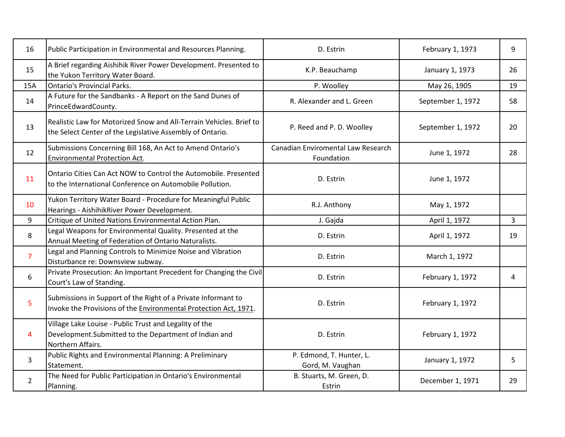| 16             | Public Participation in Environmental and Resources Planning.                                                                         | D. Estrin                                        | February 1, 1973  | 9              |
|----------------|---------------------------------------------------------------------------------------------------------------------------------------|--------------------------------------------------|-------------------|----------------|
| 15             | A Brief regarding Aishihik River Power Development. Presented to<br>the Yukon Territory Water Board.                                  | K.P. Beauchamp                                   | January 1, 1973   | 26             |
| 15A            | <b>Ontario's Provincial Parks.</b>                                                                                                    | P. Woolley                                       | May 26, 1905      | 19             |
| 14             | A Future for the Sandbanks - A Report on the Sand Dunes of<br>PrinceEdwardCounty.                                                     | R. Alexander and L. Green                        | September 1, 1972 | 58             |
| 13             | Realistic Law for Motorized Snow and All-Terrain Vehicles. Brief to<br>the Select Center of the Legislative Assembly of Ontario.      | P. Reed and P. D. Woolley                        | September 1, 1972 | 20             |
| 12             | Submissions Concerning Bill 168, An Act to Amend Ontario's<br><b>Environmental Protection Act.</b>                                    | Canadian Enviromental Law Research<br>Foundation | June 1, 1972      | 28             |
| 11             | Ontario Cities Can Act NOW to Control the Automobile. Presented<br>to the International Conference on Automobile Pollution.           | D. Estrin                                        | June 1, 1972      |                |
| 10             | Yukon Territory Water Board - Procedure for Meaningful Public<br>Hearings - AishihikRiver Power Development.                          | R.J. Anthony                                     | May 1, 1972       |                |
| 9              | Critique of United Nations Environmental Action Plan.                                                                                 | J. Gajda                                         | April 1, 1972     | $\overline{3}$ |
| 8              | Legal Weapons for Environmental Quality. Presented at the<br>Annual Meeting of Federation of Ontario Naturalists.                     | D. Estrin                                        | April 1, 1972     | 19             |
| $\overline{7}$ | Legal and Planning Controls to Minimize Noise and Vibration<br>Disturbance re: Downsview subway.                                      | D. Estrin                                        | March 1, 1972     |                |
| 6              | Private Prosecution: An Important Precedent for Changing the Civil<br>Court's Law of Standing.                                        | D. Estrin                                        | February 1, 1972  | 4              |
| 5              | Submissions in Support of the Right of a Private Informant to<br>Invoke the Provisions of the Environmental Protection Act, 1971.     | D. Estrin                                        | February 1, 1972  |                |
| 4              | Village Lake Louise - Public Trust and Legality of the<br>Development. Submitted to the Department of Indian and<br>Northern Affairs. | D. Estrin                                        | February 1, 1972  |                |
| 3              | Public Rights and Environmental Planning: A Preliminary<br>Statement.                                                                 | P. Edmond, T. Hunter, L.<br>Gord, M. Vaughan     | January 1, 1972   | 5              |
| $\overline{2}$ | The Need for Public Participation in Ontario's Environmental<br>Planning.                                                             | B. Stuarts, M. Green, D.<br>Estrin               | December 1, 1971  | 29             |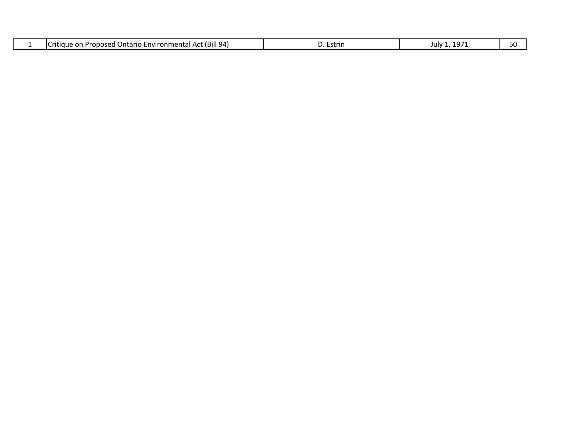| `ct (Bill 94)<br>-nvironmenta<br>arıc<br>™™⊪<br>Pronosed<br>. .<br><u>_</u><br>1 A L<br>ша | ≅triri ∶<br>_St' | $\sim$ $\sim$<br>JUIV<br>ıч, | . |
|--------------------------------------------------------------------------------------------|------------------|------------------------------|---|
|--------------------------------------------------------------------------------------------|------------------|------------------------------|---|